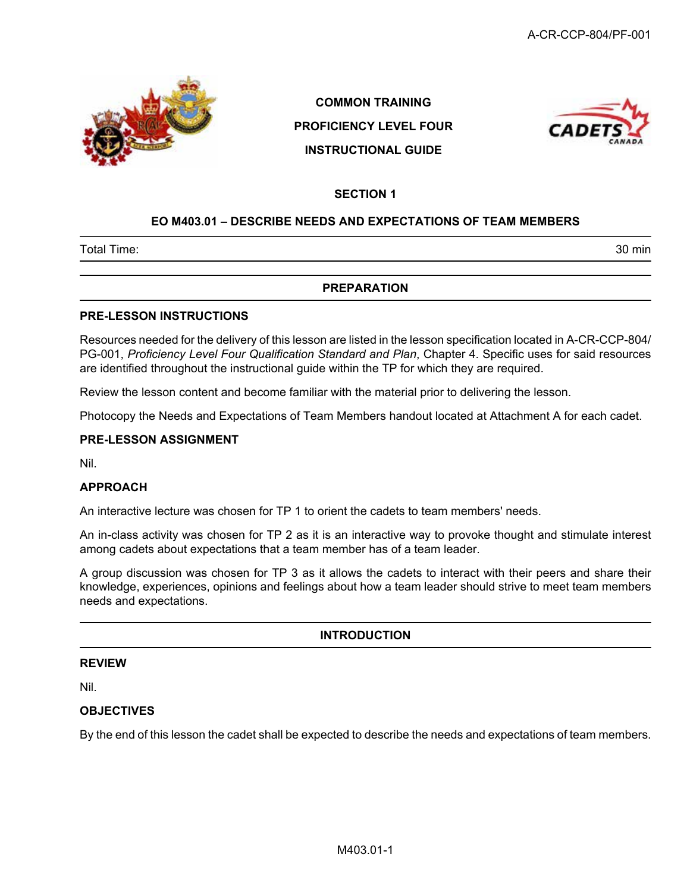

**COMMON TRAINING PROFICIENCY LEVEL FOUR INSTRUCTIONAL GUIDE**



#### **SECTION 1**

#### **EO M403.01 – DESCRIBE NEEDS AND EXPECTATIONS OF TEAM MEMBERS**

Total Time: 30 min

#### **PREPARATION**

#### **PRE-LESSON INSTRUCTIONS**

Resources needed for the delivery of this lesson are listed in the lesson specification located in A-CR-CCP-804/ PG-001, *Proficiency Level Four Qualification Standard and Plan*, Chapter 4. Specific uses for said resources are identified throughout the instructional guide within the TP for which they are required.

Review the lesson content and become familiar with the material prior to delivering the lesson.

Photocopy the Needs and Expectations of Team Members handout located at Attachment A for each cadet.

#### **PRE-LESSON ASSIGNMENT**

Nil.

#### **APPROACH**

An interactive lecture was chosen for TP 1 to orient the cadets to team members' needs.

An in-class activity was chosen for TP 2 as it is an interactive way to provoke thought and stimulate interest among cadets about expectations that a team member has of a team leader.

A group discussion was chosen for TP 3 as it allows the cadets to interact with their peers and share their knowledge, experiences, opinions and feelings about how a team leader should strive to meet team members needs and expectations.

## **INTRODUCTION**

#### **REVIEW**

Nil.

#### **OBJECTIVES**

By the end of this lesson the cadet shall be expected to describe the needs and expectations of team members.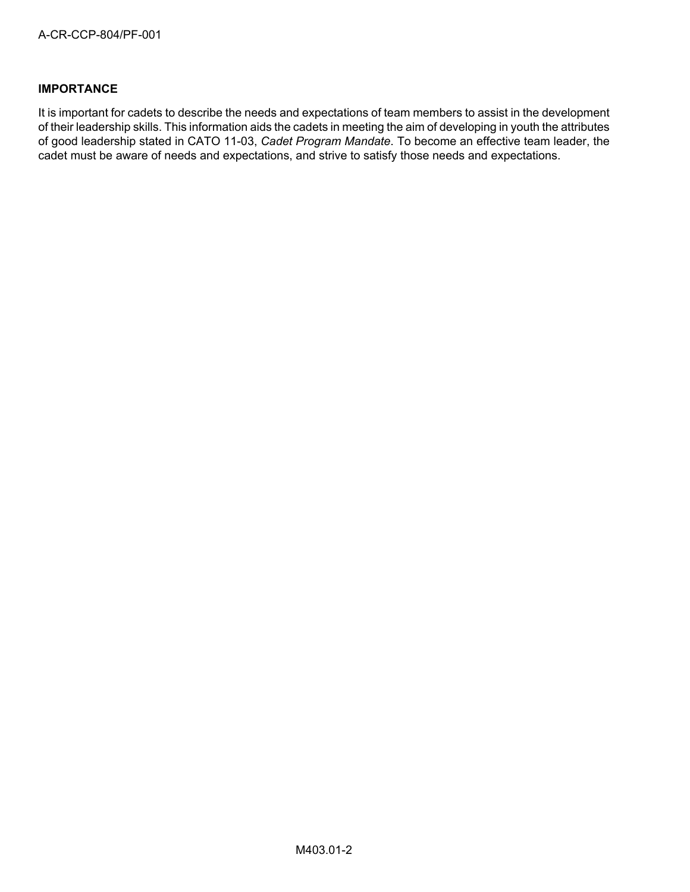#### **IMPORTANCE**

It is important for cadets to describe the needs and expectations of team members to assist in the development of their leadership skills. This information aids the cadets in meeting the aim of developing in youth the attributes of good leadership stated in CATO 11-03, *Cadet Program Mandate*. To become an effective team leader, the cadet must be aware of needs and expectations, and strive to satisfy those needs and expectations.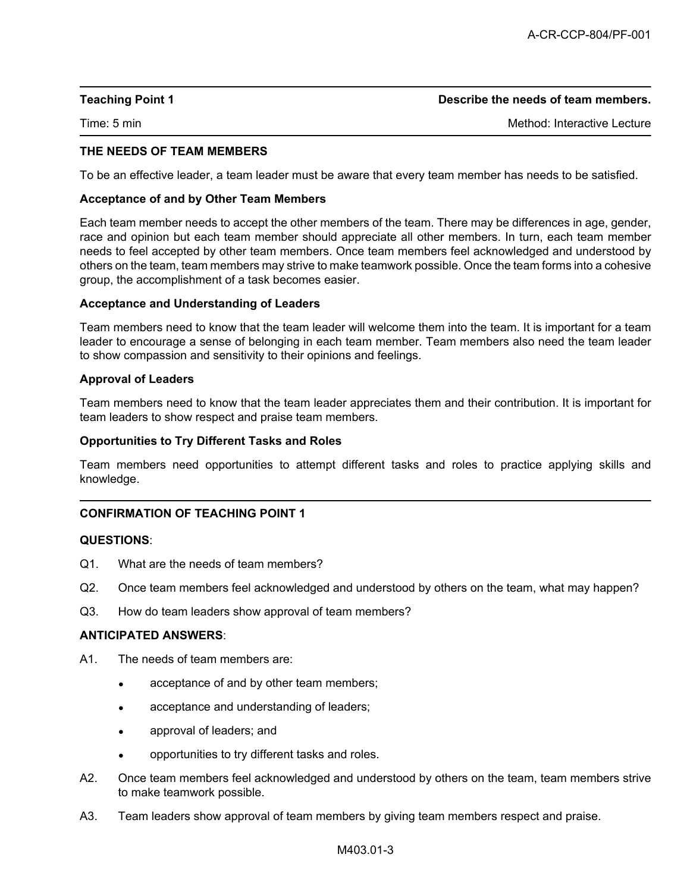| <b>Teaching Point 1</b> | Describe the needs of team members. |
|-------------------------|-------------------------------------|
|                         |                                     |

Time: 5 min Method: Interactive Lecture Company of Time: 5 min Method: Interactive Lecture

#### **THE NEEDS OF TEAM MEMBERS**

To be an effective leader, a team leader must be aware that every team member has needs to be satisfied.

#### **Acceptance of and by Other Team Members**

Each team member needs to accept the other members of the team. There may be differences in age, gender, race and opinion but each team member should appreciate all other members. In turn, each team member needs to feel accepted by other team members. Once team members feel acknowledged and understood by others on the team, team members may strive to make teamwork possible. Once the team forms into a cohesive group, the accomplishment of a task becomes easier.

#### **Acceptance and Understanding of Leaders**

Team members need to know that the team leader will welcome them into the team. It is important for a team leader to encourage a sense of belonging in each team member. Team members also need the team leader to show compassion and sensitivity to their opinions and feelings.

#### **Approval of Leaders**

Team members need to know that the team leader appreciates them and their contribution. It is important for team leaders to show respect and praise team members.

#### **Opportunities to Try Different Tasks and Roles**

Team members need opportunities to attempt different tasks and roles to practice applying skills and knowledge.

#### **CONFIRMATION OF TEACHING POINT 1**

#### **QUESTIONS**:

- Q1. What are the needs of team members?
- Q2. Once team members feel acknowledged and understood by others on the team, what may happen?
- Q3. How do team leaders show approval of team members?

#### **ANTICIPATED ANSWERS**:

- A1. The needs of team members are:
	- $\bullet$ acceptance of and by other team members;
	- $\bullet$ acceptance and understanding of leaders;
	- approval of leaders; and  $\bullet$
	- opportunities to try different tasks and roles.  $\bullet$
- A2. Once team members feel acknowledged and understood by others on the team, team members strive to make teamwork possible.
- A3. Team leaders show approval of team members by giving team members respect and praise.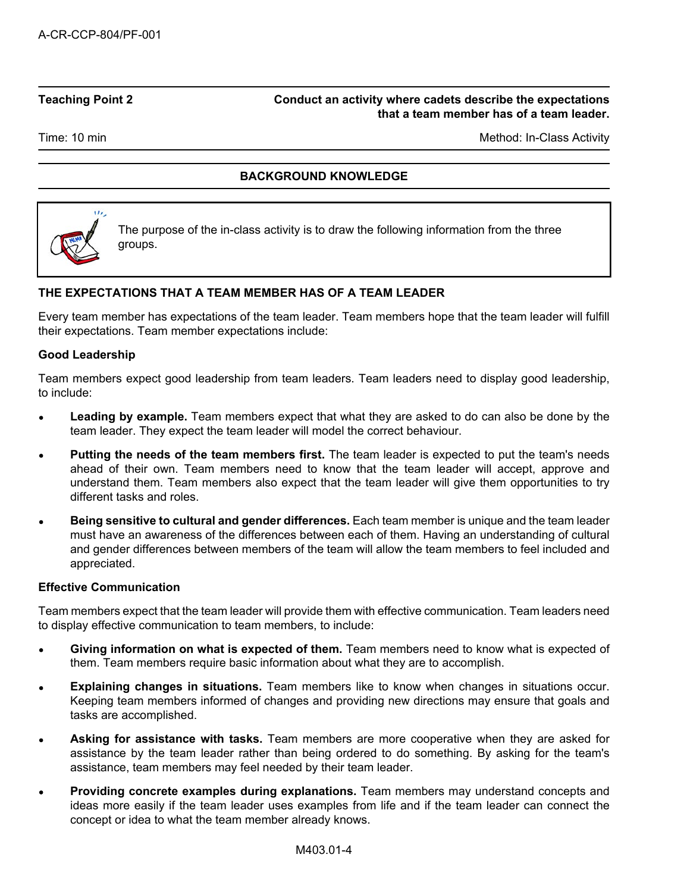## **Teaching Point 2 Conduct an activity where cadets describe the expectations that a team member has of a team leader.**

Time: 10 min Method: In-Class Activity

#### **BACKGROUND KNOWLEDGE**



The purpose of the in-class activity is to draw the following information from the three groups.

#### **THE EXPECTATIONS THAT A TEAM MEMBER HAS OF A TEAM LEADER**

Every team member has expectations of the team leader. Team members hope that the team leader will fulfill their expectations. Team member expectations include:

#### **Good Leadership**

Team members expect good leadership from team leaders. Team leaders need to display good leadership, to include:

- **Leading by example.** Team members expect that what they are asked to do can also be done by the team leader. They expect the team leader will model the correct behaviour.
- **Putting the needs of the team members first.** The team leader is expected to put the team's needs  $\bullet$ ahead of their own. Team members need to know that the team leader will accept, approve and understand them. Team members also expect that the team leader will give them opportunities to try different tasks and roles.
- **Being sensitive to cultural and gender differences.** Each team member is unique and the team leader must have an awareness of the differences between each of them. Having an understanding of cultural and gender differences between members of the team will allow the team members to feel included and appreciated.

#### **Effective Communication**

Team members expect that the team leader will provide them with effective communication. Team leaders need to display effective communication to team members, to include:

- **Giving information on what is expected of them.** Team members need to know what is expected of  $\bullet$ them. Team members require basic information about what they are to accomplish.
- **Explaining changes in situations.** Team members like to know when changes in situations occur.  $\bullet$ Keeping team members informed of changes and providing new directions may ensure that goals and tasks are accomplished.
- **Asking for assistance with tasks.** Team members are more cooperative when they are asked for assistance by the team leader rather than being ordered to do something. By asking for the team's assistance, team members may feel needed by their team leader.
- **Providing concrete examples during explanations.** Team members may understand concepts and  $\bullet$ ideas more easily if the team leader uses examples from life and if the team leader can connect the concept or idea to what the team member already knows.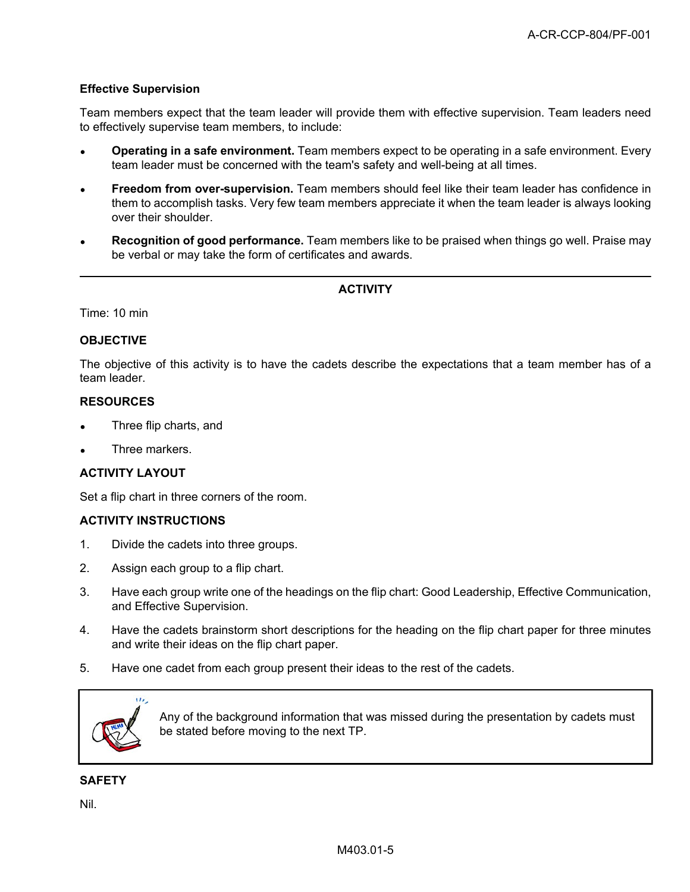#### **Effective Supervision**

Team members expect that the team leader will provide them with effective supervision. Team leaders need to effectively supervise team members, to include:

- **Operating in a safe environment.** Team members expect to be operating in a safe environment. Every team leader must be concerned with the team's safety and well-being at all times.
- **Freedom from over-supervision.** Team members should feel like their team leader has confidence in them to accomplish tasks. Very few team members appreciate it when the team leader is always looking over their shoulder.
- **Recognition of good performance.** Team members like to be praised when things go well. Praise may be verbal or may take the form of certificates and awards.

## **ACTIVITY**

Time: 10 min

#### **OBJECTIVE**

The objective of this activity is to have the cadets describe the expectations that a team member has of a team leader.

#### **RESOURCES**

- Three flip charts, and
- Three markers.

#### **ACTIVITY LAYOUT**

Set a flip chart in three corners of the room.

#### **ACTIVITY INSTRUCTIONS**

- 1. Divide the cadets into three groups.
- 2. Assign each group to a flip chart.
- 3. Have each group write one of the headings on the flip chart: Good Leadership, Effective Communication, and Effective Supervision.
- 4. Have the cadets brainstorm short descriptions for the heading on the flip chart paper for three minutes and write their ideas on the flip chart paper.
- 5. Have one cadet from each group present their ideas to the rest of the cadets.



Any of the background information that was missed during the presentation by cadets must be stated before moving to the next TP.

#### **SAFETY**

Nil.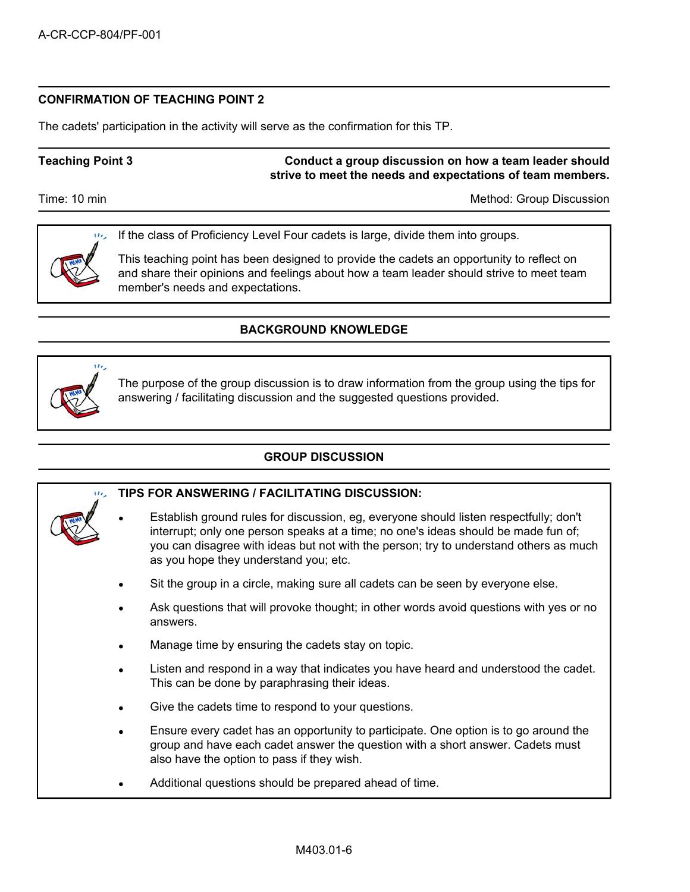#### **CONFIRMATION OF TEACHING POINT 2**

The cadets' participation in the activity will serve as the confirmation for this TP.

#### **Teaching Point 3 Conduct a group discussion on how a team leader should strive to meet the needs and expectations of team members.**

Time: 10 min Method: Group Discussion Method: Group Discussion

If the class of Proficiency Level Four cadets is large, divide them into groups.

This teaching point has been designed to provide the cadets an opportunity to reflect on and share their opinions and feelings about how a team leader should strive to meet team member's needs and expectations.

#### **BACKGROUND KNOWLEDGE**



The purpose of the group discussion is to draw information from the group using the tips for answering / facilitating discussion and the suggested questions provided.

#### **GROUP DISCUSSION**

#### **TIPS FOR ANSWERING / FACILITATING DISCUSSION:**

- Establish ground rules for discussion, eg, everyone should listen respectfully; don't interrupt; only one person speaks at a time; no one's ideas should be made fun of; you can disagree with ideas but not with the person; try to understand others as much as you hope they understand you; etc.
- Sit the group in a circle, making sure all cadets can be seen by everyone else.
- Ask questions that will provoke thought; in other words avoid questions with yes or no answers.
- Manage time by ensuring the cadets stay on topic.
- Listen and respond in a way that indicates you have heard and understood the cadet. This can be done by paraphrasing their ideas.
- Give the cadets time to respond to your questions.  $\bullet$
- Ensure every cadet has an opportunity to participate. One option is to go around the group and have each cadet answer the question with a short answer. Cadets must also have the option to pass if they wish.
- Additional questions should be prepared ahead of time. $\bullet$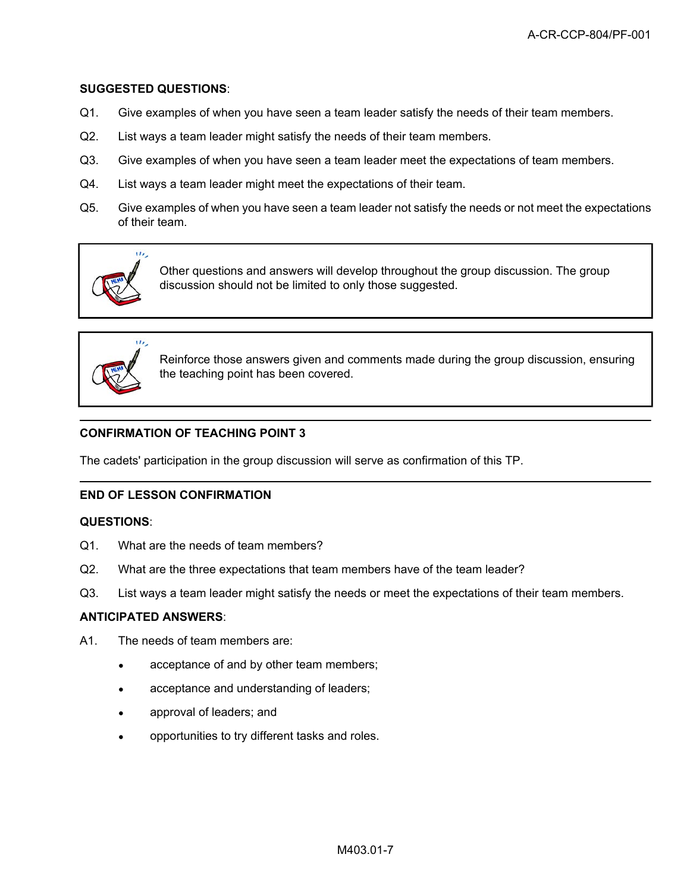#### **SUGGESTED QUESTIONS**:

- Q1. Give examples of when you have seen a team leader satisfy the needs of their team members.
- Q2. List ways a team leader might satisfy the needs of their team members.
- Q3. Give examples of when you have seen a team leader meet the expectations of team members.
- Q4. List ways a team leader might meet the expectations of their team.
- Q5. Give examples of when you have seen a team leader not satisfy the needs or not meet the expectations of their team.



Other questions and answers will develop throughout the group discussion. The group discussion should not be limited to only those suggested.



Reinforce those answers given and comments made during the group discussion, ensuring the teaching point has been covered.

#### **CONFIRMATION OF TEACHING POINT 3**

The cadets' participation in the group discussion will serve as confirmation of this TP.

#### **END OF LESSON CONFIRMATION**

#### **QUESTIONS**:

- Q1. What are the needs of team members?
- Q2. What are the three expectations that team members have of the team leader?
- Q3. List ways a team leader might satisfy the needs or meet the expectations of their team members.

#### **ANTICIPATED ANSWERS**:

- A1. The needs of team members are:
	- acceptance of and by other team members;  $\bullet$
	- acceptance and understanding of leaders;  $\bullet$
	- approval of leaders; and  $\bullet$
	- opportunities to try different tasks and roles.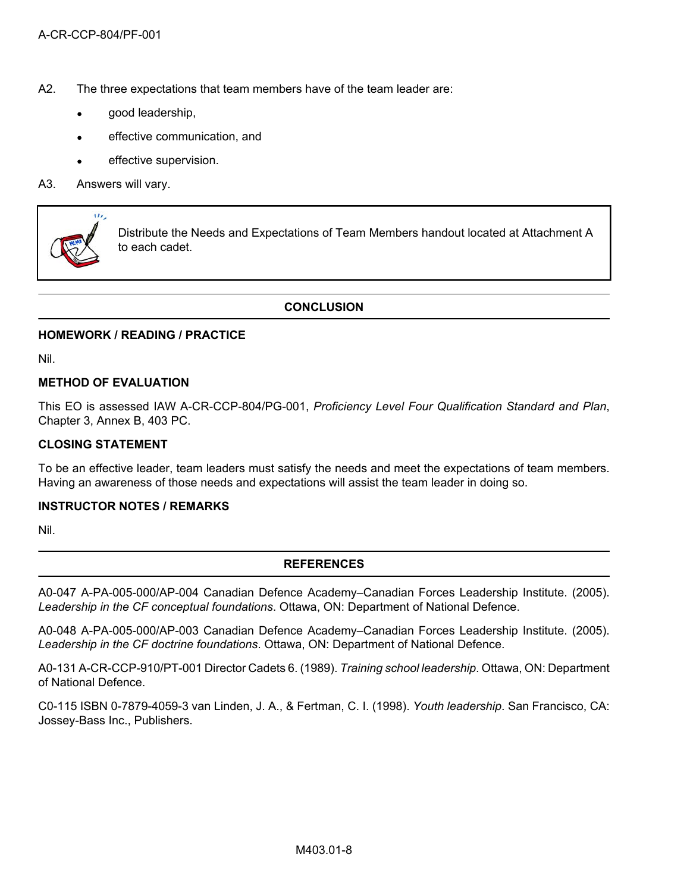- A2. The three expectations that team members have of the team leader are:
	- good leadership,
	- effective communication, and  $\bullet$
	- effective supervision.  $\bullet$
- A3. Answers will vary.



Distribute the Needs and Expectations of Team Members handout located at Attachment A to each cadet.

#### **CONCLUSION**

#### **HOMEWORK / READING / PRACTICE**

Nil.

#### **METHOD OF EVALUATION**

This EO is assessed IAW A-CR-CCP-804/PG-001, *Proficiency Level Four Qualification Standard and Plan*, Chapter 3, Annex B, 403 PC.

#### **CLOSING STATEMENT**

To be an effective leader, team leaders must satisfy the needs and meet the expectations of team members. Having an awareness of those needs and expectations will assist the team leader in doing so.

#### **INSTRUCTOR NOTES / REMARKS**

Nil.

## **REFERENCES**

A0-047 A-PA-005-000/AP-004 Canadian Defence Academy–Canadian Forces Leadership Institute. (2005). *Leadership in the CF conceptual foundations*. Ottawa, ON: Department of National Defence.

A0-048 A-PA-005-000/AP-003 Canadian Defence Academy–Canadian Forces Leadership Institute. (2005). *Leadership in the CF doctrine foundations*. Ottawa, ON: Department of National Defence.

A0-131 A-CR-CCP-910/PT-001 Director Cadets 6. (1989). *Training school leadership*. Ottawa, ON: Department of National Defence.

C0-115 ISBN 0-7879-4059-3 van Linden, J. A., & Fertman, C. I. (1998). *Youth leadership*. San Francisco, CA: Jossey-Bass Inc., Publishers.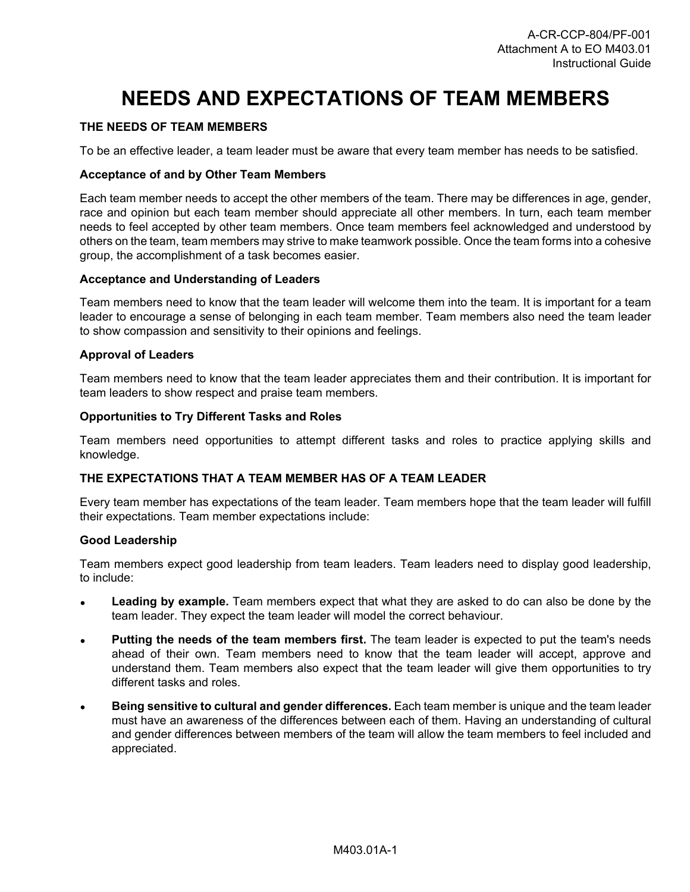## **NEEDS AND EXPECTATIONS OF TEAM MEMBERS**

#### **THE NEEDS OF TEAM MEMBERS**

To be an effective leader, a team leader must be aware that every team member has needs to be satisfied.

#### **Acceptance of and by Other Team Members**

Each team member needs to accept the other members of the team. There may be differences in age, gender, race and opinion but each team member should appreciate all other members. In turn, each team member needs to feel accepted by other team members. Once team members feel acknowledged and understood by others on the team, team members may strive to make teamwork possible. Once the team forms into a cohesive group, the accomplishment of a task becomes easier.

#### **Acceptance and Understanding of Leaders**

Team members need to know that the team leader will welcome them into the team. It is important for a team leader to encourage a sense of belonging in each team member. Team members also need the team leader to show compassion and sensitivity to their opinions and feelings.

#### **Approval of Leaders**

Team members need to know that the team leader appreciates them and their contribution. It is important for team leaders to show respect and praise team members.

#### **Opportunities to Try Different Tasks and Roles**

Team members need opportunities to attempt different tasks and roles to practice applying skills and knowledge.

#### **THE EXPECTATIONS THAT A TEAM MEMBER HAS OF A TEAM LEADER**

Every team member has expectations of the team leader. Team members hope that the team leader will fulfill their expectations. Team member expectations include:

#### **Good Leadership**

Team members expect good leadership from team leaders. Team leaders need to display good leadership, to include:

- **Leading by example.** Team members expect that what they are asked to do can also be done by the team leader. They expect the team leader will model the correct behaviour.
- **Putting the needs of the team members first.** The team leader is expected to put the team's needs ahead of their own. Team members need to know that the team leader will accept, approve and understand them. Team members also expect that the team leader will give them opportunities to try different tasks and roles.
- **Being sensitive to cultural and gender differences.** Each team member is unique and the team leader must have an awareness of the differences between each of them. Having an understanding of cultural and gender differences between members of the team will allow the team members to feel included and appreciated.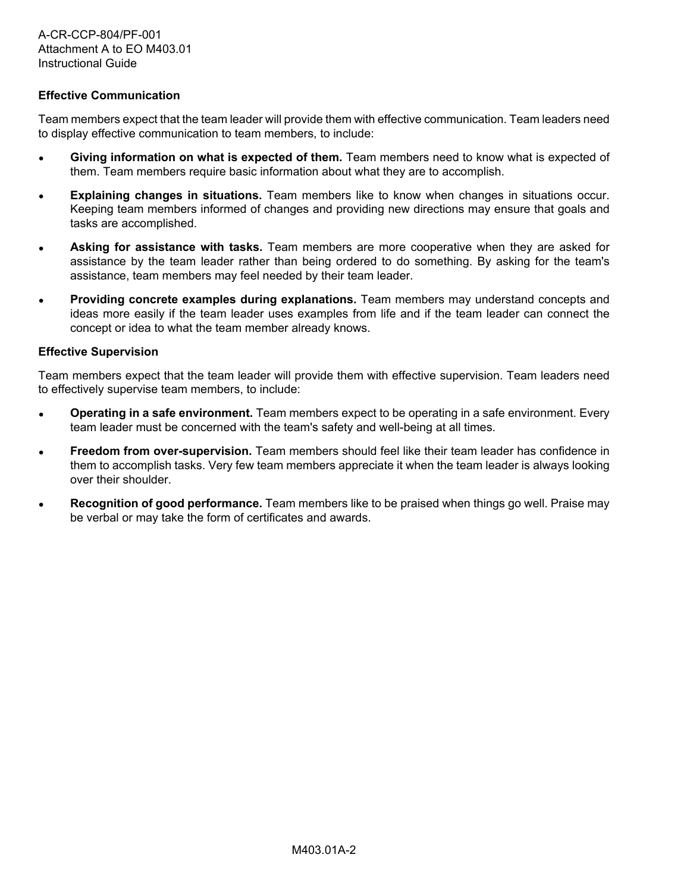A-CR-CCP-804/PF-001 Attachment A to EO M403.01 Instructional Guide

#### **Effective Communication**

Team members expect that the team leader will provide them with effective communication. Team leaders need to display effective communication to team members, to include:

- **Giving information on what is expected of them.** Team members need to know what is expected of them. Team members require basic information about what they are to accomplish.
- **Explaining changes in situations.** Team members like to know when changes in situations occur.  $\bullet$ Keeping team members informed of changes and providing new directions may ensure that goals and tasks are accomplished.
- **Asking for assistance with tasks.** Team members are more cooperative when they are asked for  $\bullet$ assistance by the team leader rather than being ordered to do something. By asking for the team's assistance, team members may feel needed by their team leader.
- **Providing concrete examples during explanations.** Team members may understand concepts and ideas more easily if the team leader uses examples from life and if the team leader can connect the concept or idea to what the team member already knows.

#### **Effective Supervision**

Team members expect that the team leader will provide them with effective supervision. Team leaders need to effectively supervise team members, to include:

- $\bullet$ **Operating in a safe environment.** Team members expect to be operating in a safe environment. Every team leader must be concerned with the team's safety and well-being at all times.
- **Freedom from over-supervision.** Team members should feel like their team leader has confidence in  $\bullet$ them to accomplish tasks. Very few team members appreciate it when the team leader is always looking over their shoulder.
- **Recognition of good performance.** Team members like to be praised when things go well. Praise may  $\bullet$ be verbal or may take the form of certificates and awards.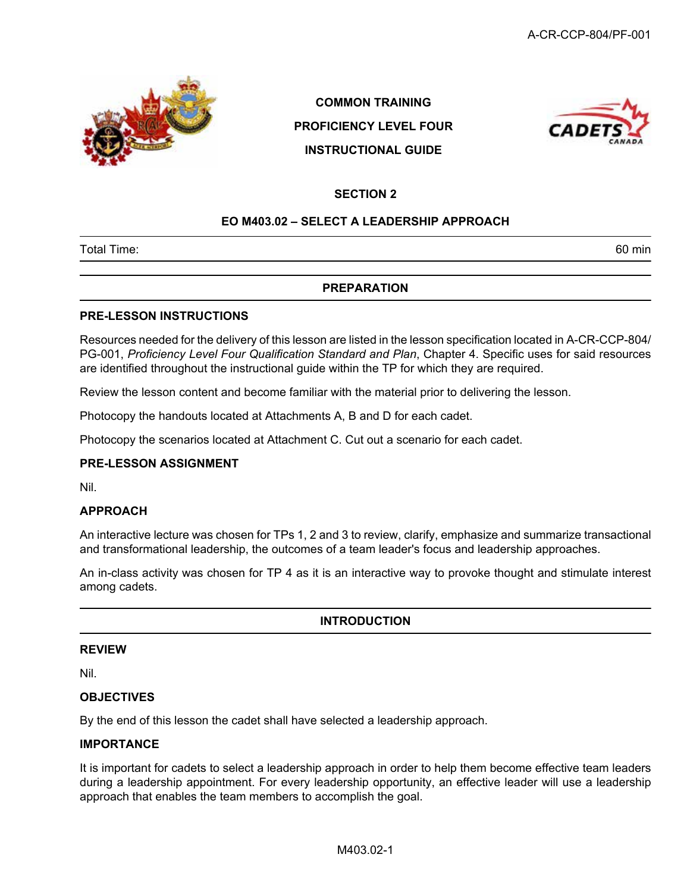

**COMMON TRAINING PROFICIENCY LEVEL FOUR INSTRUCTIONAL GUIDE**



## **SECTION 2**

#### **EO M403.02 – SELECT A LEADERSHIP APPROACH**

Total Time: 60 min

#### **PREPARATION**

#### **PRE-LESSON INSTRUCTIONS**

Resources needed for the delivery of this lesson are listed in the lesson specification located in A-CR-CCP-804/ PG-001, *Proficiency Level Four Qualification Standard and Plan*, Chapter 4. Specific uses for said resources are identified throughout the instructional guide within the TP for which they are required.

Review the lesson content and become familiar with the material prior to delivering the lesson.

Photocopy the handouts located at Attachments A, B and D for each cadet.

Photocopy the scenarios located at Attachment C. Cut out a scenario for each cadet.

#### **PRE-LESSON ASSIGNMENT**

Nil.

#### **APPROACH**

An interactive lecture was chosen for TPs 1, 2 and 3 to review, clarify, emphasize and summarize transactional and transformational leadership, the outcomes of a team leader's focus and leadership approaches.

An in-class activity was chosen for TP 4 as it is an interactive way to provoke thought and stimulate interest among cadets.

#### **INTRODUCTION**

#### **REVIEW**

Nil.

#### **OBJECTIVES**

By the end of this lesson the cadet shall have selected a leadership approach.

#### **IMPORTANCE**

It is important for cadets to select a leadership approach in order to help them become effective team leaders during a leadership appointment. For every leadership opportunity, an effective leader will use a leadership approach that enables the team members to accomplish the goal.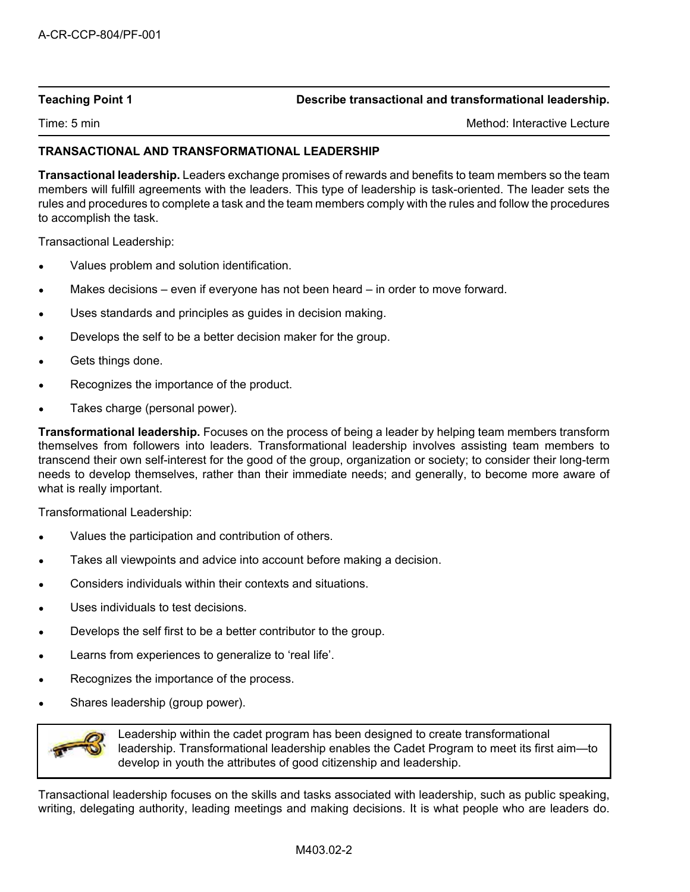#### **Teaching Point 1 Describe transactional and transformational leadership.**

Time: 5 min Method: Interactive Lecture Companies and Method: Interactive Lecture

#### **TRANSACTIONAL AND TRANSFORMATIONAL LEADERSHIP**

**Transactional leadership.** Leaders exchange promises of rewards and benefits to team members so the team members will fulfill agreements with the leaders. This type of leadership is task-oriented. The leader sets the rules and procedures to complete a task and the team members comply with the rules and follow the procedures to accomplish the task.

Transactional Leadership:

- Values problem and solution identification.
- Makes decisions even if everyone has not been heard in order to move forward.
- Uses standards and principles as guides in decision making.
- Develops the self to be a better decision maker for the group.
- Gets things done.  $\bullet$
- Recognizes the importance of the product.
- Takes charge (personal power).

**Transformational leadership.** Focuses on the process of being a leader by helping team members transform themselves from followers into leaders. Transformational leadership involves assisting team members to transcend their own self-interest for the good of the group, organization or society; to consider their long-term needs to develop themselves, rather than their immediate needs; and generally, to become more aware of what is really important.

Transformational Leadership:

- Values the participation and contribution of others.
- Takes all viewpoints and advice into account before making a decision.
- Considers individuals within their contexts and situations.
- Uses individuals to test decisions.
- Develops the self first to be a better contributor to the group.
- Learns from experiences to generalize to 'real life'.
- Recognizes the importance of the process.
- Shares leadership (group power).



Leadership within the cadet program has been designed to create transformational leadership. Transformational leadership enables the Cadet Program to meet its first aim—to develop in youth the attributes of good citizenship and leadership.

Transactional leadership focuses on the skills and tasks associated with leadership, such as public speaking, writing, delegating authority, leading meetings and making decisions. It is what people who are leaders do.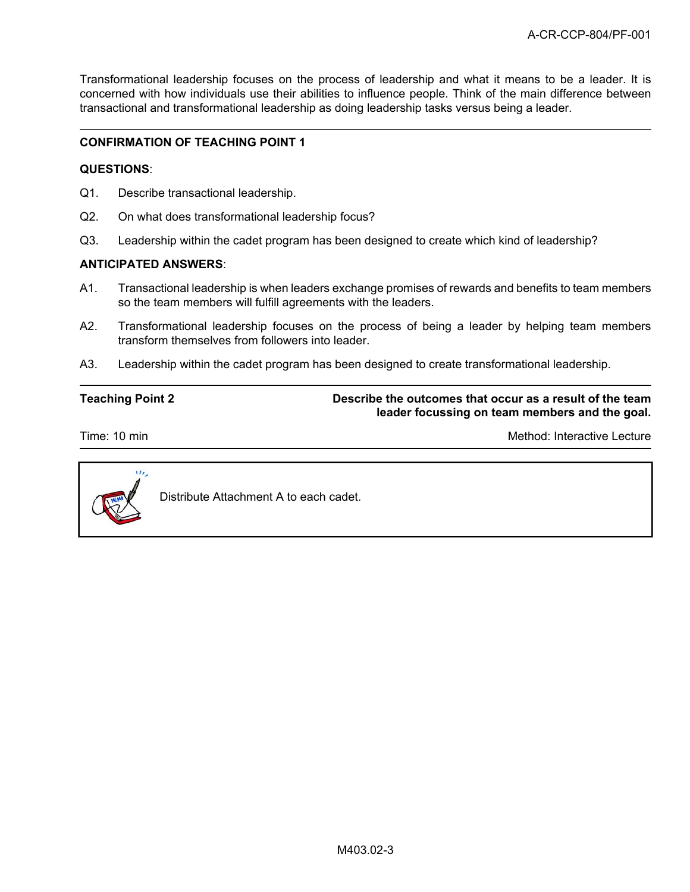Transformational leadership focuses on the process of leadership and what it means to be a leader. It is concerned with how individuals use their abilities to influence people. Think of the main difference between transactional and transformational leadership as doing leadership tasks versus being a leader.

#### **CONFIRMATION OF TEACHING POINT 1**

#### **QUESTIONS**:

- Q1. Describe transactional leadership.
- Q2. On what does transformational leadership focus?
- Q3. Leadership within the cadet program has been designed to create which kind of leadership?

#### **ANTICIPATED ANSWERS**:

- A1. Transactional leadership is when leaders exchange promises of rewards and benefits to team members so the team members will fulfill agreements with the leaders.
- A2. Transformational leadership focuses on the process of being a leader by helping team members transform themselves from followers into leader.
- A3. Leadership within the cadet program has been designed to create transformational leadership.

**Teaching Point 2 Describe the outcomes that occur as a result of the team leader focussing on team members and the goal.**

Time: 10 min Method: Interactive Lecture Companies And Method: Interactive Lecture



Distribute Attachment A to each cadet.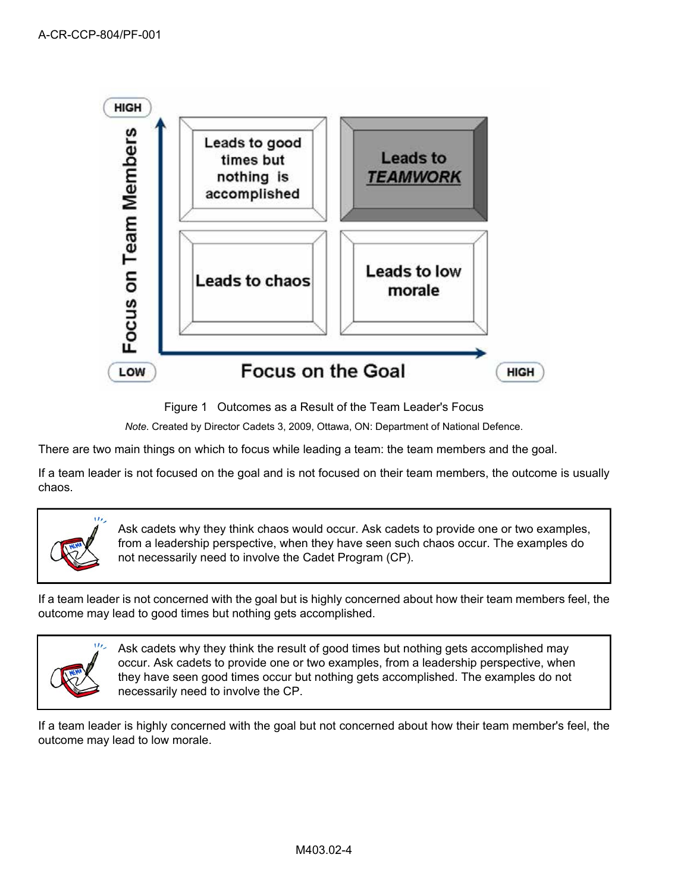

Figure 1 Outcomes as a Result of the Team Leader's Focus

*Note*. Created by Director Cadets 3, 2009, Ottawa, ON: Department of National Defence.

There are two main things on which to focus while leading a team: the team members and the goal.

If a team leader is not focused on the goal and is not focused on their team members, the outcome is usually chaos.



Ask cadets why they think chaos would occur. Ask cadets to provide one or two examples, from a leadership perspective, when they have seen such chaos occur. The examples do not necessarily need to involve the Cadet Program (CP).

If a team leader is not concerned with the goal but is highly concerned about how their team members feel, the outcome may lead to good times but nothing gets accomplished.



Ask cadets why they think the result of good times but nothing gets accomplished may occur. Ask cadets to provide one or two examples, from a leadership perspective, when they have seen good times occur but nothing gets accomplished. The examples do not necessarily need to involve the CP.

If a team leader is highly concerned with the goal but not concerned about how their team member's feel, the outcome may lead to low morale.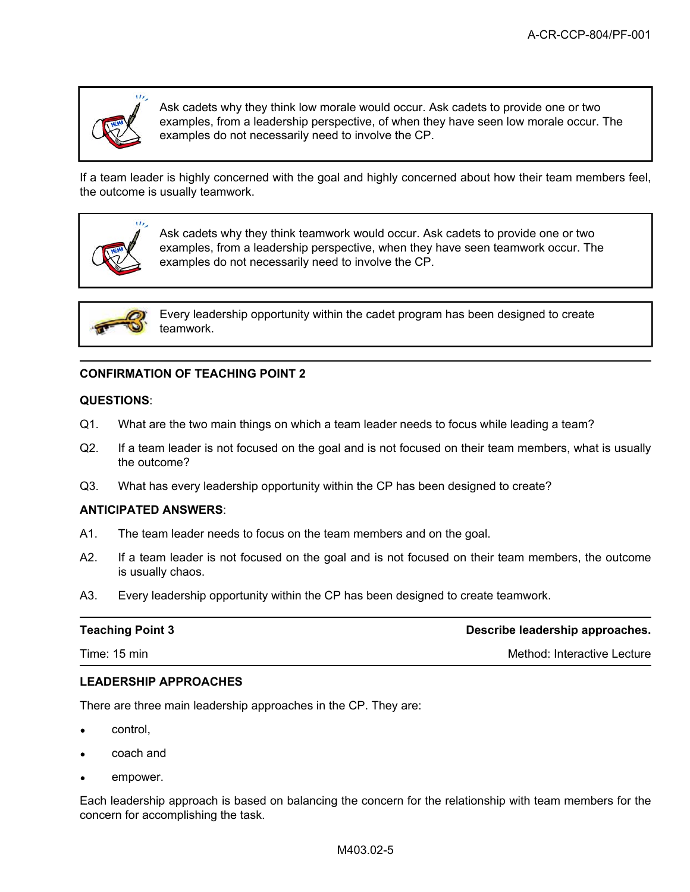

Ask cadets why they think low morale would occur. Ask cadets to provide one or two examples, from a leadership perspective, of when they have seen low morale occur. The examples do not necessarily need to involve the CP.

If a team leader is highly concerned with the goal and highly concerned about how their team members feel, the outcome is usually teamwork.



Ask cadets why they think teamwork would occur. Ask cadets to provide one or two examples, from a leadership perspective, when they have seen teamwork occur. The examples do not necessarily need to involve the CP.



Every leadership opportunity within the cadet program has been designed to create teamwork.

#### **CONFIRMATION OF TEACHING POINT 2**

#### **QUESTIONS**:

- Q1. What are the two main things on which a team leader needs to focus while leading a team?
- Q2. If a team leader is not focused on the goal and is not focused on their team members, what is usually the outcome?
- Q3. What has every leadership opportunity within the CP has been designed to create?

## **ANTICIPATED ANSWERS**:

- A1. The team leader needs to focus on the team members and on the goal.
- A2. If a team leader is not focused on the goal and is not focused on their team members, the outcome is usually chaos.
- A3. Every leadership opportunity within the CP has been designed to create teamwork.

| <b>Teaching Point 3</b> | Describe leadership approaches. |
|-------------------------|---------------------------------|
| Time: 15 min            | Method: Interactive Lecture     |

#### **LEADERSHIP APPROACHES**

There are three main leadership approaches in the CP. They are:

- control,
- coach and
- empower.

Each leadership approach is based on balancing the concern for the relationship with team members for the concern for accomplishing the task.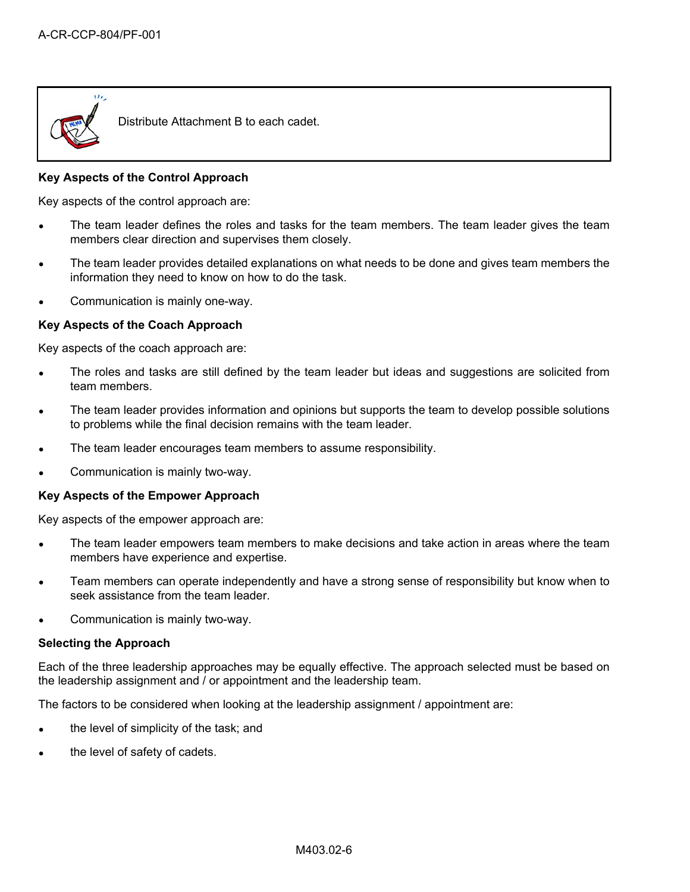

Distribute Attachment B to each cadet.

#### **Key Aspects of the Control Approach**

Key aspects of the control approach are:

- The team leader defines the roles and tasks for the team members. The team leader gives the team members clear direction and supervises them closely.
- The team leader provides detailed explanations on what needs to be done and gives team members the information they need to know on how to do the task.
- Communication is mainly one-way.

#### **Key Aspects of the Coach Approach**

Key aspects of the coach approach are:

- The roles and tasks are still defined by the team leader but ideas and suggestions are solicited from team members.
- The team leader provides information and opinions but supports the team to develop possible solutions to problems while the final decision remains with the team leader.
- The team leader encourages team members to assume responsibility.
- Communication is mainly two-way.

#### **Key Aspects of the Empower Approach**

Key aspects of the empower approach are:

- The team leader empowers team members to make decisions and take action in areas where the team members have experience and expertise.
- Team members can operate independently and have a strong sense of responsibility but know when to seek assistance from the team leader.
- Communication is mainly two-way.

#### **Selecting the Approach**

Each of the three leadership approaches may be equally effective. The approach selected must be based on the leadership assignment and / or appointment and the leadership team.

The factors to be considered when looking at the leadership assignment / appointment are:

- the level of simplicity of the task; and
- the level of safety of cadets.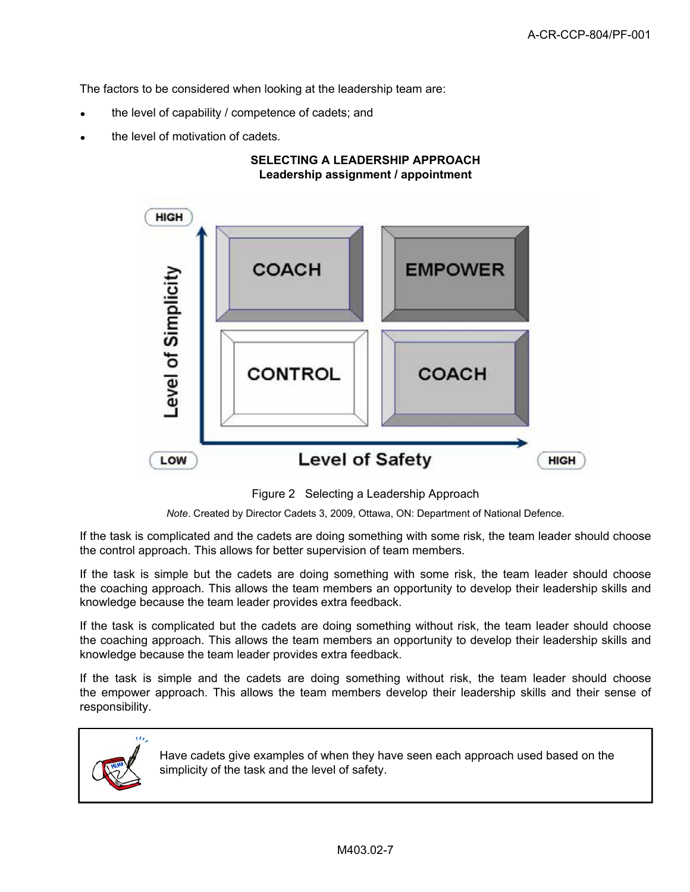The factors to be considered when looking at the leadership team are:

- the level of capability / competence of cadets; and
- the level of motivation of cadets.





Figure 2 Selecting a Leadership Approach

*Note*. Created by Director Cadets 3, 2009, Ottawa, ON: Department of National Defence.

If the task is complicated and the cadets are doing something with some risk, the team leader should choose the control approach. This allows for better supervision of team members.

If the task is simple but the cadets are doing something with some risk, the team leader should choose the coaching approach. This allows the team members an opportunity to develop their leadership skills and knowledge because the team leader provides extra feedback.

If the task is complicated but the cadets are doing something without risk, the team leader should choose the coaching approach. This allows the team members an opportunity to develop their leadership skills and knowledge because the team leader provides extra feedback.

If the task is simple and the cadets are doing something without risk, the team leader should choose the empower approach. This allows the team members develop their leadership skills and their sense of responsibility.



Have cadets give examples of when they have seen each approach used based on the simplicity of the task and the level of safety.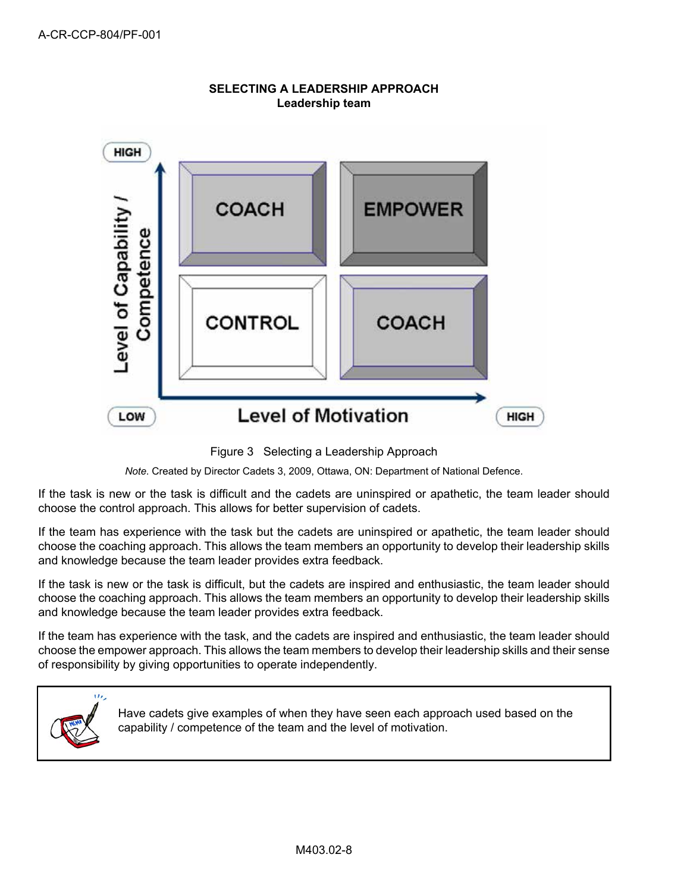

## **SELECTING A LEADERSHIP APPROACH Leadership team**



*Note*. Created by Director Cadets 3, 2009, Ottawa, ON: Department of National Defence.

If the task is new or the task is difficult and the cadets are uninspired or apathetic, the team leader should choose the control approach. This allows for better supervision of cadets.

If the team has experience with the task but the cadets are uninspired or apathetic, the team leader should choose the coaching approach. This allows the team members an opportunity to develop their leadership skills and knowledge because the team leader provides extra feedback.

If the task is new or the task is difficult, but the cadets are inspired and enthusiastic, the team leader should choose the coaching approach. This allows the team members an opportunity to develop their leadership skills and knowledge because the team leader provides extra feedback.

If the team has experience with the task, and the cadets are inspired and enthusiastic, the team leader should choose the empower approach. This allows the team members to develop their leadership skills and their sense of responsibility by giving opportunities to operate independently.



Have cadets give examples of when they have seen each approach used based on the capability / competence of the team and the level of motivation.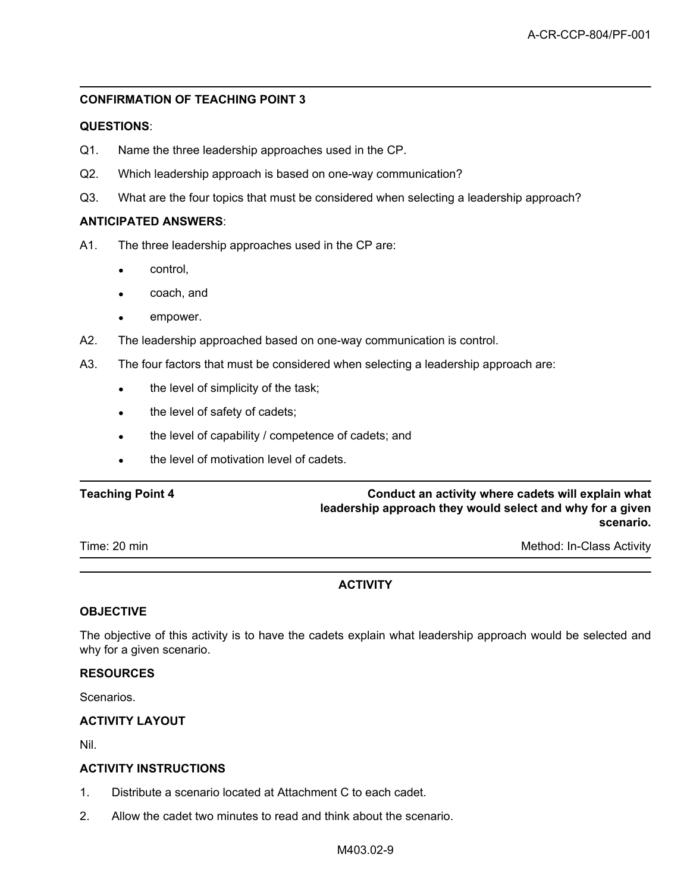#### **CONFIRMATION OF TEACHING POINT 3**

#### **QUESTIONS**:

- Q1. Name the three leadership approaches used in the CP.
- Q2. Which leadership approach is based on one-way communication?
- Q3. What are the four topics that must be considered when selecting a leadership approach?

#### **ANTICIPATED ANSWERS**:

- A1. The three leadership approaches used in the CP are:
	- $\bullet$ control,
	- coach, and  $\bullet$
	- empower.  $\bullet$
- A2. The leadership approached based on one-way communication is control.
- A3. The four factors that must be considered when selecting a leadership approach are:
	- the level of simplicity of the task;  $\bullet$
	- the level of safety of cadets;  $\bullet$
	- the level of capability / competence of cadets; and  $\bullet$
	- the level of motivation level of cadets.  $\bullet$

#### **Teaching Point 4 Conduct an activity where cadets will explain what leadership approach they would select and why for a given scenario.**

Time: 20 min Method: In-Class Activity

## **ACTIVITY**

#### **OBJECTIVE**

The objective of this activity is to have the cadets explain what leadership approach would be selected and why for a given scenario.

#### **RESOURCES**

Scenarios.

#### **ACTIVITY LAYOUT**

Nil.

#### **ACTIVITY INSTRUCTIONS**

- 1. Distribute a scenario located at Attachment C to each cadet.
- 2. Allow the cadet two minutes to read and think about the scenario.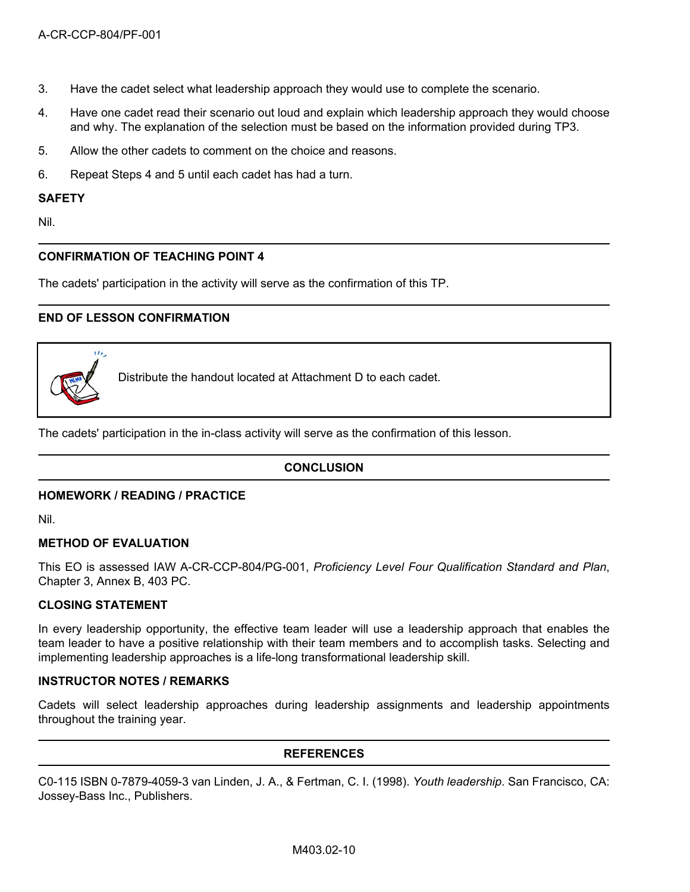- 3. Have the cadet select what leadership approach they would use to complete the scenario.
- 4. Have one cadet read their scenario out loud and explain which leadership approach they would choose and why. The explanation of the selection must be based on the information provided during TP3.
- 5. Allow the other cadets to comment on the choice and reasons.
- 6. Repeat Steps 4 and 5 until each cadet has had a turn.

#### **SAFETY**

Nil.

#### **CONFIRMATION OF TEACHING POINT 4**

The cadets' participation in the activity will serve as the confirmation of this TP.

#### **END OF LESSON CONFIRMATION**



Distribute the handout located at Attachment D to each cadet.

The cadets' participation in the in-class activity will serve as the confirmation of this lesson.

#### **CONCLUSION**

#### **HOMEWORK / READING / PRACTICE**

Nil.

#### **METHOD OF EVALUATION**

This EO is assessed IAW A-CR-CCP-804/PG-001, *Proficiency Level Four Qualification Standard and Plan*, Chapter 3, Annex B, 403 PC.

#### **CLOSING STATEMENT**

In every leadership opportunity, the effective team leader will use a leadership approach that enables the team leader to have a positive relationship with their team members and to accomplish tasks. Selecting and implementing leadership approaches is a life-long transformational leadership skill.

#### **INSTRUCTOR NOTES / REMARKS**

Cadets will select leadership approaches during leadership assignments and leadership appointments throughout the training year.

#### **REFERENCES**

C0-115 ISBN 0-7879-4059-3 van Linden, J. A., & Fertman, C. I. (1998). *Youth leadership*. San Francisco, CA: Jossey-Bass Inc., Publishers.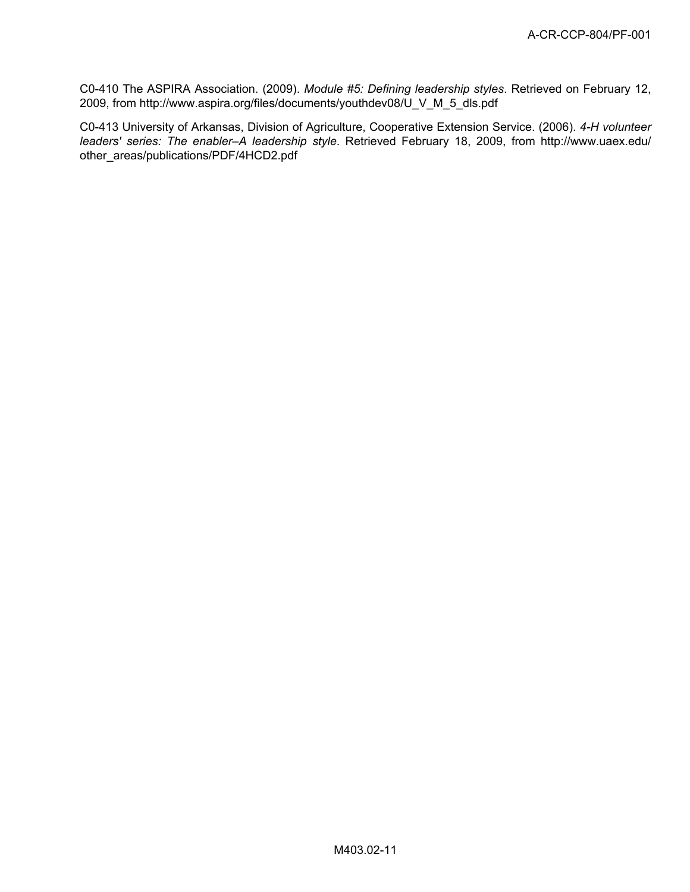C0-410 The ASPIRA Association. (2009). *Module #5: Defining leadership styles*. Retrieved on February 12, 2009, from http://www.aspira.org/files/documents/youthdev08/U\_V\_M\_5\_dls.pdf

C0-413 University of Arkansas, Division of Agriculture, Cooperative Extension Service. (2006). *4-H volunteer leaders' series: The enabler–A leadership style*. Retrieved February 18, 2009, from http://www.uaex.edu/ other\_areas/publications/PDF/4HCD2.pdf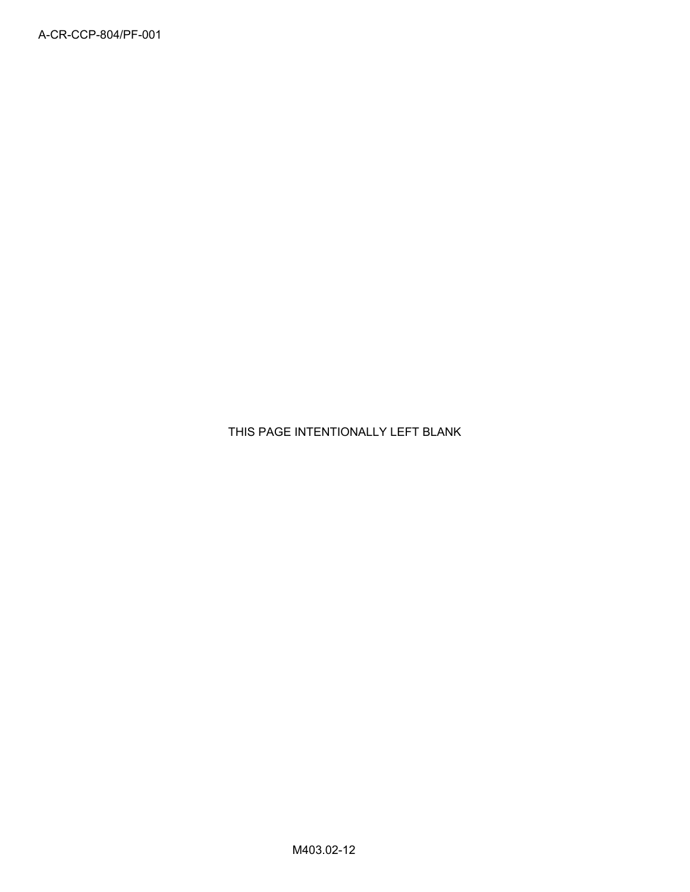THIS PAGE INTENTIONALLY LEFT BLANK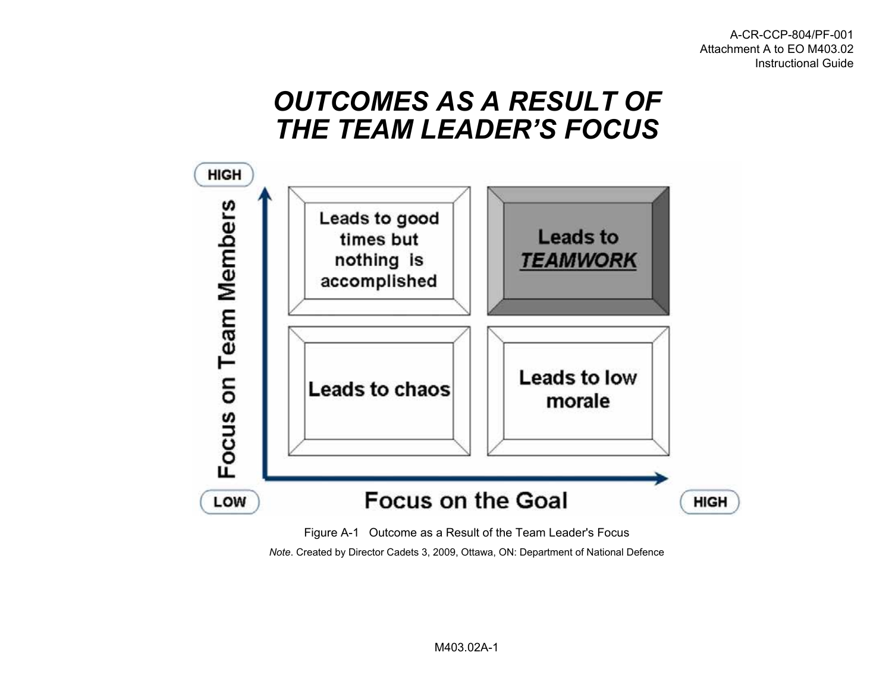## *OUTCOMES AS A RESULT OF THE TEAM LEADER'S FOCUS*





*Note*. Created by Director Cadets 3, 2009, Ottawa, ON: Department of National Defence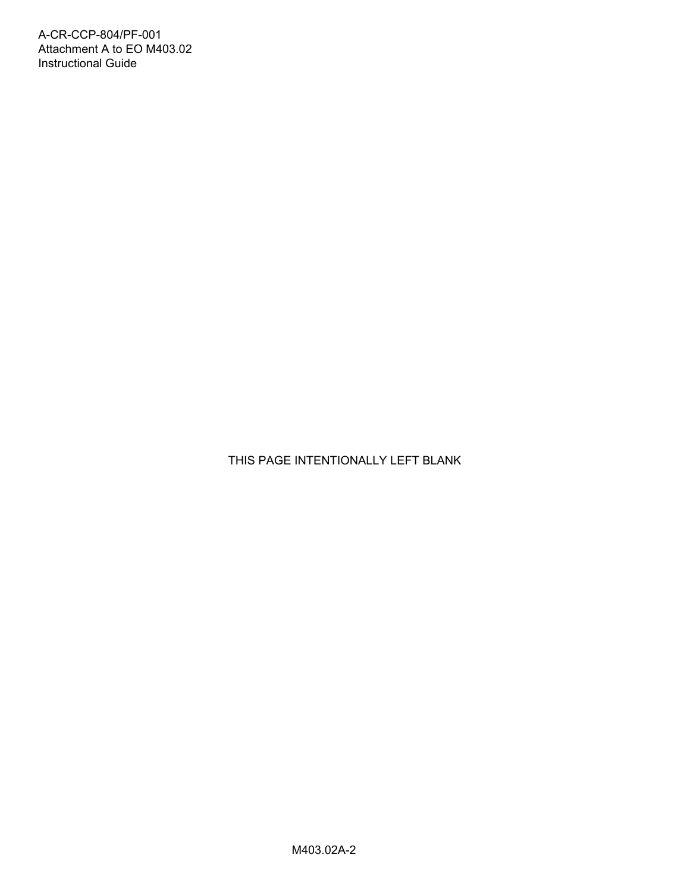A-CR-CCP-804/PF-001 Attachment A to EO M403.02 Instructional Guide

THIS PAGE INTENTIONALLY LEFT BLANK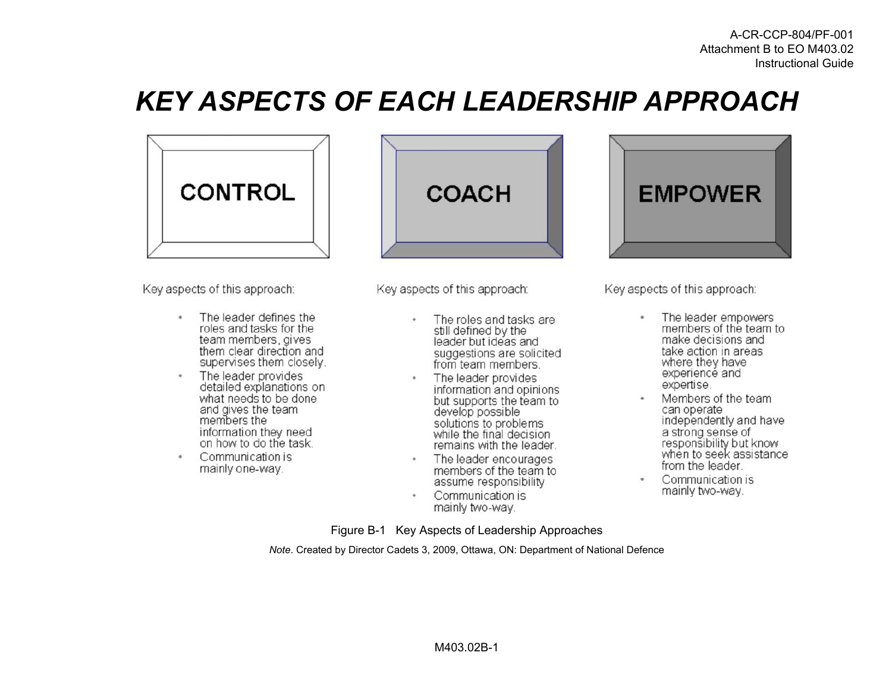# *KEY ASPECTS OF EACH LEADERSHIP APPROACH*

| <b>CONTROL</b> |  |
|----------------|--|
|                |  |

Key aspects of this approach:

- The leader defines the roles and tasks for the team members, gives them clear direction and supervises them closely.
- The leader provides detailed explanations on what needs to be done and gives the team members the information they need on how to do the task.
- Communication is mainly one-way.



Key aspects of this approach:

- The roles and tasks are still defined by the leader but ideas and suggestions are solicited from team members.
- The leader provides information and opinions but supports the team to develop possible solutions to problems while the final decision remains with the leader.
- The leader encourages members of the team to assume responsibility
- Communication is mainly two-way.

Figure B-1 Key Aspects of Leadership Approaches

*Note*. Created by Director Cadets 3, 2009, Ottawa, ON: Department of National Defence



Key aspects of this approach:

- The leader empowers members of the team to make decisions and take action in areas where they have experience and expertise.
- Members of the team can operate independently and have a strong sense of responsibility but know when to seek assistance from the leader.
- Communication is mainly two-way.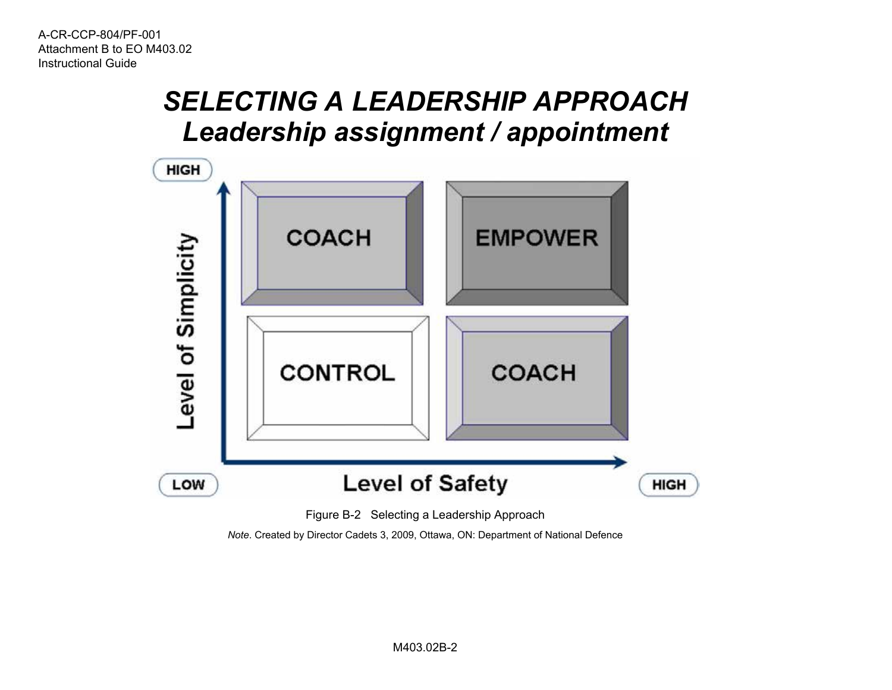# *SELECTING A LEADERSHIP APPROACH Leadership assignment / appointment*





*Note*. Created by Director Cadets 3, 2009, Ottawa, ON: Department of National Defence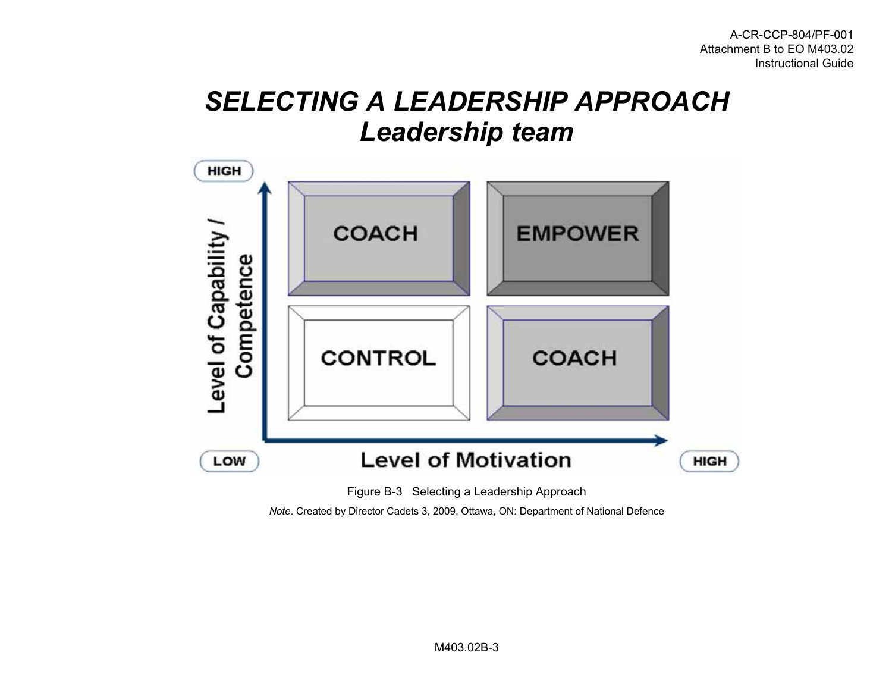# *SELECTING A LEADERSHIP APPROACH Leadership team*



Figure B-3 Selecting a Leadership Approach

*Note*. Created by Director Cadets 3, 2009, Ottawa, ON: Department of National Defence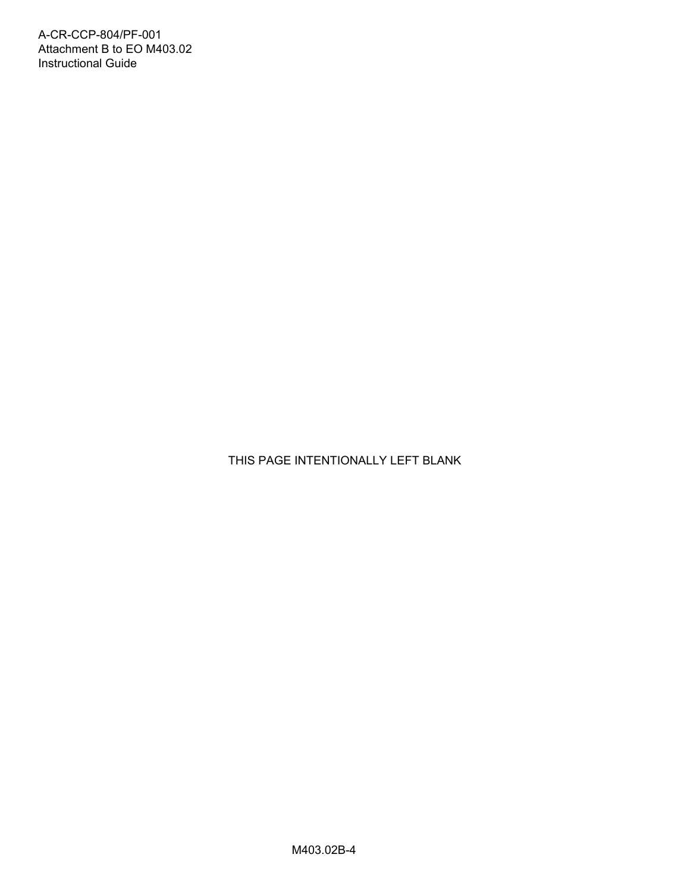A-CR-CCP-804/PF-001 Attachment B to EO M403.02 Instructional Guide

THIS PAGE INTENTIONALLY LEFT BLANK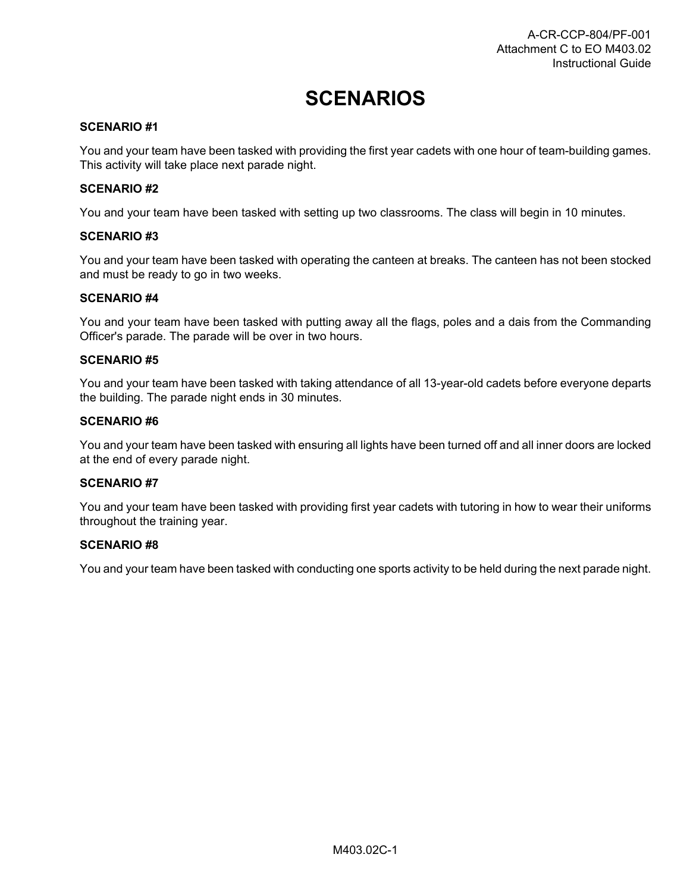A-CR-CCP-804/PF-001 Attachment C to EO M403.02 Instructional Guide

## **SCENARIOS**

#### **SCENARIO #1**

You and your team have been tasked with providing the first year cadets with one hour of team-building games. This activity will take place next parade night.

#### **SCENARIO #2**

You and your team have been tasked with setting up two classrooms. The class will begin in 10 minutes.

#### **SCENARIO #3**

You and your team have been tasked with operating the canteen at breaks. The canteen has not been stocked and must be ready to go in two weeks.

#### **SCENARIO #4**

You and your team have been tasked with putting away all the flags, poles and a dais from the Commanding Officer's parade. The parade will be over in two hours.

#### **SCENARIO #5**

You and your team have been tasked with taking attendance of all 13-year-old cadets before everyone departs the building. The parade night ends in 30 minutes.

#### **SCENARIO #6**

You and your team have been tasked with ensuring all lights have been turned off and all inner doors are locked at the end of every parade night.

#### **SCENARIO #7**

You and your team have been tasked with providing first year cadets with tutoring in how to wear their uniforms throughout the training year.

#### **SCENARIO #8**

You and your team have been tasked with conducting one sports activity to be held during the next parade night.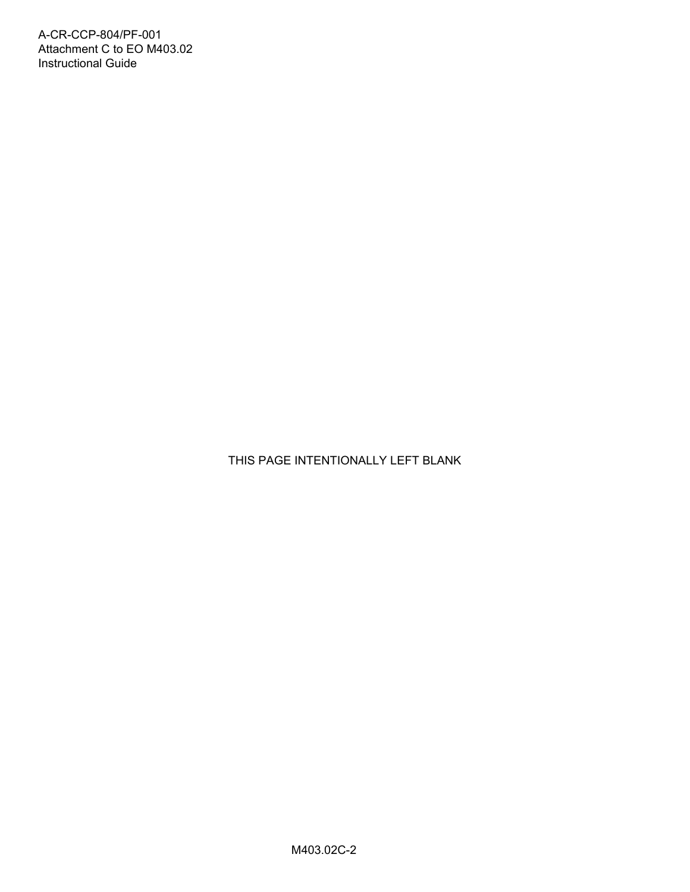A-CR-CCP-804/PF-001 Attachment C to EO M403.02 Instructional Guide

THIS PAGE INTENTIONALLY LEFT BLANK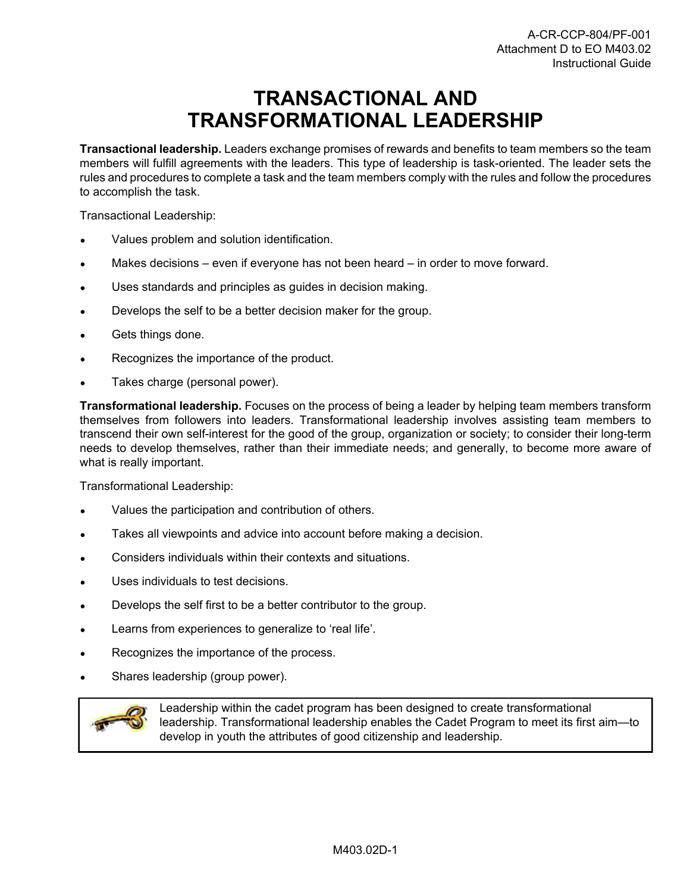## **TRANSACTIONAL AND TRANSFORMATIONAL LEADERSHIP**

**Transactional leadership.** Leaders exchange promises of rewards and benefits to team members so the team members will fulfill agreements with the leaders. This type of leadership is task-oriented. The leader sets the rules and procedures to complete a task and the team members comply with the rules and follow the procedures to accomplish the task.

Transactional Leadership:

- Values problem and solution identification.
- Makes decisions even if everyone has not been heard in order to move forward.
- Uses standards and principles as guides in decision making.
- Develops the self to be a better decision maker for the group.
- Gets things done.
- Recognizes the importance of the product.
- Takes charge (personal power).

**Transformational leadership.** Focuses on the process of being a leader by helping team members transform themselves from followers into leaders. Transformational leadership involves assisting team members to transcend their own self-interest for the good of the group, organization or society; to consider their long-term needs to develop themselves, rather than their immediate needs; and generally, to become more aware of what is really important.

Transformational Leadership:

- Values the participation and contribution of others.
- Takes all viewpoints and advice into account before making a decision.
- Considers individuals within their contexts and situations.
- Uses individuals to test decisions.
- Develops the self first to be a better contributor to the group.
- Learns from experiences to generalize to 'real life'.
- Recognizes the importance of the process.
- Shares leadership (group power).



Leadership within the cadet program has been designed to create transformational leadership. Transformational leadership enables the Cadet Program to meet its first aim—to develop in youth the attributes of good citizenship and leadership.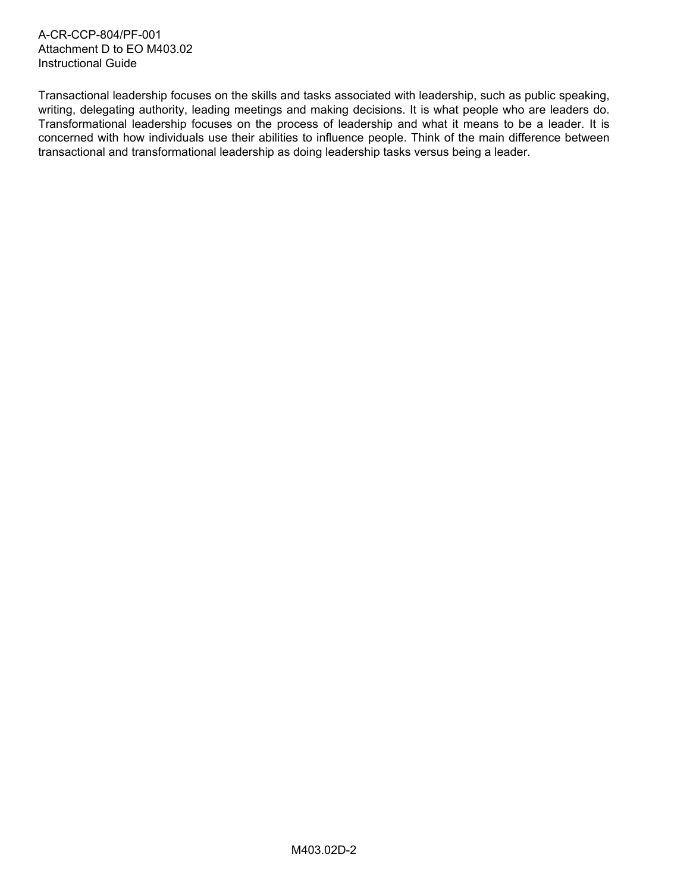A-CR-CCP-804/PF-001 Attachment D to EO M403.02 Instructional Guide

Transactional leadership focuses on the skills and tasks associated with leadership, such as public speaking, writing, delegating authority, leading meetings and making decisions. It is what people who are leaders do. Transformational leadership focuses on the process of leadership and what it means to be a leader. It is concerned with how individuals use their abilities to influence people. Think of the main difference between transactional and transformational leadership as doing leadership tasks versus being a leader.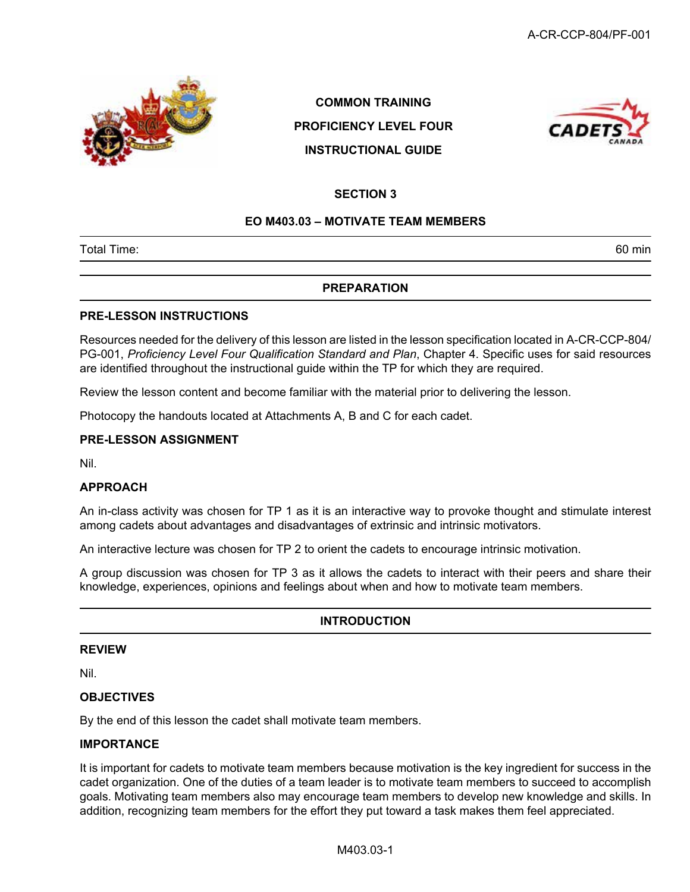

**COMMON TRAINING PROFICIENCY LEVEL FOUR INSTRUCTIONAL GUIDE**



#### **SECTION 3**

#### **EO M403.03 – MOTIVATE TEAM MEMBERS**

Total Time: 60 min

#### **PREPARATION**

#### **PRE-LESSON INSTRUCTIONS**

Resources needed for the delivery of this lesson are listed in the lesson specification located in A-CR-CCP-804/ PG-001, *Proficiency Level Four Qualification Standard and Plan*, Chapter 4. Specific uses for said resources are identified throughout the instructional guide within the TP for which they are required.

Review the lesson content and become familiar with the material prior to delivering the lesson.

Photocopy the handouts located at Attachments A, B and C for each cadet.

#### **PRE-LESSON ASSIGNMENT**

Nil.

#### **APPROACH**

An in-class activity was chosen for TP 1 as it is an interactive way to provoke thought and stimulate interest among cadets about advantages and disadvantages of extrinsic and intrinsic motivators.

An interactive lecture was chosen for TP 2 to orient the cadets to encourage intrinsic motivation.

A group discussion was chosen for TP 3 as it allows the cadets to interact with their peers and share their knowledge, experiences, opinions and feelings about when and how to motivate team members.

#### **INTRODUCTION**

#### **REVIEW**

Nil.

#### **OBJECTIVES**

By the end of this lesson the cadet shall motivate team members.

#### **IMPORTANCE**

It is important for cadets to motivate team members because motivation is the key ingredient for success in the cadet organization. One of the duties of a team leader is to motivate team members to succeed to accomplish goals. Motivating team members also may encourage team members to develop new knowledge and skills. In addition, recognizing team members for the effort they put toward a task makes them feel appreciated.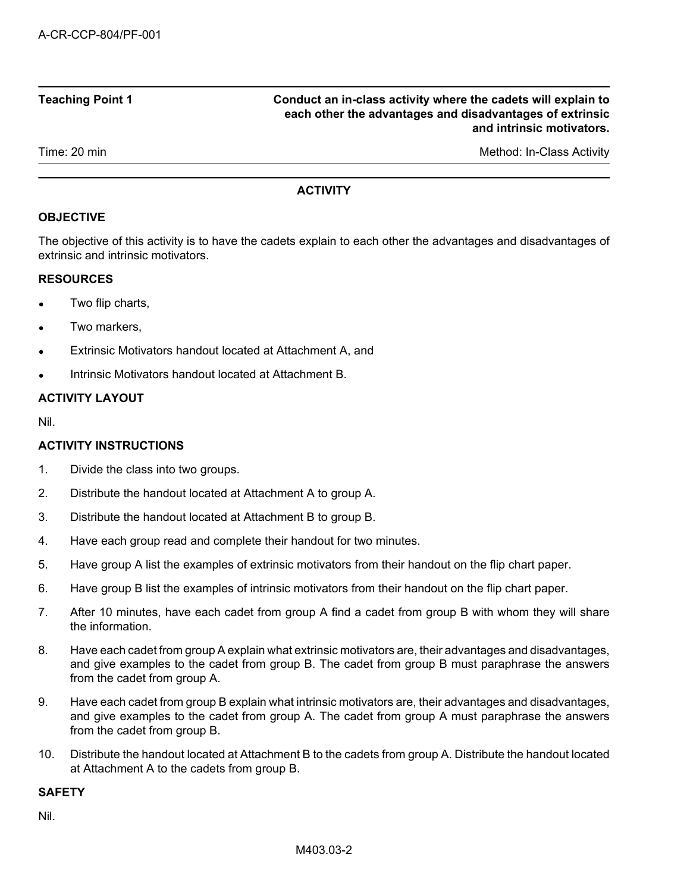#### **Teaching Point 1 Conduct an in-class activity where the cadets will explain to each other the advantages and disadvantages of extrinsic and intrinsic motivators.**

Time: 20 min Method: In-Class Activity

#### **ACTIVITY**

#### **OBJECTIVE**

The objective of this activity is to have the cadets explain to each other the advantages and disadvantages of extrinsic and intrinsic motivators.

#### **RESOURCES**

- Two flip charts,
- Two markers,
- Extrinsic Motivators handout located at Attachment A, and
- Intrinsic Motivators handout located at Attachment B.

#### **ACTIVITY LAYOUT**

Nil.

#### **ACTIVITY INSTRUCTIONS**

- 1. Divide the class into two groups.
- 2. Distribute the handout located at Attachment A to group A.
- 3. Distribute the handout located at Attachment B to group B.
- 4. Have each group read and complete their handout for two minutes.
- 5. Have group A list the examples of extrinsic motivators from their handout on the flip chart paper.
- 6. Have group B list the examples of intrinsic motivators from their handout on the flip chart paper.
- 7. After 10 minutes, have each cadet from group A find a cadet from group B with whom they will share the information.
- 8. Have each cadet from group A explain what extrinsic motivators are, their advantages and disadvantages, and give examples to the cadet from group B. The cadet from group B must paraphrase the answers from the cadet from group A.
- 9. Have each cadet from group B explain what intrinsic motivators are, their advantages and disadvantages, and give examples to the cadet from group A. The cadet from group A must paraphrase the answers from the cadet from group B.
- 10. Distribute the handout located at Attachment B to the cadets from group A. Distribute the handout located at Attachment A to the cadets from group B.

#### **SAFETY**

Nil.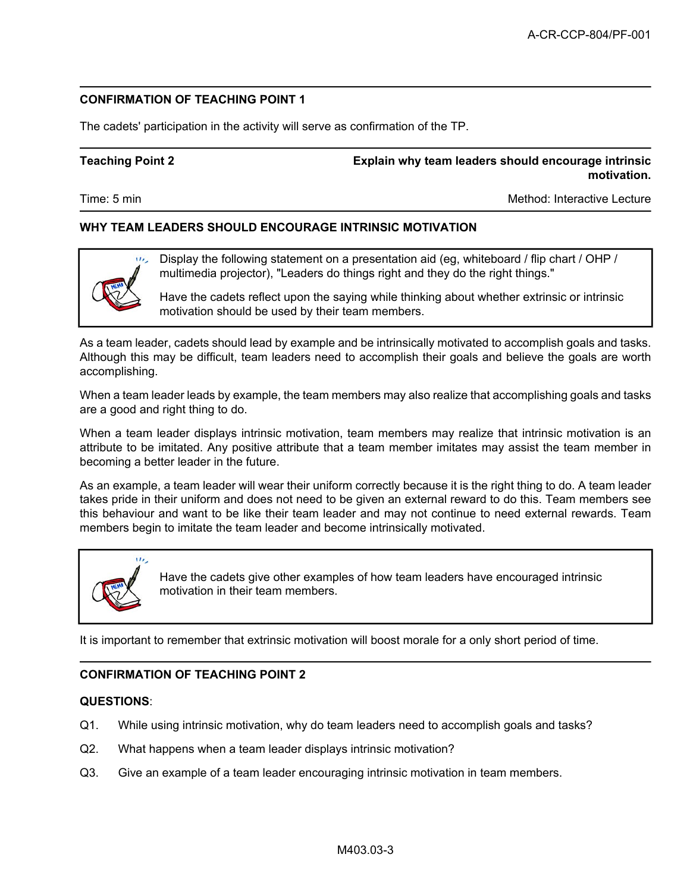#### **CONFIRMATION OF TEACHING POINT 1**

The cadets' participation in the activity will serve as confirmation of the TP.

**Teaching Point 2 Explain why team leaders should encourage intrinsic motivation.**

Time: 5 min Method: Interactive Lecture Company of Time: 5 min Method: Interactive Lecture

#### **WHY TEAM LEADERS SHOULD ENCOURAGE INTRINSIC MOTIVATION**



Display the following statement on a presentation aid (eg, whiteboard / flip chart / OHP / multimedia projector), "Leaders do things right and they do the right things."

Have the cadets reflect upon the saying while thinking about whether extrinsic or intrinsic motivation should be used by their team members.

As a team leader, cadets should lead by example and be intrinsically motivated to accomplish goals and tasks. Although this may be difficult, team leaders need to accomplish their goals and believe the goals are worth accomplishing.

When a team leader leads by example, the team members may also realize that accomplishing goals and tasks are a good and right thing to do.

When a team leader displays intrinsic motivation, team members may realize that intrinsic motivation is an attribute to be imitated. Any positive attribute that a team member imitates may assist the team member in becoming a better leader in the future.

As an example, a team leader will wear their uniform correctly because it is the right thing to do. A team leader takes pride in their uniform and does not need to be given an external reward to do this. Team members see this behaviour and want to be like their team leader and may not continue to need external rewards. Team members begin to imitate the team leader and become intrinsically motivated.



Have the cadets give other examples of how team leaders have encouraged intrinsic motivation in their team members.

It is important to remember that extrinsic motivation will boost morale for a only short period of time.

#### **CONFIRMATION OF TEACHING POINT 2**

#### **QUESTIONS**:

- Q1. While using intrinsic motivation, why do team leaders need to accomplish goals and tasks?
- Q2. What happens when a team leader displays intrinsic motivation?
- Q3. Give an example of a team leader encouraging intrinsic motivation in team members.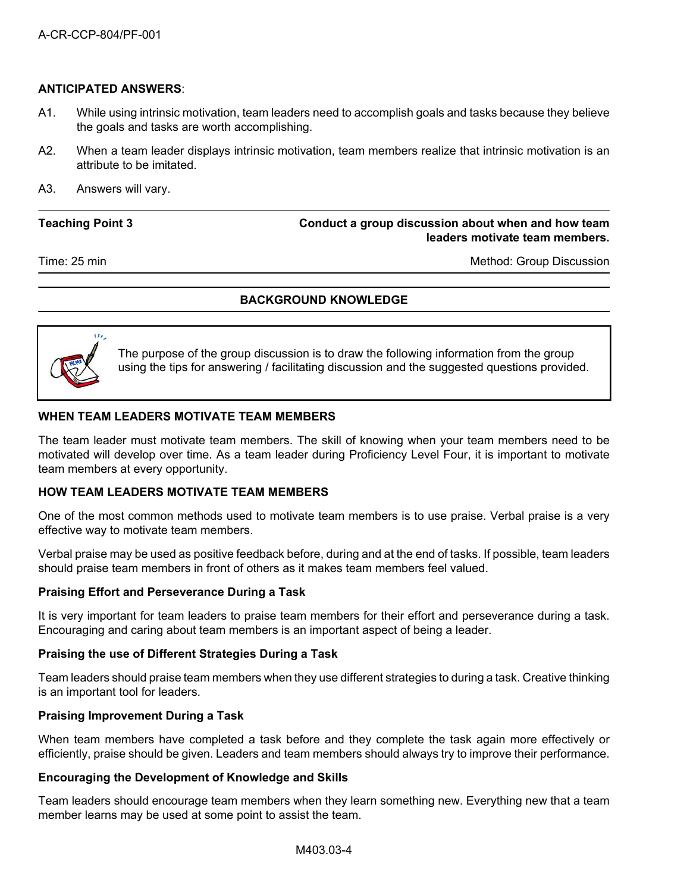#### **ANTICIPATED ANSWERS**:

- A1. While using intrinsic motivation, team leaders need to accomplish goals and tasks because they believe the goals and tasks are worth accomplishing.
- A2. When a team leader displays intrinsic motivation, team members realize that intrinsic motivation is an attribute to be imitated.
- A3. Answers will vary.

#### **Teaching Point 3 Conduct a group discussion about when and how team leaders motivate team members.**

Time: 25 min Method: Group Discussion

#### **BACKGROUND KNOWLEDGE**



The purpose of the group discussion is to draw the following information from the group using the tips for answering / facilitating discussion and the suggested questions provided.

#### **WHEN TEAM LEADERS MOTIVATE TEAM MEMBERS**

The team leader must motivate team members. The skill of knowing when your team members need to be motivated will develop over time. As a team leader during Proficiency Level Four, it is important to motivate team members at every opportunity.

#### **HOW TEAM LEADERS MOTIVATE TEAM MEMBERS**

One of the most common methods used to motivate team members is to use praise. Verbal praise is a very effective way to motivate team members.

Verbal praise may be used as positive feedback before, during and at the end of tasks. If possible, team leaders should praise team members in front of others as it makes team members feel valued.

#### **Praising Effort and Perseverance During a Task**

It is very important for team leaders to praise team members for their effort and perseverance during a task. Encouraging and caring about team members is an important aspect of being a leader.

#### **Praising the use of Different Strategies During a Task**

Team leaders should praise team members when they use different strategies to during a task. Creative thinking is an important tool for leaders.

#### **Praising Improvement During a Task**

When team members have completed a task before and they complete the task again more effectively or efficiently, praise should be given. Leaders and team members should always try to improve their performance.

#### **Encouraging the Development of Knowledge and Skills**

Team leaders should encourage team members when they learn something new. Everything new that a team member learns may be used at some point to assist the team.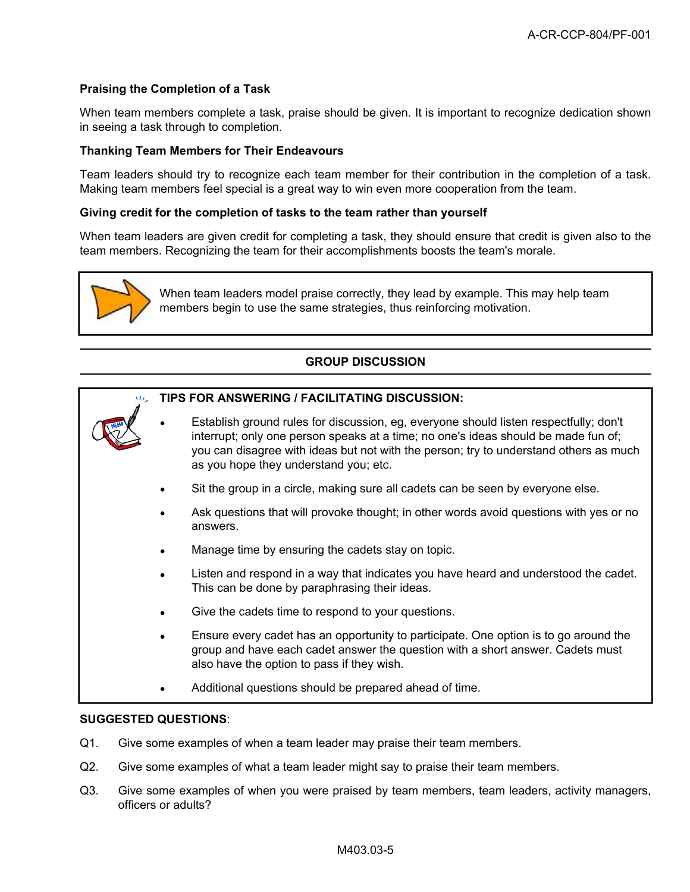# **Praising the Completion of a Task**

When team members complete a task, praise should be given. It is important to recognize dedication shown in seeing a task through to completion.

#### **Thanking Team Members for Their Endeavours**

Team leaders should try to recognize each team member for their contribution in the completion of a task. Making team members feel special is a great way to win even more cooperation from the team.

#### **Giving credit for the completion of tasks to the team rather than yourself**

When team leaders are given credit for completing a task, they should ensure that credit is given also to the team members. Recognizing the team for their accomplishments boosts the team's morale.



When team leaders model praise correctly, they lead by example. This may help team members begin to use the same strategies, thus reinforcing motivation.

# **GROUP DISCUSSION**



#### **SUGGESTED QUESTIONS**:

- Q1. Give some examples of when a team leader may praise their team members.
- Q2. Give some examples of what a team leader might say to praise their team members.
- Q3. Give some examples of when you were praised by team members, team leaders, activity managers, officers or adults?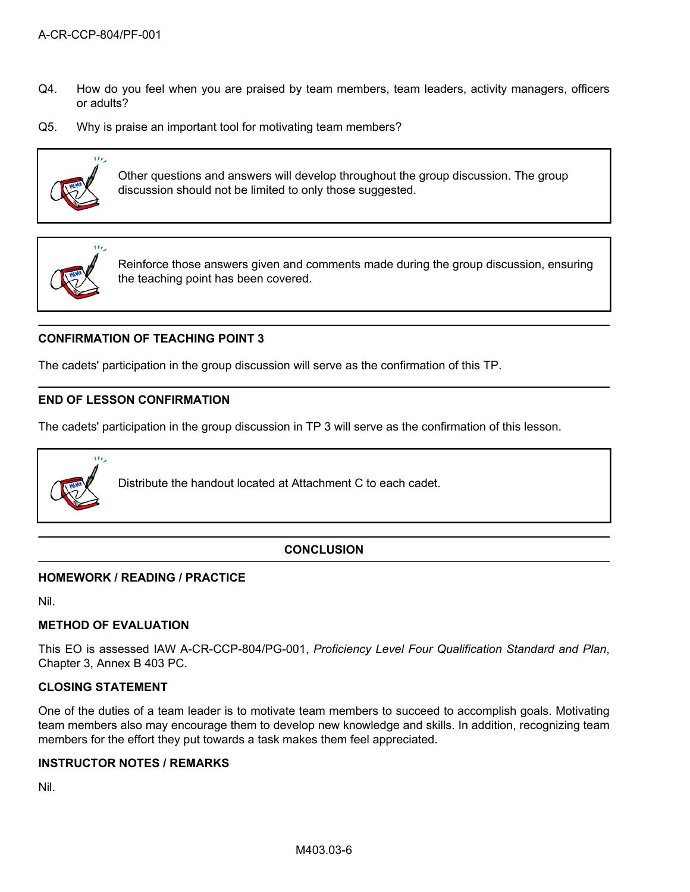- Q4. How do you feel when you are praised by team members, team leaders, activity managers, officers or adults?
- Q5. Why is praise an important tool for motivating team members?



Other questions and answers will develop throughout the group discussion. The group discussion should not be limited to only those suggested.



Reinforce those answers given and comments made during the group discussion, ensuring the teaching point has been covered.

# **CONFIRMATION OF TEACHING POINT 3**

The cadets' participation in the group discussion will serve as the confirmation of this TP.

#### **END OF LESSON CONFIRMATION**

The cadets' participation in the group discussion in TP 3 will serve as the confirmation of this lesson.



Distribute the handout located at Attachment C to each cadet.

#### **CONCLUSION**

#### **HOMEWORK / READING / PRACTICE**

Nil.

# **METHOD OF EVALUATION**

This EO is assessed IAW A-CR-CCP-804/PG-001, *Proficiency Level Four Qualification Standard and Plan*, Chapter 3, Annex B 403 PC.

# **CLOSING STATEMENT**

One of the duties of a team leader is to motivate team members to succeed to accomplish goals. Motivating team members also may encourage them to develop new knowledge and skills. In addition, recognizing team members for the effort they put towards a task makes them feel appreciated.

# **INSTRUCTOR NOTES / REMARKS**

Nil.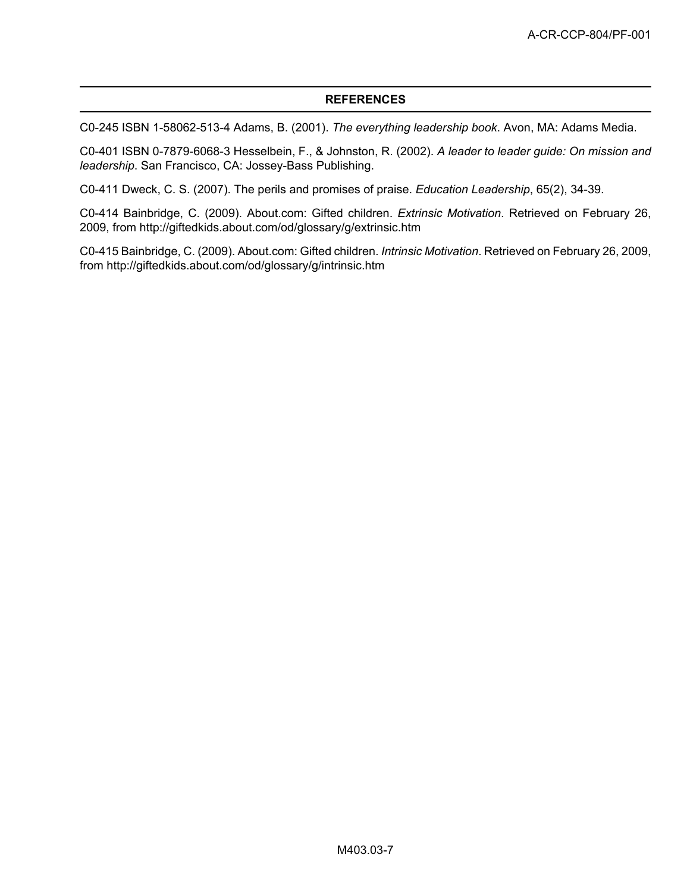# **REFERENCES**

C0-245 ISBN 1-58062-513-4 Adams, B. (2001). *The everything leadership book*. Avon, MA: Adams Media.

C0-401 ISBN 0-7879-6068-3 Hesselbein, F., & Johnston, R. (2002). *A leader to leader guide: On mission and leadership*. San Francisco, CA: Jossey-Bass Publishing.

C0-411 Dweck, C. S. (2007). The perils and promises of praise. *Education Leadership*, 65(2), 34-39.

C0-414 Bainbridge, C. (2009). About.com: Gifted children. *Extrinsic Motivation*. Retrieved on February 26, 2009, from http://giftedkids.about.com/od/glossary/g/extrinsic.htm

C0-415 Bainbridge, C. (2009). About.com: Gifted children. *Intrinsic Motivation*. Retrieved on February 26, 2009, from http://giftedkids.about.com/od/glossary/g/intrinsic.htm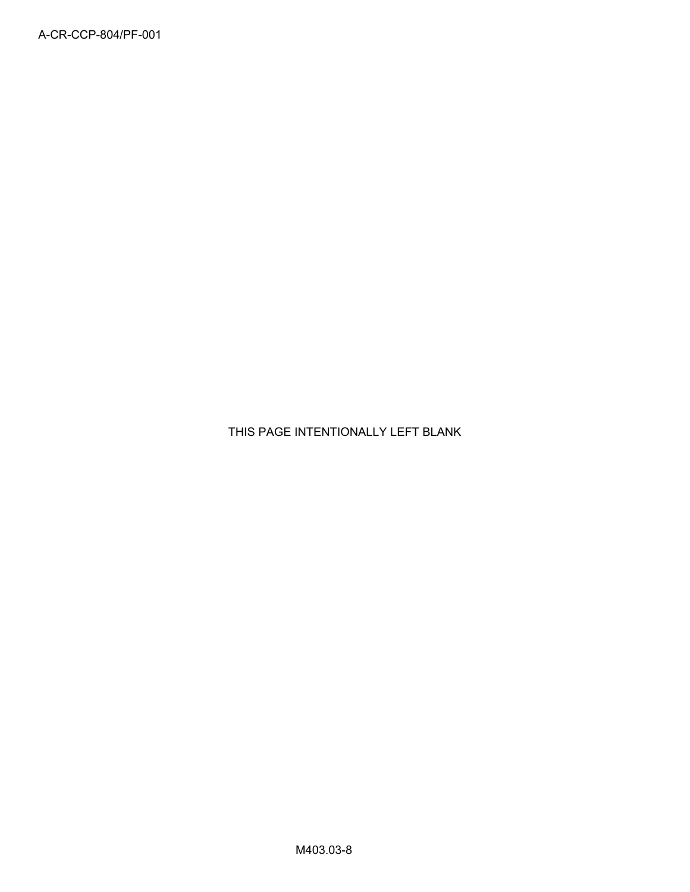THIS PAGE INTENTIONALLY LEFT BLANK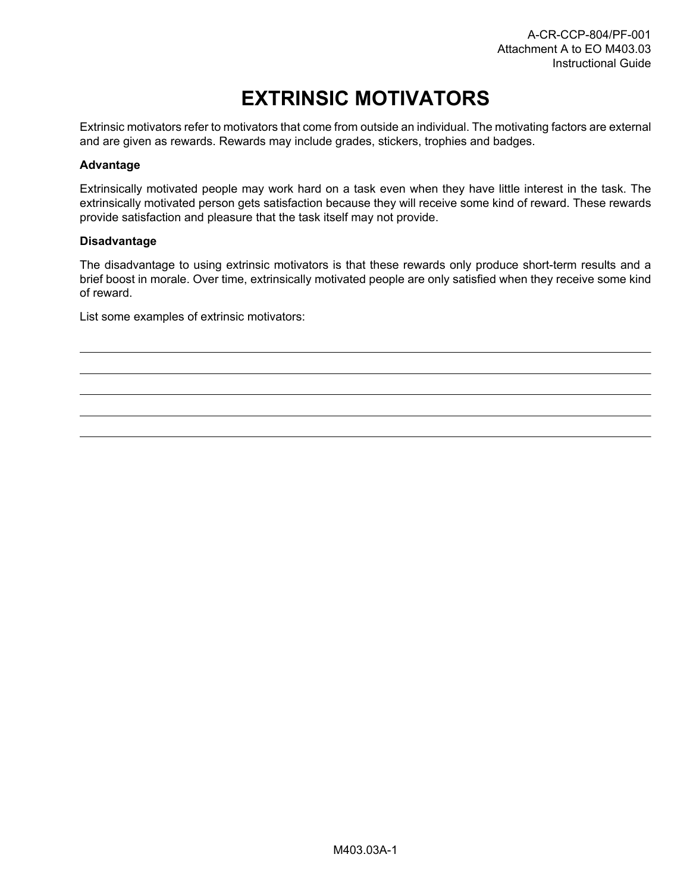# **EXTRINSIC MOTIVATORS**

Extrinsic motivators refer to motivators that come from outside an individual. The motivating factors are external and are given as rewards. Rewards may include grades, stickers, trophies and badges.

# **Advantage**

Extrinsically motivated people may work hard on a task even when they have little interest in the task. The extrinsically motivated person gets satisfaction because they will receive some kind of reward. These rewards provide satisfaction and pleasure that the task itself may not provide.

#### **Disadvantage**

The disadvantage to using extrinsic motivators is that these rewards only produce short-term results and a brief boost in morale. Over time, extrinsically motivated people are only satisfied when they receive some kind of reward.

List some examples of extrinsic motivators: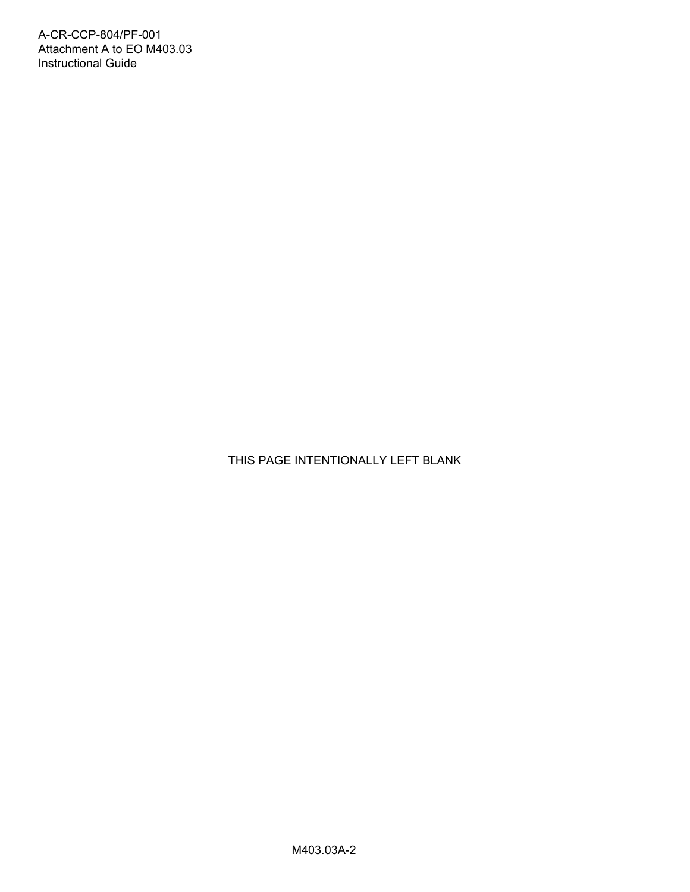A-CR-CCP-804/PF-001 Attachment A to EO M403.03 Instructional Guide

THIS PAGE INTENTIONALLY LEFT BLANK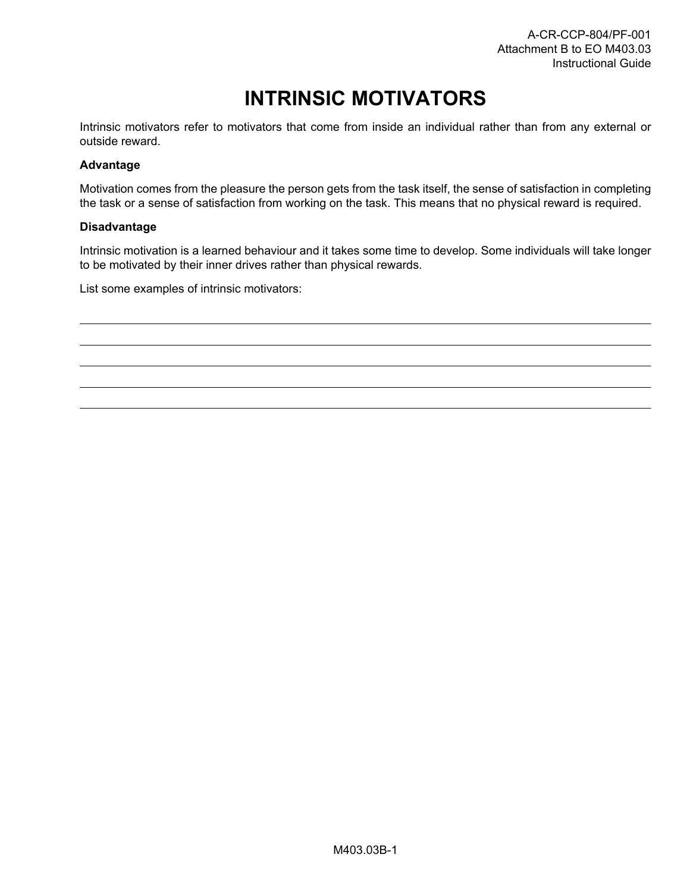# **INTRINSIC MOTIVATORS**

Intrinsic motivators refer to motivators that come from inside an individual rather than from any external or outside reward.

# **Advantage**

Motivation comes from the pleasure the person gets from the task itself, the sense of satisfaction in completing the task or a sense of satisfaction from working on the task. This means that no physical reward is required.

#### **Disadvantage**

Intrinsic motivation is a learned behaviour and it takes some time to develop. Some individuals will take longer to be motivated by their inner drives rather than physical rewards.

List some examples of intrinsic motivators: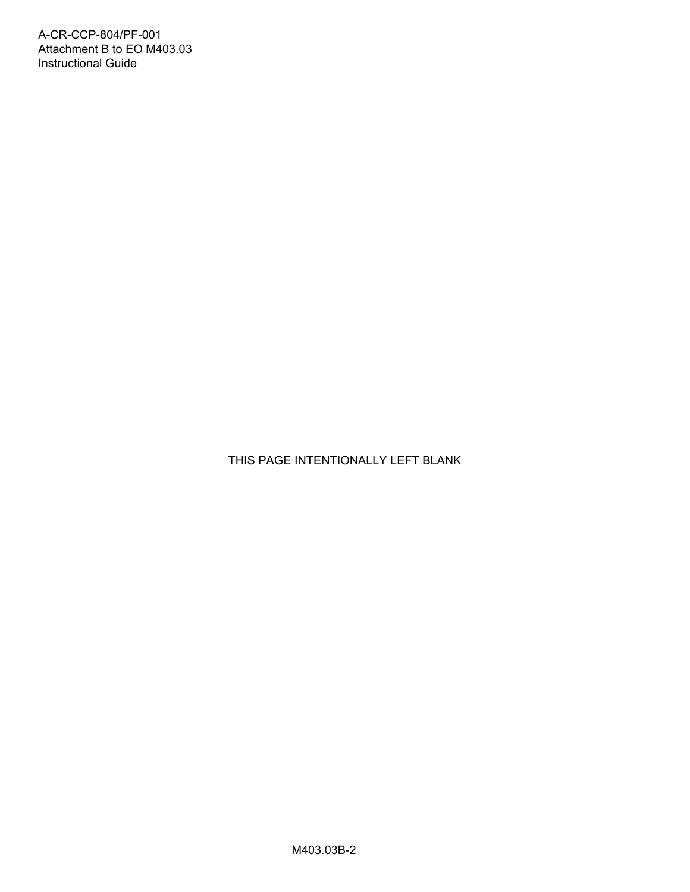A-CR-CCP-804/PF-001 Attachment B to EO M403.03 Instructional Guide

THIS PAGE INTENTIONALLY LEFT BLANK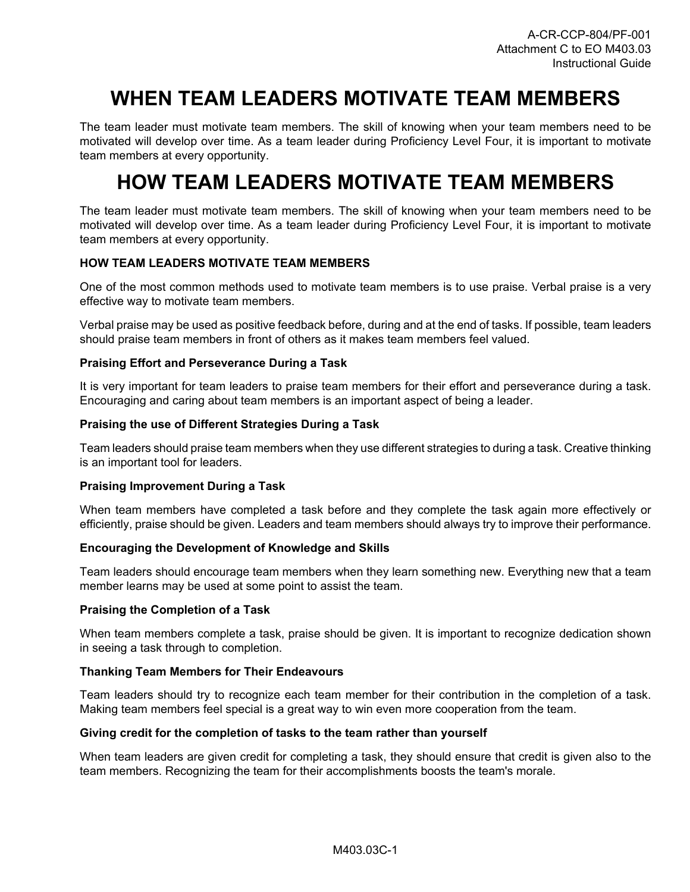# **WHEN TEAM LEADERS MOTIVATE TEAM MEMBERS**

The team leader must motivate team members. The skill of knowing when your team members need to be motivated will develop over time. As a team leader during Proficiency Level Four, it is important to motivate team members at every opportunity.

# **HOW TEAM LEADERS MOTIVATE TEAM MEMBERS**

The team leader must motivate team members. The skill of knowing when your team members need to be motivated will develop over time. As a team leader during Proficiency Level Four, it is important to motivate team members at every opportunity.

# **HOW TEAM LEADERS MOTIVATE TEAM MEMBERS**

One of the most common methods used to motivate team members is to use praise. Verbal praise is a very effective way to motivate team members.

Verbal praise may be used as positive feedback before, during and at the end of tasks. If possible, team leaders should praise team members in front of others as it makes team members feel valued.

# **Praising Effort and Perseverance During a Task**

It is very important for team leaders to praise team members for their effort and perseverance during a task. Encouraging and caring about team members is an important aspect of being a leader.

# **Praising the use of Different Strategies During a Task**

Team leaders should praise team members when they use different strategies to during a task. Creative thinking is an important tool for leaders.

#### **Praising Improvement During a Task**

When team members have completed a task before and they complete the task again more effectively or efficiently, praise should be given. Leaders and team members should always try to improve their performance.

#### **Encouraging the Development of Knowledge and Skills**

Team leaders should encourage team members when they learn something new. Everything new that a team member learns may be used at some point to assist the team.

#### **Praising the Completion of a Task**

When team members complete a task, praise should be given. It is important to recognize dedication shown in seeing a task through to completion.

#### **Thanking Team Members for Their Endeavours**

Team leaders should try to recognize each team member for their contribution in the completion of a task. Making team members feel special is a great way to win even more cooperation from the team.

#### **Giving credit for the completion of tasks to the team rather than yourself**

When team leaders are given credit for completing a task, they should ensure that credit is given also to the team members. Recognizing the team for their accomplishments boosts the team's morale.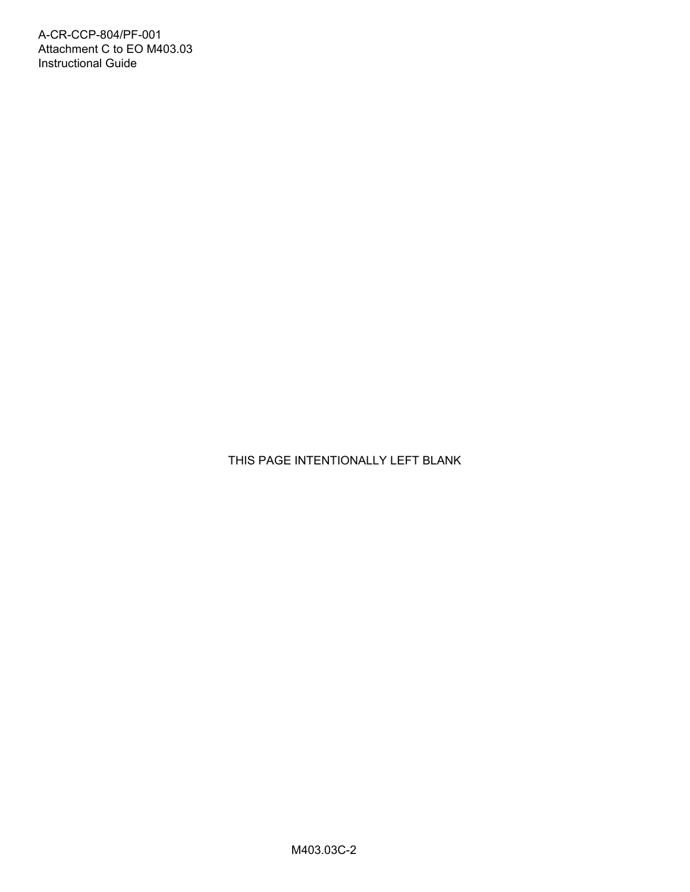A-CR-CCP-804/PF-001 Attachment C to EO M403.03 Instructional Guide

THIS PAGE INTENTIONALLY LEFT BLANK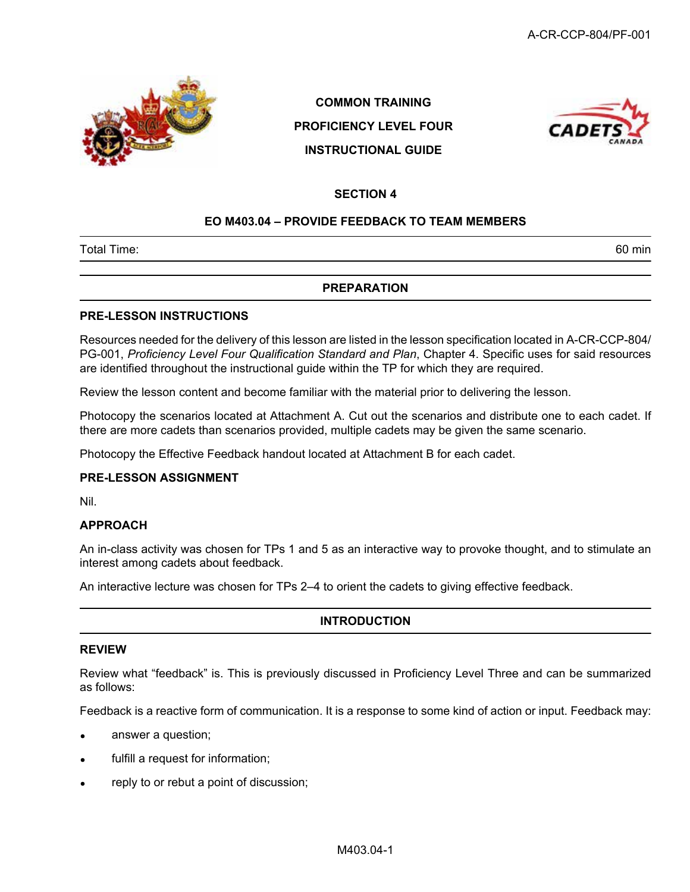

**COMMON TRAINING PROFICIENCY LEVEL FOUR INSTRUCTIONAL GUIDE**



# **SECTION 4**

# **EO M403.04 – PROVIDE FEEDBACK TO TEAM MEMBERS**

Total Time: 60 min

# **PREPARATION**

# **PRE-LESSON INSTRUCTIONS**

Resources needed for the delivery of this lesson are listed in the lesson specification located in A-CR-CCP-804/ PG-001, *Proficiency Level Four Qualification Standard and Plan*, Chapter 4. Specific uses for said resources are identified throughout the instructional guide within the TP for which they are required.

Review the lesson content and become familiar with the material prior to delivering the lesson.

Photocopy the scenarios located at Attachment A. Cut out the scenarios and distribute one to each cadet. If there are more cadets than scenarios provided, multiple cadets may be given the same scenario.

Photocopy the Effective Feedback handout located at Attachment B for each cadet.

# **PRE-LESSON ASSIGNMENT**

Nil.

#### **APPROACH**

An in-class activity was chosen for TPs 1 and 5 as an interactive way to provoke thought, and to stimulate an interest among cadets about feedback.

An interactive lecture was chosen for TPs 2–4 to orient the cadets to giving effective feedback.

# **INTRODUCTION**

#### **REVIEW**

Review what "feedback" is. This is previously discussed in Proficiency Level Three and can be summarized as follows:

Feedback is a reactive form of communication. It is a response to some kind of action or input. Feedback may:

- answer a question;
- fulfill a request for information;  $\bullet$
- reply to or rebut a point of discussion;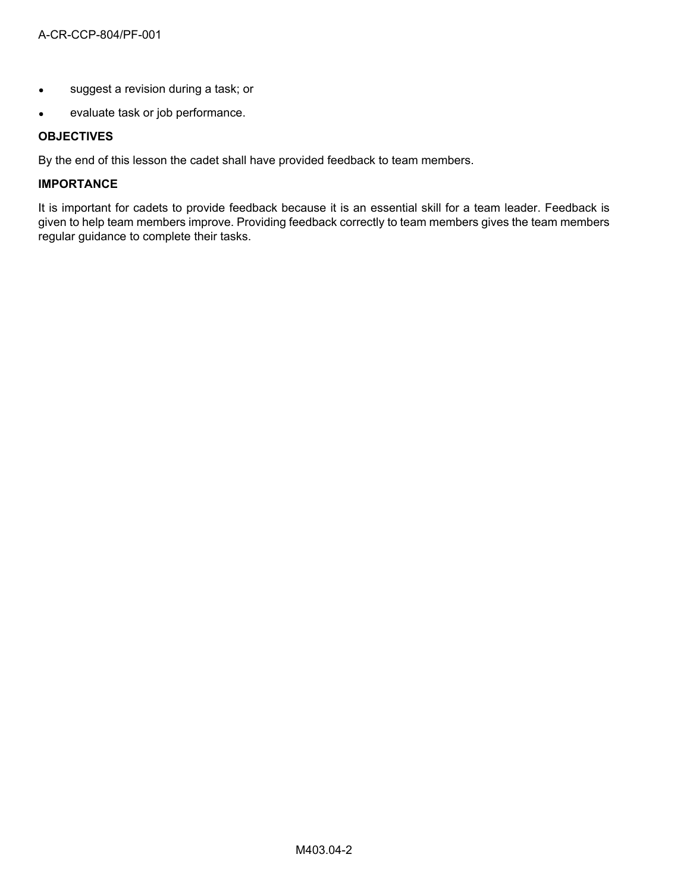- suggest a revision during a task; or  $\bullet$
- evaluate task or job performance.

#### **OBJECTIVES**

By the end of this lesson the cadet shall have provided feedback to team members.

# **IMPORTANCE**

It is important for cadets to provide feedback because it is an essential skill for a team leader. Feedback is given to help team members improve. Providing feedback correctly to team members gives the team members regular guidance to complete their tasks.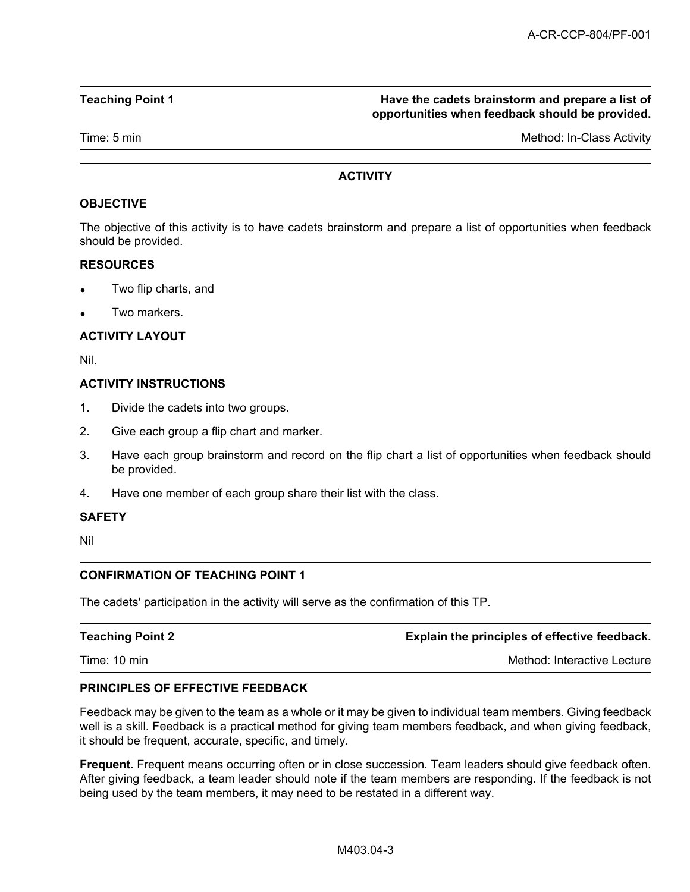# **Teaching Point 1 Have the cadets brainstorm and prepare a list of opportunities when feedback should be provided.**

Time: 5 min Method: In-Class Activity

# **ACTIVITY**

#### **OBJECTIVE**

The objective of this activity is to have cadets brainstorm and prepare a list of opportunities when feedback should be provided.

#### **RESOURCES**

- Two flip charts, and
- Two markers.

# **ACTIVITY LAYOUT**

Nil.

# **ACTIVITY INSTRUCTIONS**

- 1. Divide the cadets into two groups.
- 2. Give each group a flip chart and marker.
- 3. Have each group brainstorm and record on the flip chart a list of opportunities when feedback should be provided.
- 4. Have one member of each group share their list with the class.

#### **SAFETY**

Nil

# **CONFIRMATION OF TEACHING POINT 1**

The cadets' participation in the activity will serve as the confirmation of this TP.

# **Teaching Point 2 Explain the principles of effective feedback.**

#### Time: 10 min Method: Interactive Lecture Companion Companion Companion Companion Method: Interactive Lecture

#### **PRINCIPLES OF EFFECTIVE FEEDBACK**

Feedback may be given to the team as a whole or it may be given to individual team members. Giving feedback well is a skill. Feedback is a practical method for giving team members feedback, and when giving feedback, it should be frequent, accurate, specific, and timely.

**Frequent.** Frequent means occurring often or in close succession. Team leaders should give feedback often. After giving feedback, a team leader should note if the team members are responding. If the feedback is not being used by the team members, it may need to be restated in a different way.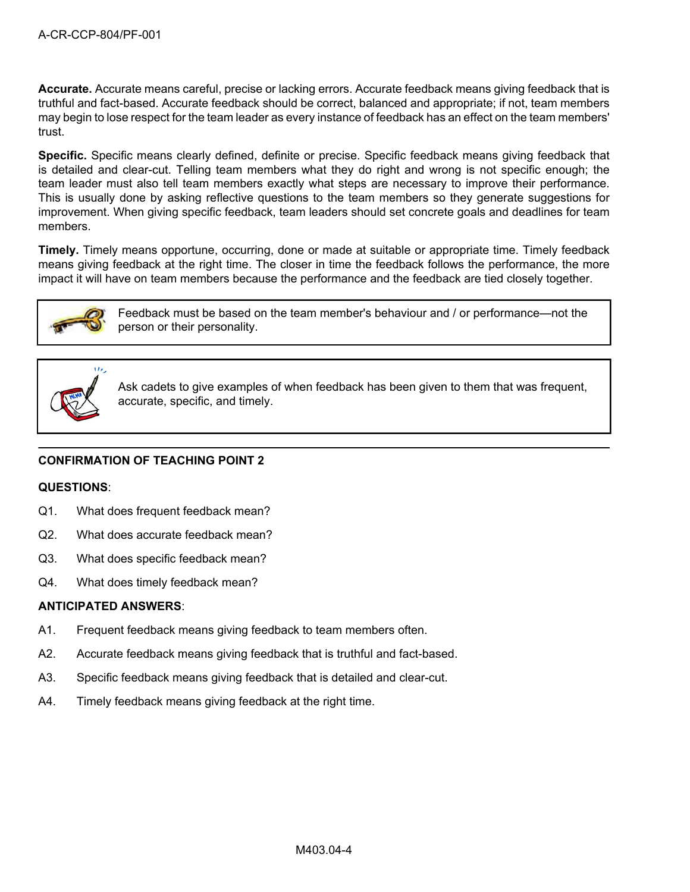**Accurate.** Accurate means careful, precise or lacking errors. Accurate feedback means giving feedback that is truthful and fact-based. Accurate feedback should be correct, balanced and appropriate; if not, team members may begin to lose respect for the team leader as every instance of feedback has an effect on the team members' trust.

**Specific.** Specific means clearly defined, definite or precise. Specific feedback means giving feedback that is detailed and clear-cut. Telling team members what they do right and wrong is not specific enough; the team leader must also tell team members exactly what steps are necessary to improve their performance. This is usually done by asking reflective questions to the team members so they generate suggestions for improvement. When giving specific feedback, team leaders should set concrete goals and deadlines for team members.

**Timely.** Timely means opportune, occurring, done or made at suitable or appropriate time. Timely feedback means giving feedback at the right time. The closer in time the feedback follows the performance, the more impact it will have on team members because the performance and the feedback are tied closely together.



Feedback must be based on the team member's behaviour and / or performance—not the person or their personality.



Ask cadets to give examples of when feedback has been given to them that was frequent, accurate, specific, and timely.

# **CONFIRMATION OF TEACHING POINT 2**

#### **QUESTIONS**:

- Q1. What does frequent feedback mean?
- Q2. What does accurate feedback mean?
- Q3. What does specific feedback mean?
- Q4. What does timely feedback mean?

#### **ANTICIPATED ANSWERS**:

- A1. Frequent feedback means giving feedback to team members often.
- A2. Accurate feedback means giving feedback that is truthful and fact-based.
- A3. Specific feedback means giving feedback that is detailed and clear-cut.
- A4. Timely feedback means giving feedback at the right time.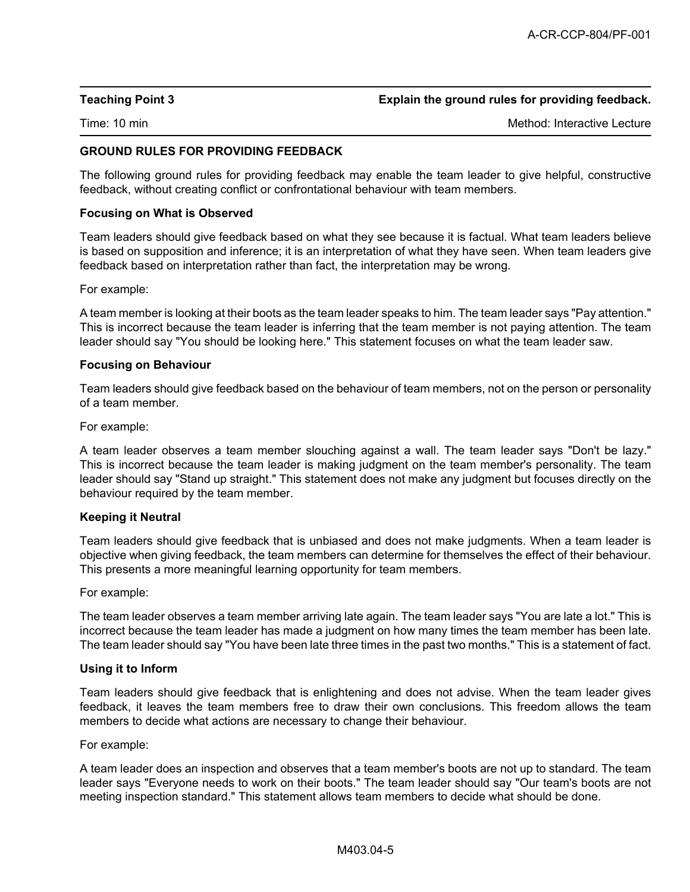# **Teaching Point 3 Explain the ground rules for providing feedback.**

Time: 10 min Method: Interactive Lecture Communication of the Method: Interactive Lecture

# **GROUND RULES FOR PROVIDING FEEDBACK**

The following ground rules for providing feedback may enable the team leader to give helpful, constructive feedback, without creating conflict or confrontational behaviour with team members.

#### **Focusing on What is Observed**

Team leaders should give feedback based on what they see because it is factual. What team leaders believe is based on supposition and inference; it is an interpretation of what they have seen. When team leaders give feedback based on interpretation rather than fact, the interpretation may be wrong.

#### For example:

A team member is looking at their boots as the team leader speaks to him. The team leader says "Pay attention." This is incorrect because the team leader is inferring that the team member is not paying attention. The team leader should say "You should be looking here." This statement focuses on what the team leader saw.

#### **Focusing on Behaviour**

Team leaders should give feedback based on the behaviour of team members, not on the person or personality of a team member.

For example:

A team leader observes a team member slouching against a wall. The team leader says "Don't be lazy." This is incorrect because the team leader is making judgment on the team member's personality. The team leader should say "Stand up straight." This statement does not make any judgment but focuses directly on the behaviour required by the team member.

#### **Keeping it Neutral**

Team leaders should give feedback that is unbiased and does not make judgments. When a team leader is objective when giving feedback, the team members can determine for themselves the effect of their behaviour. This presents a more meaningful learning opportunity for team members.

#### For example:

The team leader observes a team member arriving late again. The team leader says "You are late a lot." This is incorrect because the team leader has made a judgment on how many times the team member has been late. The team leader should say "You have been late three times in the past two months." This is a statement of fact.

#### **Using it to Inform**

Team leaders should give feedback that is enlightening and does not advise. When the team leader gives feedback, it leaves the team members free to draw their own conclusions. This freedom allows the team members to decide what actions are necessary to change their behaviour.

#### For example:

A team leader does an inspection and observes that a team member's boots are not up to standard. The team leader says "Everyone needs to work on their boots." The team leader should say "Our team's boots are not meeting inspection standard." This statement allows team members to decide what should be done.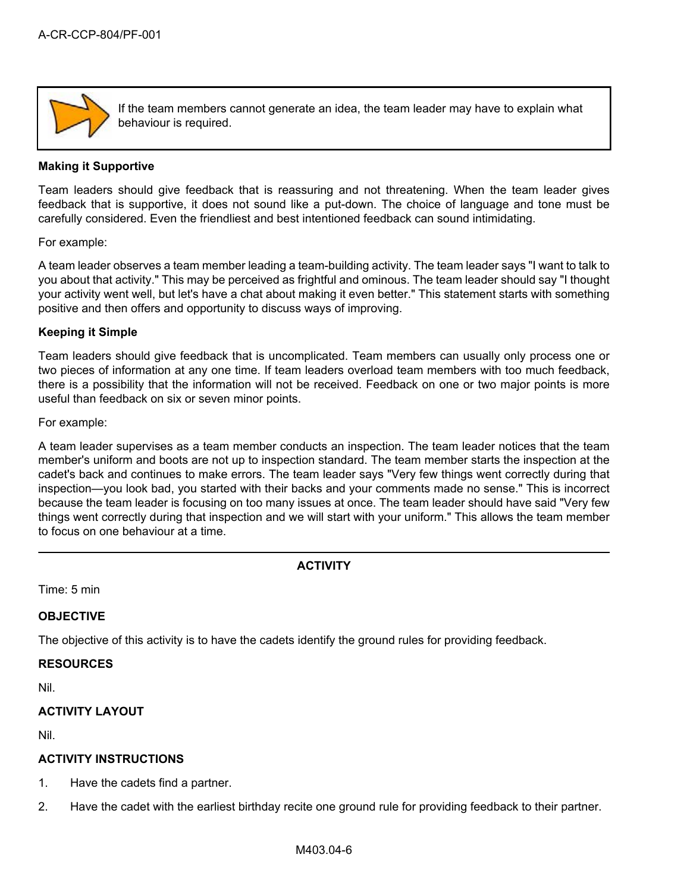

If the team members cannot generate an idea, the team leader may have to explain what behaviour is required.

# **Making it Supportive**

Team leaders should give feedback that is reassuring and not threatening. When the team leader gives feedback that is supportive, it does not sound like a put-down. The choice of language and tone must be carefully considered. Even the friendliest and best intentioned feedback can sound intimidating.

For example:

A team leader observes a team member leading a team-building activity. The team leader says "I want to talk to you about that activity." This may be perceived as frightful and ominous. The team leader should say "I thought your activity went well, but let's have a chat about making it even better." This statement starts with something positive and then offers and opportunity to discuss ways of improving.

# **Keeping it Simple**

Team leaders should give feedback that is uncomplicated. Team members can usually only process one or two pieces of information at any one time. If team leaders overload team members with too much feedback, there is a possibility that the information will not be received. Feedback on one or two major points is more useful than feedback on six or seven minor points.

For example:

A team leader supervises as a team member conducts an inspection. The team leader notices that the team member's uniform and boots are not up to inspection standard. The team member starts the inspection at the cadet's back and continues to make errors. The team leader says "Very few things went correctly during that inspection—you look bad, you started with their backs and your comments made no sense." This is incorrect because the team leader is focusing on too many issues at once. The team leader should have said "Very few things went correctly during that inspection and we will start with your uniform." This allows the team member to focus on one behaviour at a time.

# **ACTIVITY**

Time: 5 min

# **OBJECTIVE**

The objective of this activity is to have the cadets identify the ground rules for providing feedback.

#### **RESOURCES**

Nil.

# **ACTIVITY LAYOUT**

Nil.

# **ACTIVITY INSTRUCTIONS**

- 1. Have the cadets find a partner.
- 2. Have the cadet with the earliest birthday recite one ground rule for providing feedback to their partner.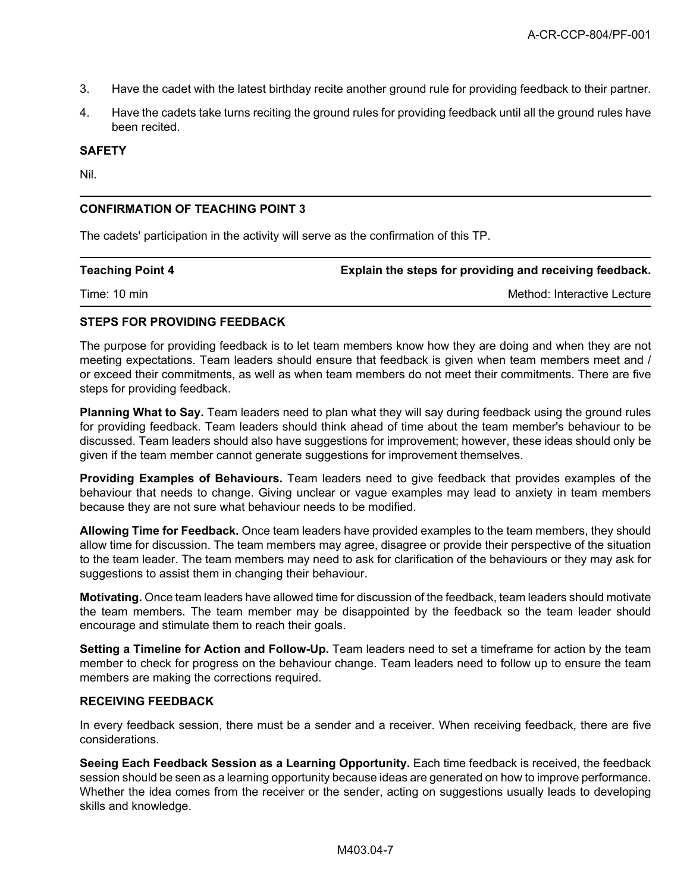- 3. Have the cadet with the latest birthday recite another ground rule for providing feedback to their partner.
- 4. Have the cadets take turns reciting the ground rules for providing feedback until all the ground rules have been recited.

#### **SAFETY**

Nil.

# **CONFIRMATION OF TEACHING POINT 3**

The cadets' participation in the activity will serve as the confirmation of this TP.

#### **Teaching Point 4 Explain the steps for providing and receiving feedback.**

Time: 10 min Method: Interactive Lecture Communication of the Method: Interactive Lecture

# **STEPS FOR PROVIDING FEEDBACK**

The purpose for providing feedback is to let team members know how they are doing and when they are not meeting expectations. Team leaders should ensure that feedback is given when team members meet and / or exceed their commitments, as well as when team members do not meet their commitments. There are five steps for providing feedback.

**Planning What to Say.** Team leaders need to plan what they will say during feedback using the ground rules for providing feedback. Team leaders should think ahead of time about the team member's behaviour to be discussed. Team leaders should also have suggestions for improvement; however, these ideas should only be given if the team member cannot generate suggestions for improvement themselves.

**Providing Examples of Behaviours.** Team leaders need to give feedback that provides examples of the behaviour that needs to change. Giving unclear or vague examples may lead to anxiety in team members because they are not sure what behaviour needs to be modified.

**Allowing Time for Feedback.** Once team leaders have provided examples to the team members, they should allow time for discussion. The team members may agree, disagree or provide their perspective of the situation to the team leader. The team members may need to ask for clarification of the behaviours or they may ask for suggestions to assist them in changing their behaviour.

**Motivating.** Once team leaders have allowed time for discussion of the feedback, team leaders should motivate the team members. The team member may be disappointed by the feedback so the team leader should encourage and stimulate them to reach their goals.

**Setting a Timeline for Action and Follow-Up.** Team leaders need to set a timeframe for action by the team member to check for progress on the behaviour change. Team leaders need to follow up to ensure the team members are making the corrections required.

#### **RECEIVING FEEDBACK**

In every feedback session, there must be a sender and a receiver. When receiving feedback, there are five considerations.

**Seeing Each Feedback Session as a Learning Opportunity.** Each time feedback is received, the feedback session should be seen as a learning opportunity because ideas are generated on how to improve performance. Whether the idea comes from the receiver or the sender, acting on suggestions usually leads to developing skills and knowledge.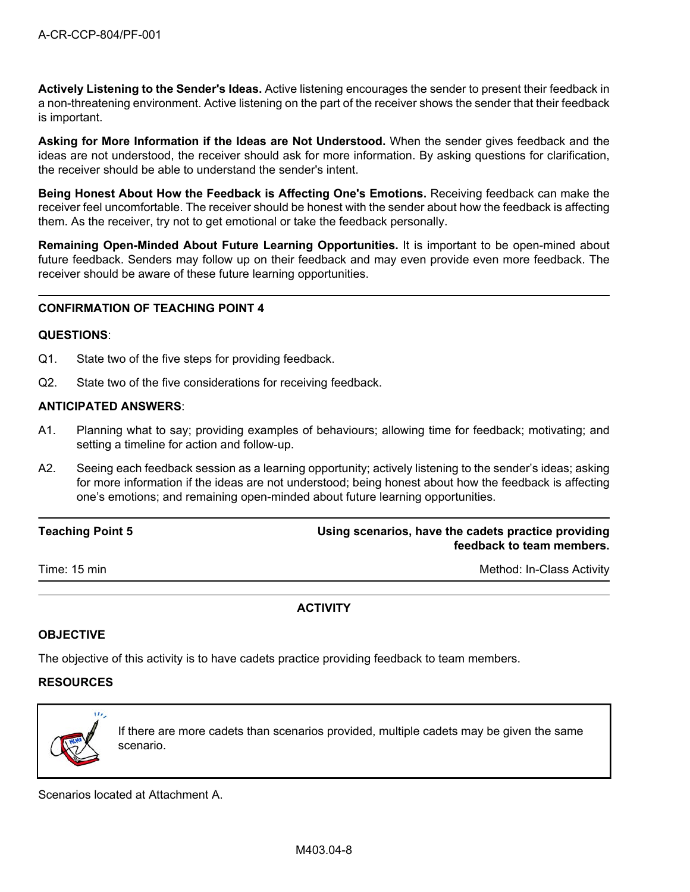**Actively Listening to the Sender's Ideas.** Active listening encourages the sender to present their feedback in a non-threatening environment. Active listening on the part of the receiver shows the sender that their feedback is important.

**Asking for More Information if the Ideas are Not Understood.** When the sender gives feedback and the ideas are not understood, the receiver should ask for more information. By asking questions for clarification, the receiver should be able to understand the sender's intent.

**Being Honest About How the Feedback is Affecting One's Emotions.** Receiving feedback can make the receiver feel uncomfortable. The receiver should be honest with the sender about how the feedback is affecting them. As the receiver, try not to get emotional or take the feedback personally.

**Remaining Open-Minded About Future Learning Opportunities.** It is important to be open-mined about future feedback. Senders may follow up on their feedback and may even provide even more feedback. The receiver should be aware of these future learning opportunities.

# **CONFIRMATION OF TEACHING POINT 4**

# **QUESTIONS**:

- Q1. State two of the five steps for providing feedback.
- Q2. State two of the five considerations for receiving feedback.

# **ANTICIPATED ANSWERS**:

- A1. Planning what to say; providing examples of behaviours; allowing time for feedback; motivating; and setting a timeline for action and follow-up.
- A2. Seeing each feedback session as a learning opportunity; actively listening to the sender's ideas; asking for more information if the ideas are not understood; being honest about how the feedback is affecting one's emotions; and remaining open-minded about future learning opportunities.

| <b>Teaching Point 5</b> | Using scenarios, have the cadets practice providing<br>feedback to team members. |
|-------------------------|----------------------------------------------------------------------------------|
| Time: 15 min            | Method: In-Class Activity                                                        |
|                         |                                                                                  |

**ACTIVITY**

# **OBJECTIVE**

The objective of this activity is to have cadets practice providing feedback to team members.

# **RESOURCES**



If there are more cadets than scenarios provided, multiple cadets may be given the same scenario.

Scenarios located at Attachment A.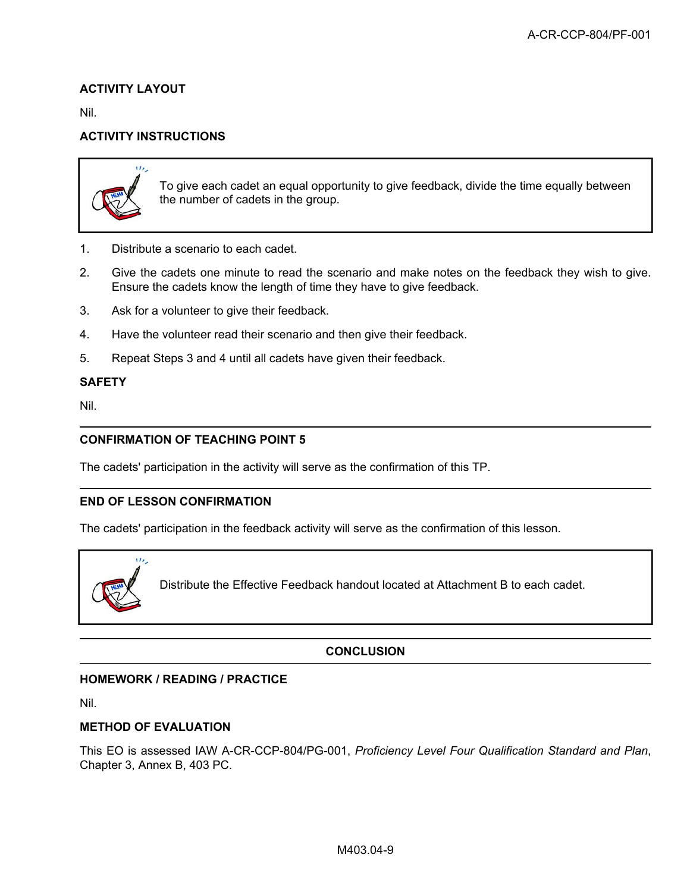# **ACTIVITY LAYOUT**

Nil.

# **ACTIVITY INSTRUCTIONS**



To give each cadet an equal opportunity to give feedback, divide the time equally between the number of cadets in the group.

- 1. Distribute a scenario to each cadet.
- 2. Give the cadets one minute to read the scenario and make notes on the feedback they wish to give. Ensure the cadets know the length of time they have to give feedback.
- 3. Ask for a volunteer to give their feedback.
- 4. Have the volunteer read their scenario and then give their feedback.
- 5. Repeat Steps 3 and 4 until all cadets have given their feedback.

# **SAFETY**

Nil.

# **CONFIRMATION OF TEACHING POINT 5**

The cadets' participation in the activity will serve as the confirmation of this TP.

# **END OF LESSON CONFIRMATION**

The cadets' participation in the feedback activity will serve as the confirmation of this lesson.



Distribute the Effective Feedback handout located at Attachment B to each cadet.

# **CONCLUSION**

# **HOMEWORK / READING / PRACTICE**

Nil.

#### **METHOD OF EVALUATION**

This EO is assessed IAW A-CR-CCP-804/PG-001, *Proficiency Level Four Qualification Standard and Plan*, Chapter 3, Annex B, 403 PC.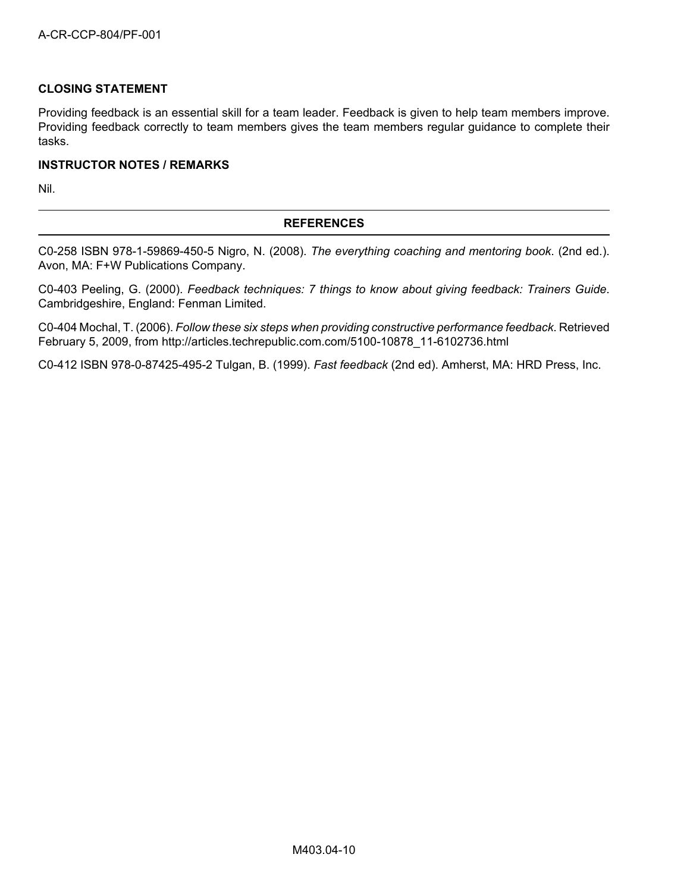# **CLOSING STATEMENT**

Providing feedback is an essential skill for a team leader. Feedback is given to help team members improve. Providing feedback correctly to team members gives the team members regular guidance to complete their tasks.

# **INSTRUCTOR NOTES / REMARKS**

Nil.

# **REFERENCES**

C0-258 ISBN 978-1-59869-450-5 Nigro, N. (2008). *The everything coaching and mentoring book*. (2nd ed.). Avon, MA: F+W Publications Company.

C0-403 Peeling, G. (2000). *Feedback techniques: 7 things to know about giving feedback: Trainers Guide*. Cambridgeshire, England: Fenman Limited.

C0-404 Mochal, T. (2006). *Follow these six steps when providing constructive performance feedback*. Retrieved February 5, 2009, from http://articles.techrepublic.com.com/5100-10878\_11-6102736.html

C0-412 ISBN 978-0-87425-495-2 Tulgan, B. (1999). *Fast feedback* (2nd ed). Amherst, MA: HRD Press, Inc.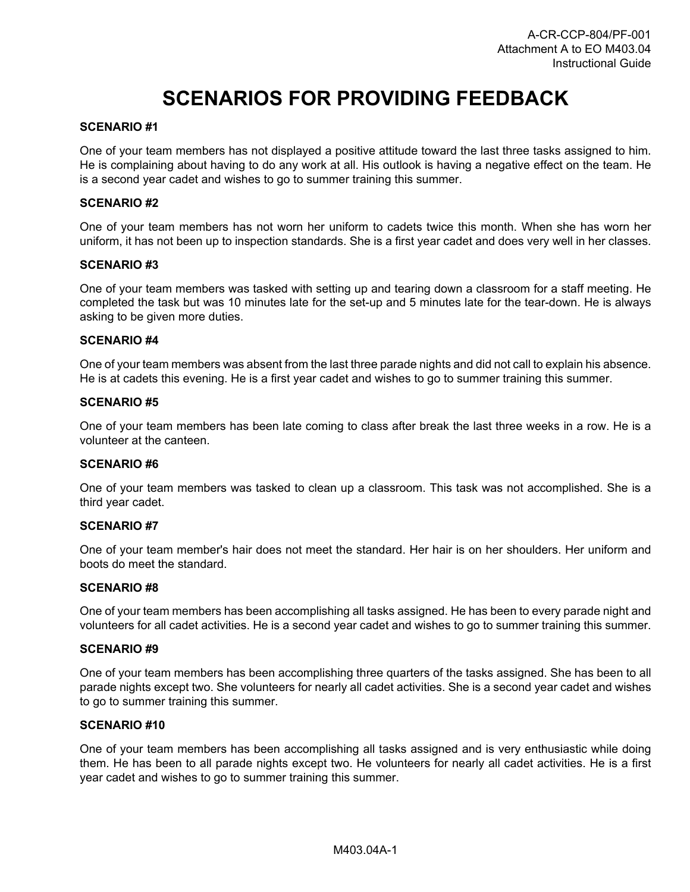# **SCENARIOS FOR PROVIDING FEEDBACK**

# **SCENARIO #1**

One of your team members has not displayed a positive attitude toward the last three tasks assigned to him. He is complaining about having to do any work at all. His outlook is having a negative effect on the team. He is a second year cadet and wishes to go to summer training this summer.

#### **SCENARIO #2**

One of your team members has not worn her uniform to cadets twice this month. When she has worn her uniform, it has not been up to inspection standards. She is a first year cadet and does very well in her classes.

#### **SCENARIO #3**

One of your team members was tasked with setting up and tearing down a classroom for a staff meeting. He completed the task but was 10 minutes late for the set-up and 5 minutes late for the tear-down. He is always asking to be given more duties.

# **SCENARIO #4**

One of your team members was absent from the last three parade nights and did not call to explain his absence. He is at cadets this evening. He is a first year cadet and wishes to go to summer training this summer.

# **SCENARIO #5**

One of your team members has been late coming to class after break the last three weeks in a row. He is a volunteer at the canteen.

# **SCENARIO #6**

One of your team members was tasked to clean up a classroom. This task was not accomplished. She is a third year cadet.

#### **SCENARIO #7**

One of your team member's hair does not meet the standard. Her hair is on her shoulders. Her uniform and boots do meet the standard.

#### **SCENARIO #8**

One of your team members has been accomplishing all tasks assigned. He has been to every parade night and volunteers for all cadet activities. He is a second year cadet and wishes to go to summer training this summer.

# **SCENARIO #9**

One of your team members has been accomplishing three quarters of the tasks assigned. She has been to all parade nights except two. She volunteers for nearly all cadet activities. She is a second year cadet and wishes to go to summer training this summer.

#### **SCENARIO #10**

One of your team members has been accomplishing all tasks assigned and is very enthusiastic while doing them. He has been to all parade nights except two. He volunteers for nearly all cadet activities. He is a first year cadet and wishes to go to summer training this summer.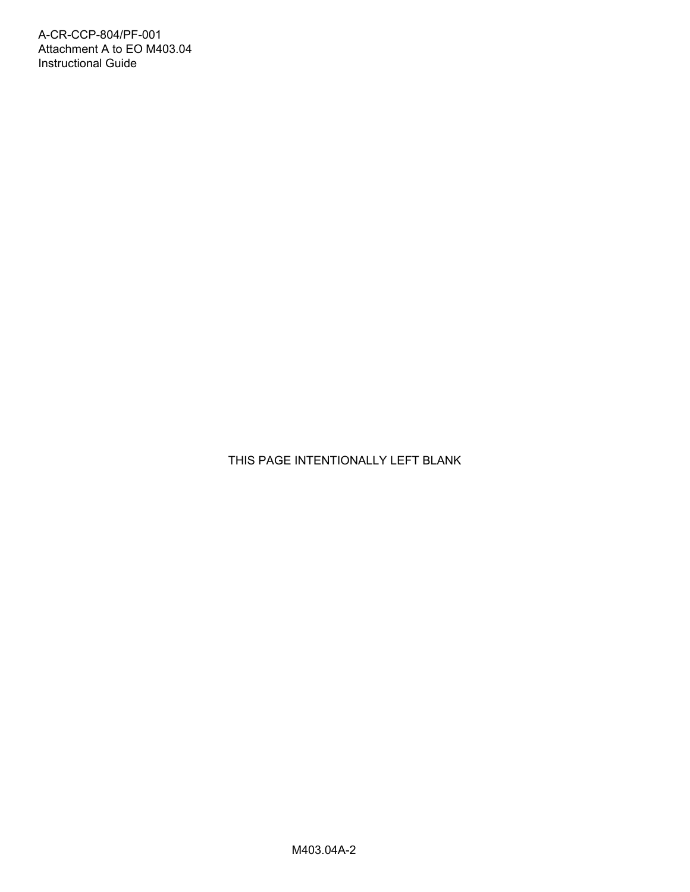A-CR-CCP-804/PF-001 Attachment A to EO M403.04 Instructional Guide

THIS PAGE INTENTIONALLY LEFT BLANK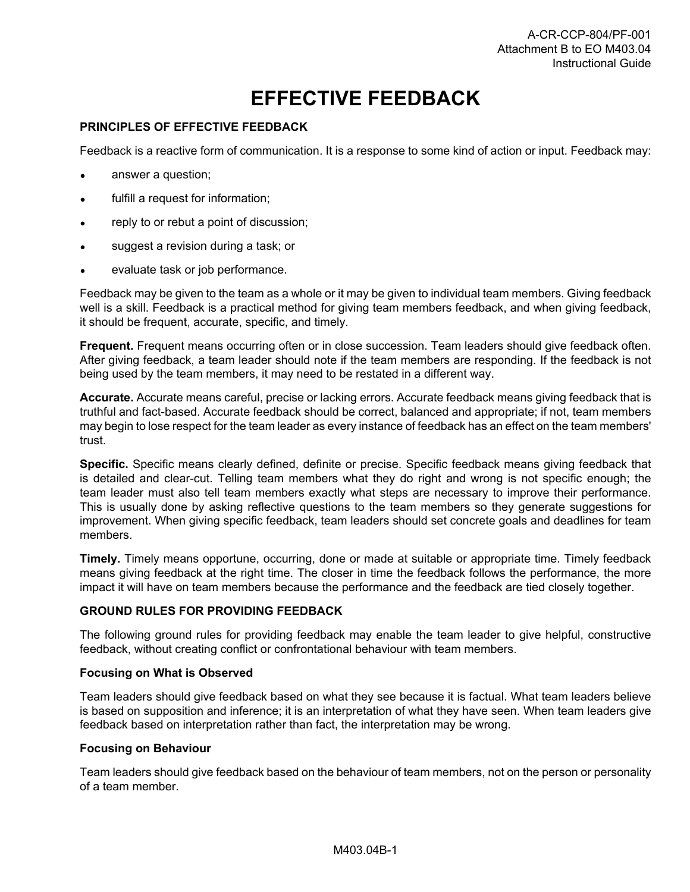# **EFFECTIVE FEEDBACK**

# **PRINCIPLES OF EFFECTIVE FEEDBACK**

Feedback is a reactive form of communication. It is a response to some kind of action or input. Feedback may:

- answer a question;
- fulfill a request for information;
- reply to or rebut a point of discussion;
- suggest a revision during a task; or
- evaluate task or job performance.

Feedback may be given to the team as a whole or it may be given to individual team members. Giving feedback well is a skill. Feedback is a practical method for giving team members feedback, and when giving feedback, it should be frequent, accurate, specific, and timely.

**Frequent.** Frequent means occurring often or in close succession. Team leaders should give feedback often. After giving feedback, a team leader should note if the team members are responding. If the feedback is not being used by the team members, it may need to be restated in a different way.

**Accurate.** Accurate means careful, precise or lacking errors. Accurate feedback means giving feedback that is truthful and fact-based. Accurate feedback should be correct, balanced and appropriate; if not, team members may begin to lose respect for the team leader as every instance of feedback has an effect on the team members' trust.

**Specific.** Specific means clearly defined, definite or precise. Specific feedback means giving feedback that is detailed and clear-cut. Telling team members what they do right and wrong is not specific enough; the team leader must also tell team members exactly what steps are necessary to improve their performance. This is usually done by asking reflective questions to the team members so they generate suggestions for improvement. When giving specific feedback, team leaders should set concrete goals and deadlines for team members.

**Timely.** Timely means opportune, occurring, done or made at suitable or appropriate time. Timely feedback means giving feedback at the right time. The closer in time the feedback follows the performance, the more impact it will have on team members because the performance and the feedback are tied closely together.

# **GROUND RULES FOR PROVIDING FEEDBACK**

The following ground rules for providing feedback may enable the team leader to give helpful, constructive feedback, without creating conflict or confrontational behaviour with team members.

# **Focusing on What is Observed**

Team leaders should give feedback based on what they see because it is factual. What team leaders believe is based on supposition and inference; it is an interpretation of what they have seen. When team leaders give feedback based on interpretation rather than fact, the interpretation may be wrong.

#### **Focusing on Behaviour**

Team leaders should give feedback based on the behaviour of team members, not on the person or personality of a team member.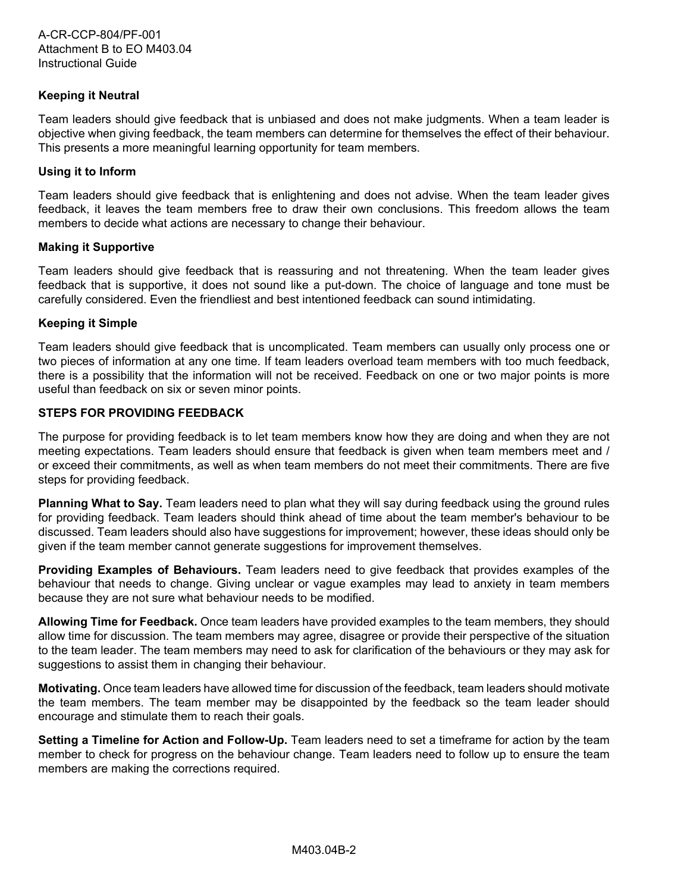# **Keeping it Neutral**

Team leaders should give feedback that is unbiased and does not make judgments. When a team leader is objective when giving feedback, the team members can determine for themselves the effect of their behaviour. This presents a more meaningful learning opportunity for team members.

# **Using it to Inform**

Team leaders should give feedback that is enlightening and does not advise. When the team leader gives feedback, it leaves the team members free to draw their own conclusions. This freedom allows the team members to decide what actions are necessary to change their behaviour.

# **Making it Supportive**

Team leaders should give feedback that is reassuring and not threatening. When the team leader gives feedback that is supportive, it does not sound like a put-down. The choice of language and tone must be carefully considered. Even the friendliest and best intentioned feedback can sound intimidating.

# **Keeping it Simple**

Team leaders should give feedback that is uncomplicated. Team members can usually only process one or two pieces of information at any one time. If team leaders overload team members with too much feedback, there is a possibility that the information will not be received. Feedback on one or two major points is more useful than feedback on six or seven minor points.

# **STEPS FOR PROVIDING FEEDBACK**

The purpose for providing feedback is to let team members know how they are doing and when they are not meeting expectations. Team leaders should ensure that feedback is given when team members meet and / or exceed their commitments, as well as when team members do not meet their commitments. There are five steps for providing feedback.

**Planning What to Say.** Team leaders need to plan what they will say during feedback using the ground rules for providing feedback. Team leaders should think ahead of time about the team member's behaviour to be discussed. Team leaders should also have suggestions for improvement; however, these ideas should only be given if the team member cannot generate suggestions for improvement themselves.

**Providing Examples of Behaviours.** Team leaders need to give feedback that provides examples of the behaviour that needs to change. Giving unclear or vague examples may lead to anxiety in team members because they are not sure what behaviour needs to be modified.

**Allowing Time for Feedback.** Once team leaders have provided examples to the team members, they should allow time for discussion. The team members may agree, disagree or provide their perspective of the situation to the team leader. The team members may need to ask for clarification of the behaviours or they may ask for suggestions to assist them in changing their behaviour.

**Motivating.** Once team leaders have allowed time for discussion of the feedback, team leaders should motivate the team members. The team member may be disappointed by the feedback so the team leader should encourage and stimulate them to reach their goals.

**Setting a Timeline for Action and Follow-Up.** Team leaders need to set a timeframe for action by the team member to check for progress on the behaviour change. Team leaders need to follow up to ensure the team members are making the corrections required.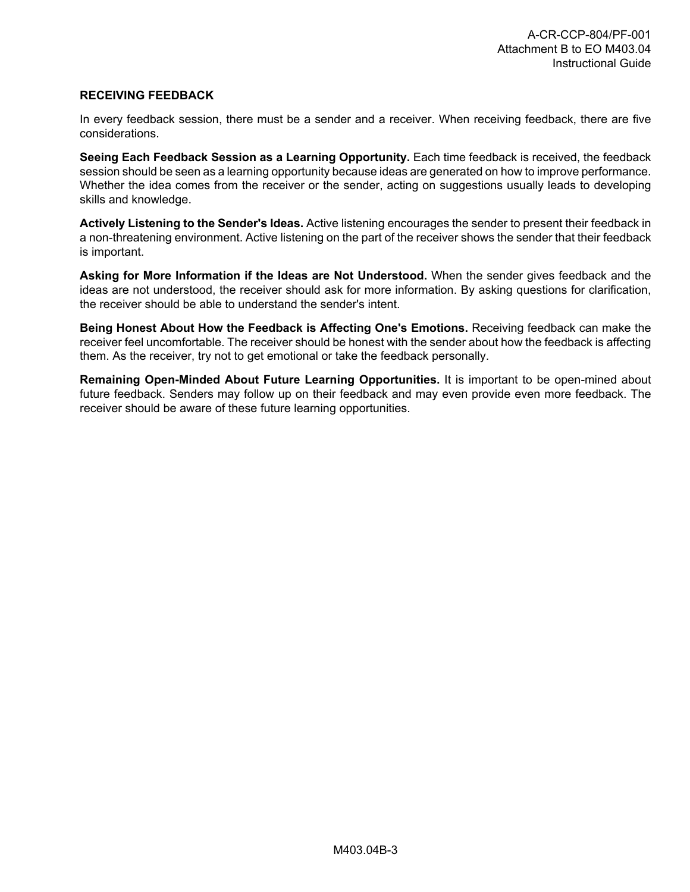# **RECEIVING FEEDBACK**

In every feedback session, there must be a sender and a receiver. When receiving feedback, there are five considerations.

**Seeing Each Feedback Session as a Learning Opportunity.** Each time feedback is received, the feedback session should be seen as a learning opportunity because ideas are generated on how to improve performance. Whether the idea comes from the receiver or the sender, acting on suggestions usually leads to developing skills and knowledge.

**Actively Listening to the Sender's Ideas.** Active listening encourages the sender to present their feedback in a non-threatening environment. Active listening on the part of the receiver shows the sender that their feedback is important.

**Asking for More Information if the Ideas are Not Understood.** When the sender gives feedback and the ideas are not understood, the receiver should ask for more information. By asking questions for clarification, the receiver should be able to understand the sender's intent.

**Being Honest About How the Feedback is Affecting One's Emotions.** Receiving feedback can make the receiver feel uncomfortable. The receiver should be honest with the sender about how the feedback is affecting them. As the receiver, try not to get emotional or take the feedback personally.

**Remaining Open-Minded About Future Learning Opportunities.** It is important to be open-mined about future feedback. Senders may follow up on their feedback and may even provide even more feedback. The receiver should be aware of these future learning opportunities.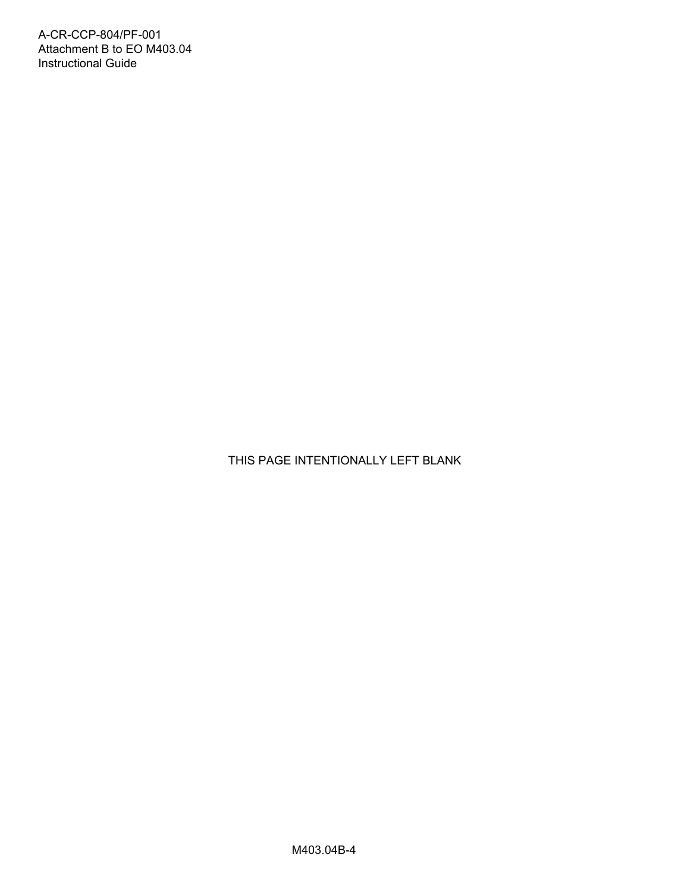A-CR-CCP-804/PF-001 Attachment B to EO M403.04 Instructional Guide

THIS PAGE INTENTIONALLY LEFT BLANK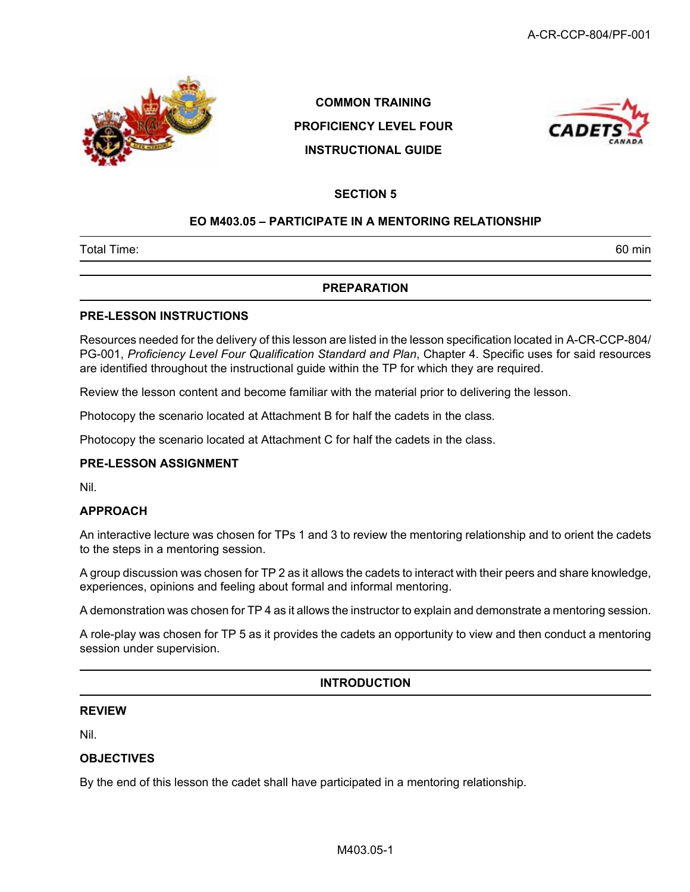

**COMMON TRAINING PROFICIENCY LEVEL FOUR INSTRUCTIONAL GUIDE**



# **SECTION 5**

# **EO M403.05 – PARTICIPATE IN A MENTORING RELATIONSHIP**

Total Time: 60 min

# **PREPARATION**

# **PRE-LESSON INSTRUCTIONS**

Resources needed for the delivery of this lesson are listed in the lesson specification located in A-CR-CCP-804/ PG-001, *Proficiency Level Four Qualification Standard and Plan*, Chapter 4. Specific uses for said resources are identified throughout the instructional guide within the TP for which they are required.

Review the lesson content and become familiar with the material prior to delivering the lesson.

Photocopy the scenario located at Attachment B for half the cadets in the class.

Photocopy the scenario located at Attachment C for half the cadets in the class.

# **PRE-LESSON ASSIGNMENT**

Nil.

# **APPROACH**

An interactive lecture was chosen for TPs 1 and 3 to review the mentoring relationship and to orient the cadets to the steps in a mentoring session.

A group discussion was chosen for TP 2 as it allows the cadets to interact with their peers and share knowledge, experiences, opinions and feeling about formal and informal mentoring.

A demonstration was chosen for TP 4 as it allows the instructor to explain and demonstrate a mentoring session.

A role-play was chosen for TP 5 as it provides the cadets an opportunity to view and then conduct a mentoring session under supervision.

|               | <b>INTRODUCTION</b> |
|---------------|---------------------|
| <b>REVIEW</b> |                     |

Nil.

# **OBJECTIVES**

By the end of this lesson the cadet shall have participated in a mentoring relationship.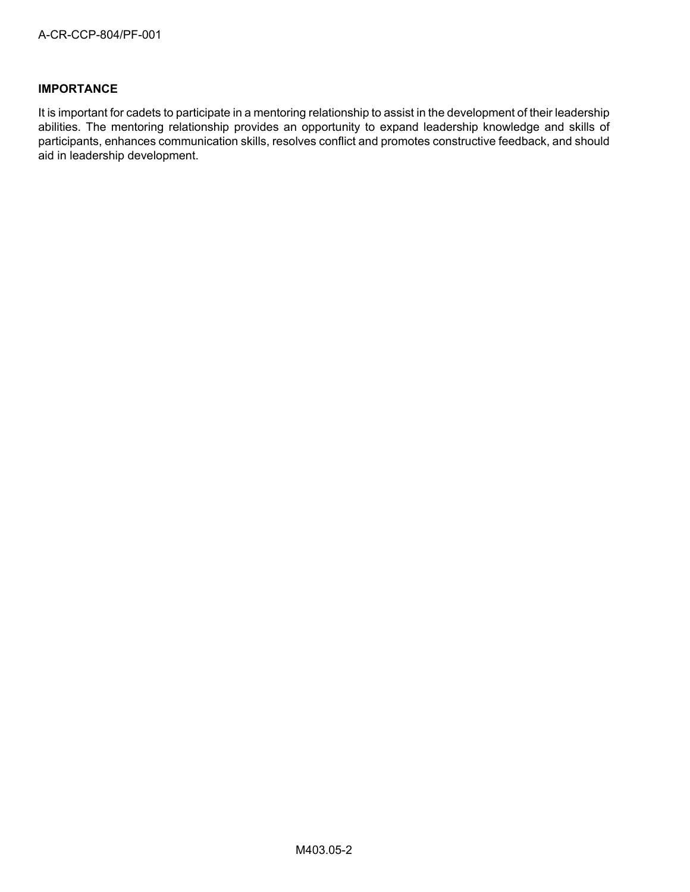# **IMPORTANCE**

It is important for cadets to participate in a mentoring relationship to assist in the development of their leadership abilities. The mentoring relationship provides an opportunity to expand leadership knowledge and skills of participants, enhances communication skills, resolves conflict and promotes constructive feedback, and should aid in leadership development.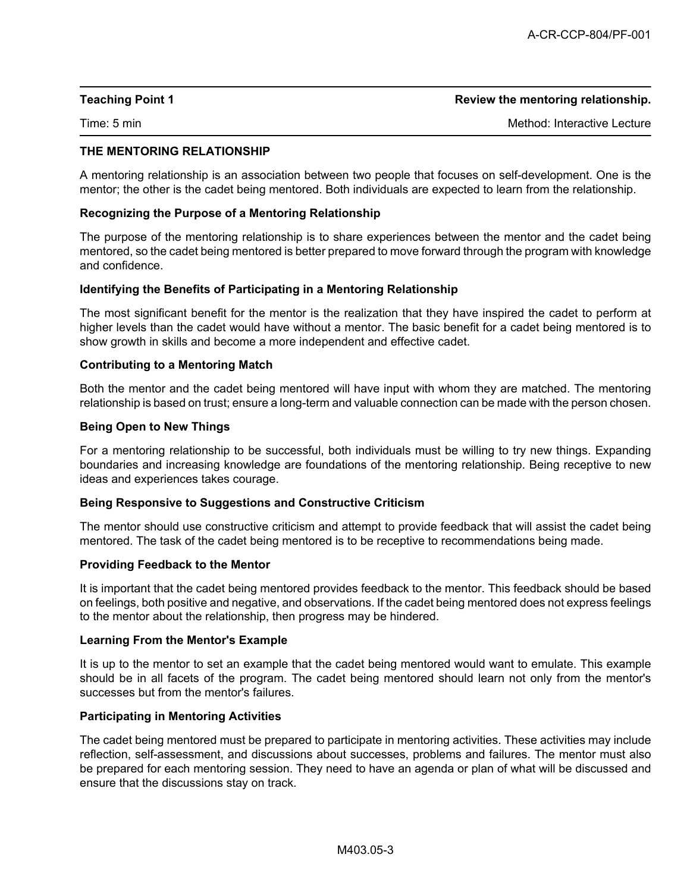| <b>Teaching Point 1</b> | Review the mentoring relationship. |
|-------------------------|------------------------------------|
| Time: 5 min             | Method: Interactive Lecture        |

# **THE MENTORING RELATIONSHIP**

A mentoring relationship is an association between two people that focuses on self-development. One is the mentor; the other is the cadet being mentored. Both individuals are expected to learn from the relationship.

#### **Recognizing the Purpose of a Mentoring Relationship**

The purpose of the mentoring relationship is to share experiences between the mentor and the cadet being mentored, so the cadet being mentored is better prepared to move forward through the program with knowledge and confidence.

# **Identifying the Benefits of Participating in a Mentoring Relationship**

The most significant benefit for the mentor is the realization that they have inspired the cadet to perform at higher levels than the cadet would have without a mentor. The basic benefit for a cadet being mentored is to show growth in skills and become a more independent and effective cadet.

# **Contributing to a Mentoring Match**

Both the mentor and the cadet being mentored will have input with whom they are matched. The mentoring relationship is based on trust; ensure a long-term and valuable connection can be made with the person chosen.

#### **Being Open to New Things**

For a mentoring relationship to be successful, both individuals must be willing to try new things. Expanding boundaries and increasing knowledge are foundations of the mentoring relationship. Being receptive to new ideas and experiences takes courage.

#### **Being Responsive to Suggestions and Constructive Criticism**

The mentor should use constructive criticism and attempt to provide feedback that will assist the cadet being mentored. The task of the cadet being mentored is to be receptive to recommendations being made.

#### **Providing Feedback to the Mentor**

It is important that the cadet being mentored provides feedback to the mentor. This feedback should be based on feelings, both positive and negative, and observations. If the cadet being mentored does not express feelings to the mentor about the relationship, then progress may be hindered.

#### **Learning From the Mentor's Example**

It is up to the mentor to set an example that the cadet being mentored would want to emulate. This example should be in all facets of the program. The cadet being mentored should learn not only from the mentor's successes but from the mentor's failures.

#### **Participating in Mentoring Activities**

The cadet being mentored must be prepared to participate in mentoring activities. These activities may include reflection, self-assessment, and discussions about successes, problems and failures. The mentor must also be prepared for each mentoring session. They need to have an agenda or plan of what will be discussed and ensure that the discussions stay on track.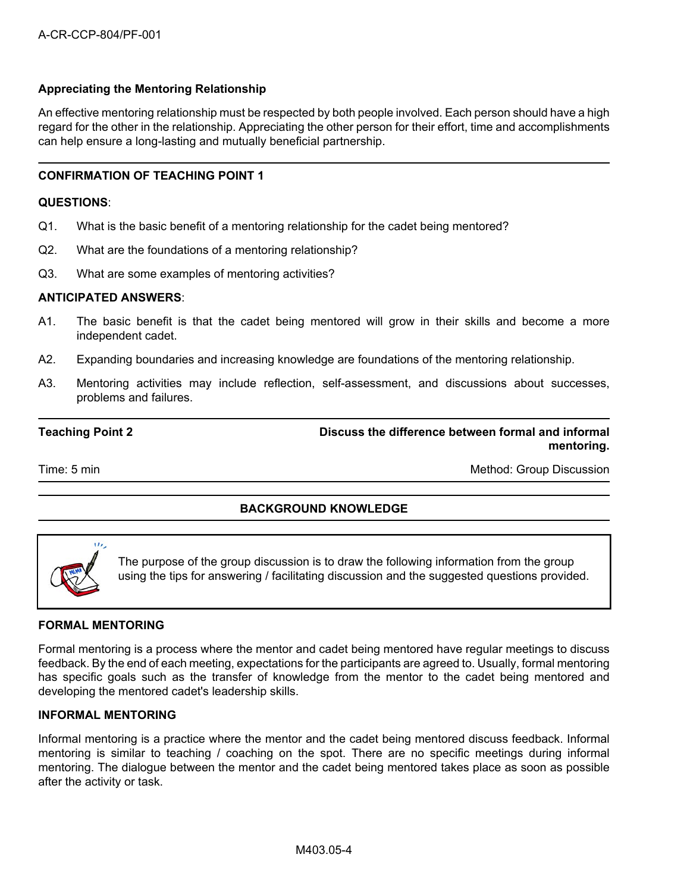# **Appreciating the Mentoring Relationship**

An effective mentoring relationship must be respected by both people involved. Each person should have a high regard for the other in the relationship. Appreciating the other person for their effort, time and accomplishments can help ensure a long-lasting and mutually beneficial partnership.

# **CONFIRMATION OF TEACHING POINT 1**

#### **QUESTIONS**:

- Q1. What is the basic benefit of a mentoring relationship for the cadet being mentored?
- Q2. What are the foundations of a mentoring relationship?
- Q3. What are some examples of mentoring activities?

# **ANTICIPATED ANSWERS**:

- A1. The basic benefit is that the cadet being mentored will grow in their skills and become a more independent cadet.
- A2. Expanding boundaries and increasing knowledge are foundations of the mentoring relationship.
- A3. Mentoring activities may include reflection, self-assessment, and discussions about successes, problems and failures.

**Teaching Point 2 Discuss the difference between formal and informal mentoring.**

Time: 5 min Method: Group Discussion and Method: Group Discussion

# **BACKGROUND KNOWLEDGE**



The purpose of the group discussion is to draw the following information from the group using the tips for answering / facilitating discussion and the suggested questions provided.

# **FORMAL MENTORING**

Formal mentoring is a process where the mentor and cadet being mentored have regular meetings to discuss feedback. By the end of each meeting, expectations for the participants are agreed to. Usually, formal mentoring has specific goals such as the transfer of knowledge from the mentor to the cadet being mentored and developing the mentored cadet's leadership skills.

#### **INFORMAL MENTORING**

Informal mentoring is a practice where the mentor and the cadet being mentored discuss feedback. Informal mentoring is similar to teaching / coaching on the spot. There are no specific meetings during informal mentoring. The dialogue between the mentor and the cadet being mentored takes place as soon as possible after the activity or task.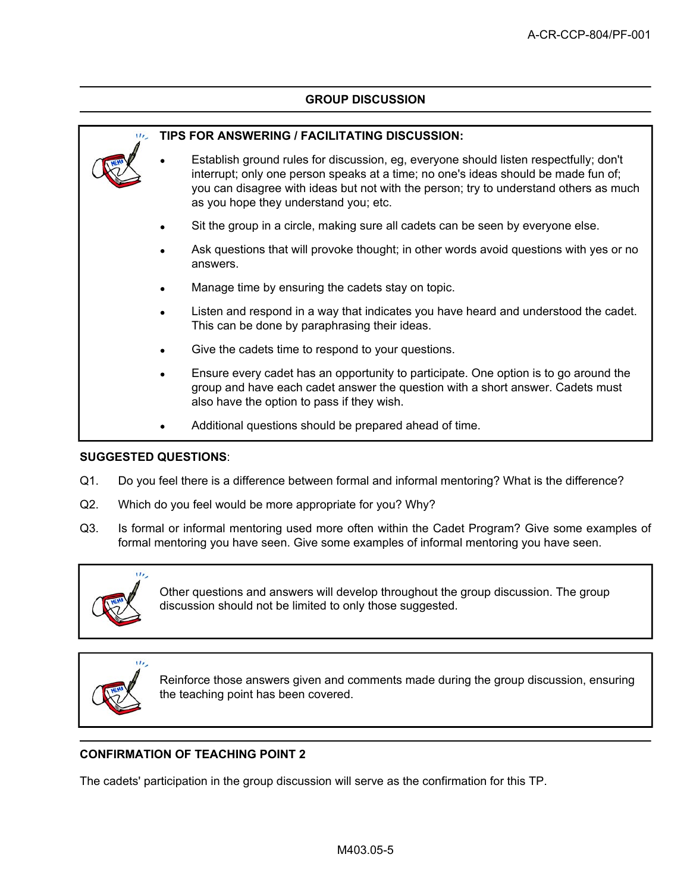# **GROUP DISCUSSION**



# **SUGGESTED QUESTIONS**:

- Q1. Do you feel there is a difference between formal and informal mentoring? What is the difference?
- Q2. Which do you feel would be more appropriate for you? Why?
- Q3. Is formal or informal mentoring used more often within the Cadet Program? Give some examples of formal mentoring you have seen. Give some examples of informal mentoring you have seen.



Other questions and answers will develop throughout the group discussion. The group discussion should not be limited to only those suggested.



Reinforce those answers given and comments made during the group discussion, ensuring the teaching point has been covered.

# **CONFIRMATION OF TEACHING POINT 2**

The cadets' participation in the group discussion will serve as the confirmation for this TP.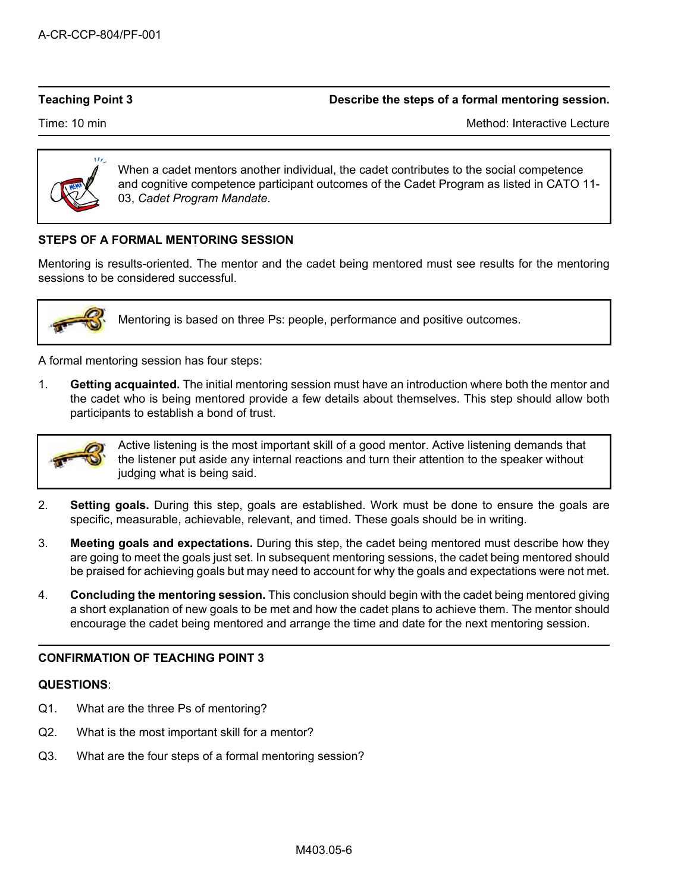**Teaching Point 3 Describe the steps of a formal mentoring session.**

Time: 10 min Method: Interactive Lecture Communication of the Method: Interactive Lecture



When a cadet mentors another individual, the cadet contributes to the social competence and cognitive competence participant outcomes of the Cadet Program as listed in CATO 11- 03, *Cadet Program Mandate*.

# **STEPS OF A FORMAL MENTORING SESSION**

Mentoring is results-oriented. The mentor and the cadet being mentored must see results for the mentoring sessions to be considered successful.



Mentoring is based on three Ps: people, performance and positive outcomes.

A formal mentoring session has four steps:

1. **Getting acquainted.** The initial mentoring session must have an introduction where both the mentor and the cadet who is being mentored provide a few details about themselves. This step should allow both participants to establish a bond of trust.



Active listening is the most important skill of a good mentor. Active listening demands that the listener put aside any internal reactions and turn their attention to the speaker without judging what is being said.

- 2. **Setting goals.** During this step, goals are established. Work must be done to ensure the goals are specific, measurable, achievable, relevant, and timed. These goals should be in writing.
- 3. **Meeting goals and expectations.** During this step, the cadet being mentored must describe how they are going to meet the goals just set. In subsequent mentoring sessions, the cadet being mentored should be praised for achieving goals but may need to account for why the goals and expectations were not met.
- 4. **Concluding the mentoring session.** This conclusion should begin with the cadet being mentored giving a short explanation of new goals to be met and how the cadet plans to achieve them. The mentor should encourage the cadet being mentored and arrange the time and date for the next mentoring session.

#### **CONFIRMATION OF TEACHING POINT 3**

#### **QUESTIONS**:

- Q1. What are the three Ps of mentoring?
- Q2. What is the most important skill for a mentor?
- Q3. What are the four steps of a formal mentoring session?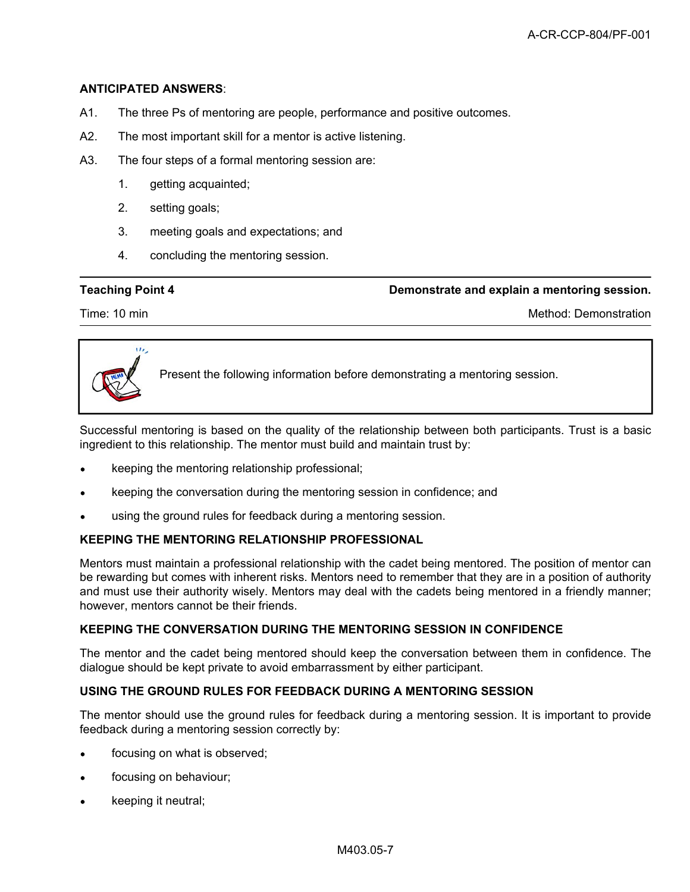# **ANTICIPATED ANSWERS**:

- A1. The three Ps of mentoring are people, performance and positive outcomes.
- A2. The most important skill for a mentor is active listening.
- A3. The four steps of a formal mentoring session are:
	- 1. getting acquainted;
	- 2. setting goals;
	- 3. meeting goals and expectations; and
	- 4. concluding the mentoring session.

# **Teaching Point 4 Demonstrate and explain a mentoring session.**

Time: 10 min Method: Demonstration Number of Time: 10 min Method: Demonstration



Present the following information before demonstrating a mentoring session.

Successful mentoring is based on the quality of the relationship between both participants. Trust is a basic ingredient to this relationship. The mentor must build and maintain trust by:

- keeping the mentoring relationship professional;
- keeping the conversation during the mentoring session in confidence; and
- using the ground rules for feedback during a mentoring session.

#### **KEEPING THE MENTORING RELATIONSHIP PROFESSIONAL**

Mentors must maintain a professional relationship with the cadet being mentored. The position of mentor can be rewarding but comes with inherent risks. Mentors need to remember that they are in a position of authority and must use their authority wisely. Mentors may deal with the cadets being mentored in a friendly manner; however, mentors cannot be their friends.

#### **KEEPING THE CONVERSATION DURING THE MENTORING SESSION IN CONFIDENCE**

The mentor and the cadet being mentored should keep the conversation between them in confidence. The dialogue should be kept private to avoid embarrassment by either participant.

# **USING THE GROUND RULES FOR FEEDBACK DURING A MENTORING SESSION**

The mentor should use the ground rules for feedback during a mentoring session. It is important to provide feedback during a mentoring session correctly by:

- focusing on what is observed;
- focusing on behaviour;
- keeping it neutral;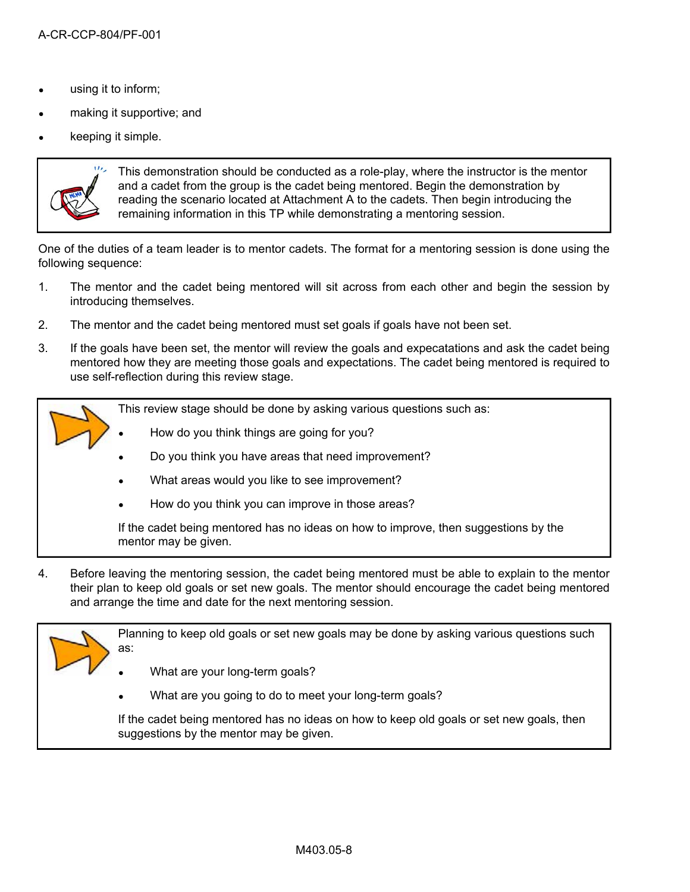- using it to inform;
- making it supportive; and
- keeping it simple.



This demonstration should be conducted as a role-play, where the instructor is the mentor and a cadet from the group is the cadet being mentored. Begin the demonstration by reading the scenario located at Attachment A to the cadets. Then begin introducing the remaining information in this TP while demonstrating a mentoring session.

One of the duties of a team leader is to mentor cadets. The format for a mentoring session is done using the following sequence:

- 1. The mentor and the cadet being mentored will sit across from each other and begin the session by introducing themselves.
- 2. The mentor and the cadet being mentored must set goals if goals have not been set.
- 3. If the goals have been set, the mentor will review the goals and expecatations and ask the cadet being mentored how they are meeting those goals and expectations. The cadet being mentored is required to use self-reflection during this review stage.

This review stage should be done by asking various questions such as:

- How do you think things are going for you?
- Do you think you have areas that need improvement?
- What areas would you like to see improvement?
- How do you think you can improve in those areas?

If the cadet being mentored has no ideas on how to improve, then suggestions by the mentor may be given.

4. Before leaving the mentoring session, the cadet being mentored must be able to explain to the mentor their plan to keep old goals or set new goals. The mentor should encourage the cadet being mentored and arrange the time and date for the next mentoring session.



Planning to keep old goals or set new goals may be done by asking various questions such

- What are your long-term goals?
- What are you going to do to meet your long-term goals?

If the cadet being mentored has no ideas on how to keep old goals or set new goals, then suggestions by the mentor may be given.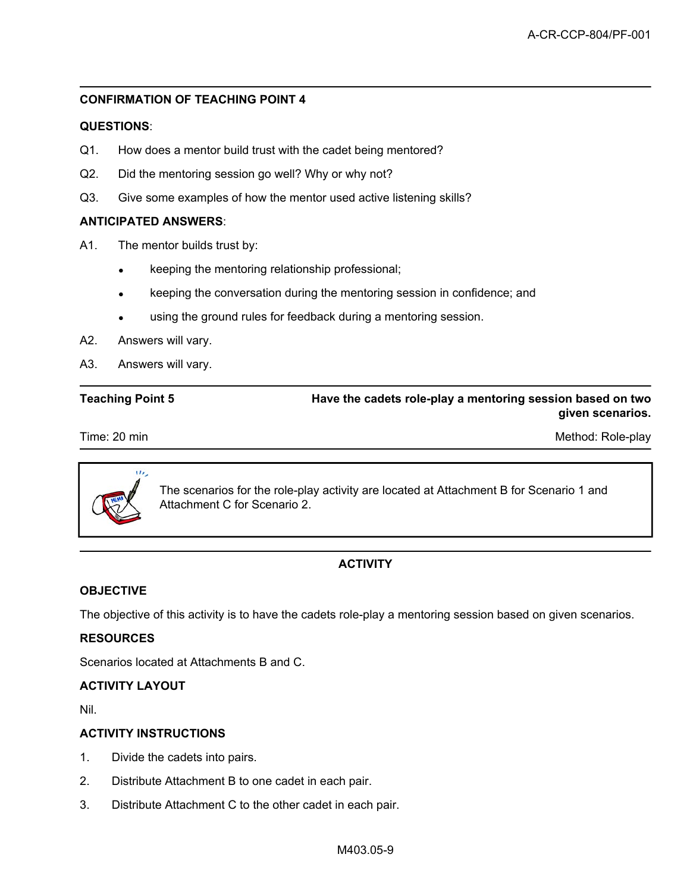# **CONFIRMATION OF TEACHING POINT 4**

# **QUESTIONS**:

- Q1. How does a mentor build trust with the cadet being mentored?
- Q2. Did the mentoring session go well? Why or why not?
- Q3. Give some examples of how the mentor used active listening skills?

#### **ANTICIPATED ANSWERS**:

- A1. The mentor builds trust by:
	- keeping the mentoring relationship professional;  $\bullet$
	- keeping the conversation during the mentoring session in confidence; and  $\bullet$
	- using the ground rules for feedback during a mentoring session.  $\bullet$
- A2. Answers will vary.
- A3. Answers will vary.

| <b>Teaching Point 5</b> | Have the cadets role-play a mentoring session based on two<br>given scenarios. |
|-------------------------|--------------------------------------------------------------------------------|
| Time: 20 min            | Method: Role-play                                                              |



The scenarios for the role-play activity are located at Attachment B for Scenario 1 and Attachment C for Scenario 2.

# **ACTIVITY**

#### **OBJECTIVE**

The objective of this activity is to have the cadets role-play a mentoring session based on given scenarios.

#### **RESOURCES**

Scenarios located at Attachments B and C.

#### **ACTIVITY LAYOUT**

Nil.

# **ACTIVITY INSTRUCTIONS**

- 1. Divide the cadets into pairs.
- 2. Distribute Attachment B to one cadet in each pair.
- 3. Distribute Attachment C to the other cadet in each pair.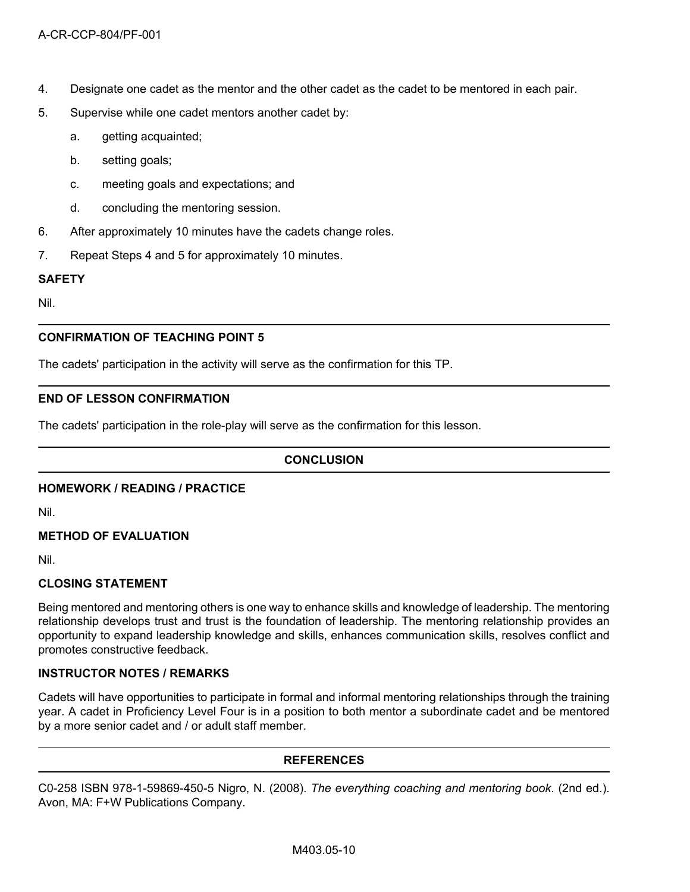- 4. Designate one cadet as the mentor and the other cadet as the cadet to be mentored in each pair.
- 5. Supervise while one cadet mentors another cadet by:
	- a. getting acquainted;
	- b. setting goals;
	- c. meeting goals and expectations; and
	- d. concluding the mentoring session.
- 6. After approximately 10 minutes have the cadets change roles.
- 7. Repeat Steps 4 and 5 for approximately 10 minutes.

# **SAFETY**

Nil.

# **CONFIRMATION OF TEACHING POINT 5**

The cadets' participation in the activity will serve as the confirmation for this TP.

# **END OF LESSON CONFIRMATION**

The cadets' participation in the role-play will serve as the confirmation for this lesson.

# **CONCLUSION**

# **HOMEWORK / READING / PRACTICE**

Nil.

# **METHOD OF EVALUATION**

Nil.

# **CLOSING STATEMENT**

Being mentored and mentoring others is one way to enhance skills and knowledge of leadership. The mentoring relationship develops trust and trust is the foundation of leadership. The mentoring relationship provides an opportunity to expand leadership knowledge and skills, enhances communication skills, resolves conflict and promotes constructive feedback.

# **INSTRUCTOR NOTES / REMARKS**

Cadets will have opportunities to participate in formal and informal mentoring relationships through the training year. A cadet in Proficiency Level Four is in a position to both mentor a subordinate cadet and be mentored by a more senior cadet and / or adult staff member.

# **REFERENCES**

C0-258 ISBN 978-1-59869-450-5 Nigro, N. (2008). *The everything coaching and mentoring book*. (2nd ed.). Avon, MA: F+W Publications Company.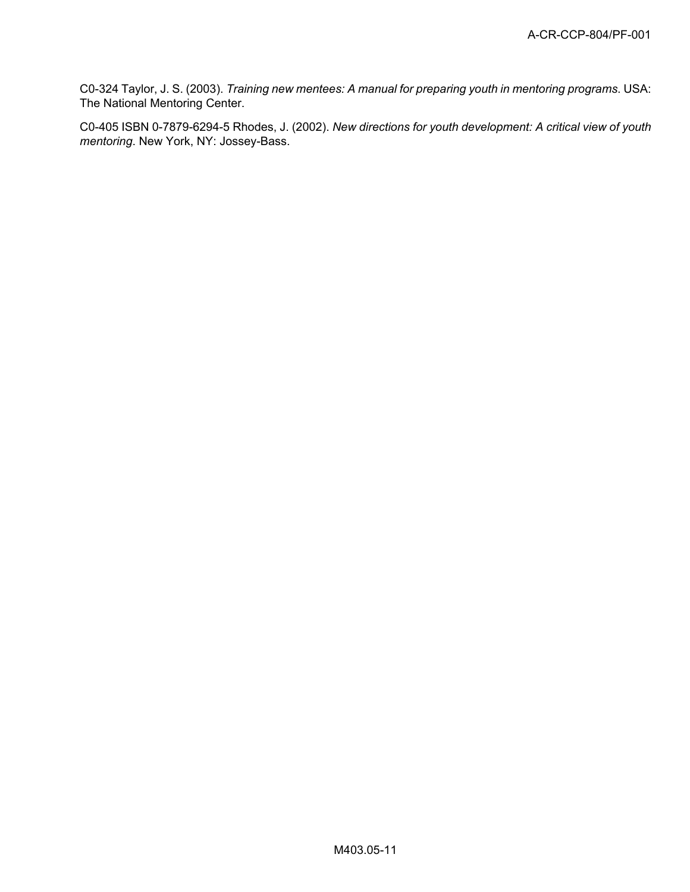C0-324 Taylor, J. S. (2003). *Training new mentees: A manual for preparing youth in mentoring programs*. USA: The National Mentoring Center.

C0-405 ISBN 0-7879-6294-5 Rhodes, J. (2002). *New directions for youth development: A critical view of youth mentoring*. New York, NY: Jossey-Bass.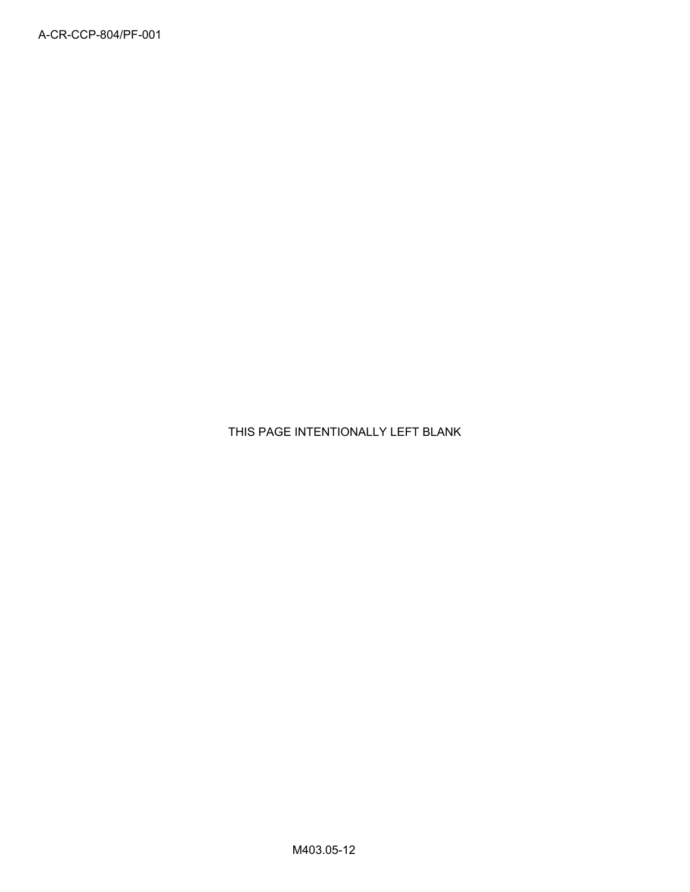THIS PAGE INTENTIONALLY LEFT BLANK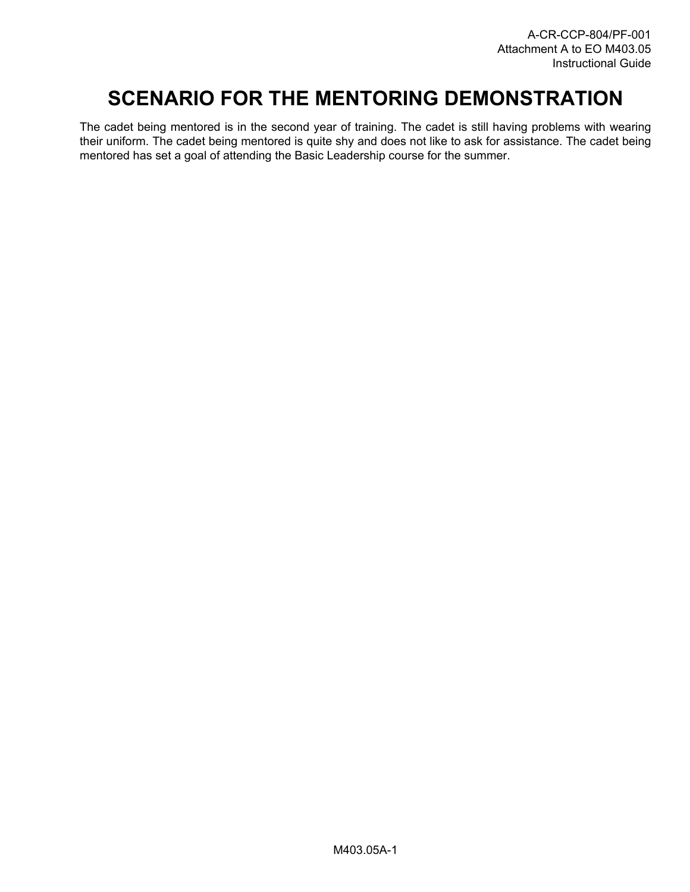# **SCENARIO FOR THE MENTORING DEMONSTRATION**

The cadet being mentored is in the second year of training. The cadet is still having problems with wearing their uniform. The cadet being mentored is quite shy and does not like to ask for assistance. The cadet being mentored has set a goal of attending the Basic Leadership course for the summer.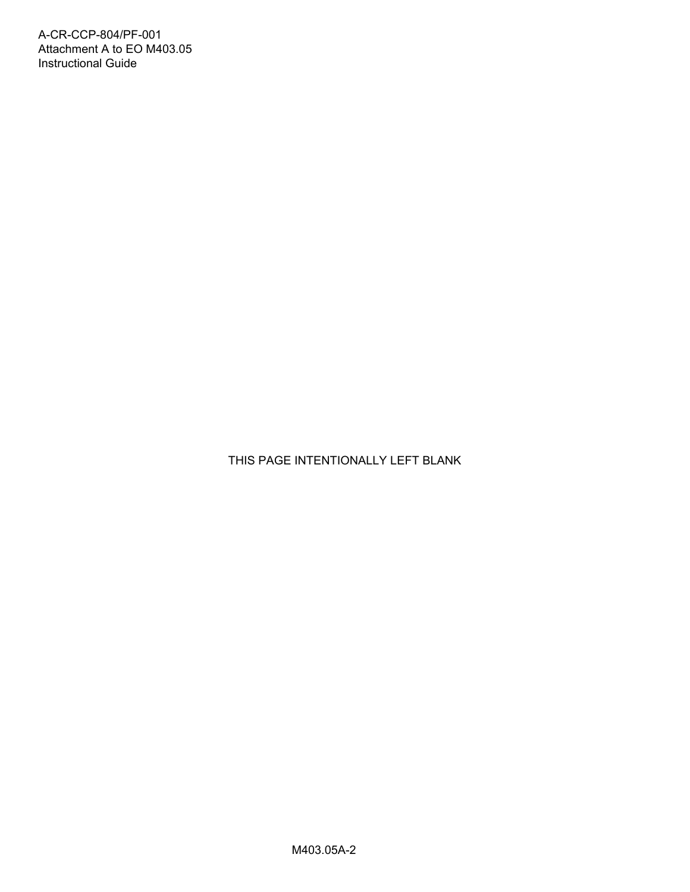A-CR-CCP-804/PF-001 Attachment A to EO M403.05 Instructional Guide

THIS PAGE INTENTIONALLY LEFT BLANK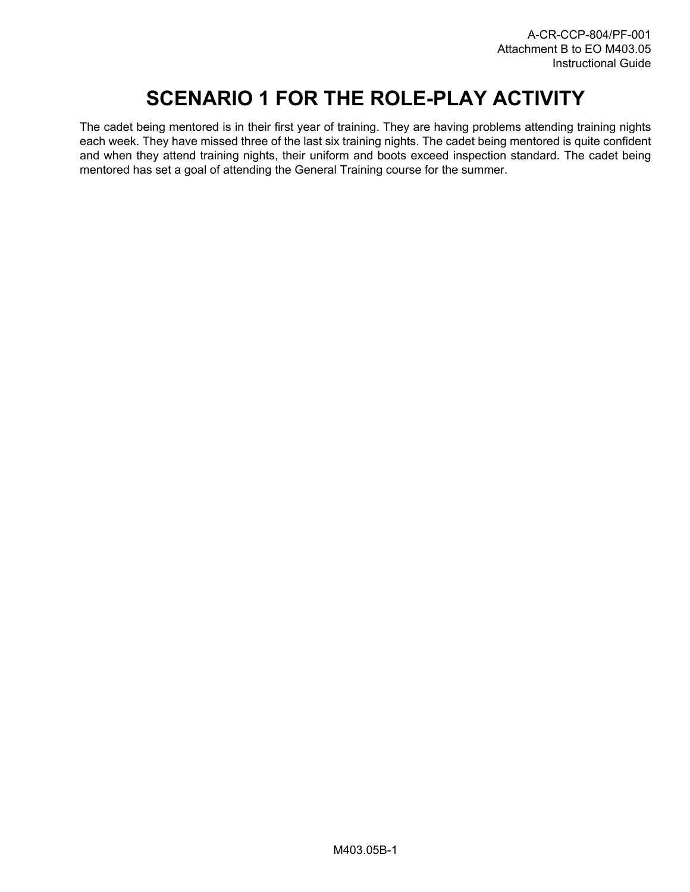# **SCENARIO 1 FOR THE ROLE-PLAY ACTIVITY**

The cadet being mentored is in their first year of training. They are having problems attending training nights each week. They have missed three of the last six training nights. The cadet being mentored is quite confident and when they attend training nights, their uniform and boots exceed inspection standard. The cadet being mentored has set a goal of attending the General Training course for the summer.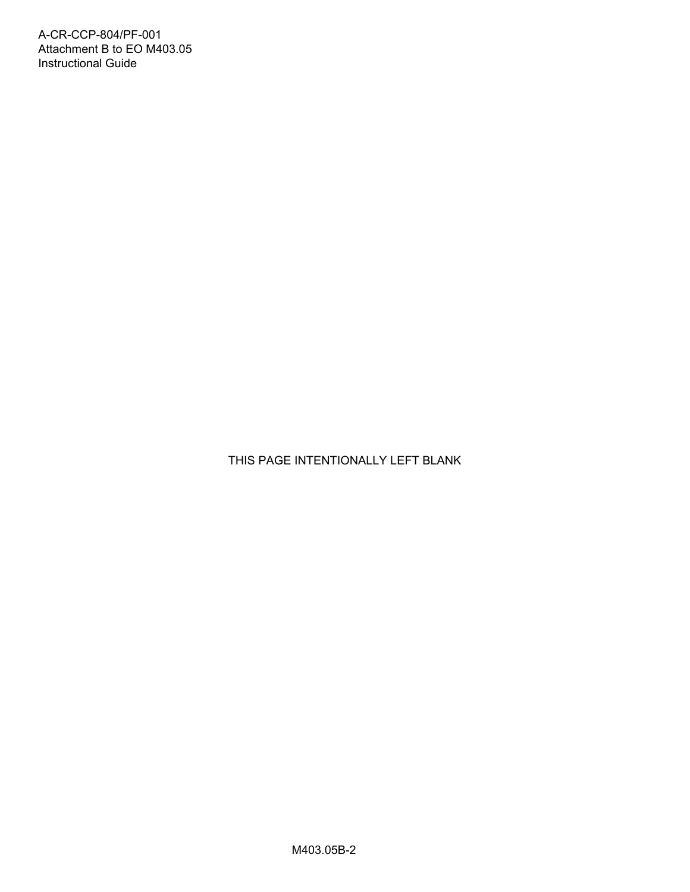A-CR-CCP-804/PF-001 Attachment B to EO M403.05 Instructional Guide

THIS PAGE INTENTIONALLY LEFT BLANK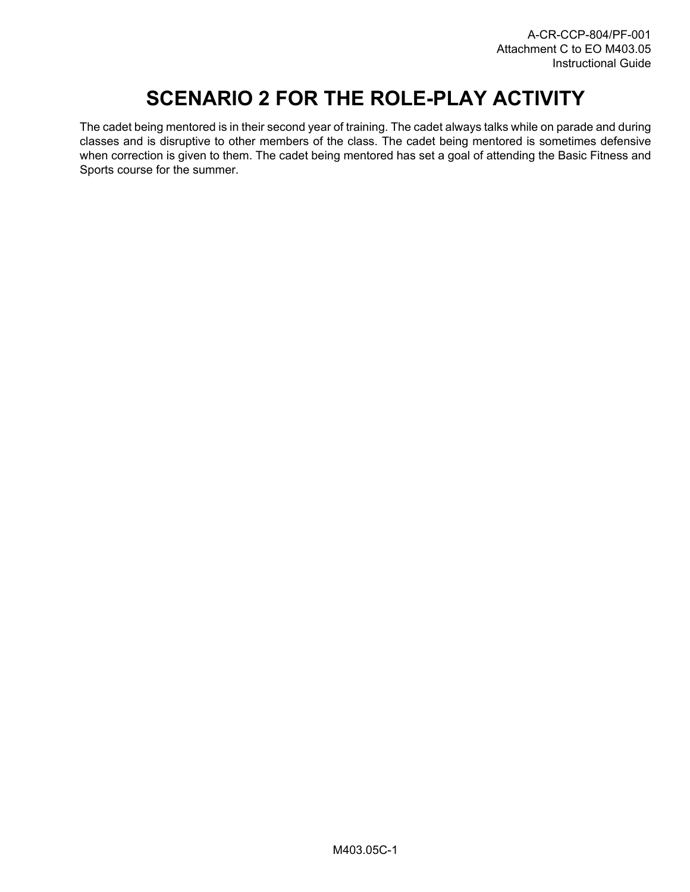# **SCENARIO 2 FOR THE ROLE-PLAY ACTIVITY**

The cadet being mentored is in their second year of training. The cadet always talks while on parade and during classes and is disruptive to other members of the class. The cadet being mentored is sometimes defensive when correction is given to them. The cadet being mentored has set a goal of attending the Basic Fitness and Sports course for the summer.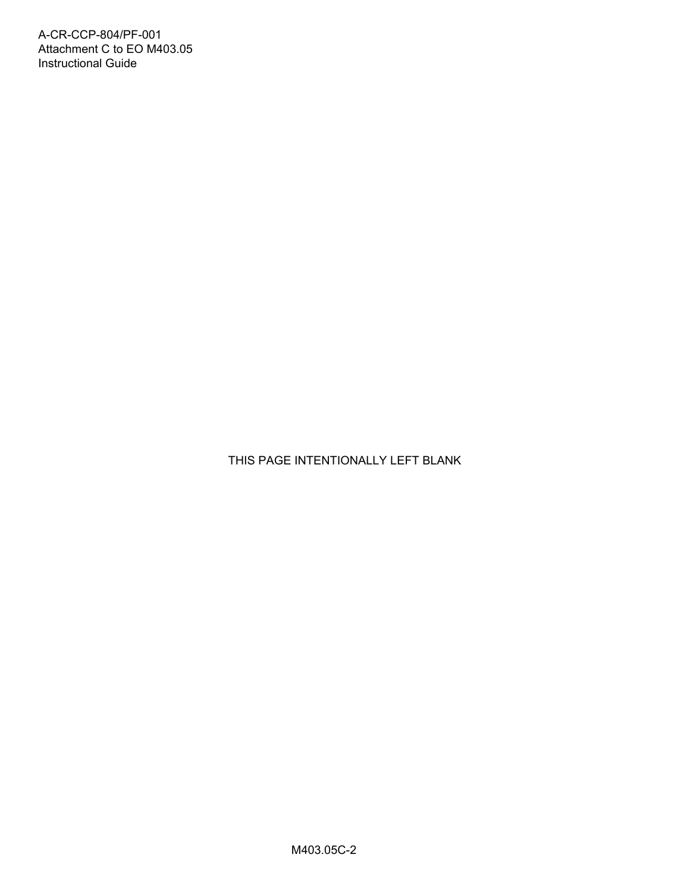A-CR-CCP-804/PF-001 Attachment C to EO M403.05 Instructional Guide

THIS PAGE INTENTIONALLY LEFT BLANK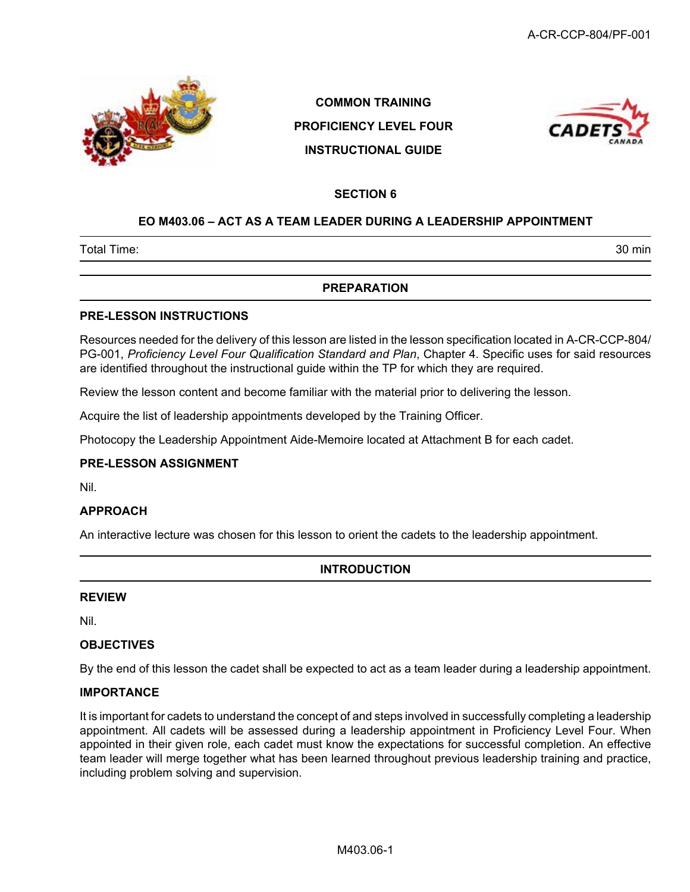

**COMMON TRAINING PROFICIENCY LEVEL FOUR INSTRUCTIONAL GUIDE**



# **SECTION 6**

# **EO M403.06 – ACT AS A TEAM LEADER DURING A LEADERSHIP APPOINTMENT**

Total Time: 30 min

# **PREPARATION**

#### **PRE-LESSON INSTRUCTIONS**

Resources needed for the delivery of this lesson are listed in the lesson specification located in A-CR-CCP-804/ PG-001, *Proficiency Level Four Qualification Standard and Plan*, Chapter 4. Specific uses for said resources are identified throughout the instructional guide within the TP for which they are required.

Review the lesson content and become familiar with the material prior to delivering the lesson.

Acquire the list of leadership appointments developed by the Training Officer.

Photocopy the Leadership Appointment Aide-Memoire located at Attachment B for each cadet.

### **PRE-LESSON ASSIGNMENT**

Nil.

### **APPROACH**

An interactive lecture was chosen for this lesson to orient the cadets to the leadership appointment.

# **INTRODUCTION**

### **REVIEW**

Nil.

### **OBJECTIVES**

By the end of this lesson the cadet shall be expected to act as a team leader during a leadership appointment.

### **IMPORTANCE**

It is important for cadets to understand the concept of and steps involved in successfully completing a leadership appointment. All cadets will be assessed during a leadership appointment in Proficiency Level Four. When appointed in their given role, each cadet must know the expectations for successful completion. An effective team leader will merge together what has been learned throughout previous leadership training and practice, including problem solving and supervision.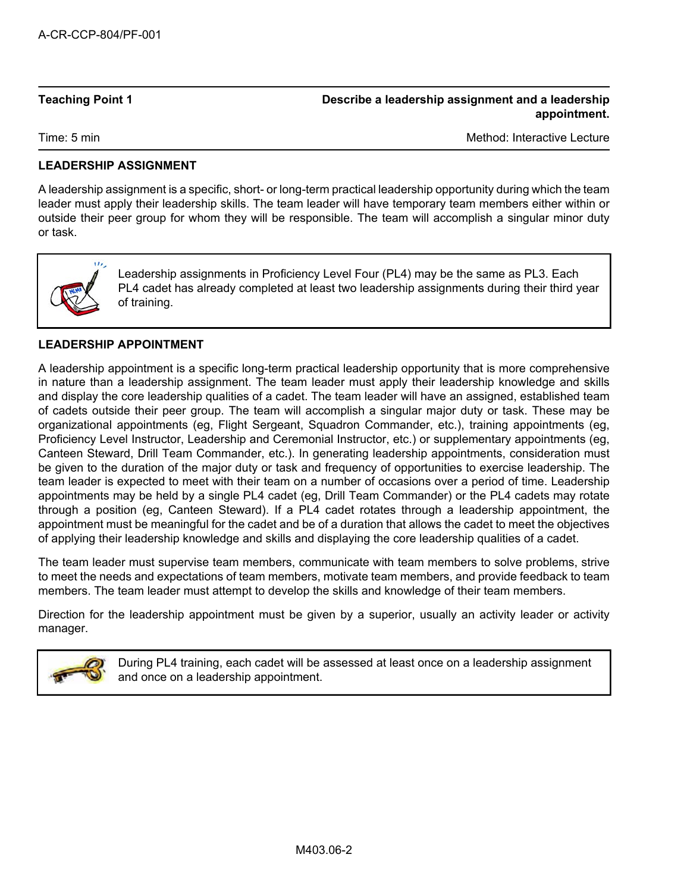# **Teaching Point 1 Describe a leadership assignment and a leadership appointment.**

Time: 5 min Method: Interactive Lecture Companies and Method: Interactive Lecture

### **LEADERSHIP ASSIGNMENT**

A leadership assignment is a specific, short- or long-term practical leadership opportunity during which the team leader must apply their leadership skills. The team leader will have temporary team members either within or outside their peer group for whom they will be responsible. The team will accomplish a singular minor duty or task.



Leadership assignments in Proficiency Level Four (PL4) may be the same as PL3. Each PL4 cadet has already completed at least two leadership assignments during their third year of training.

### **LEADERSHIP APPOINTMENT**

A leadership appointment is a specific long-term practical leadership opportunity that is more comprehensive in nature than a leadership assignment. The team leader must apply their leadership knowledge and skills and display the core leadership qualities of a cadet. The team leader will have an assigned, established team of cadets outside their peer group. The team will accomplish a singular major duty or task. These may be organizational appointments (eg, Flight Sergeant, Squadron Commander, etc.), training appointments (eg, Proficiency Level Instructor, Leadership and Ceremonial Instructor, etc.) or supplementary appointments (eg, Canteen Steward, Drill Team Commander, etc.). In generating leadership appointments, consideration must be given to the duration of the major duty or task and frequency of opportunities to exercise leadership. The team leader is expected to meet with their team on a number of occasions over a period of time. Leadership appointments may be held by a single PL4 cadet (eg, Drill Team Commander) or the PL4 cadets may rotate through a position (eg, Canteen Steward). If a PL4 cadet rotates through a leadership appointment, the appointment must be meaningful for the cadet and be of a duration that allows the cadet to meet the objectives of applying their leadership knowledge and skills and displaying the core leadership qualities of a cadet.

The team leader must supervise team members, communicate with team members to solve problems, strive to meet the needs and expectations of team members, motivate team members, and provide feedback to team members. The team leader must attempt to develop the skills and knowledge of their team members.

Direction for the leadership appointment must be given by a superior, usually an activity leader or activity manager.



During PL4 training, each cadet will be assessed at least once on a leadership assignment and once on a leadership appointment.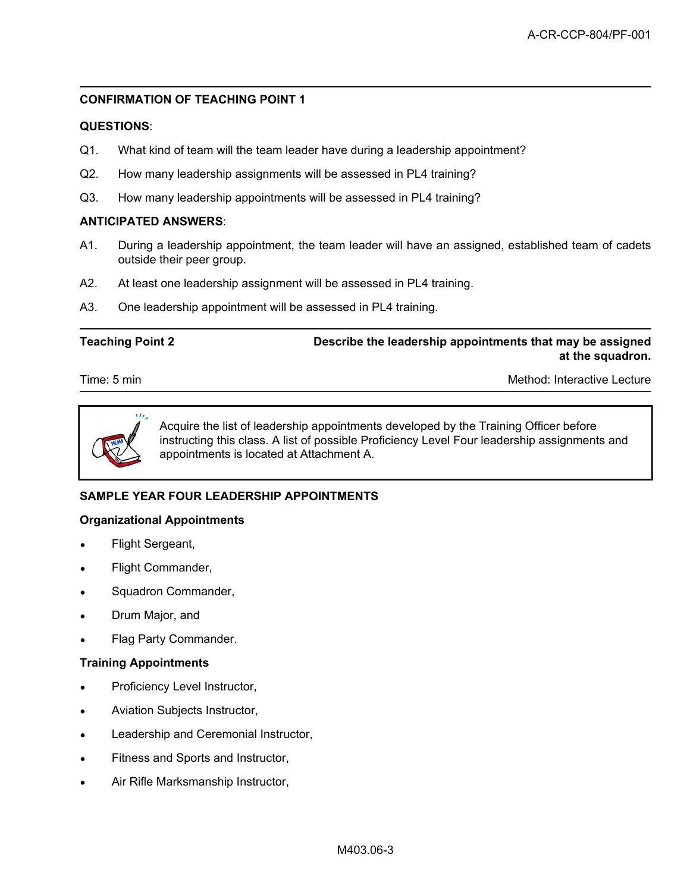### **CONFIRMATION OF TEACHING POINT 1**

#### **QUESTIONS**:

- Q1. What kind of team will the team leader have during a leadership appointment?
- Q2. How many leadership assignments will be assessed in PL4 training?
- Q3. How many leadership appointments will be assessed in PL4 training?

#### **ANTICIPATED ANSWERS**:

- A1. During a leadership appointment, the team leader will have an assigned, established team of cadets outside their peer group.
- A2. At least one leadership assignment will be assessed in PL4 training.
- A3. One leadership appointment will be assessed in PL4 training.

**Teaching Point 2 Describe the leadership appointments that may be assigned at the squadron.**

Time: 5 min Method: Interactive Lecture Company of Time: 5 min Method: Interactive Lecture

u,

Acquire the list of leadership appointments developed by the Training Officer before instructing this class. A list of possible Proficiency Level Four leadership assignments and appointments is located at Attachment A.

### **SAMPLE YEAR FOUR LEADERSHIP APPOINTMENTS**

#### **Organizational Appointments**

- Flight Sergeant,
- Flight Commander,
- Squadron Commander,
- Drum Major, and
- Flag Party Commander.

### **Training Appointments**

- Proficiency Level Instructor,
- Aviation Subjects Instructor,
- $\bullet$ Leadership and Ceremonial Instructor,
- Fitness and Sports and Instructor,
- Air Rifle Marksmanship Instructor,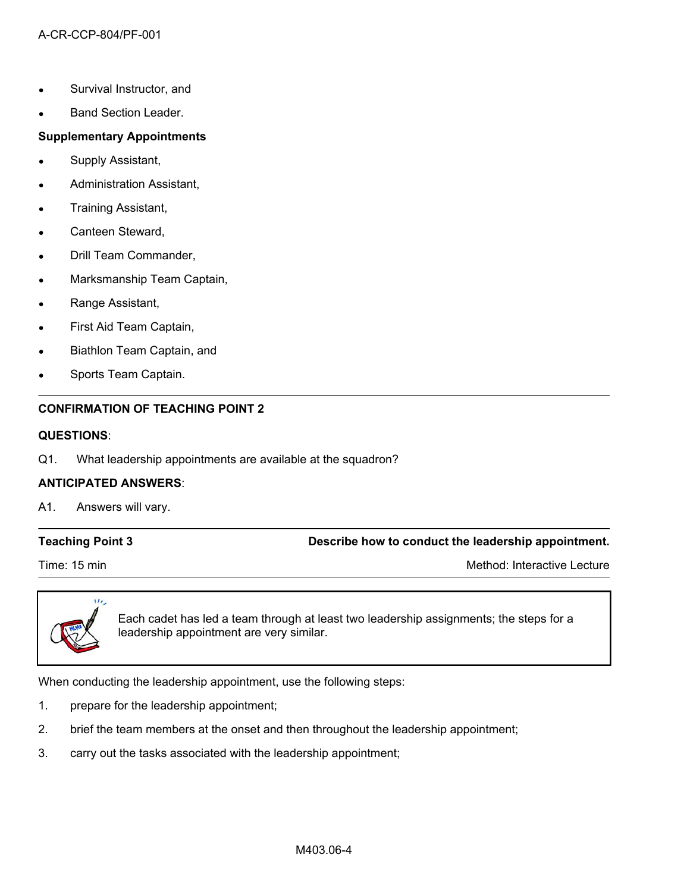- Survival Instructor, and
- Band Section Leader.

### **Supplementary Appointments**

- Supply Assistant,
- Administration Assistant,
- Training Assistant,
- Canteen Steward,
- Drill Team Commander,
- Marksmanship Team Captain,
- Range Assistant,
- First Aid Team Captain,
- Biathlon Team Captain, and
- Sports Team Captain.

# **CONFIRMATION OF TEACHING POINT 2**

#### **QUESTIONS**:

Q1. What leadership appointments are available at the squadron?

# **ANTICIPATED ANSWERS**:

A1. Answers will vary.

# **Teaching Point 3 Describe how to conduct the leadership appointment.**

Time: 15 min Method: Interactive Lecture Communication of the Method: Interactive Lecture



Each cadet has led a team through at least two leadership assignments; the steps for a leadership appointment are very similar.

When conducting the leadership appointment, use the following steps:

- 1. prepare for the leadership appointment;
- 2. brief the team members at the onset and then throughout the leadership appointment;
- 3. carry out the tasks associated with the leadership appointment;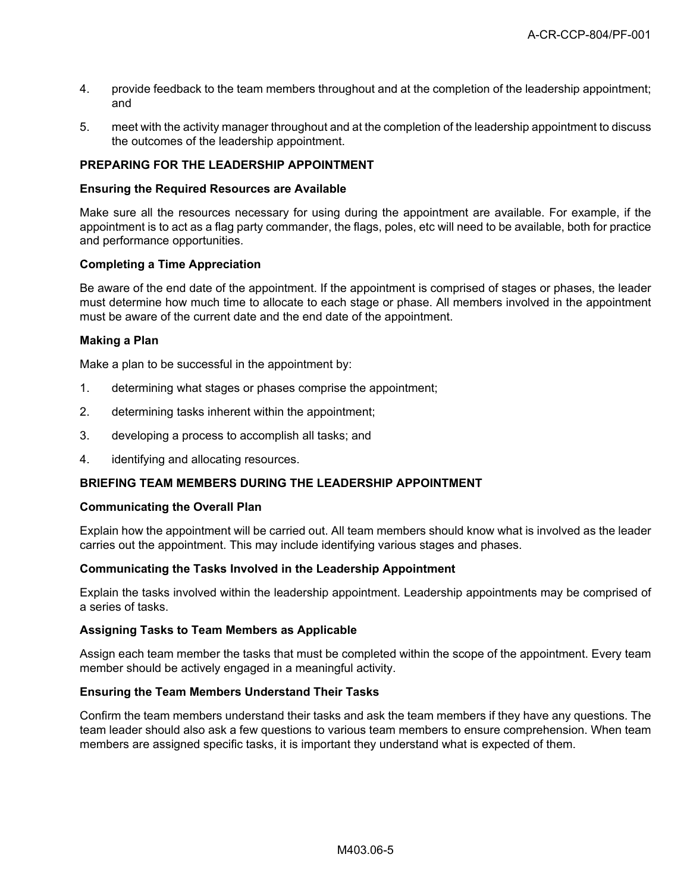- 4. provide feedback to the team members throughout and at the completion of the leadership appointment; and
- 5. meet with the activity manager throughout and at the completion of the leadership appointment to discuss the outcomes of the leadership appointment.

#### **PREPARING FOR THE LEADERSHIP APPOINTMENT**

#### **Ensuring the Required Resources are Available**

Make sure all the resources necessary for using during the appointment are available. For example, if the appointment is to act as a flag party commander, the flags, poles, etc will need to be available, both for practice and performance opportunities.

#### **Completing a Time Appreciation**

Be aware of the end date of the appointment. If the appointment is comprised of stages or phases, the leader must determine how much time to allocate to each stage or phase. All members involved in the appointment must be aware of the current date and the end date of the appointment.

#### **Making a Plan**

Make a plan to be successful in the appointment by:

- 1. determining what stages or phases comprise the appointment;
- 2. determining tasks inherent within the appointment;
- 3. developing a process to accomplish all tasks; and
- 4. identifying and allocating resources.

#### **BRIEFING TEAM MEMBERS DURING THE LEADERSHIP APPOINTMENT**

#### **Communicating the Overall Plan**

Explain how the appointment will be carried out. All team members should know what is involved as the leader carries out the appointment. This may include identifying various stages and phases.

#### **Communicating the Tasks Involved in the Leadership Appointment**

Explain the tasks involved within the leadership appointment. Leadership appointments may be comprised of a series of tasks.

#### **Assigning Tasks to Team Members as Applicable**

Assign each team member the tasks that must be completed within the scope of the appointment. Every team member should be actively engaged in a meaningful activity.

#### **Ensuring the Team Members Understand Their Tasks**

Confirm the team members understand their tasks and ask the team members if they have any questions. The team leader should also ask a few questions to various team members to ensure comprehension. When team members are assigned specific tasks, it is important they understand what is expected of them.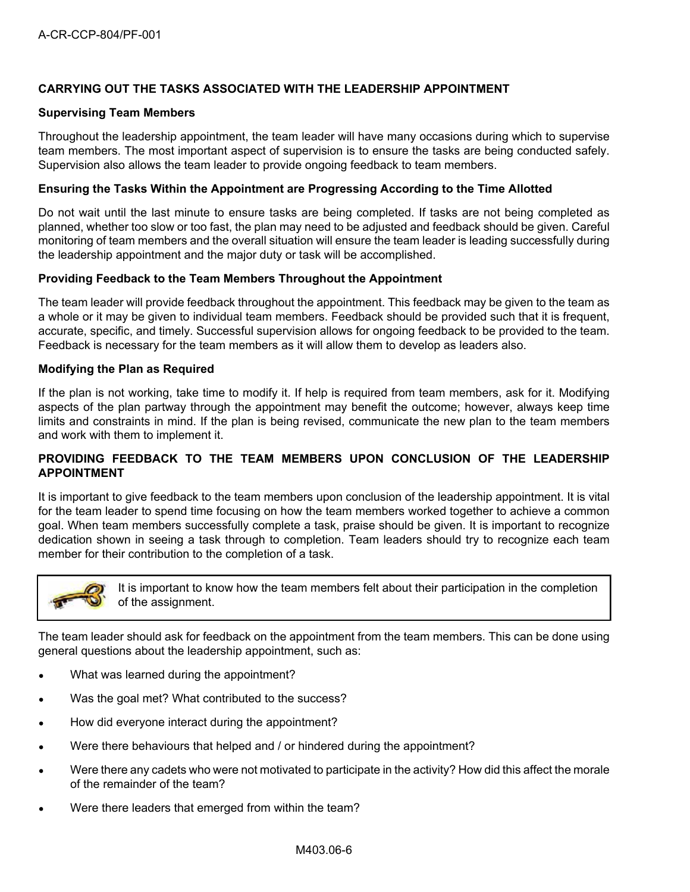# **CARRYING OUT THE TASKS ASSOCIATED WITH THE LEADERSHIP APPOINTMENT**

#### **Supervising Team Members**

Throughout the leadership appointment, the team leader will have many occasions during which to supervise team members. The most important aspect of supervision is to ensure the tasks are being conducted safely. Supervision also allows the team leader to provide ongoing feedback to team members.

#### **Ensuring the Tasks Within the Appointment are Progressing According to the Time Allotted**

Do not wait until the last minute to ensure tasks are being completed. If tasks are not being completed as planned, whether too slow or too fast, the plan may need to be adjusted and feedback should be given. Careful monitoring of team members and the overall situation will ensure the team leader is leading successfully during the leadership appointment and the major duty or task will be accomplished.

#### **Providing Feedback to the Team Members Throughout the Appointment**

The team leader will provide feedback throughout the appointment. This feedback may be given to the team as a whole or it may be given to individual team members. Feedback should be provided such that it is frequent, accurate, specific, and timely. Successful supervision allows for ongoing feedback to be provided to the team. Feedback is necessary for the team members as it will allow them to develop as leaders also.

#### **Modifying the Plan as Required**

If the plan is not working, take time to modify it. If help is required from team members, ask for it. Modifying aspects of the plan partway through the appointment may benefit the outcome; however, always keep time limits and constraints in mind. If the plan is being revised, communicate the new plan to the team members and work with them to implement it.

# **PROVIDING FEEDBACK TO THE TEAM MEMBERS UPON CONCLUSION OF THE LEADERSHIP APPOINTMENT**

It is important to give feedback to the team members upon conclusion of the leadership appointment. It is vital for the team leader to spend time focusing on how the team members worked together to achieve a common goal. When team members successfully complete a task, praise should be given. It is important to recognize dedication shown in seeing a task through to completion. Team leaders should try to recognize each team member for their contribution to the completion of a task.



It is important to know how the team members felt about their participation in the completion of the assignment.

The team leader should ask for feedback on the appointment from the team members. This can be done using general questions about the leadership appointment, such as:

- What was learned during the appointment?
- Was the goal met? What contributed to the success?
- How did everyone interact during the appointment?  $\bullet$
- Were there behaviours that helped and / or hindered during the appointment?
- Were there any cadets who were not motivated to participate in the activity? How did this affect the morale of the remainder of the team?
- Were there leaders that emerged from within the team?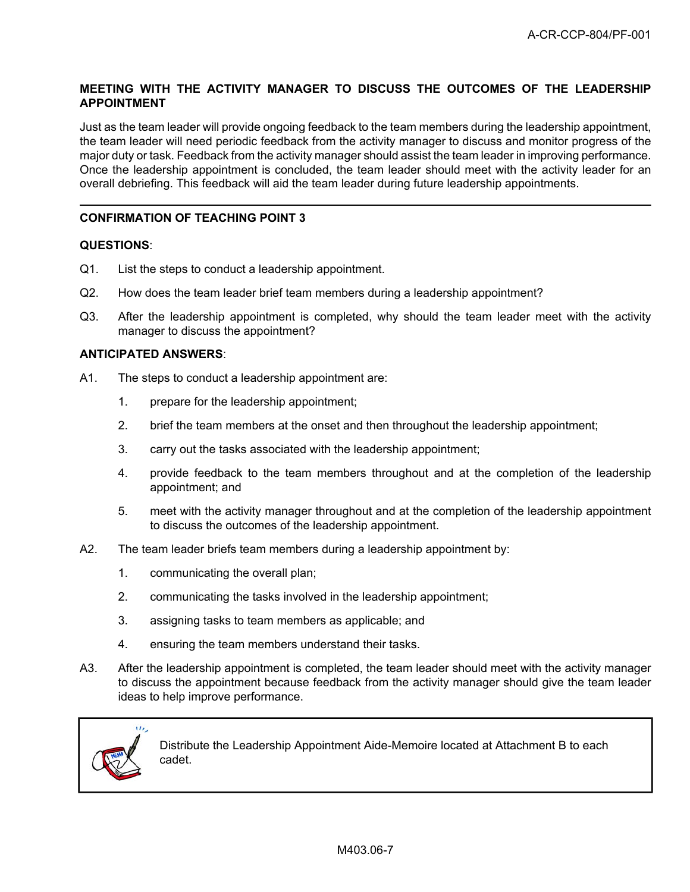# **MEETING WITH THE ACTIVITY MANAGER TO DISCUSS THE OUTCOMES OF THE LEADERSHIP APPOINTMENT**

Just as the team leader will provide ongoing feedback to the team members during the leadership appointment, the team leader will need periodic feedback from the activity manager to discuss and monitor progress of the major duty or task. Feedback from the activity manager should assist the team leader in improving performance. Once the leadership appointment is concluded, the team leader should meet with the activity leader for an overall debriefing. This feedback will aid the team leader during future leadership appointments.

### **CONFIRMATION OF TEACHING POINT 3**

### **QUESTIONS**:

- Q1. List the steps to conduct a leadership appointment.
- Q2. How does the team leader brief team members during a leadership appointment?
- Q3. After the leadership appointment is completed, why should the team leader meet with the activity manager to discuss the appointment?

### **ANTICIPATED ANSWERS**:

- A1. The steps to conduct a leadership appointment are:
	- 1. prepare for the leadership appointment;
	- 2. brief the team members at the onset and then throughout the leadership appointment;
	- 3. carry out the tasks associated with the leadership appointment;
	- 4. provide feedback to the team members throughout and at the completion of the leadership appointment; and
	- 5. meet with the activity manager throughout and at the completion of the leadership appointment to discuss the outcomes of the leadership appointment.
- A2. The team leader briefs team members during a leadership appointment by:
	- 1. communicating the overall plan;
	- 2. communicating the tasks involved in the leadership appointment;
	- 3. assigning tasks to team members as applicable; and
	- 4. ensuring the team members understand their tasks.
- A3. After the leadership appointment is completed, the team leader should meet with the activity manager to discuss the appointment because feedback from the activity manager should give the team leader ideas to help improve performance.



Distribute the Leadership Appointment Aide-Memoire located at Attachment B to each cadet.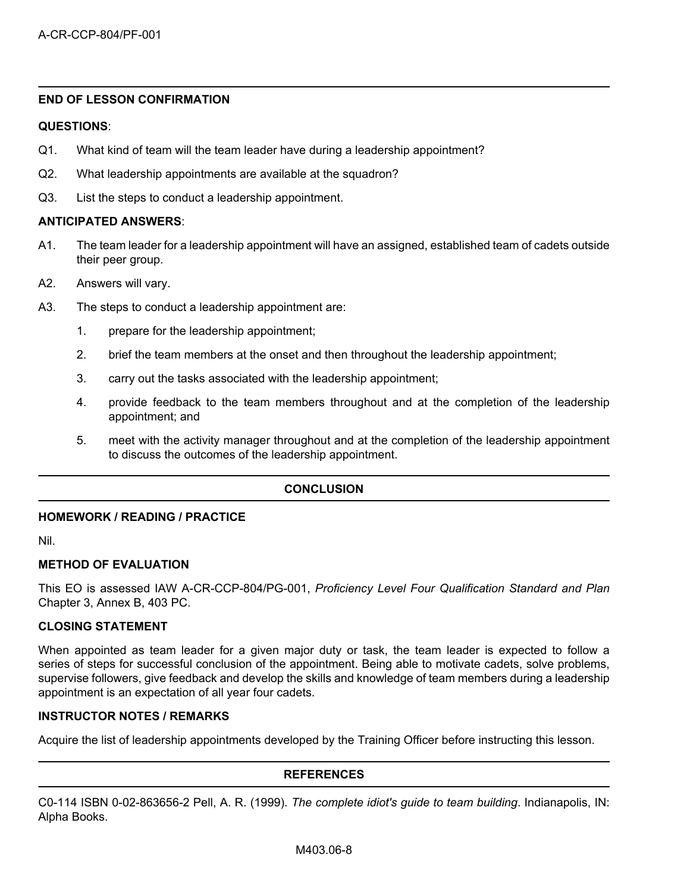#### **END OF LESSON CONFIRMATION**

#### **QUESTIONS**:

- Q1. What kind of team will the team leader have during a leadership appointment?
- Q2. What leadership appointments are available at the squadron?
- Q3. List the steps to conduct a leadership appointment.

#### **ANTICIPATED ANSWERS**:

- A1. The team leader for a leadership appointment will have an assigned, established team of cadets outside their peer group.
- A2. Answers will vary.
- A3. The steps to conduct a leadership appointment are:
	- 1. prepare for the leadership appointment;
	- 2. brief the team members at the onset and then throughout the leadership appointment;
	- 3. carry out the tasks associated with the leadership appointment;
	- 4. provide feedback to the team members throughout and at the completion of the leadership appointment; and
	- 5. meet with the activity manager throughout and at the completion of the leadership appointment to discuss the outcomes of the leadership appointment.

### **CONCLUSION**

### **HOMEWORK / READING / PRACTICE**

Nil.

### **METHOD OF EVALUATION**

This EO is assessed IAW A-CR-CCP-804/PG-001, *Proficiency Level Four Qualification Standard and Plan* Chapter 3, Annex B, 403 PC.

### **CLOSING STATEMENT**

When appointed as team leader for a given major duty or task, the team leader is expected to follow a series of steps for successful conclusion of the appointment. Being able to motivate cadets, solve problems, supervise followers, give feedback and develop the skills and knowledge of team members during a leadership appointment is an expectation of all year four cadets.

#### **INSTRUCTOR NOTES / REMARKS**

Acquire the list of leadership appointments developed by the Training Officer before instructing this lesson.

### **REFERENCES**

C0-114 ISBN 0-02-863656-2 Pell, A. R. (1999). *The complete idiot's guide to team building*. Indianapolis, IN: Alpha Books.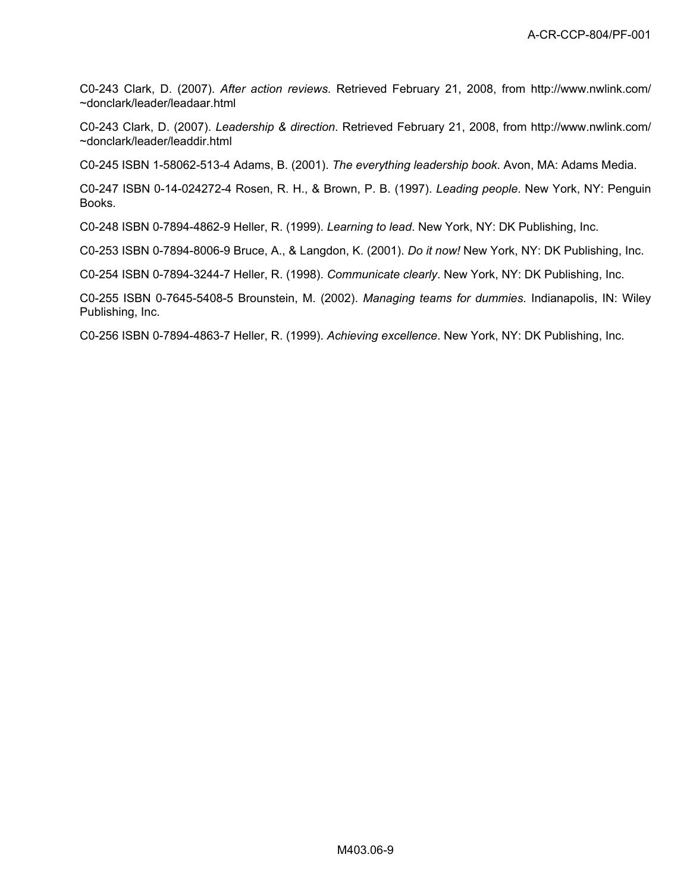C0-243 Clark, D. (2007). *After action reviews*. Retrieved February 21, 2008, from http://www.nwlink.com/ ~donclark/leader/leadaar.html

C0-243 Clark, D. (2007). *Leadership & direction*. Retrieved February 21, 2008, from http://www.nwlink.com/ ~donclark/leader/leaddir.html

C0-245 ISBN 1-58062-513-4 Adams, B. (2001). *The everything leadership book*. Avon, MA: Adams Media.

C0-247 ISBN 0-14-024272-4 Rosen, R. H., & Brown, P. B. (1997). *Leading people*. New York, NY: Penguin Books.

C0-248 ISBN 0-7894-4862-9 Heller, R. (1999). *Learning to lead*. New York, NY: DK Publishing, Inc.

C0-253 ISBN 0-7894-8006-9 Bruce, A., & Langdon, K. (2001). *Do it now!* New York, NY: DK Publishing, Inc.

C0-254 ISBN 0-7894-3244-7 Heller, R. (1998). *Communicate clearly*. New York, NY: DK Publishing, Inc.

C0-255 ISBN 0-7645-5408-5 Brounstein, M. (2002). *Managing teams for dummies*. Indianapolis, IN: Wiley Publishing, Inc.

C0-256 ISBN 0-7894-4863-7 Heller, R. (1999). *Achieving excellence*. New York, NY: DK Publishing, Inc.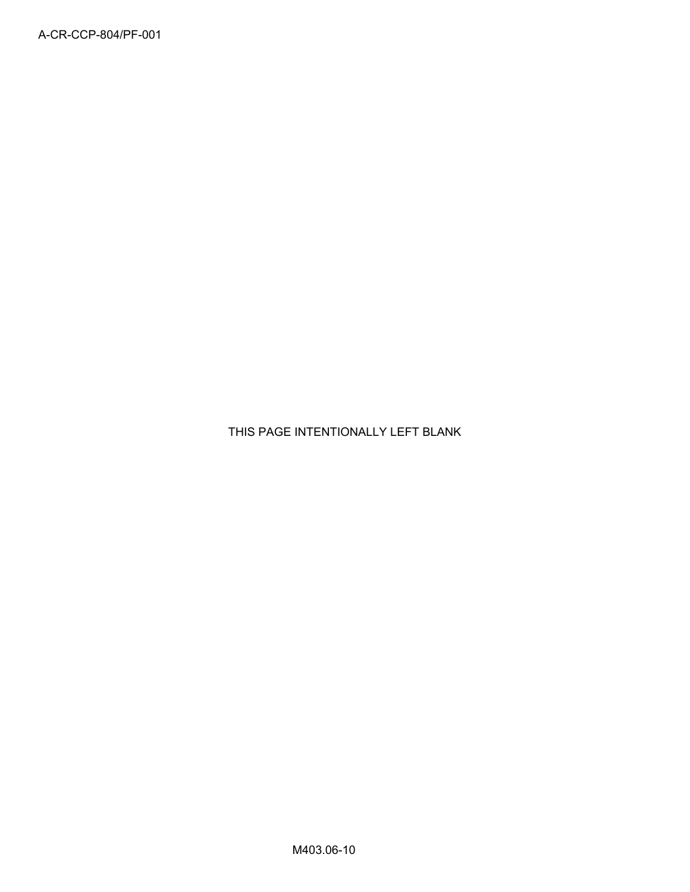THIS PAGE INTENTIONALLY LEFT BLANK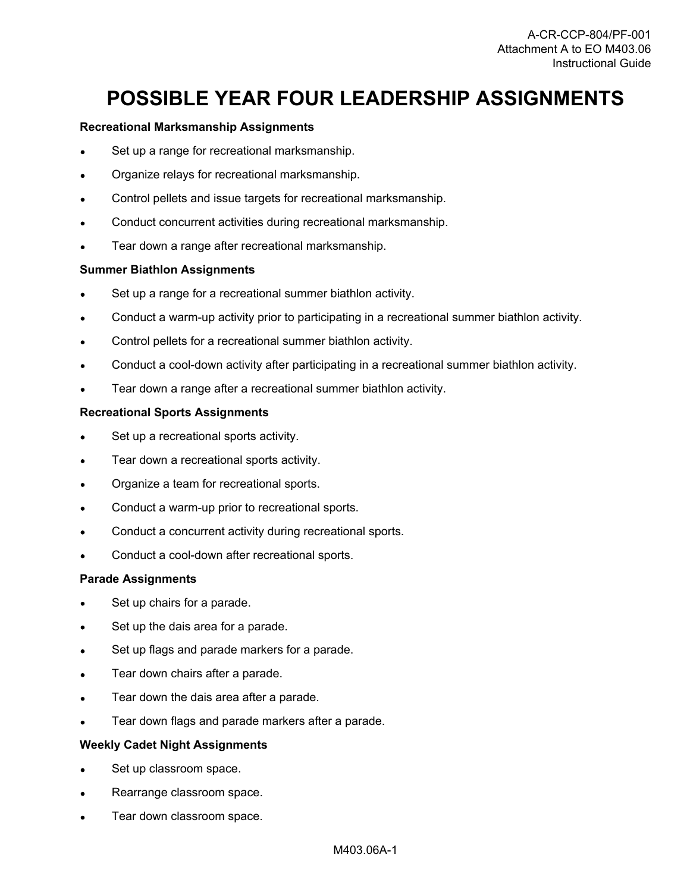# **POSSIBLE YEAR FOUR LEADERSHIP ASSIGNMENTS**

### **Recreational Marksmanship Assignments**

- Set up a range for recreational marksmanship.
- Organize relays for recreational marksmanship.
- Control pellets and issue targets for recreational marksmanship.
- Conduct concurrent activities during recreational marksmanship.
- Tear down a range after recreational marksmanship.

# **Summer Biathlon Assignments**

- Set up a range for a recreational summer biathlon activity.
- Conduct a warm-up activity prior to participating in a recreational summer biathlon activity.
- Control pellets for a recreational summer biathlon activity.
- Conduct a cool-down activity after participating in a recreational summer biathlon activity.
- Tear down a range after a recreational summer biathlon activity.

# **Recreational Sports Assignments**

- Set up a recreational sports activity.
- Tear down a recreational sports activity.
- Organize a team for recreational sports.
- Conduct a warm-up prior to recreational sports.
- Conduct a concurrent activity during recreational sports.
- Conduct a cool-down after recreational sports.

### **Parade Assignments**

- Set up chairs for a parade.
- Set up the dais area for a parade.
- Set up flags and parade markers for a parade.
- Tear down chairs after a parade.
- Tear down the dais area after a parade.
- Tear down flags and parade markers after a parade.  $\bullet$

### **Weekly Cadet Night Assignments**

- Set up classroom space.
- Rearrange classroom space.
- Tear down classroom space.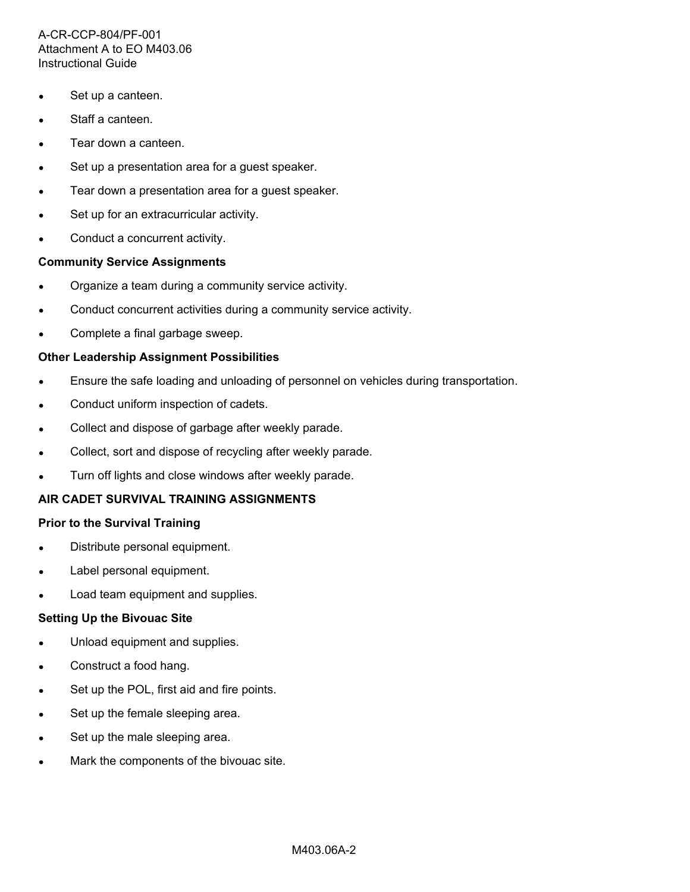# A-CR-CCP-804/PF-001 Attachment A to EO M403.06 Instructional Guide

- Set up a canteen.
- Staff a canteen.  $\bullet$
- Tear down a canteen.  $\bullet$
- Set up a presentation area for a guest speaker.
- Tear down a presentation area for a guest speaker.
- Set up for an extracurricular activity.  $\bullet$
- Conduct a concurrent activity.  $\bullet$

### **Community Service Assignments**

- Organize a team during a community service activity.  $\bullet$
- Conduct concurrent activities during a community service activity.  $\bullet$
- Complete a final garbage sweep.

# **Other Leadership Assignment Possibilities**

- Ensure the safe loading and unloading of personnel on vehicles during transportation.  $\bullet$
- Conduct uniform inspection of cadets.  $\bullet$
- Collect and dispose of garbage after weekly parade.  $\bullet$
- Collect, sort and dispose of recycling after weekly parade.
- Turn off lights and close windows after weekly parade.

# **AIR CADET SURVIVAL TRAINING ASSIGNMENTS**

### **Prior to the Survival Training**

- Distribute personal equipment.  $\bullet$
- Label personal equipment.  $\bullet$
- Load team equipment and supplies.  $\bullet$

### **Setting Up the Bivouac Site**

- Unload equipment and supplies.  $\bullet$
- Construct a food hang.  $\bullet$
- Set up the POL, first aid and fire points.  $\bullet$
- Set up the female sleeping area.  $\bullet$
- Set up the male sleeping area.  $\bullet$
- Mark the components of the bivouac site. $\bullet$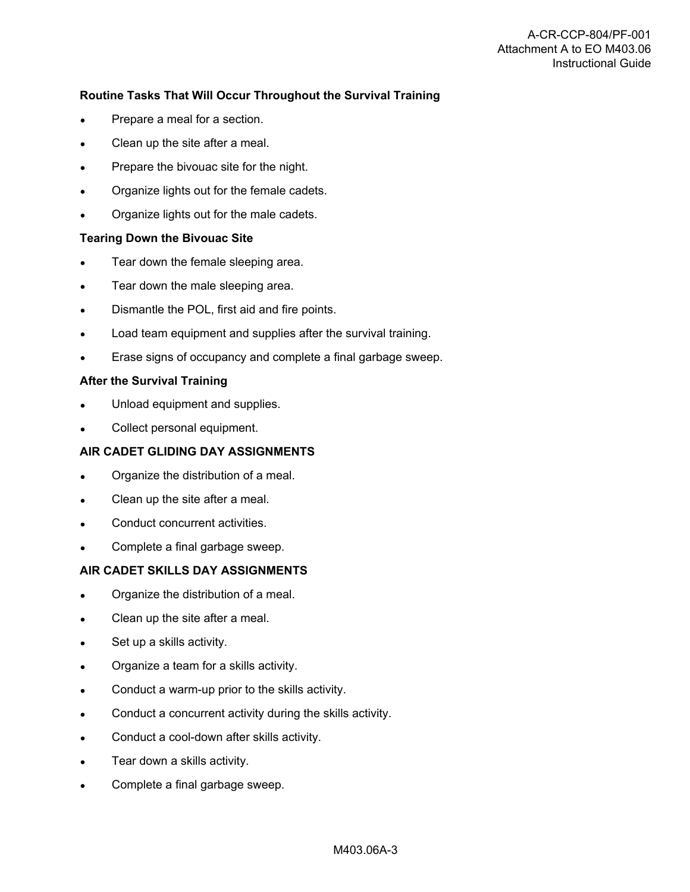# **Routine Tasks That Will Occur Throughout the Survival Training**

- Prepare a meal for a section.
- Clean up the site after a meal.
- Prepare the bivouac site for the night.
- Organize lights out for the female cadets.
- Organize lights out for the male cadets.

### **Tearing Down the Bivouac Site**

- Tear down the female sleeping area.
- Tear down the male sleeping area.
- Dismantle the POL, first aid and fire points.
- Load team equipment and supplies after the survival training.
- Erase signs of occupancy and complete a final garbage sweep.

### **After the Survival Training**

- Unload equipment and supplies.
- Collect personal equipment.

### **AIR CADET GLIDING DAY ASSIGNMENTS**

- Organize the distribution of a meal.
- Clean up the site after a meal.
- Conduct concurrent activities.
- Complete a final garbage sweep.

### **AIR CADET SKILLS DAY ASSIGNMENTS**

- Organize the distribution of a meal.
- Clean up the site after a meal.
- Set up a skills activity.
- Organize a team for a skills activity.
- Conduct a warm-up prior to the skills activity.
- Conduct a concurrent activity during the skills activity.
- Conduct a cool-down after skills activity.
- Tear down a skills activity.
- Complete a final garbage sweep.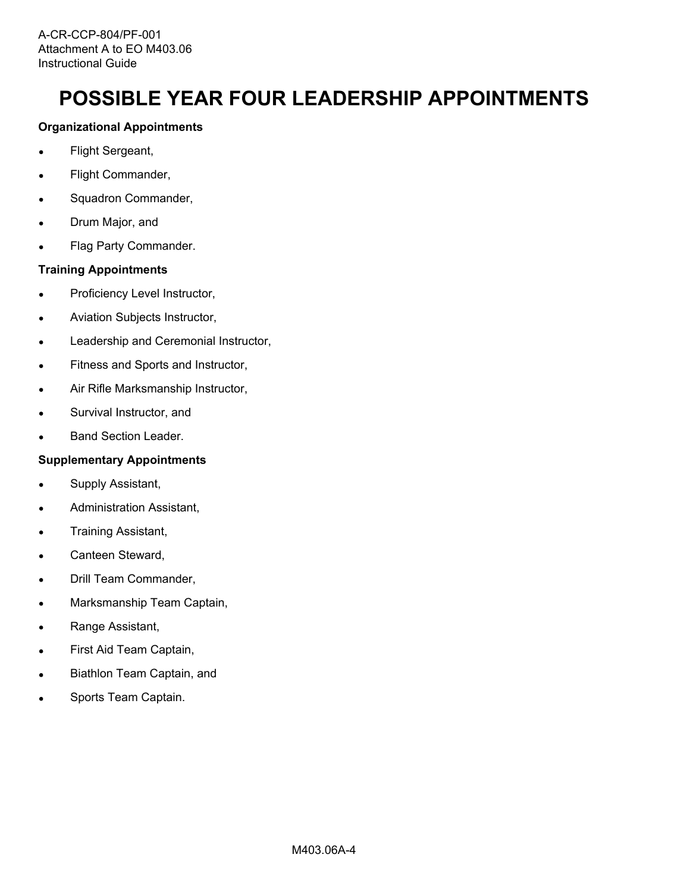# **POSSIBLE YEAR FOUR LEADERSHIP APPOINTMENTS**

# **Organizational Appointments**

- Flight Sergeant,  $\bullet$
- Flight Commander,  $\bullet$
- Squadron Commander,  $\bullet$
- Drum Major, and  $\bullet$
- Flag Party Commander.  $\bullet$

### **Training Appointments**

- Proficiency Level Instructor,  $\bullet$
- Aviation Subjects Instructor,  $\bullet$
- Leadership and Ceremonial Instructor,  $\bullet$
- Fitness and Sports and Instructor,  $\bullet$
- Air Rifle Marksmanship Instructor,  $\bullet$
- Survival Instructor, and  $\bullet$
- Band Section Leader.  $\bullet$

### **Supplementary Appointments**

- Supply Assistant,  $\bullet$
- Administration Assistant,  $\bullet$
- Training Assistant,  $\bullet$
- Canteen Steward,  $\bullet$
- Drill Team Commander,  $\bullet$
- Marksmanship Team Captain,  $\bullet$
- Range Assistant,
- First Aid Team Captain,  $\bullet$
- Biathlon Team Captain, and  $\bullet$
- Sports Team Captain. $\bullet$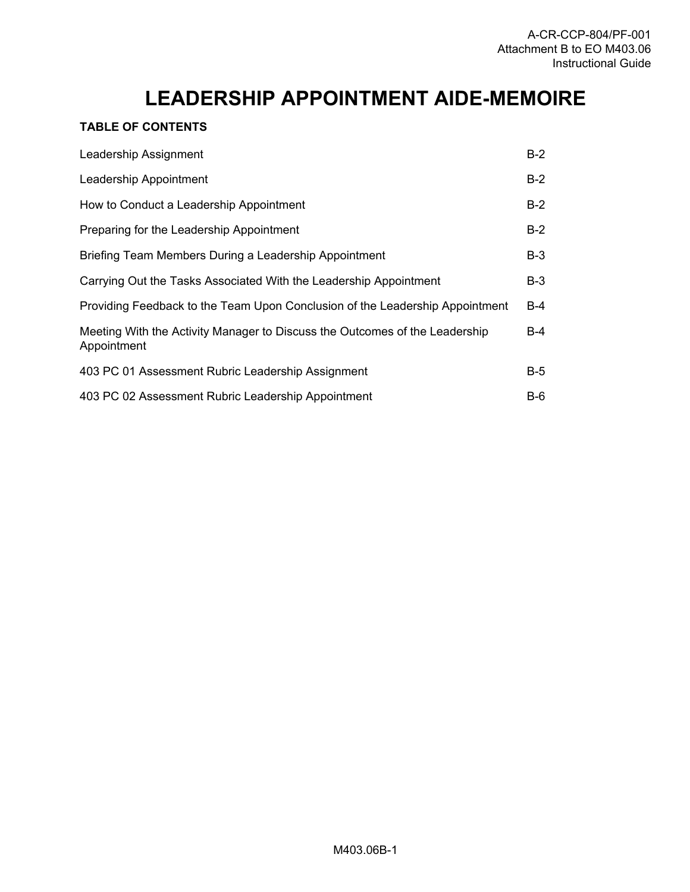# **LEADERSHIP APPOINTMENT AIDE-MEMOIRE**

# **TABLE OF CONTENTS**

| Leadership Assignment                                                                      | $B-2$ |
|--------------------------------------------------------------------------------------------|-------|
| Leadership Appointment                                                                     | $B-2$ |
| How to Conduct a Leadership Appointment                                                    | $B-2$ |
| Preparing for the Leadership Appointment                                                   | $B-2$ |
| Briefing Team Members During a Leadership Appointment                                      | $B-3$ |
| Carrying Out the Tasks Associated With the Leadership Appointment                          | B-3   |
| Providing Feedback to the Team Upon Conclusion of the Leadership Appointment               | B-4   |
| Meeting With the Activity Manager to Discuss the Outcomes of the Leadership<br>Appointment | $B-4$ |
| 403 PC 01 Assessment Rubric Leadership Assignment                                          | B-5   |
| 403 PC 02 Assessment Rubric Leadership Appointment                                         | $B-6$ |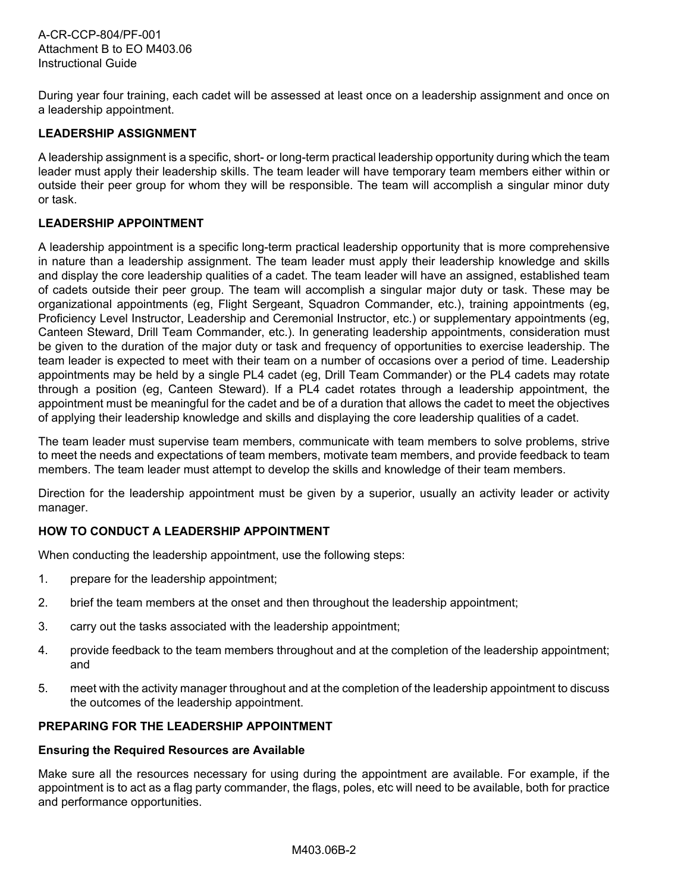A-CR-CCP-804/PF-001 Attachment B to EO M403.06 Instructional Guide

During year four training, each cadet will be assessed at least once on a leadership assignment and once on a leadership appointment.

### **LEADERSHIP ASSIGNMENT**

A leadership assignment is a specific, short- or long-term practical leadership opportunity during which the team leader must apply their leadership skills. The team leader will have temporary team members either within or outside their peer group for whom they will be responsible. The team will accomplish a singular minor duty or task.

### **LEADERSHIP APPOINTMENT**

A leadership appointment is a specific long-term practical leadership opportunity that is more comprehensive in nature than a leadership assignment. The team leader must apply their leadership knowledge and skills and display the core leadership qualities of a cadet. The team leader will have an assigned, established team of cadets outside their peer group. The team will accomplish a singular major duty or task. These may be organizational appointments (eg, Flight Sergeant, Squadron Commander, etc.), training appointments (eg, Proficiency Level Instructor, Leadership and Ceremonial Instructor, etc.) or supplementary appointments (eg, Canteen Steward, Drill Team Commander, etc.). In generating leadership appointments, consideration must be given to the duration of the major duty or task and frequency of opportunities to exercise leadership. The team leader is expected to meet with their team on a number of occasions over a period of time. Leadership appointments may be held by a single PL4 cadet (eg, Drill Team Commander) or the PL4 cadets may rotate through a position (eg, Canteen Steward). If a PL4 cadet rotates through a leadership appointment, the appointment must be meaningful for the cadet and be of a duration that allows the cadet to meet the objectives of applying their leadership knowledge and skills and displaying the core leadership qualities of a cadet.

The team leader must supervise team members, communicate with team members to solve problems, strive to meet the needs and expectations of team members, motivate team members, and provide feedback to team members. The team leader must attempt to develop the skills and knowledge of their team members.

Direction for the leadership appointment must be given by a superior, usually an activity leader or activity manager.

### **HOW TO CONDUCT A LEADERSHIP APPOINTMENT**

When conducting the leadership appointment, use the following steps:

- 1. prepare for the leadership appointment;
- 2. brief the team members at the onset and then throughout the leadership appointment;
- 3. carry out the tasks associated with the leadership appointment;
- 4. provide feedback to the team members throughout and at the completion of the leadership appointment; and
- 5. meet with the activity manager throughout and at the completion of the leadership appointment to discuss the outcomes of the leadership appointment.

#### **PREPARING FOR THE LEADERSHIP APPOINTMENT**

#### **Ensuring the Required Resources are Available**

Make sure all the resources necessary for using during the appointment are available. For example, if the appointment is to act as a flag party commander, the flags, poles, etc will need to be available, both for practice and performance opportunities.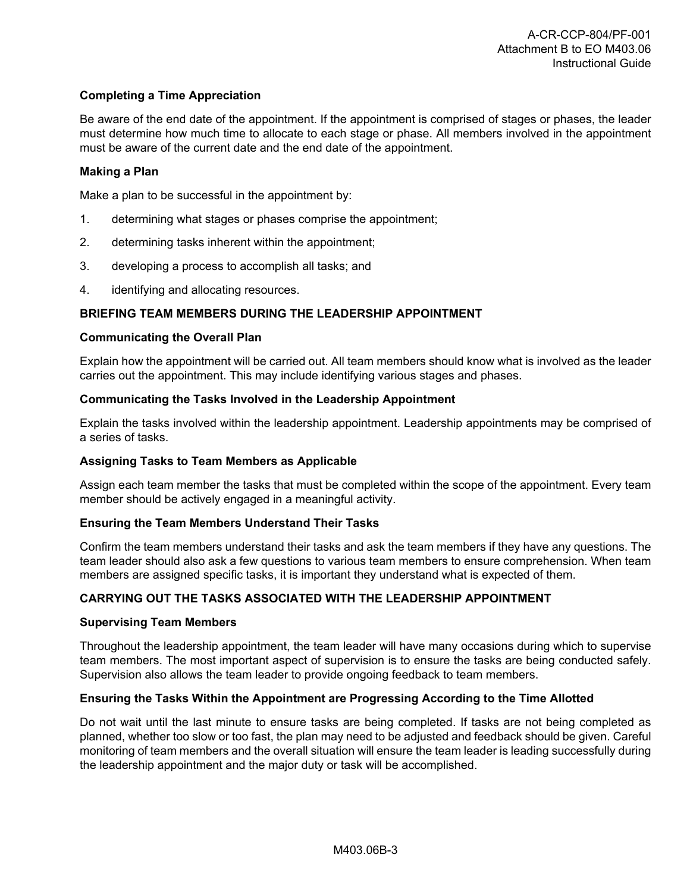# **Completing a Time Appreciation**

Be aware of the end date of the appointment. If the appointment is comprised of stages or phases, the leader must determine how much time to allocate to each stage or phase. All members involved in the appointment must be aware of the current date and the end date of the appointment.

#### **Making a Plan**

Make a plan to be successful in the appointment by:

- 1. determining what stages or phases comprise the appointment;
- 2. determining tasks inherent within the appointment;
- 3. developing a process to accomplish all tasks; and
- 4. identifying and allocating resources.

### **BRIEFING TEAM MEMBERS DURING THE LEADERSHIP APPOINTMENT**

#### **Communicating the Overall Plan**

Explain how the appointment will be carried out. All team members should know what is involved as the leader carries out the appointment. This may include identifying various stages and phases.

#### **Communicating the Tasks Involved in the Leadership Appointment**

Explain the tasks involved within the leadership appointment. Leadership appointments may be comprised of a series of tasks.

#### **Assigning Tasks to Team Members as Applicable**

Assign each team member the tasks that must be completed within the scope of the appointment. Every team member should be actively engaged in a meaningful activity.

#### **Ensuring the Team Members Understand Their Tasks**

Confirm the team members understand their tasks and ask the team members if they have any questions. The team leader should also ask a few questions to various team members to ensure comprehension. When team members are assigned specific tasks, it is important they understand what is expected of them.

### **CARRYING OUT THE TASKS ASSOCIATED WITH THE LEADERSHIP APPOINTMENT**

#### **Supervising Team Members**

Throughout the leadership appointment, the team leader will have many occasions during which to supervise team members. The most important aspect of supervision is to ensure the tasks are being conducted safely. Supervision also allows the team leader to provide ongoing feedback to team members.

#### **Ensuring the Tasks Within the Appointment are Progressing According to the Time Allotted**

Do not wait until the last minute to ensure tasks are being completed. If tasks are not being completed as planned, whether too slow or too fast, the plan may need to be adjusted and feedback should be given. Careful monitoring of team members and the overall situation will ensure the team leader is leading successfully during the leadership appointment and the major duty or task will be accomplished.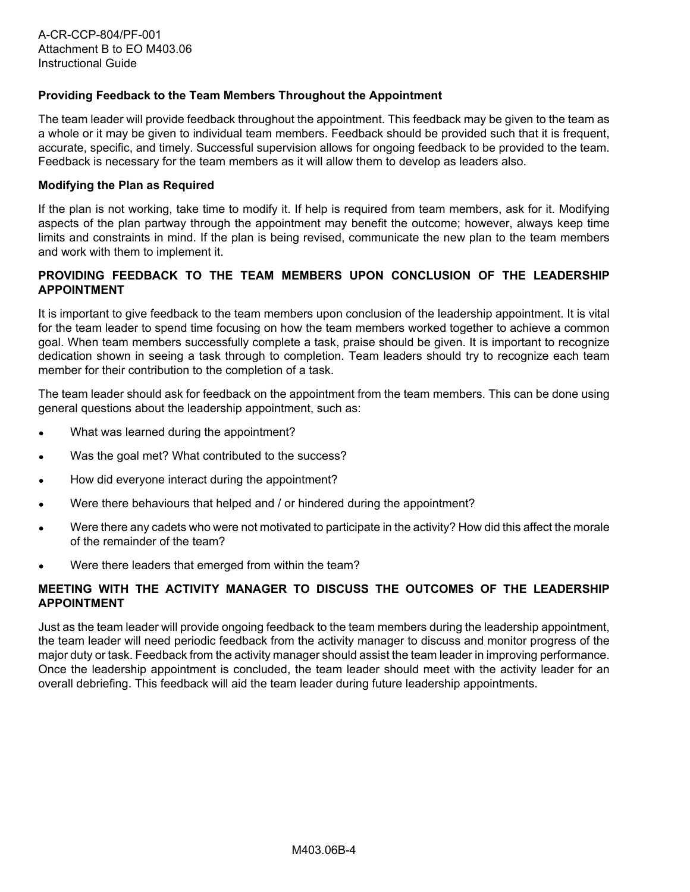# **Providing Feedback to the Team Members Throughout the Appointment**

The team leader will provide feedback throughout the appointment. This feedback may be given to the team as a whole or it may be given to individual team members. Feedback should be provided such that it is frequent, accurate, specific, and timely. Successful supervision allows for ongoing feedback to be provided to the team. Feedback is necessary for the team members as it will allow them to develop as leaders also.

#### **Modifying the Plan as Required**

If the plan is not working, take time to modify it. If help is required from team members, ask for it. Modifying aspects of the plan partway through the appointment may benefit the outcome; however, always keep time limits and constraints in mind. If the plan is being revised, communicate the new plan to the team members and work with them to implement it.

### **PROVIDING FEEDBACK TO THE TEAM MEMBERS UPON CONCLUSION OF THE LEADERSHIP APPOINTMENT**

It is important to give feedback to the team members upon conclusion of the leadership appointment. It is vital for the team leader to spend time focusing on how the team members worked together to achieve a common goal. When team members successfully complete a task, praise should be given. It is important to recognize dedication shown in seeing a task through to completion. Team leaders should try to recognize each team member for their contribution to the completion of a task.

The team leader should ask for feedback on the appointment from the team members. This can be done using general questions about the leadership appointment, such as:

- What was learned during the appointment?  $\bullet$
- Was the goal met? What contributed to the success?
- How did everyone interact during the appointment?  $\bullet$
- Were there behaviours that helped and / or hindered during the appointment?
- Were there any cadets who were not motivated to participate in the activity? How did this affect the morale  $\bullet$ of the remainder of the team?
- Were there leaders that emerged from within the team?

# **MEETING WITH THE ACTIVITY MANAGER TO DISCUSS THE OUTCOMES OF THE LEADERSHIP APPOINTMENT**

Just as the team leader will provide ongoing feedback to the team members during the leadership appointment, the team leader will need periodic feedback from the activity manager to discuss and monitor progress of the major duty or task. Feedback from the activity manager should assist the team leader in improving performance. Once the leadership appointment is concluded, the team leader should meet with the activity leader for an overall debriefing. This feedback will aid the team leader during future leadership appointments.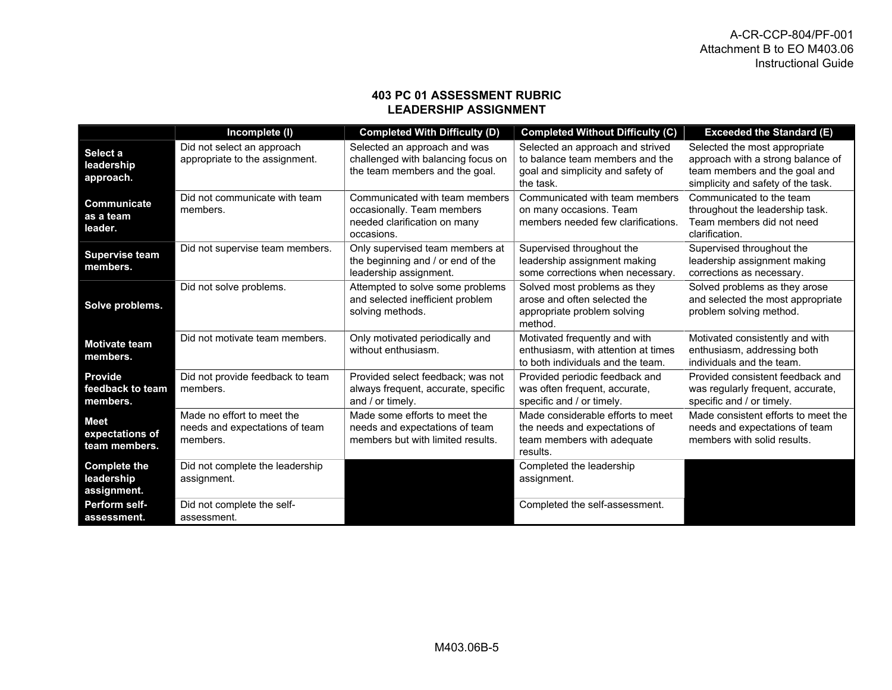### **403 PC 01 ASSESSMENT RUBRIC LEADERSHIP ASSIGNMENT**

|                                                  | Incomplete (I)                                                           | <b>Completed With Difficulty (D)</b>                                                                       | <b>Completed Without Difficulty (C)</b>                                                                               | <b>Exceeded the Standard (E)</b>                                                                                                          |
|--------------------------------------------------|--------------------------------------------------------------------------|------------------------------------------------------------------------------------------------------------|-----------------------------------------------------------------------------------------------------------------------|-------------------------------------------------------------------------------------------------------------------------------------------|
| Select a<br>leadership<br>approach.              | Did not select an approach<br>appropriate to the assignment.             | Selected an approach and was<br>challenged with balancing focus on<br>the team members and the goal.       | Selected an approach and strived<br>to balance team members and the<br>goal and simplicity and safety of<br>the task. | Selected the most appropriate<br>approach with a strong balance of<br>team members and the goal and<br>simplicity and safety of the task. |
| Communicate<br>as a team<br>leader.              | Did not communicate with team<br>members.                                | Communicated with team members<br>occasionally. Team members<br>needed clarification on many<br>occasions. | Communicated with team members<br>on many occasions. Team<br>members needed few clarifications.                       | Communicated to the team<br>throughout the leadership task.<br>Team members did not need<br>clarification.                                |
| <b>Supervise team</b><br>members.                | Did not supervise team members.                                          | Only supervised team members at<br>the beginning and / or end of the<br>leadership assignment.             | Supervised throughout the<br>leadership assignment making<br>some corrections when necessary.                         | Supervised throughout the<br>leadership assignment making<br>corrections as necessary.                                                    |
| Solve problems.                                  | Did not solve problems.                                                  | Attempted to solve some problems<br>and selected inefficient problem<br>solving methods.                   | Solved most problems as they<br>arose and often selected the<br>appropriate problem solving<br>method.                | Solved problems as they arose<br>and selected the most appropriate<br>problem solving method.                                             |
| <b>Motivate team</b><br>members.                 | Did not motivate team members.                                           | Only motivated periodically and<br>without enthusiasm.                                                     | Motivated frequently and with<br>enthusiasm, with attention at times<br>to both individuals and the team.             | Motivated consistently and with<br>enthusiasm, addressing both<br>individuals and the team.                                               |
| <b>Provide</b><br>feedback to team<br>members.   | Did not provide feedback to team<br>members.                             | Provided select feedback; was not<br>always frequent, accurate, specific<br>and / or timely.               | Provided periodic feedback and<br>was often frequent, accurate,<br>specific and / or timely.                          | Provided consistent feedback and<br>was regularly frequent, accurate,<br>specific and / or timely.                                        |
| <b>Meet</b><br>expectations of<br>team members.  | Made no effort to meet the<br>needs and expectations of team<br>members. | Made some efforts to meet the<br>needs and expectations of team<br>members but with limited results.       | Made considerable efforts to meet<br>the needs and expectations of<br>team members with adequate<br>results.          | Made consistent efforts to meet the<br>needs and expectations of team<br>members with solid results.                                      |
| <b>Complete the</b><br>leadership<br>assignment. | Did not complete the leadership<br>assignment.                           |                                                                                                            | Completed the leadership<br>assignment.                                                                               |                                                                                                                                           |
| Perform self-<br>assessment.                     | Did not complete the self-<br>assessment.                                |                                                                                                            | Completed the self-assessment.                                                                                        |                                                                                                                                           |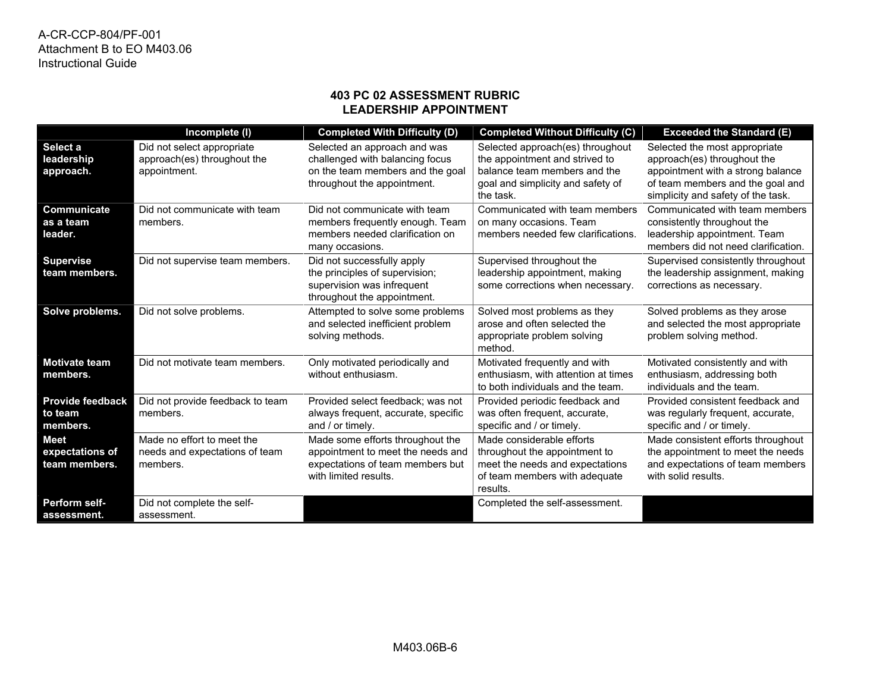# **403 PC 02 ASSESSMENT RUBRIC LEADERSHIP APPOINTMENT**

|                                                 | Incomplete (I)                                                            | <b>Completed With Difficulty (D)</b>                                                                                               | <b>Completed Without Difficulty (C)</b>                                                                                                              | <b>Exceeded the Standard (E)</b>                                                                                                                                            |
|-------------------------------------------------|---------------------------------------------------------------------------|------------------------------------------------------------------------------------------------------------------------------------|------------------------------------------------------------------------------------------------------------------------------------------------------|-----------------------------------------------------------------------------------------------------------------------------------------------------------------------------|
| Select a<br>leadership<br>approach.             | Did not select appropriate<br>approach(es) throughout the<br>appointment. | Selected an approach and was<br>challenged with balancing focus<br>on the team members and the goal<br>throughout the appointment. | Selected approach(es) throughout<br>the appointment and strived to<br>balance team members and the<br>goal and simplicity and safety of<br>the task. | Selected the most appropriate<br>approach(es) throughout the<br>appointment with a strong balance<br>of team members and the goal and<br>simplicity and safety of the task. |
| Communicate<br>as a team<br>leader.             | Did not communicate with team<br>members.                                 | Did not communicate with team<br>members frequently enough. Team<br>members needed clarification on<br>many occasions.             | Communicated with team members<br>on many occasions. Team<br>members needed few clarifications.                                                      | Communicated with team members<br>consistently throughout the<br>leadership appointment. Team<br>members did not need clarification.                                        |
| <b>Supervise</b><br>team members.               | Did not supervise team members.                                           | Did not successfully apply<br>the principles of supervision;<br>supervision was infrequent<br>throughout the appointment.          | Supervised throughout the<br>leadership appointment, making<br>some corrections when necessary.                                                      | Supervised consistently throughout<br>the leadership assignment, making<br>corrections as necessary.                                                                        |
| Solve problems.                                 | Did not solve problems.                                                   | Attempted to solve some problems<br>and selected inefficient problem<br>solving methods.                                           | Solved most problems as they<br>arose and often selected the<br>appropriate problem solving<br>method.                                               | Solved problems as they arose<br>and selected the most appropriate<br>problem solving method.                                                                               |
| <b>Motivate team</b><br>members.                | Did not motivate team members.                                            | Only motivated periodically and<br>without enthusiasm.                                                                             | Motivated frequently and with<br>enthusiasm, with attention at times<br>to both individuals and the team.                                            | Motivated consistently and with<br>enthusiasm, addressing both<br>individuals and the team.                                                                                 |
| <b>Provide feedback</b><br>to team<br>members.  | Did not provide feedback to team<br>members.                              | Provided select feedback; was not<br>always frequent, accurate, specific<br>and / or timely.                                       | Provided periodic feedback and<br>was often frequent, accurate,<br>specific and / or timely.                                                         | Provided consistent feedback and<br>was regularly frequent, accurate,<br>specific and / or timely.                                                                          |
| <b>Meet</b><br>expectations of<br>team members. | Made no effort to meet the<br>needs and expectations of team<br>members.  | Made some efforts throughout the<br>appointment to meet the needs and<br>expectations of team members but<br>with limited results. | Made considerable efforts<br>throughout the appointment to<br>meet the needs and expectations<br>of team members with adequate<br>results.           | Made consistent efforts throughout<br>the appointment to meet the needs<br>and expectations of team members<br>with solid results.                                          |
| Perform self-<br>assessment.                    | Did not complete the self-<br>assessment.                                 |                                                                                                                                    | Completed the self-assessment.                                                                                                                       |                                                                                                                                                                             |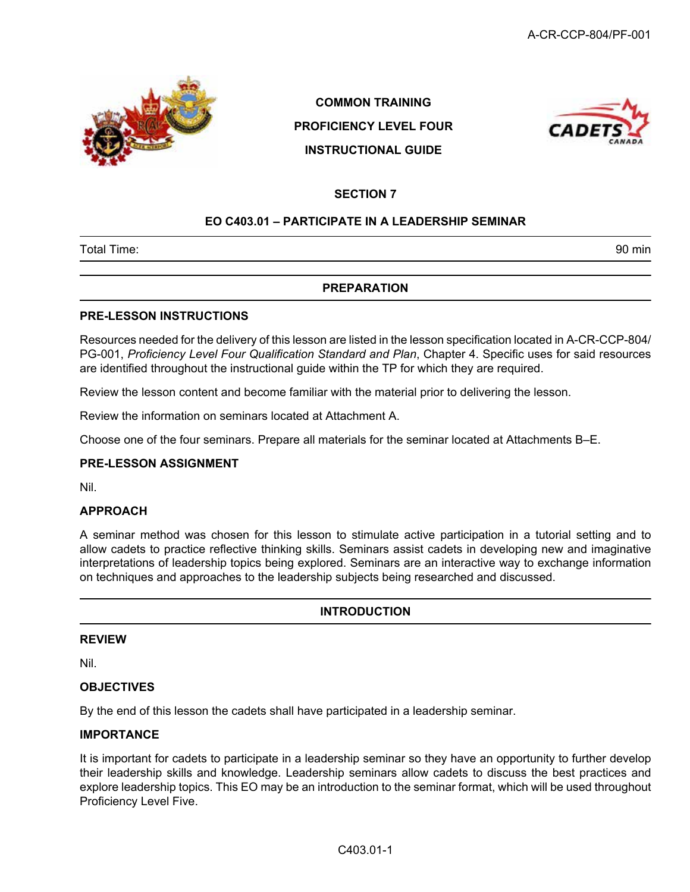

**COMMON TRAINING PROFICIENCY LEVEL FOUR INSTRUCTIONAL GUIDE**



# **SECTION 7**

### **EO C403.01 – PARTICIPATE IN A LEADERSHIP SEMINAR**

Total Time: 90 min

### **PREPARATION**

#### **PRE-LESSON INSTRUCTIONS**

Resources needed for the delivery of this lesson are listed in the lesson specification located in A-CR-CCP-804/ PG-001, *Proficiency Level Four Qualification Standard and Plan*, Chapter 4. Specific uses for said resources are identified throughout the instructional guide within the TP for which they are required.

Review the lesson content and become familiar with the material prior to delivering the lesson.

Review the information on seminars located at Attachment A.

Choose one of the four seminars. Prepare all materials for the seminar located at Attachments B–E.

### **PRE-LESSON ASSIGNMENT**

Nil.

### **APPROACH**

A seminar method was chosen for this lesson to stimulate active participation in a tutorial setting and to allow cadets to practice reflective thinking skills. Seminars assist cadets in developing new and imaginative interpretations of leadership topics being explored. Seminars are an interactive way to exchange information on techniques and approaches to the leadership subjects being researched and discussed.

### **INTRODUCTION**

#### **REVIEW**

Nil.

#### **OBJECTIVES**

By the end of this lesson the cadets shall have participated in a leadership seminar.

#### **IMPORTANCE**

It is important for cadets to participate in a leadership seminar so they have an opportunity to further develop their leadership skills and knowledge. Leadership seminars allow cadets to discuss the best practices and explore leadership topics. This EO may be an introduction to the seminar format, which will be used throughout Proficiency Level Five.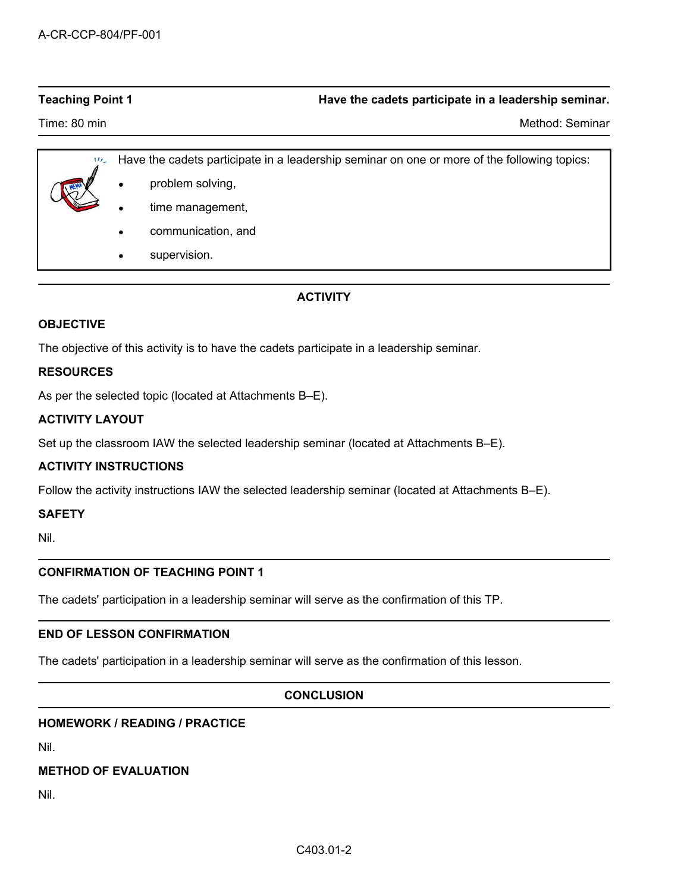# **Teaching Point 1 Have the cadets participate in a leadership seminar.**

Time: 80 min Method: Seminar Method: Seminar Method: Seminar Method: Seminar Method: Seminar Method: Seminar Method: Seminar Method: Seminar Method: Seminar Method: Seminar Method: Seminar Method: Seminar Method: Seminar M

Have the cadets participate in a leadership seminar on one or more of the following topics:  $\overline{u}$ 

- problem solving,
- time management,
- communication, and
- supervision.

# **ACTIVITY**

# **OBJECTIVE**

The objective of this activity is to have the cadets participate in a leadership seminar.

# **RESOURCES**

As per the selected topic (located at Attachments B–E).

# **ACTIVITY LAYOUT**

Set up the classroom IAW the selected leadership seminar (located at Attachments B–E).

# **ACTIVITY INSTRUCTIONS**

Follow the activity instructions IAW the selected leadership seminar (located at Attachments B–E).

# **SAFETY**

Nil.

# **CONFIRMATION OF TEACHING POINT 1**

The cadets' participation in a leadership seminar will serve as the confirmation of this TP.

### **END OF LESSON CONFIRMATION**

The cadets' participation in a leadership seminar will serve as the confirmation of this lesson.

# **CONCLUSION**

# **HOMEWORK / READING / PRACTICE**

Nil.

# **METHOD OF EVALUATION**

Nil.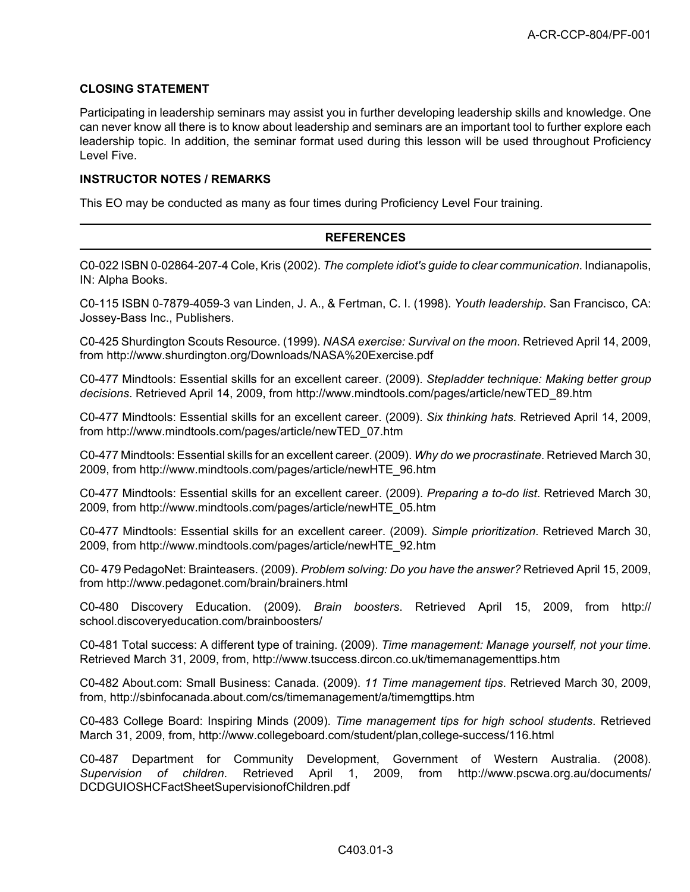#### **CLOSING STATEMENT**

Participating in leadership seminars may assist you in further developing leadership skills and knowledge. One can never know all there is to know about leadership and seminars are an important tool to further explore each leadership topic. In addition, the seminar format used during this lesson will be used throughout Proficiency Level Five.

#### **INSTRUCTOR NOTES / REMARKS**

This EO may be conducted as many as four times during Proficiency Level Four training.

### **REFERENCES**

C0-022 ISBN 0-02864-207-4 Cole, Kris (2002). *The complete idiot's guide to clear communication*. Indianapolis, IN: Alpha Books.

C0-115 ISBN 0-7879-4059-3 van Linden, J. A., & Fertman, C. I. (1998). *Youth leadership*. San Francisco, CA: Jossey-Bass Inc., Publishers.

C0-425 Shurdington Scouts Resource. (1999). *NASA exercise: Survival on the moon*. Retrieved April 14, 2009, from http://www.shurdington.org/Downloads/NASA%20Exercise.pdf

C0-477 Mindtools: Essential skills for an excellent career. (2009). *Stepladder technique: Making better group decisions*. Retrieved April 14, 2009, from http://www.mindtools.com/pages/article/newTED\_89.htm

C0-477 Mindtools: Essential skills for an excellent career. (2009). *Six thinking hats*. Retrieved April 14, 2009, from http://www.mindtools.com/pages/article/newTED\_07.htm

C0-477 Mindtools: Essential skills for an excellent career. (2009). *Why do we procrastinate*. Retrieved March 30, 2009, from http://www.mindtools.com/pages/article/newHTE\_96.htm

C0-477 Mindtools: Essential skills for an excellent career. (2009). *Preparing a to-do list*. Retrieved March 30, 2009, from http://www.mindtools.com/pages/article/newHTE\_05.htm

C0-477 Mindtools: Essential skills for an excellent career. (2009). *Simple prioritization*. Retrieved March 30, 2009, from http://www.mindtools.com/pages/article/newHTE\_92.htm

C0- 479 PedagoNet: Brainteasers. (2009). *Problem solving: Do you have the answer?* Retrieved April 15, 2009, from http://www.pedagonet.com/brain/brainers.html

C0-480 Discovery Education. (2009). *Brain boosters*. Retrieved April 15, 2009, from http:// school.discoveryeducation.com/brainboosters/

C0-481 Total success: A different type of training. (2009). *Time management: Manage yourself, not your time*. Retrieved March 31, 2009, from, http://www.tsuccess.dircon.co.uk/timemanagementtips.htm

C0-482 About.com: Small Business: Canada. (2009). *11 Time management tips*. Retrieved March 30, 2009, from, http://sbinfocanada.about.com/cs/timemanagement/a/timemgttips.htm

C0-483 College Board: Inspiring Minds (2009). *Time management tips for high school students*. Retrieved March 31, 2009, from, http://www.collegeboard.com/student/plan,college-success/116.html

C0-487 Department for Community Development, Government of Western Australia. (2008). *Supervision of children*. Retrieved April 1, 2009, from http://www.pscwa.org.au/documents/ DCDGUIOSHCFactSheetSupervisionofChildren.pdf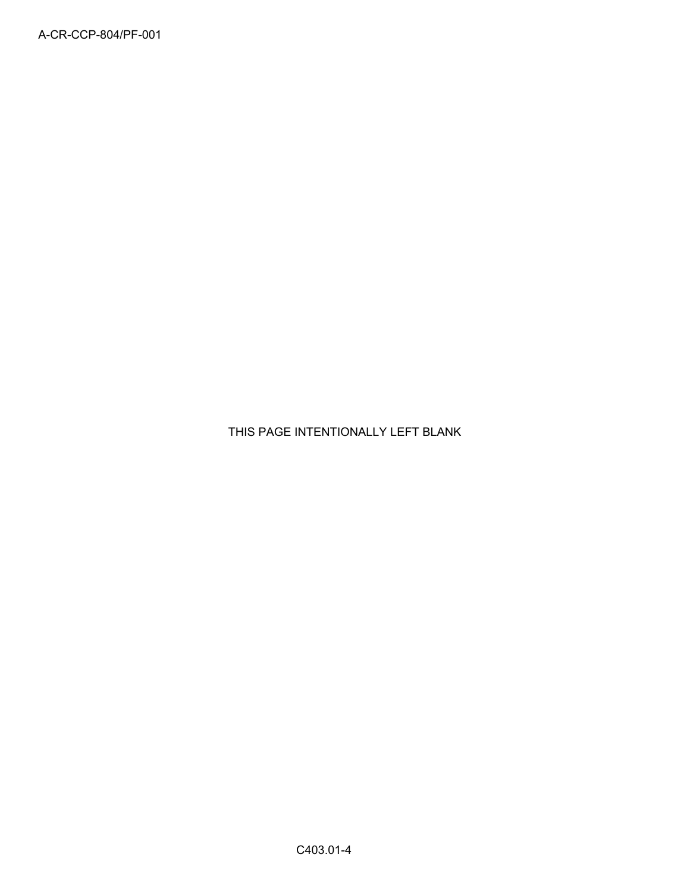THIS PAGE INTENTIONALLY LEFT BLANK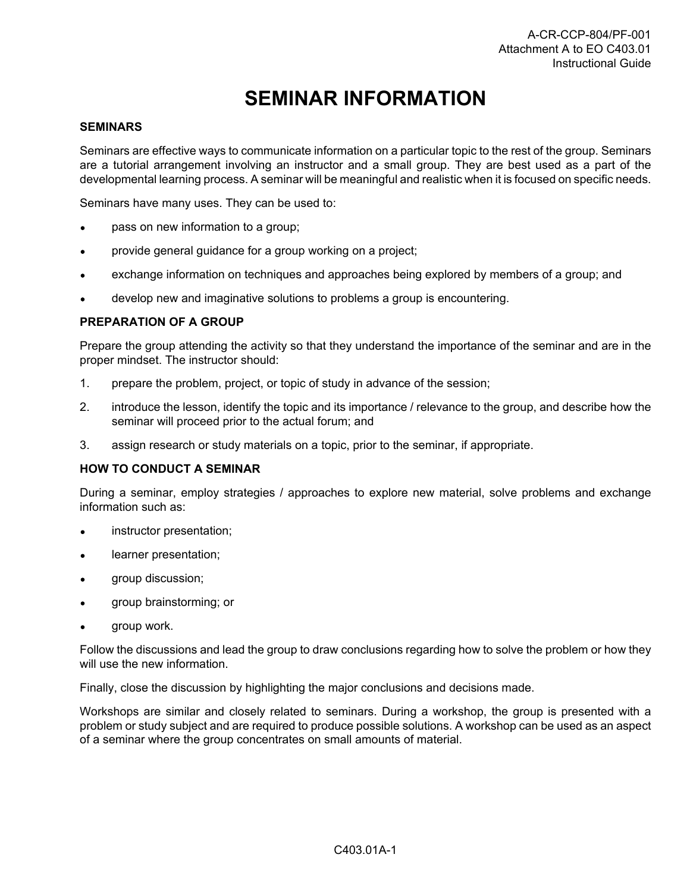# **SEMINAR INFORMATION**

#### **SEMINARS**

Seminars are effective ways to communicate information on a particular topic to the rest of the group. Seminars are a tutorial arrangement involving an instructor and a small group. They are best used as a part of the developmental learning process. A seminar will be meaningful and realistic when it is focused on specific needs.

Seminars have many uses. They can be used to:

- pass on new information to a group;
- provide general guidance for a group working on a project;
- exchange information on techniques and approaches being explored by members of a group; and
- develop new and imaginative solutions to problems a group is encountering.

#### **PREPARATION OF A GROUP**

Prepare the group attending the activity so that they understand the importance of the seminar and are in the proper mindset. The instructor should:

- 1. prepare the problem, project, or topic of study in advance of the session;
- 2. introduce the lesson, identify the topic and its importance / relevance to the group, and describe how the seminar will proceed prior to the actual forum; and
- 3. assign research or study materials on a topic, prior to the seminar, if appropriate.

### **HOW TO CONDUCT A SEMINAR**

During a seminar, employ strategies / approaches to explore new material, solve problems and exchange information such as:

- instructor presentation;  $\bullet$
- learner presentation;
- group discussion;  $\bullet$
- group brainstorming; or
- group work.

Follow the discussions and lead the group to draw conclusions regarding how to solve the problem or how they will use the new information.

Finally, close the discussion by highlighting the major conclusions and decisions made.

Workshops are similar and closely related to seminars. During a workshop, the group is presented with a problem or study subject and are required to produce possible solutions. A workshop can be used as an aspect of a seminar where the group concentrates on small amounts of material.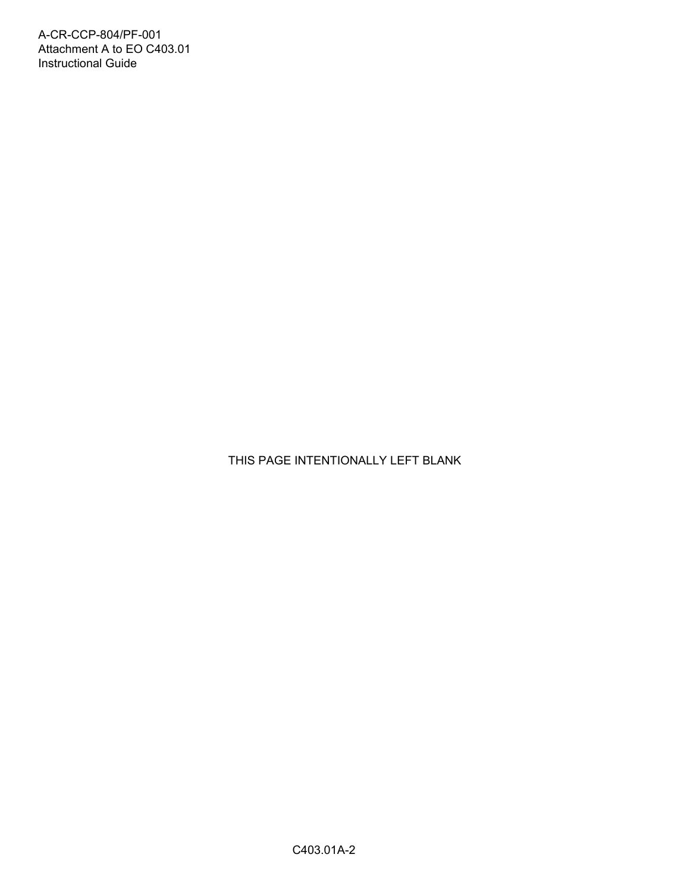A-CR-CCP-804/PF-001 Attachment A to EO C403.01 Instructional Guide

THIS PAGE INTENTIONALLY LEFT BLANK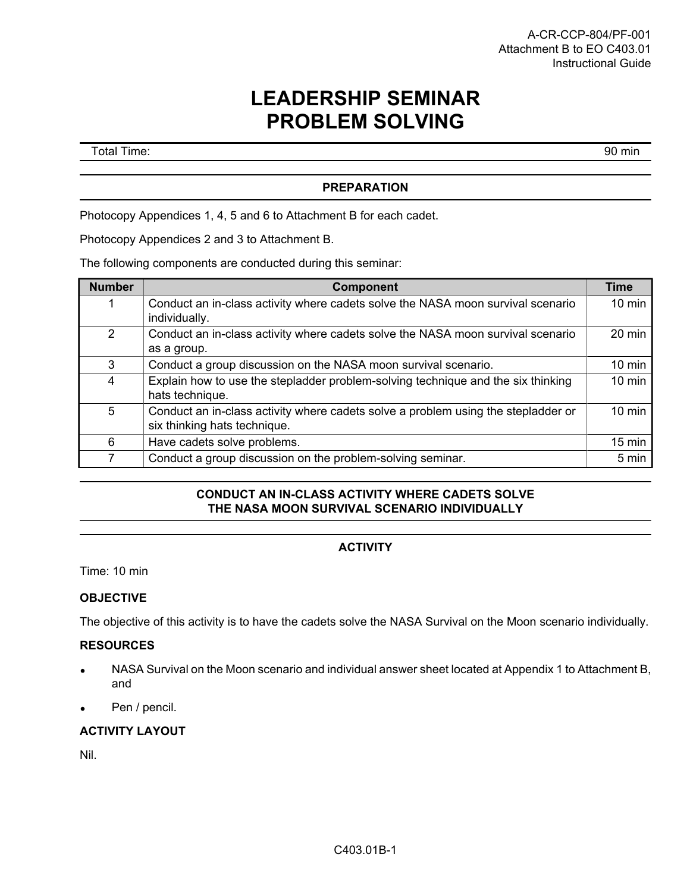# **LEADERSHIP SEMINAR PROBLEM SOLVING**

Total Time: 90 min

### **PREPARATION**

Photocopy Appendices 1, 4, 5 and 6 to Attachment B for each cadet.

Photocopy Appendices 2 and 3 to Attachment B.

The following components are conducted during this seminar:

| <b>Number</b>  | <b>Component</b>                                                                                                  | Time             |
|----------------|-------------------------------------------------------------------------------------------------------------------|------------------|
|                | Conduct an in-class activity where cadets solve the NASA moon survival scenario<br>individually.                  | $10 \text{ min}$ |
| $\overline{2}$ | Conduct an in-class activity where cadets solve the NASA moon survival scenario<br>as a group.                    | 20 min           |
| 3              | Conduct a group discussion on the NASA moon survival scenario.                                                    | $10 \text{ min}$ |
| 4              | Explain how to use the stepladder problem-solving technique and the six thinking<br>hats technique.               | $10$ min         |
| 5              | Conduct an in-class activity where cadets solve a problem using the stepladder or<br>six thinking hats technique. | $10$ min         |
| 6              | Have cadets solve problems.                                                                                       | $15$ min         |
|                | Conduct a group discussion on the problem-solving seminar.                                                        | 5 min            |

### **CONDUCT AN IN-CLASS ACTIVITY WHERE CADETS SOLVE THE NASA MOON SURVIVAL SCENARIO INDIVIDUALLY**

# **ACTIVITY**

Time: 10 min

### **OBJECTIVE**

The objective of this activity is to have the cadets solve the NASA Survival on the Moon scenario individually.

### **RESOURCES**

- NASA Survival on the Moon scenario and individual answer sheet located at Appendix 1 to Attachment B, and
- Pen / pencil.

# **ACTIVITY LAYOUT**

Nil.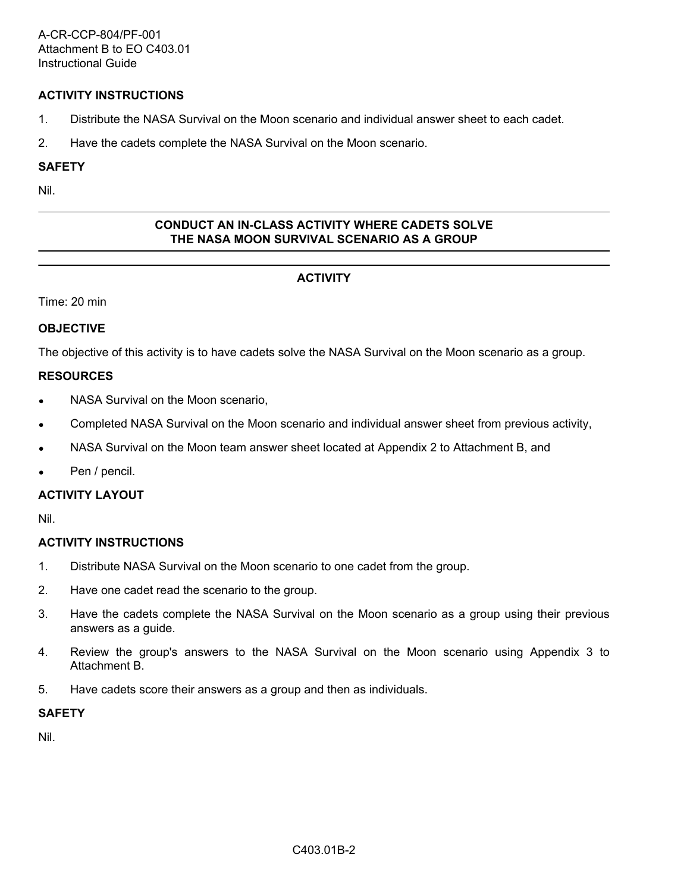A-CR-CCP-804/PF-001 Attachment B to EO C403.01 Instructional Guide

# **ACTIVITY INSTRUCTIONS**

- 1. Distribute the NASA Survival on the Moon scenario and individual answer sheet to each cadet.
- 2. Have the cadets complete the NASA Survival on the Moon scenario.

### **SAFETY**

Nil.

# **CONDUCT AN IN-CLASS ACTIVITY WHERE CADETS SOLVE THE NASA MOON SURVIVAL SCENARIO AS A GROUP**

### **ACTIVITY**

Time: 20 min

#### **OBJECTIVE**

The objective of this activity is to have cadets solve the NASA Survival on the Moon scenario as a group.

#### **RESOURCES**

- NASA Survival on the Moon scenario,
- Completed NASA Survival on the Moon scenario and individual answer sheet from previous activity,  $\bullet$
- NASA Survival on the Moon team answer sheet located at Appendix 2 to Attachment B, and  $\bullet$
- Pen / pencil.  $\bullet$

### **ACTIVITY LAYOUT**

Nil.

#### **ACTIVITY INSTRUCTIONS**

- 1. Distribute NASA Survival on the Moon scenario to one cadet from the group.
- 2. Have one cadet read the scenario to the group.
- 3. Have the cadets complete the NASA Survival on the Moon scenario as a group using their previous answers as a guide.
- 4. Review the group's answers to the NASA Survival on the Moon scenario using Appendix 3 to Attachment B.
- 5. Have cadets score their answers as a group and then as individuals.

### **SAFETY**

Nil.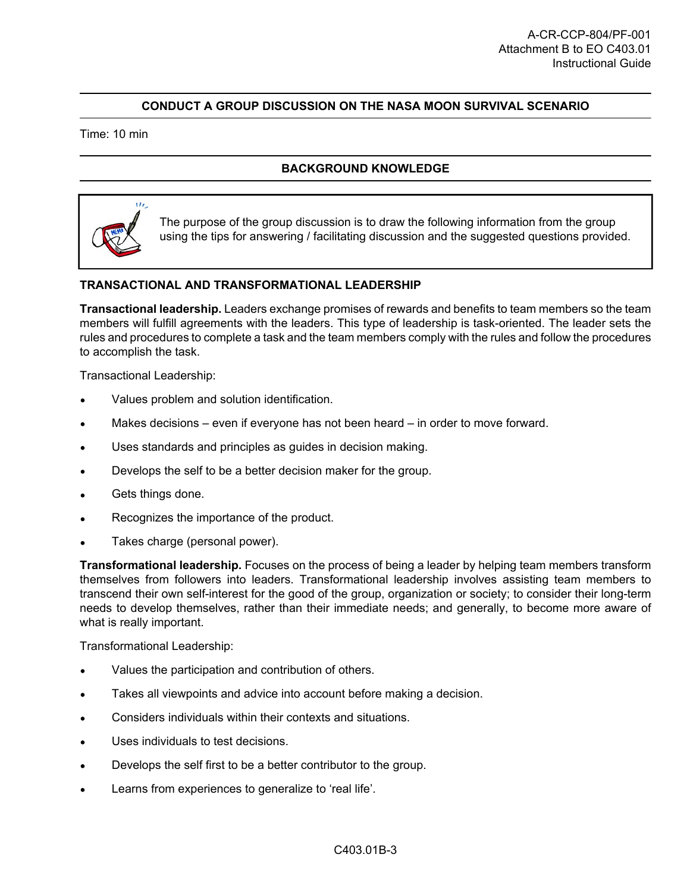## **CONDUCT A GROUP DISCUSSION ON THE NASA MOON SURVIVAL SCENARIO**

Time: 10 min

## **BACKGROUND KNOWLEDGE**



The purpose of the group discussion is to draw the following information from the group using the tips for answering / facilitating discussion and the suggested questions provided.

## **TRANSACTIONAL AND TRANSFORMATIONAL LEADERSHIP**

**Transactional leadership.** Leaders exchange promises of rewards and benefits to team members so the team members will fulfill agreements with the leaders. This type of leadership is task-oriented. The leader sets the rules and procedures to complete a task and the team members comply with the rules and follow the procedures to accomplish the task.

Transactional Leadership:

- Values problem and solution identification.
- Makes decisions even if everyone has not been heard in order to move forward.
- Uses standards and principles as guides in decision making.
- Develops the self to be a better decision maker for the group.
- Gets things done.
- Recognizes the importance of the product.
- Takes charge (personal power).

**Transformational leadership.** Focuses on the process of being a leader by helping team members transform themselves from followers into leaders. Transformational leadership involves assisting team members to transcend their own self-interest for the good of the group, organization or society; to consider their long-term needs to develop themselves, rather than their immediate needs; and generally, to become more aware of what is really important.

Transformational Leadership:

- Values the participation and contribution of others.
- Takes all viewpoints and advice into account before making a decision.
- Considers individuals within their contexts and situations.
- Uses individuals to test decisions.
- Develops the self first to be a better contributor to the group.
- Learns from experiences to generalize to 'real life'.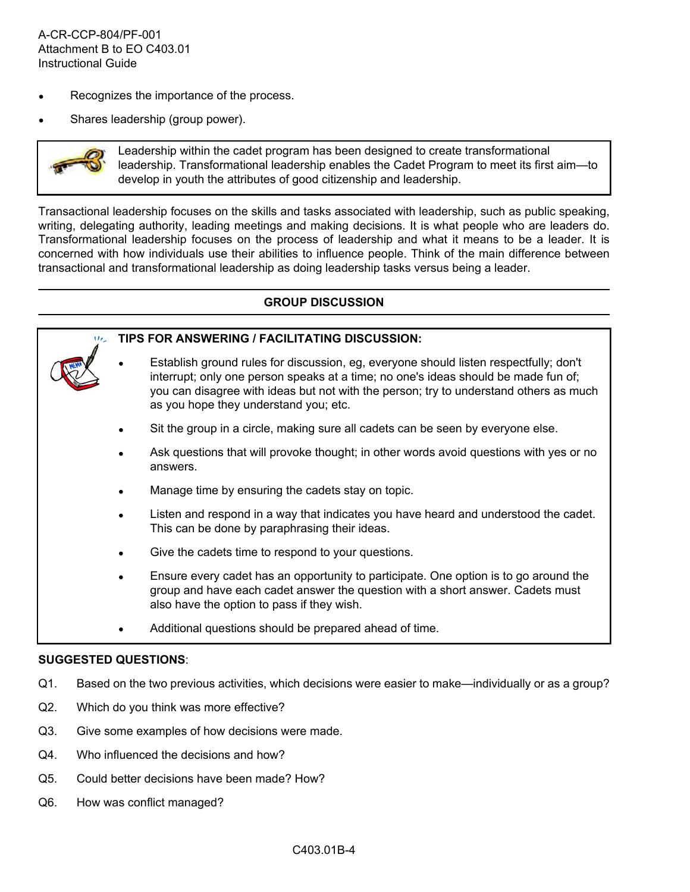A-CR-CCP-804/PF-001 Attachment B to EO C403.01 Instructional Guide

- Recognizes the importance of the process.
- Shares leadership (group power).



Leadership within the cadet program has been designed to create transformational leadership. Transformational leadership enables the Cadet Program to meet its first aim—to develop in youth the attributes of good citizenship and leadership.

Transactional leadership focuses on the skills and tasks associated with leadership, such as public speaking, writing, delegating authority, leading meetings and making decisions. It is what people who are leaders do. Transformational leadership focuses on the process of leadership and what it means to be a leader. It is concerned with how individuals use their abilities to influence people. Think of the main difference between transactional and transformational leadership as doing leadership tasks versus being a leader.

## **GROUP DISCUSSION**



- Q2. Which do you think was more effective?
- Q3. Give some examples of how decisions were made.
- Q4. Who influenced the decisions and how?
- Q5. Could better decisions have been made? How?
- Q6. How was conflict managed?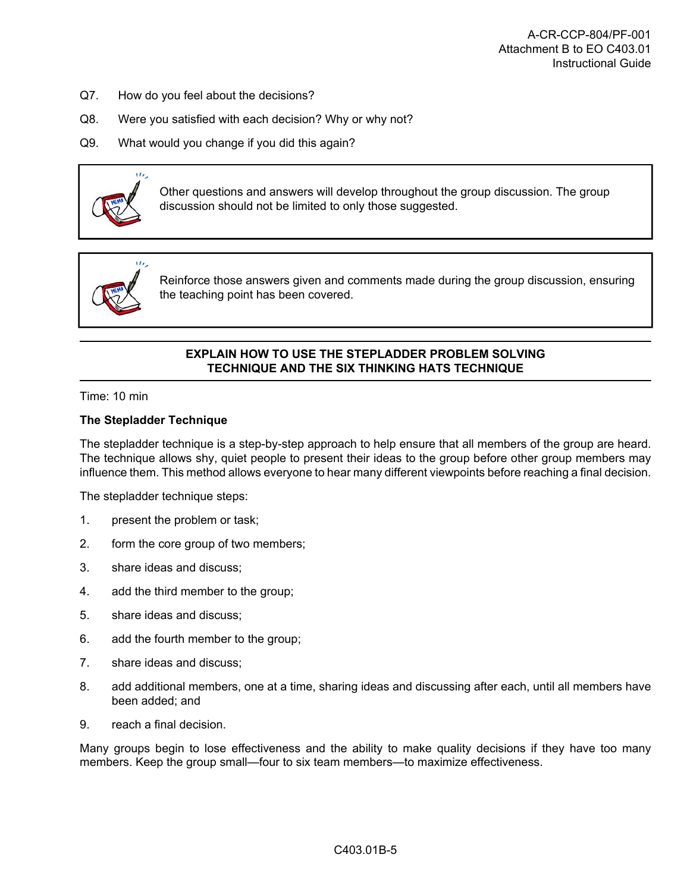- Q7. How do you feel about the decisions?
- Q8. Were you satisfied with each decision? Why or why not?
- Q9. What would you change if you did this again?



Other questions and answers will develop throughout the group discussion. The group discussion should not be limited to only those suggested.



Reinforce those answers given and comments made during the group discussion, ensuring the teaching point has been covered.

## **EXPLAIN HOW TO USE THE STEPLADDER PROBLEM SOLVING TECHNIQUE AND THE SIX THINKING HATS TECHNIQUE**

Time: 10 min

#### **The Stepladder Technique**

The stepladder technique is a step-by-step approach to help ensure that all members of the group are heard. The technique allows shy, quiet people to present their ideas to the group before other group members may influence them. This method allows everyone to hear many different viewpoints before reaching a final decision.

The stepladder technique steps:

- 1. present the problem or task;
- 2. form the core group of two members;
- 3. share ideas and discuss;
- 4. add the third member to the group;
- 5. share ideas and discuss;
- 6. add the fourth member to the group;
- 7. share ideas and discuss;
- 8. add additional members, one at a time, sharing ideas and discussing after each, until all members have been added; and
- 9. reach a final decision.

Many groups begin to lose effectiveness and the ability to make quality decisions if they have too many members. Keep the group small—four to six team members—to maximize effectiveness.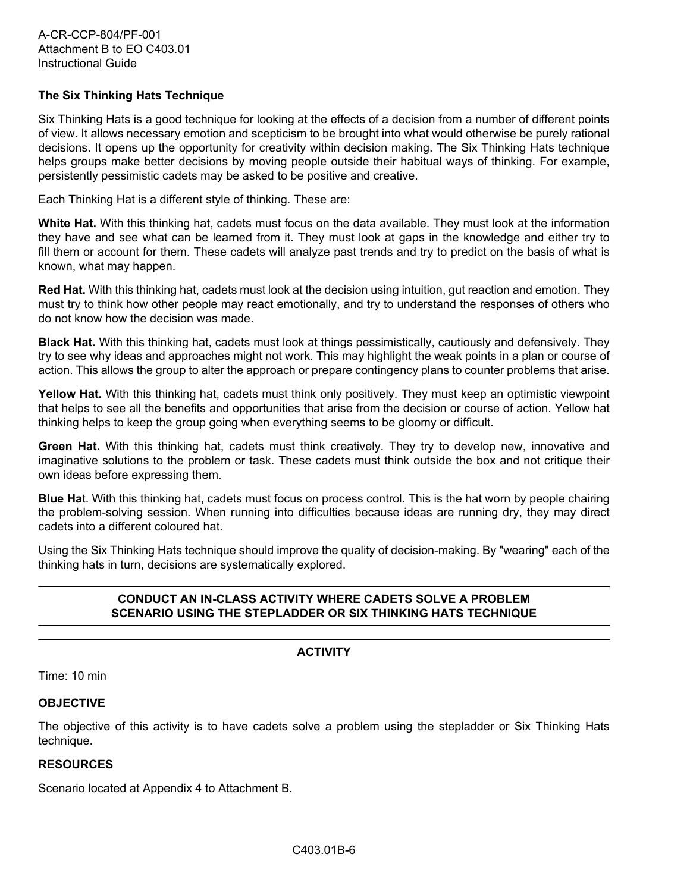## **The Six Thinking Hats Technique**

Six Thinking Hats is a good technique for looking at the effects of a decision from a number of different points of view. It allows necessary emotion and scepticism to be brought into what would otherwise be purely rational decisions. It opens up the opportunity for creativity within decision making. The Six Thinking Hats technique helps groups make better decisions by moving people outside their habitual ways of thinking. For example, persistently pessimistic cadets may be asked to be positive and creative.

Each Thinking Hat is a different style of thinking. These are:

**White Hat.** With this thinking hat, cadets must focus on the data available. They must look at the information they have and see what can be learned from it. They must look at gaps in the knowledge and either try to fill them or account for them. These cadets will analyze past trends and try to predict on the basis of what is known, what may happen.

**Red Hat.** With this thinking hat, cadets must look at the decision using intuition, gut reaction and emotion. They must try to think how other people may react emotionally, and try to understand the responses of others who do not know how the decision was made.

**Black Hat.** With this thinking hat, cadets must look at things pessimistically, cautiously and defensively. They try to see why ideas and approaches might not work. This may highlight the weak points in a plan or course of action. This allows the group to alter the approach or prepare contingency plans to counter problems that arise.

**Yellow Hat.** With this thinking hat, cadets must think only positively. They must keep an optimistic viewpoint that helps to see all the benefits and opportunities that arise from the decision or course of action. Yellow hat thinking helps to keep the group going when everything seems to be gloomy or difficult.

**Green Hat.** With this thinking hat, cadets must think creatively. They try to develop new, innovative and imaginative solutions to the problem or task. These cadets must think outside the box and not critique their own ideas before expressing them.

**Blue Ha**t. With this thinking hat, cadets must focus on process control. This is the hat worn by people chairing the problem-solving session. When running into difficulties because ideas are running dry, they may direct cadets into a different coloured hat.

Using the Six Thinking Hats technique should improve the quality of decision-making. By "wearing" each of the thinking hats in turn, decisions are systematically explored.

## **CONDUCT AN IN-CLASS ACTIVITY WHERE CADETS SOLVE A PROBLEM SCENARIO USING THE STEPLADDER OR SIX THINKING HATS TECHNIQUE**

## **ACTIVITY**

Time: 10 min

## **OBJECTIVE**

The objective of this activity is to have cadets solve a problem using the stepladder or Six Thinking Hats technique.

#### **RESOURCES**

Scenario located at Appendix 4 to Attachment B.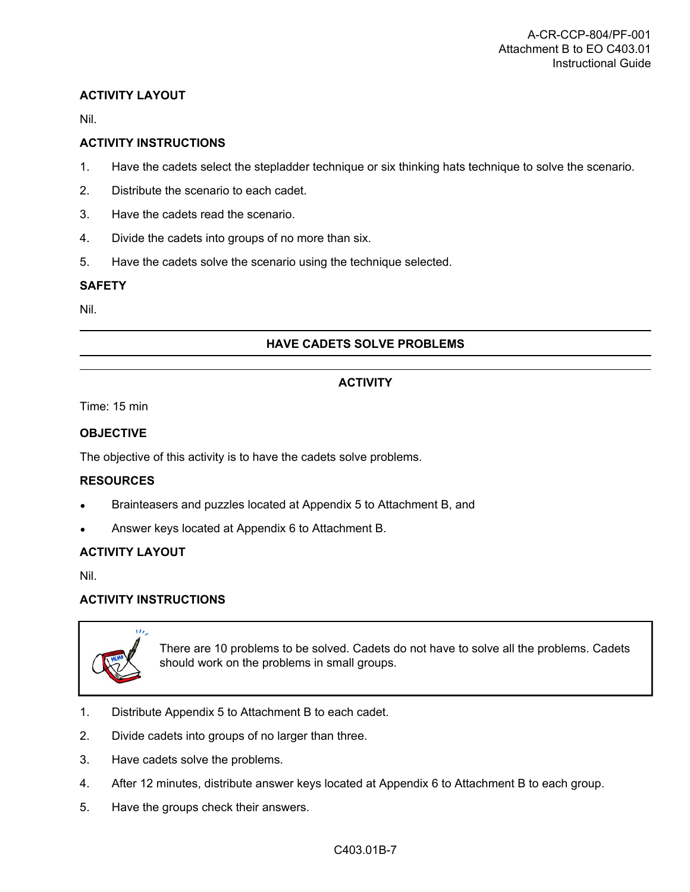# A-CR-CCP-804/PF-001 Attachment B to EO C403.01 Instructional Guide

# **ACTIVITY LAYOUT**

Nil.

## **ACTIVITY INSTRUCTIONS**

- 1. Have the cadets select the stepladder technique or six thinking hats technique to solve the scenario.
- 2. Distribute the scenario to each cadet.
- 3. Have the cadets read the scenario.
- 4. Divide the cadets into groups of no more than six.
- 5. Have the cadets solve the scenario using the technique selected.

## **SAFETY**

Nil.

## **HAVE CADETS SOLVE PROBLEMS**

# **ACTIVITY**

Time: 15 min

## **OBJECTIVE**

The objective of this activity is to have the cadets solve problems.

## **RESOURCES**

- Brainteasers and puzzles located at Appendix 5 to Attachment B, and
- Answer keys located at Appendix 6 to Attachment B.

# **ACTIVITY LAYOUT**

Nil.

## **ACTIVITY INSTRUCTIONS**



There are 10 problems to be solved. Cadets do not have to solve all the problems. Cadets should work on the problems in small groups.

- 1. Distribute Appendix 5 to Attachment B to each cadet.
- 2. Divide cadets into groups of no larger than three.
- 3. Have cadets solve the problems.
- 4. After 12 minutes, distribute answer keys located at Appendix 6 to Attachment B to each group.
- 5. Have the groups check their answers.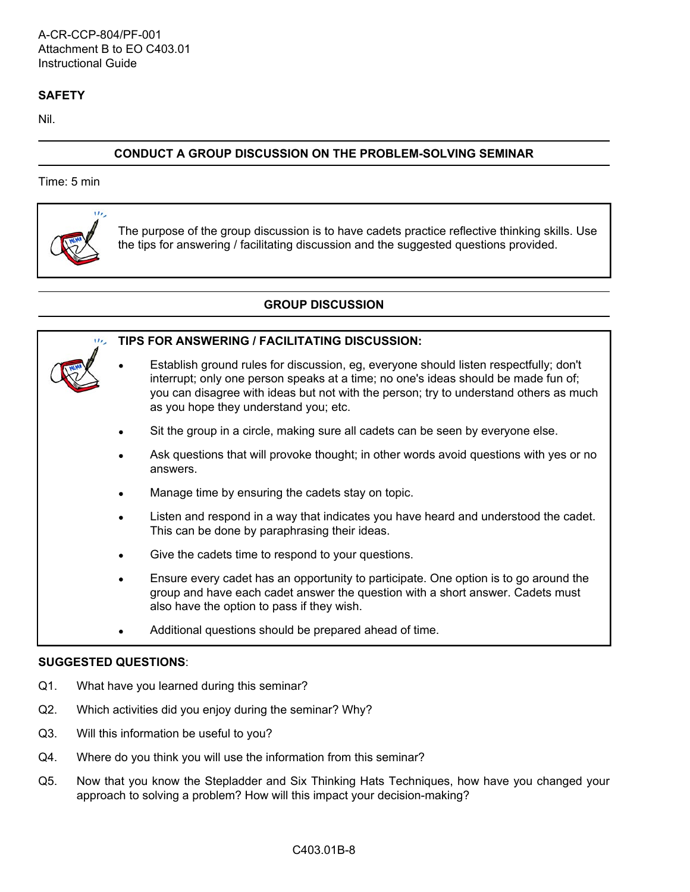## A-CR-CCP-804/PF-001 Attachment B to EO C403.01 Instructional Guide

## **SAFETY**

Nil.

## **CONDUCT A GROUP DISCUSSION ON THE PROBLEM-SOLVING SEMINAR**

#### Time: 5 min



The purpose of the group discussion is to have cadets practice reflective thinking skills. Use the tips for answering / facilitating discussion and the suggested questions provided.

## **GROUP DISCUSSION**

- Establish ground rules for discussion, eg, everyone should listen respectfully; don't interrupt; only one person speaks at a time; no one's ideas should be made fun of; you can disagree with ideas but not with the person; try to understand others as much as you hope they understand you; etc.
	- Sit the group in a circle, making sure all cadets can be seen by everyone else.  $\bullet$
	- Ask questions that will provoke thought; in other words avoid questions with yes or no answers.
	- Manage time by ensuring the cadets stay on topic.  $\bullet$

**TIPS FOR ANSWERING / FACILITATING DISCUSSION:**

- Listen and respond in a way that indicates you have heard and understood the cadet. This can be done by paraphrasing their ideas.
- Give the cadets time to respond to your questions.  $\bullet$
- Ensure every cadet has an opportunity to participate. One option is to go around the group and have each cadet answer the question with a short answer. Cadets must also have the option to pass if they wish.
- Additional questions should be prepared ahead of time.

#### **SUGGESTED QUESTIONS**:

- Q1. What have you learned during this seminar?
- Q2. Which activities did you enjoy during the seminar? Why?
- Q3. Will this information be useful to you?
- Q4. Where do you think you will use the information from this seminar?
- Q5. Now that you know the Stepladder and Six Thinking Hats Techniques, how have you changed your approach to solving a problem? How will this impact your decision-making?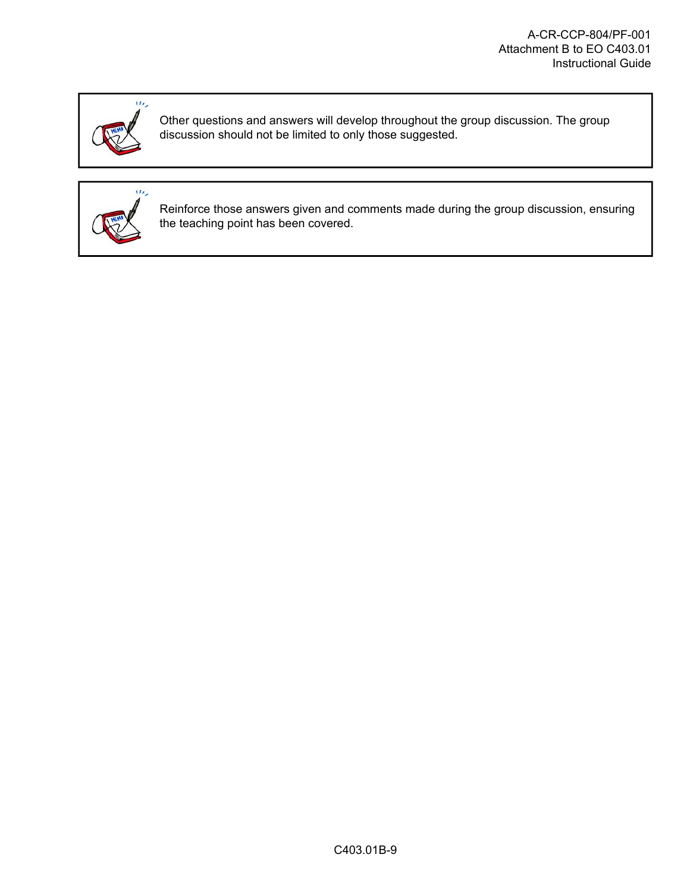

Other questions and answers will develop throughout the group discussion. The group discussion should not be limited to only those suggested.



Reinforce those answers given and comments made during the group discussion, ensuring the teaching point has been covered.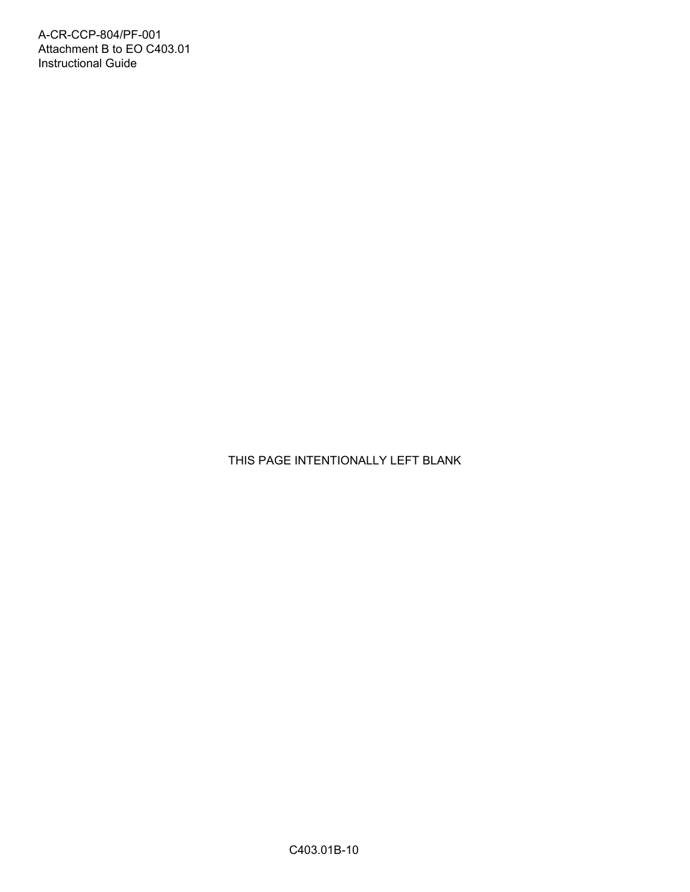A-CR-CCP-804/PF-001 Attachment B to EO C403.01 Instructional Guide

THIS PAGE INTENTIONALLY LEFT BLANK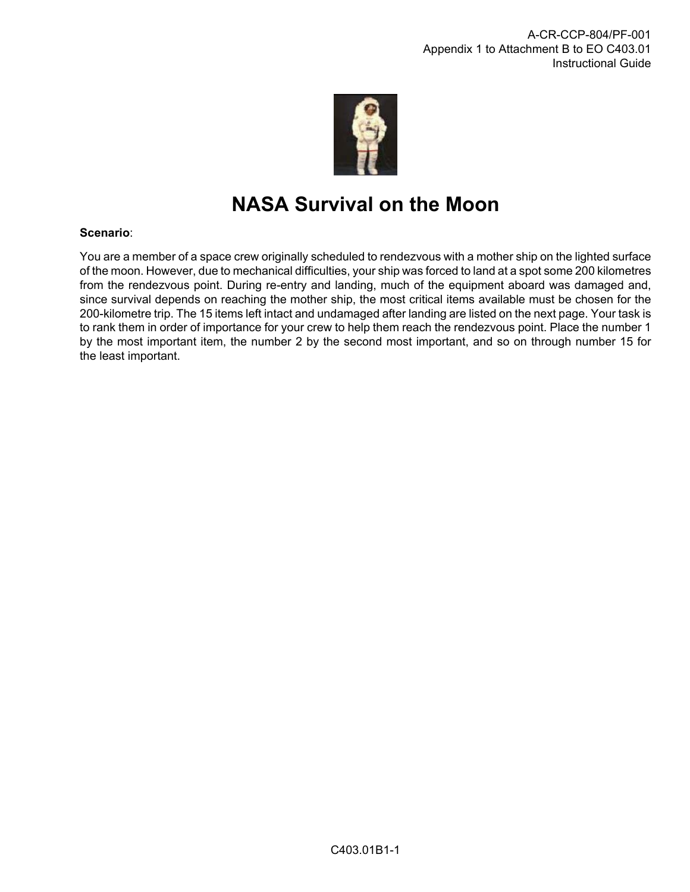

# **NASA Survival on the Moon**

## **Scenario**:

You are a member of a space crew originally scheduled to rendezvous with a mother ship on the lighted surface of the moon. However, due to mechanical difficulties, your ship was forced to land at a spot some 200 kilometres from the rendezvous point. During re-entry and landing, much of the equipment aboard was damaged and, since survival depends on reaching the mother ship, the most critical items available must be chosen for the 200-kilometre trip. The 15 items left intact and undamaged after landing are listed on the next page. Your task is to rank them in order of importance for your crew to help them reach the rendezvous point. Place the number 1 by the most important item, the number 2 by the second most important, and so on through number 15 for the least important.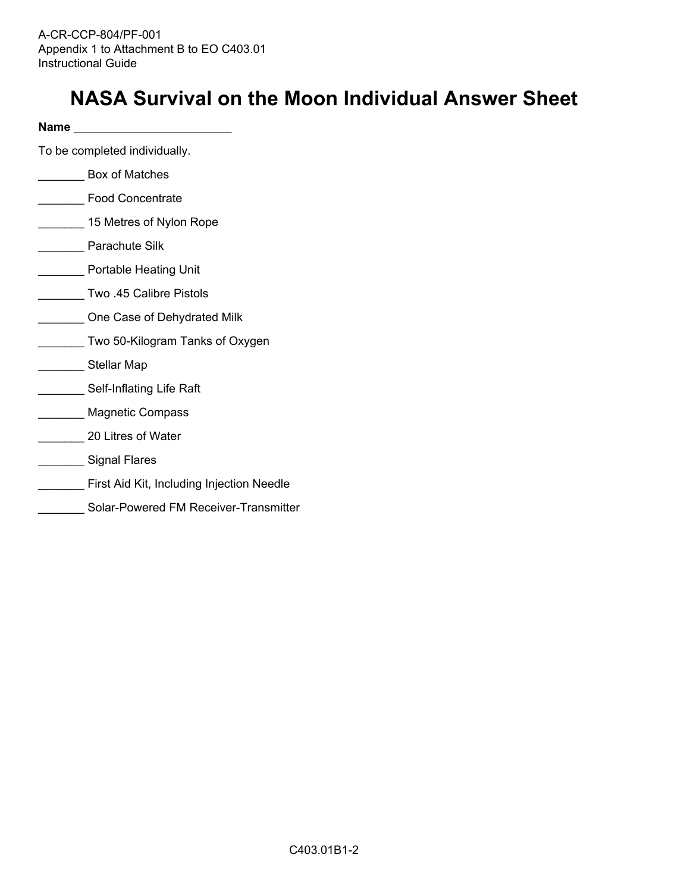# **NASA Survival on the Moon Individual Answer Sheet**

**Name** \_\_\_\_\_\_\_\_\_\_\_\_\_\_\_\_\_\_\_\_\_\_\_\_ To be completed individually. \_\_\_\_\_\_\_ Box of Matches **Example 2** Food Concentrate **\_\_\_\_\_\_\_\_\_\_ 15 Metres of Nylon Rope** \_\_\_\_\_\_\_ Parachute Silk \_\_\_\_\_\_\_ Portable Heating Unit \_\_\_\_\_\_\_ Two .45 Calibre Pistols **CORE Case of Dehydrated Milk Two 50-Kilogram Tanks of Oxygen** \_\_\_\_\_\_\_ Stellar Map \_\_\_\_\_\_\_\_\_\_ Self-Inflating Life Raft \_\_\_\_\_\_\_ Magnetic Compass \_\_\_\_\_\_\_ 20 Litres of Water \_\_\_\_\_\_\_ Signal Flares \_\_\_\_\_\_\_ First Aid Kit, Including Injection Needle **EXAMPE SOLART-Powered FM Receiver-Transmitter**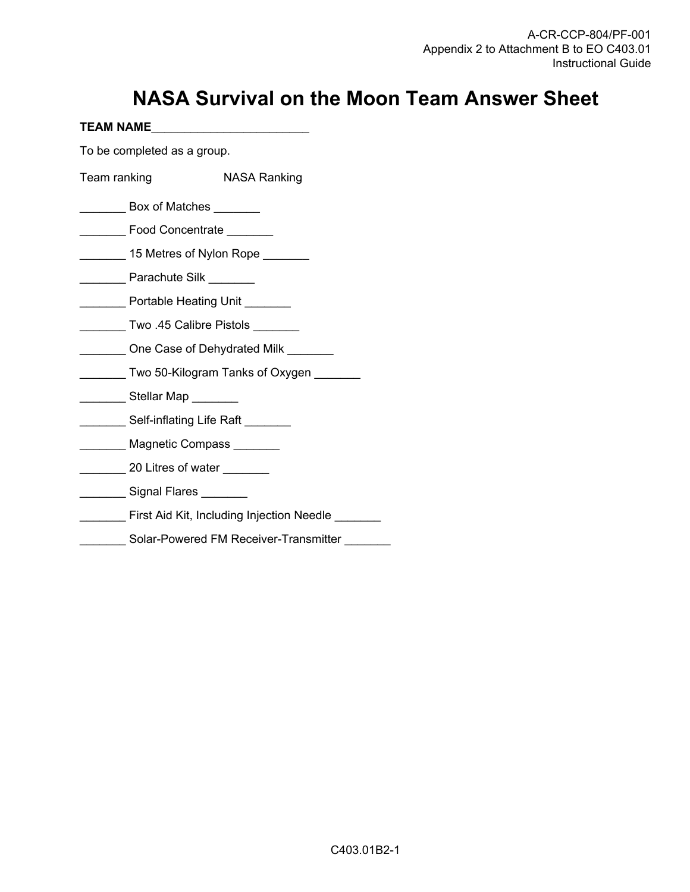# **NASA Survival on the Moon Team Answer Sheet**

**TEAM NAME**\_\_\_\_\_\_\_\_\_\_\_\_\_\_\_\_\_\_\_\_\_\_\_\_ To be completed as a group. Team ranking NASA Ranking Exp. of Matches **Exp. 2.1 Exp. 2.1 Exp. 2.1 Exp. 2.1 Exp. 2.1 Exp. 2.1 Exp. 2.1 Exp. 2.1 Exp. 2.1 Exp. 2.1 Exp. 2.1 Exp. 2.1 Exp. 2.1 Exp. 2.1 Exp. 2.1 Exp. 2.1 Exp. 2.1 Exp. 2.1 Exp. 2.1 Exp. 2.1 Exp. 2.1 Exp. 2.1 Exp. 2.** Food Concentrate \_\_\_\_\_\_\_ 15 Metres of Nylon Rope \_\_\_\_\_\_\_ **Example 2** Parachute Silk **Landsler** Letter Portable Heating Unit Letter Letter \_\_\_\_\_\_\_ Two .45 Calibre Pistols \_\_\_\_\_\_\_ \_\_\_\_\_\_\_ One Case of Dehydrated Milk \_\_\_\_\_\_\_ \_\_\_\_\_\_\_ Two 50-Kilogram Tanks of Oxygen \_\_\_\_\_\_\_ Stellar Map **EXECUTE:** Self-inflating Life Raft \_\_\_\_\_\_\_ Magnetic Compass \_\_\_\_\_\_\_ **Example 20 Litres of water \_\_\_\_\_\_\_\_** \_\_\_\_\_\_\_ Signal Flares \_\_\_\_\_\_\_ **Example 20 First Aid Kit, Including Injection Needle \_\_\_\_\_\_\_\_** \_\_\_\_\_\_\_\_\_ Solar-Powered FM Receiver-Transmitter \_\_\_\_\_\_\_\_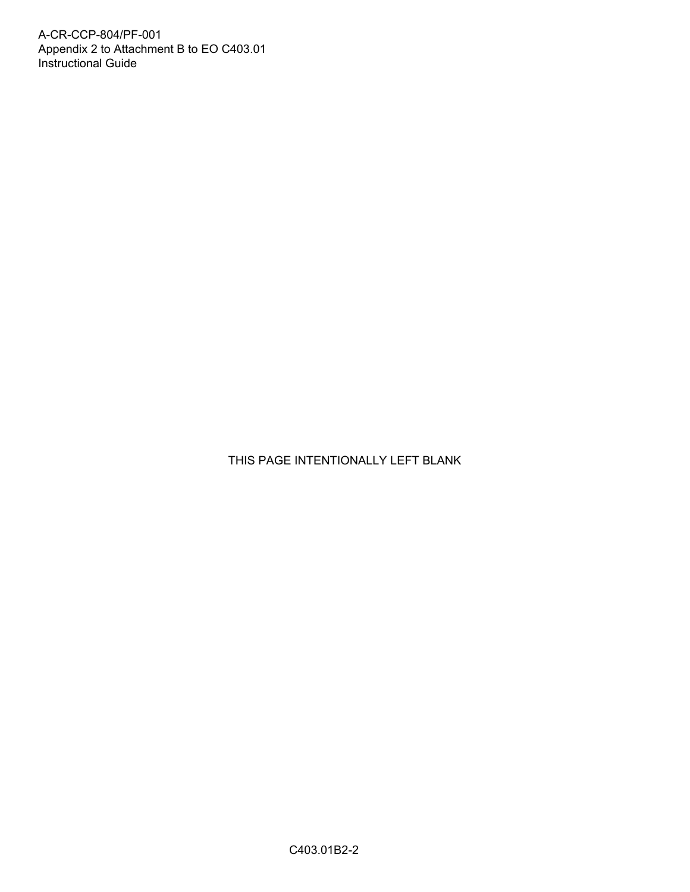A-CR-CCP-804/PF-001 Appendix 2 to Attachment B to EO C403.01 Instructional Guide

THIS PAGE INTENTIONALLY LEFT BLANK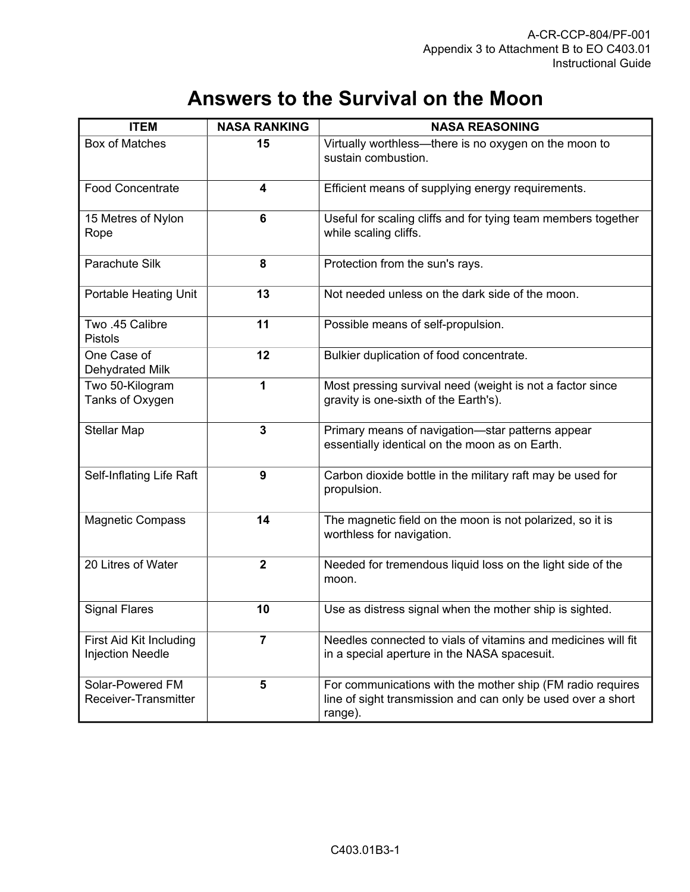# **Answers to the Survival on the Moon**

| <b>ITEM</b>                                        | <b>NASA RANKING</b> | <b>NASA REASONING</b>                                                                                                                 |  |  |
|----------------------------------------------------|---------------------|---------------------------------------------------------------------------------------------------------------------------------------|--|--|
| <b>Box of Matches</b>                              | 15                  | Virtually worthless-there is no oxygen on the moon to<br>sustain combustion.                                                          |  |  |
| <b>Food Concentrate</b>                            | 4                   | Efficient means of supplying energy requirements.                                                                                     |  |  |
| 15 Metres of Nylon<br>Rope                         | 6                   | Useful for scaling cliffs and for tying team members together<br>while scaling cliffs.                                                |  |  |
| Parachute Silk                                     | 8                   | Protection from the sun's rays.                                                                                                       |  |  |
| Portable Heating Unit                              | 13                  | Not needed unless on the dark side of the moon.                                                                                       |  |  |
| Two .45 Calibre<br><b>Pistols</b>                  | 11                  | Possible means of self-propulsion.                                                                                                    |  |  |
| One Case of<br>Dehydrated Milk                     | 12                  | Bulkier duplication of food concentrate.                                                                                              |  |  |
| Two 50-Kilogram<br>Tanks of Oxygen                 | 1                   | Most pressing survival need (weight is not a factor since<br>gravity is one-sixth of the Earth's).                                    |  |  |
| Stellar Map                                        | 3                   | Primary means of navigation-star patterns appear<br>essentially identical on the moon as on Earth.                                    |  |  |
| Self-Inflating Life Raft                           | 9                   | Carbon dioxide bottle in the military raft may be used for<br>propulsion.                                                             |  |  |
| <b>Magnetic Compass</b>                            | 14                  | The magnetic field on the moon is not polarized, so it is<br>worthless for navigation.                                                |  |  |
| 20 Litres of Water                                 | $\overline{2}$      | Needed for tremendous liquid loss on the light side of the<br>moon.                                                                   |  |  |
| <b>Signal Flares</b>                               | 10                  | Use as distress signal when the mother ship is sighted.                                                                               |  |  |
| First Aid Kit Including<br><b>Injection Needle</b> | 7                   | Needles connected to vials of vitamins and medicines will fit<br>in a special aperture in the NASA spacesuit.                         |  |  |
| Solar-Powered FM<br>Receiver-Transmitter           | 5                   | For communications with the mother ship (FM radio requires<br>line of sight transmission and can only be used over a short<br>range). |  |  |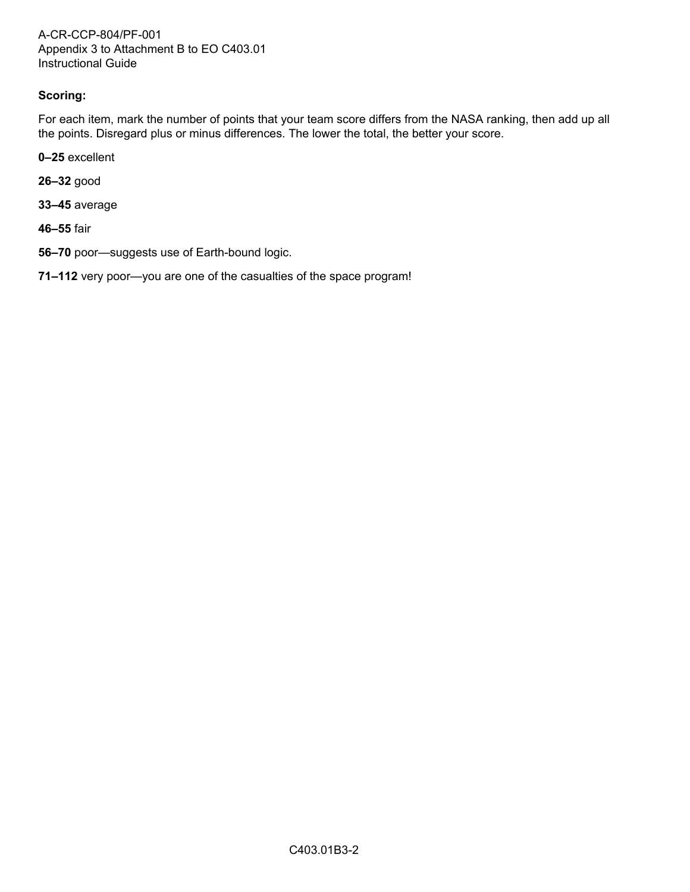# A-CR-CCP-804/PF-001 Appendix 3 to Attachment B to EO C403.01 Instructional Guide

## **Scoring:**

For each item, mark the number of points that your team score differs from the NASA ranking, then add up all the points. Disregard plus or minus differences. The lower the total, the better your score.

**0–25** excellent

- **26–32** good
- **33–45** average
- **46–55** fair
- **56–70** poor—suggests use of Earth-bound logic.
- **71–112** very poor—you are one of the casualties of the space program!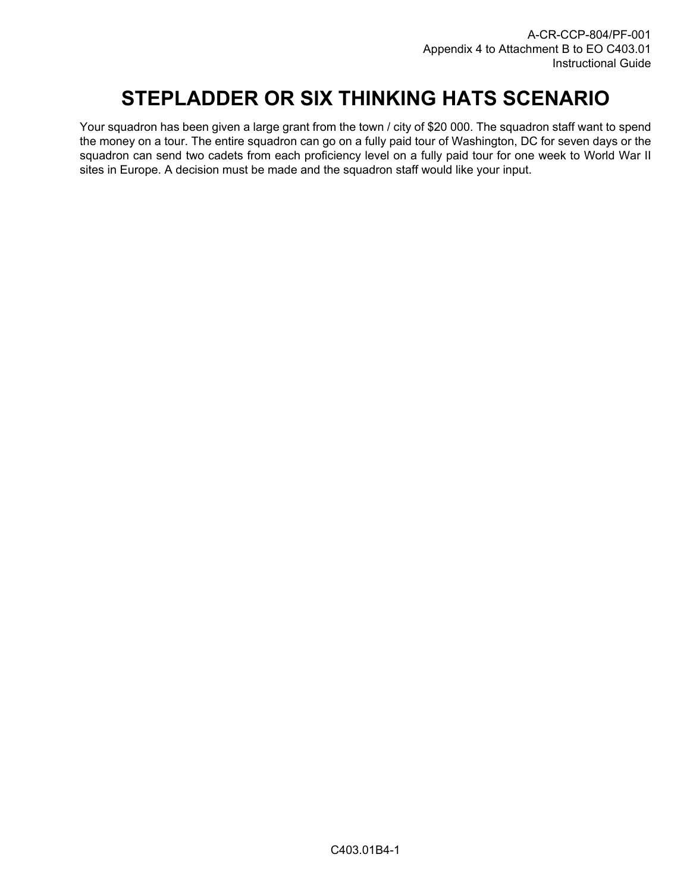# **STEPLADDER OR SIX THINKING HATS SCENARIO**

Your squadron has been given a large grant from the town / city of \$20 000. The squadron staff want to spend the money on a tour. The entire squadron can go on a fully paid tour of Washington, DC for seven days or the squadron can send two cadets from each proficiency level on a fully paid tour for one week to World War II sites in Europe. A decision must be made and the squadron staff would like your input.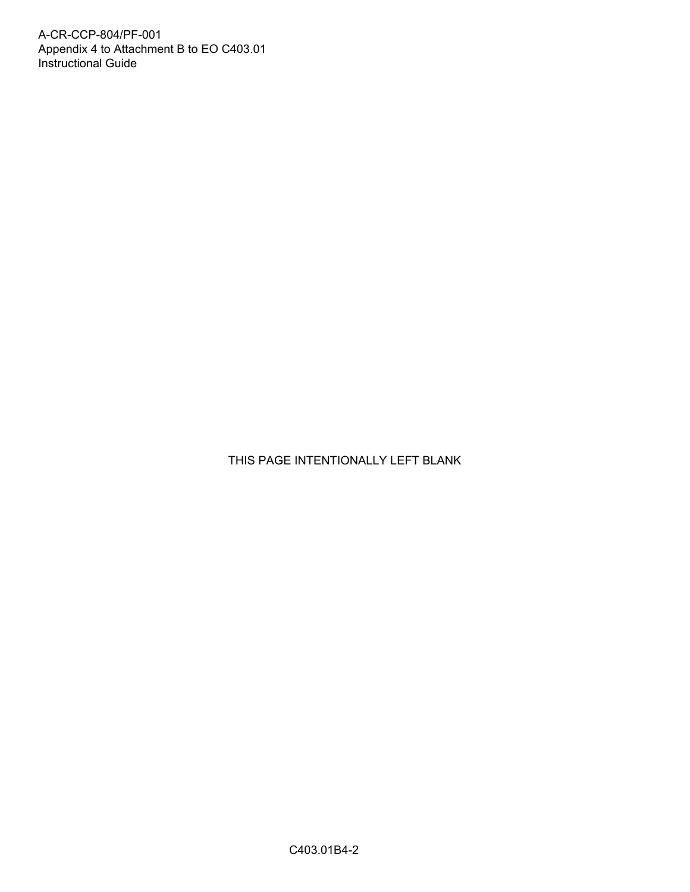A-CR-CCP-804/PF-001 Appendix 4 to Attachment B to EO C403.01 Instructional Guide

THIS PAGE INTENTIONALLY LEFT BLANK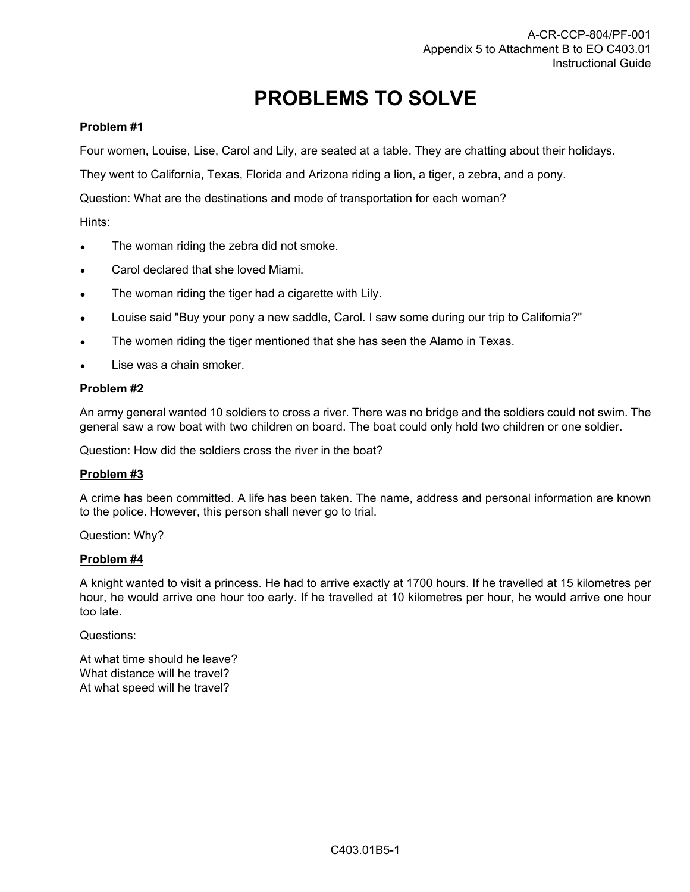# **PROBLEMS TO SOLVE**

# **Problem #1**

Four women, Louise, Lise, Carol and Lily, are seated at a table. They are chatting about their holidays.

They went to California, Texas, Florida and Arizona riding a lion, a tiger, a zebra, and a pony.

Question: What are the destinations and mode of transportation for each woman?

Hints:

- The woman riding the zebra did not smoke.
- Carol declared that she loved Miami.
- The woman riding the tiger had a cigarette with Lily.
- Louise said "Buy your pony a new saddle, Carol. I saw some during our trip to California?"
- The women riding the tiger mentioned that she has seen the Alamo in Texas.
- Lise was a chain smoker.

## **Problem #2**

An army general wanted 10 soldiers to cross a river. There was no bridge and the soldiers could not swim. The general saw a row boat with two children on board. The boat could only hold two children or one soldier.

Question: How did the soldiers cross the river in the boat?

## **Problem #3**

A crime has been committed. A life has been taken. The name, address and personal information are known to the police. However, this person shall never go to trial.

Question: Why?

## **Problem #4**

A knight wanted to visit a princess. He had to arrive exactly at 1700 hours. If he travelled at 15 kilometres per hour, he would arrive one hour too early. If he travelled at 10 kilometres per hour, he would arrive one hour too late.

Questions:

At what time should he leave? What distance will he travel? At what speed will he travel?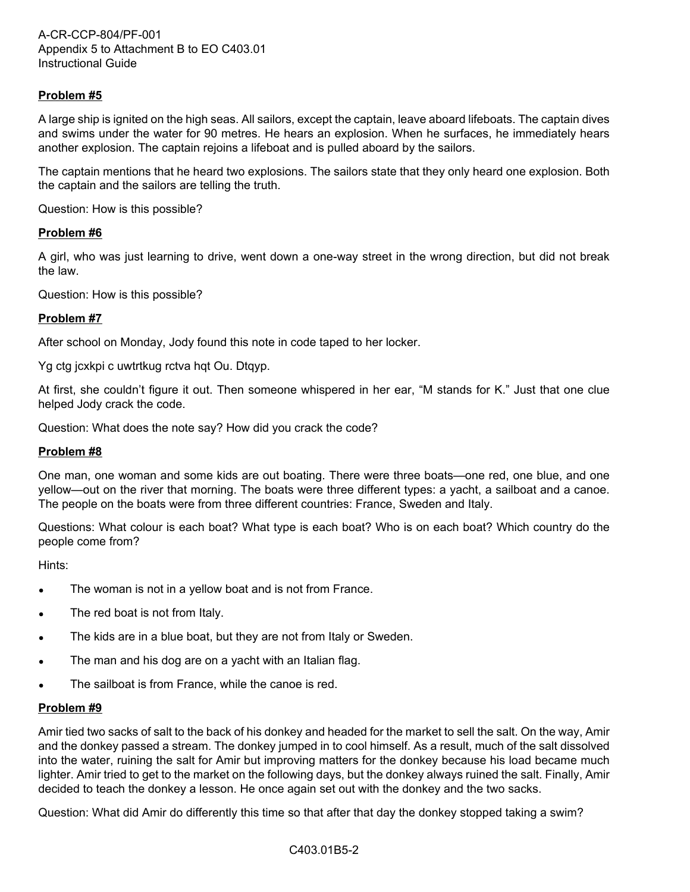# **Problem #5**

A large ship is ignited on the high seas. All sailors, except the captain, leave aboard lifeboats. The captain dives and swims under the water for 90 metres. He hears an explosion. When he surfaces, he immediately hears another explosion. The captain rejoins a lifeboat and is pulled aboard by the sailors.

The captain mentions that he heard two explosions. The sailors state that they only heard one explosion. Both the captain and the sailors are telling the truth.

Question: How is this possible?

## **Problem #6**

A girl, who was just learning to drive, went down a one-way street in the wrong direction, but did not break the law.

Question: How is this possible?

## **Problem #7**

After school on Monday, Jody found this note in code taped to her locker.

Yg ctg jcxkpi c uwtrtkug rctva hqt Ou. Dtqyp.

At first, she couldn't figure it out. Then someone whispered in her ear, "M stands for K." Just that one clue helped Jody crack the code.

Question: What does the note say? How did you crack the code?

#### **Problem #8**

One man, one woman and some kids are out boating. There were three boats—one red, one blue, and one yellow—out on the river that morning. The boats were three different types: a yacht, a sailboat and a canoe. The people on the boats were from three different countries: France, Sweden and Italy.

Questions: What colour is each boat? What type is each boat? Who is on each boat? Which country do the people come from?

Hints:

- The woman is not in a yellow boat and is not from France.  $\bullet$
- The red boat is not from Italy.  $\bullet$
- The kids are in a blue boat, but they are not from Italy or Sweden.  $\bullet$
- The man and his dog are on a yacht with an Italian flag.  $\bullet$
- The sailboat is from France, while the canoe is red.

#### **Problem #9**

Amir tied two sacks of salt to the back of his donkey and headed for the market to sell the salt. On the way, Amir and the donkey passed a stream. The donkey jumped in to cool himself. As a result, much of the salt dissolved into the water, ruining the salt for Amir but improving matters for the donkey because his load became much lighter. Amir tried to get to the market on the following days, but the donkey always ruined the salt. Finally, Amir decided to teach the donkey a lesson. He once again set out with the donkey and the two sacks.

Question: What did Amir do differently this time so that after that day the donkey stopped taking a swim?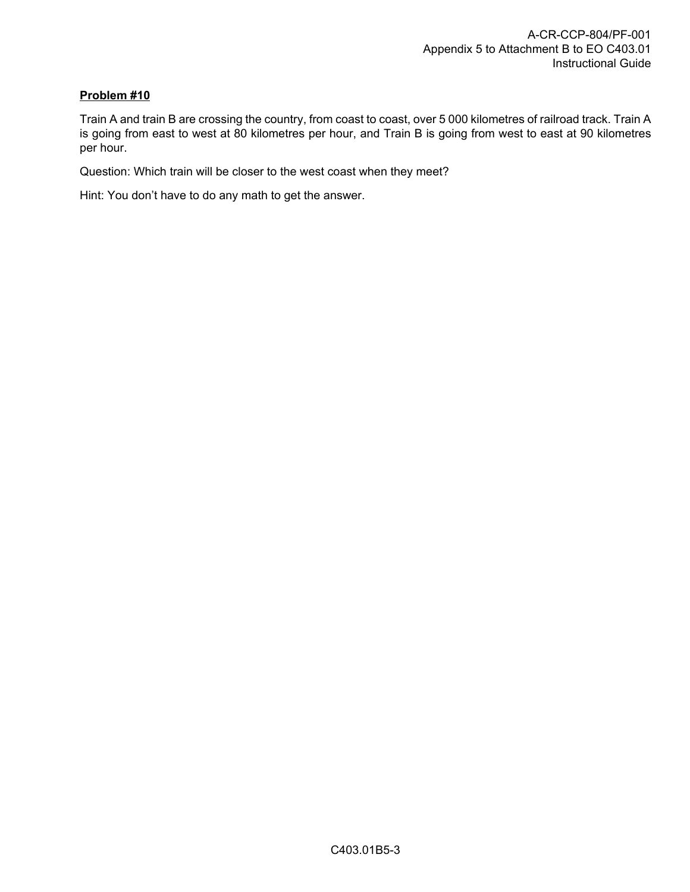# **Problem #10**

Train A and train B are crossing the country, from coast to coast, over 5 000 kilometres of railroad track. Train A is going from east to west at 80 kilometres per hour, and Train B is going from west to east at 90 kilometres per hour.

Question: Which train will be closer to the west coast when they meet?

Hint: You don't have to do any math to get the answer.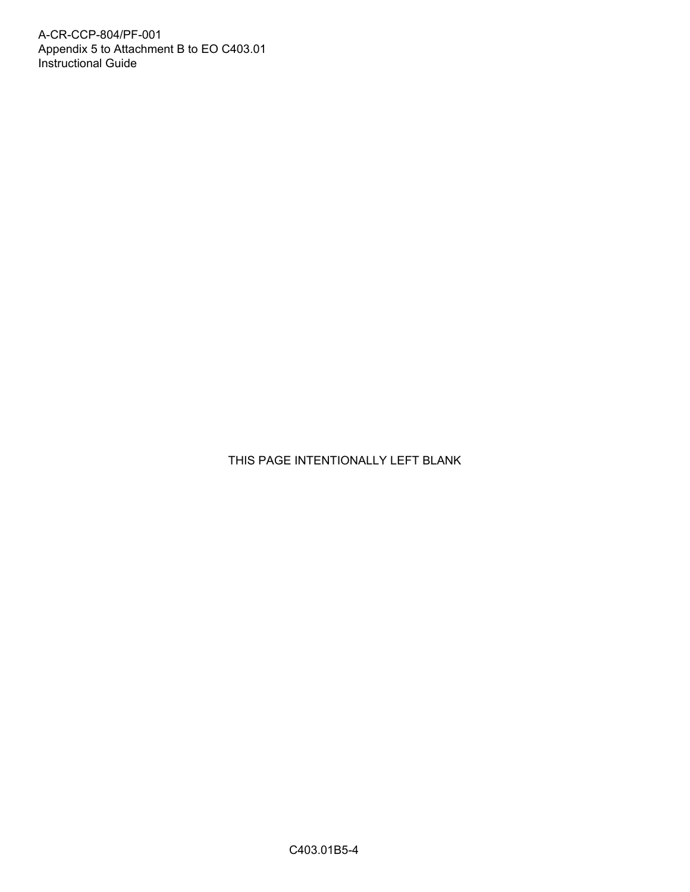A-CR-CCP-804/PF-001 Appendix 5 to Attachment B to EO C403.01 Instructional Guide

THIS PAGE INTENTIONALLY LEFT BLANK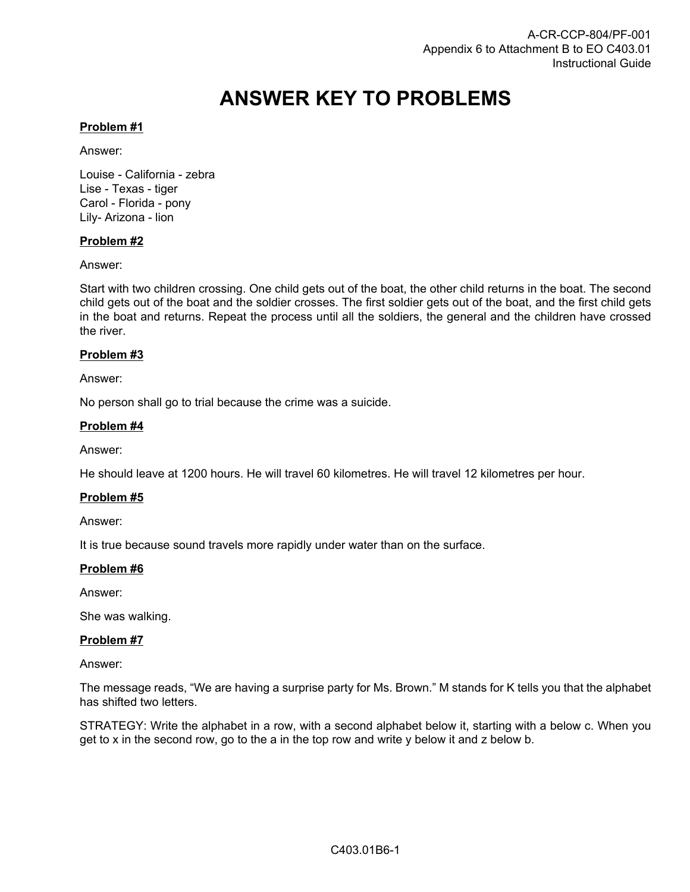# **ANSWER KEY TO PROBLEMS**

# **Problem #1**

#### Answer:

Louise - California - zebra Lise - Texas - tiger Carol - Florida - pony Lily- Arizona - lion

## **Problem #2**

## Answer:

Start with two children crossing. One child gets out of the boat, the other child returns in the boat. The second child gets out of the boat and the soldier crosses. The first soldier gets out of the boat, and the first child gets in the boat and returns. Repeat the process until all the soldiers, the general and the children have crossed the river.

## **Problem #3**

## Answer:

No person shall go to trial because the crime was a suicide.

## **Problem #4**

## Answer:

He should leave at 1200 hours. He will travel 60 kilometres. He will travel 12 kilometres per hour.

## **Problem #5**

Answer:

It is true because sound travels more rapidly under water than on the surface.

## **Problem #6**

Answer:

She was walking.

## **Problem #7**

## Answer:

The message reads, "We are having a surprise party for Ms. Brown." M stands for K tells you that the alphabet has shifted two letters.

STRATEGY: Write the alphabet in a row, with a second alphabet below it, starting with a below c. When you get to x in the second row, go to the a in the top row and write y below it and z below b.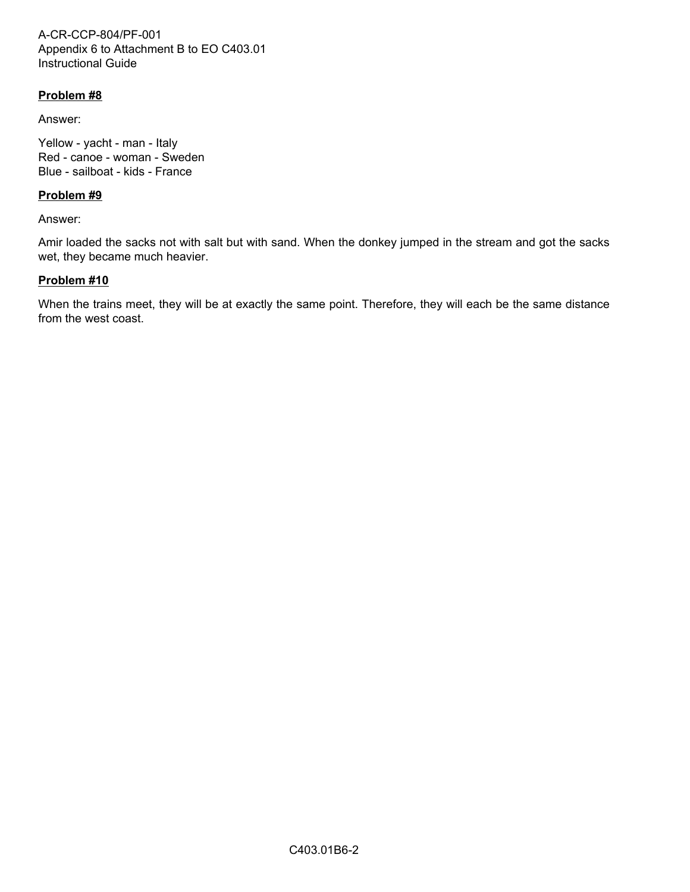A-CR-CCP-804/PF-001 Appendix 6 to Attachment B to EO C403.01 Instructional Guide

## **Problem #8**

Answer:

Yellow - yacht - man - Italy Red - canoe - woman - Sweden Blue - sailboat - kids - France

#### **Problem #9**

Answer:

Amir loaded the sacks not with salt but with sand. When the donkey jumped in the stream and got the sacks wet, they became much heavier.

#### **Problem #10**

When the trains meet, they will be at exactly the same point. Therefore, they will each be the same distance from the west coast.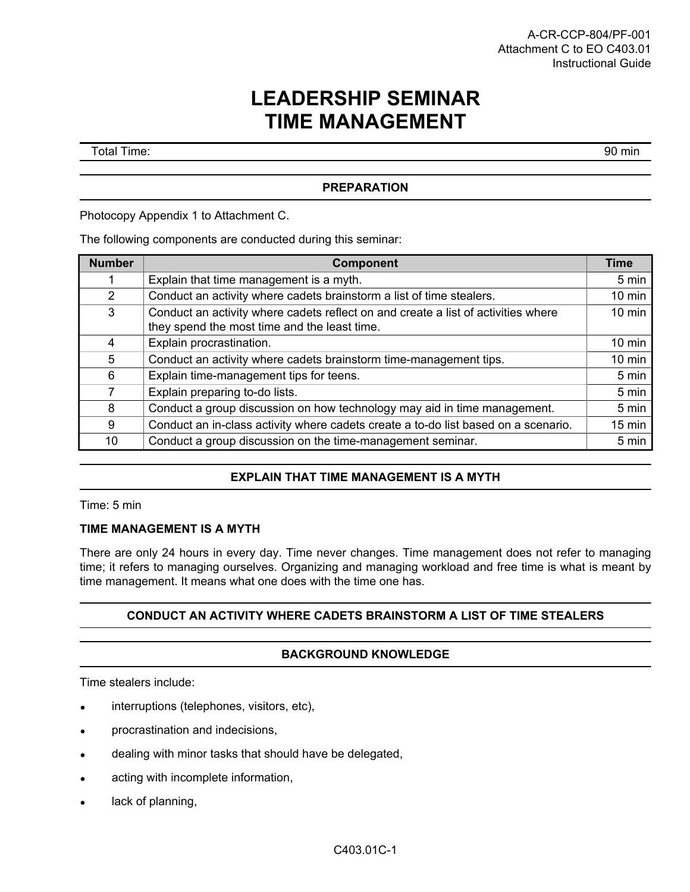# **LEADERSHIP SEMINAR TIME MANAGEMENT**

Total Time: 90 min

## **PREPARATION**

Photocopy Appendix 1 to Attachment C.

The following components are conducted during this seminar:

| <b>Number</b> | <b>Component</b>                                                                                                                  | <b>Time</b>      |
|---------------|-----------------------------------------------------------------------------------------------------------------------------------|------------------|
|               | Explain that time management is a myth.                                                                                           | 5 min            |
| 2             | Conduct an activity where cadets brainstorm a list of time stealers.                                                              | $10 \text{ min}$ |
| 3             | Conduct an activity where cadets reflect on and create a list of activities where<br>they spend the most time and the least time. | $10 \text{ min}$ |
| 4             | Explain procrastination.                                                                                                          | $10 \text{ min}$ |
| 5             | Conduct an activity where cadets brainstorm time-management tips.                                                                 | $10$ min         |
| 6             | Explain time-management tips for teens.                                                                                           | 5 min            |
|               | Explain preparing to-do lists.                                                                                                    | 5 min            |
| 8             | Conduct a group discussion on how technology may aid in time management.                                                          | 5 min            |
| 9             | Conduct an in-class activity where cadets create a to-do list based on a scenario.                                                | $15$ min         |
| 10            | Conduct a group discussion on the time-management seminar.                                                                        | 5 min            |

# **EXPLAIN THAT TIME MANAGEMENT IS A MYTH**

Time: 5 min

## **TIME MANAGEMENT IS A MYTH**

There are only 24 hours in every day. Time never changes. Time management does not refer to managing time; it refers to managing ourselves. Organizing and managing workload and free time is what is meant by time management. It means what one does with the time one has.

# **CONDUCT AN ACTIVITY WHERE CADETS BRAINSTORM A LIST OF TIME STEALERS**

# **BACKGROUND KNOWLEDGE**

Time stealers include:

- interruptions (telephones, visitors, etc),
- procrastination and indecisions,
- dealing with minor tasks that should have be delegated,
- acting with incomplete information,
- lack of planning,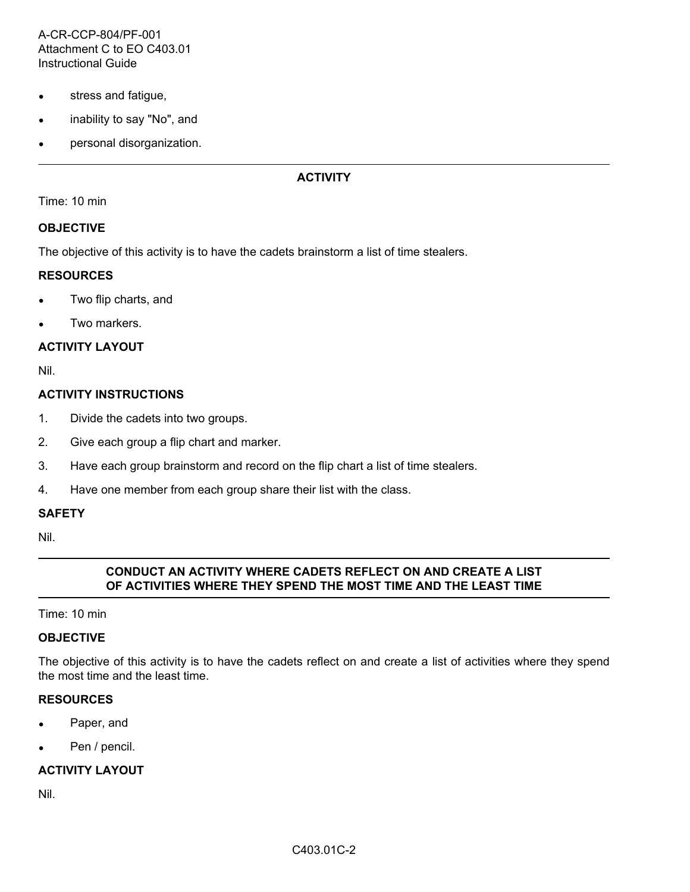A-CR-CCP-804/PF-001 Attachment C to EO C403.01 Instructional Guide

- stress and fatigue,  $\bullet$
- inability to say "No", and  $\bullet$
- personal disorganization.

## **ACTIVITY**

Time: 10 min

#### **OBJECTIVE**

The objective of this activity is to have the cadets brainstorm a list of time stealers.

#### **RESOURCES**

- Two flip charts, and
- Two markers.

## **ACTIVITY LAYOUT**

Nil.

#### **ACTIVITY INSTRUCTIONS**

- 1. Divide the cadets into two groups.
- 2. Give each group a flip chart and marker.
- 3. Have each group brainstorm and record on the flip chart a list of time stealers.
- 4. Have one member from each group share their list with the class.

#### **SAFETY**

Nil.

## **CONDUCT AN ACTIVITY WHERE CADETS REFLECT ON AND CREATE A LIST OF ACTIVITIES WHERE THEY SPEND THE MOST TIME AND THE LEAST TIME**

Time: 10 min

#### **OBJECTIVE**

The objective of this activity is to have the cadets reflect on and create a list of activities where they spend the most time and the least time.

#### **RESOURCES**

- Paper, and  $\bullet$
- Pen / pencil.  $\bullet$

## **ACTIVITY LAYOUT**

Nil.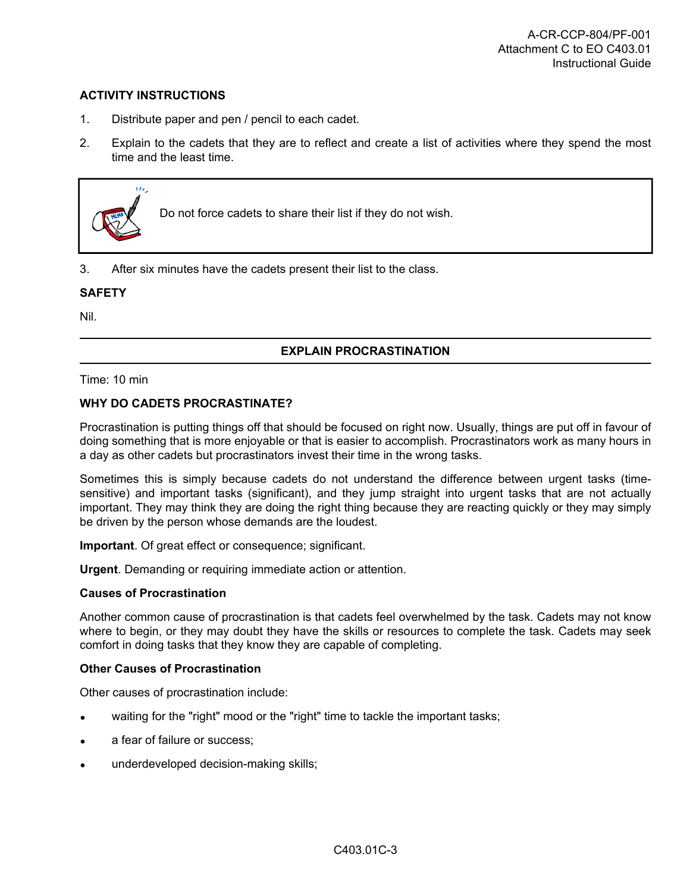## **ACTIVITY INSTRUCTIONS**

- 1. Distribute paper and pen / pencil to each cadet.
- 2. Explain to the cadets that they are to reflect and create a list of activities where they spend the most time and the least time.



Do not force cadets to share their list if they do not wish.

3. After six minutes have the cadets present their list to the class.

## **SAFETY**

Nil.

## **EXPLAIN PROCRASTINATION**

#### Time: 10 min

## **WHY DO CADETS PROCRASTINATE?**

Procrastination is putting things off that should be focused on right now. Usually, things are put off in favour of doing something that is more enjoyable or that is easier to accomplish. Procrastinators work as many hours in a day as other cadets but procrastinators invest their time in the wrong tasks.

Sometimes this is simply because cadets do not understand the difference between urgent tasks (timesensitive) and important tasks (significant), and they jump straight into urgent tasks that are not actually important. They may think they are doing the right thing because they are reacting quickly or they may simply be driven by the person whose demands are the loudest.

**Important**. Of great effect or consequence; significant.

**Urgent**. Demanding or requiring immediate action or attention.

#### **Causes of Procrastination**

Another common cause of procrastination is that cadets feel overwhelmed by the task. Cadets may not know where to begin, or they may doubt they have the skills or resources to complete the task. Cadets may seek comfort in doing tasks that they know they are capable of completing.

#### **Other Causes of Procrastination**

Other causes of procrastination include:

- waiting for the "right" mood or the "right" time to tackle the important tasks;
- a fear of failure or success;
- underdeveloped decision-making skills;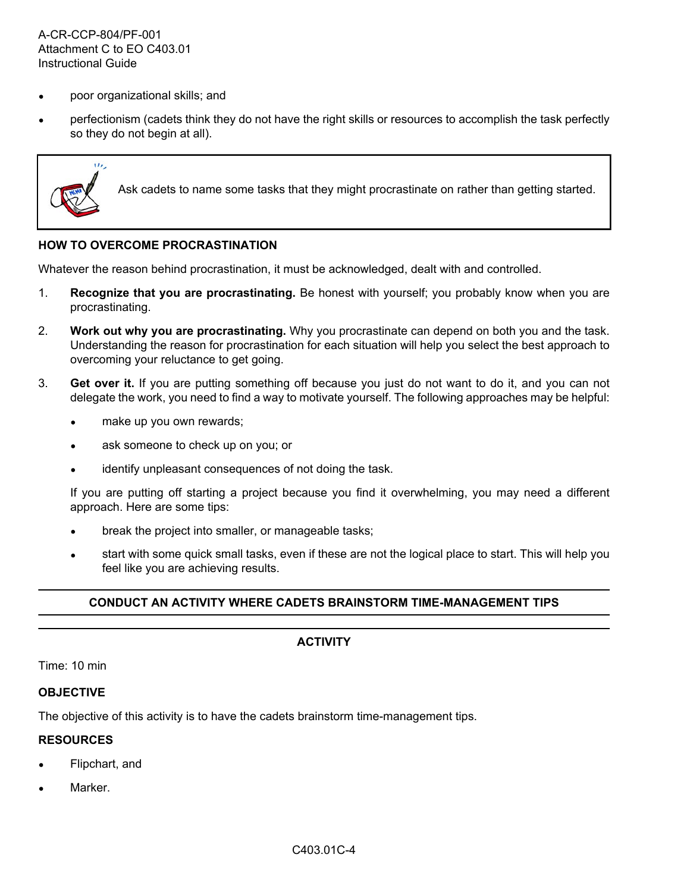A-CR-CCP-804/PF-001 Attachment C to EO C403.01 Instructional Guide

- poor organizational skills; and
- perfectionism (cadets think they do not have the right skills or resources to accomplish the task perfectly so they do not begin at all).



Ask cadets to name some tasks that they might procrastinate on rather than getting started.

## **HOW TO OVERCOME PROCRASTINATION**

Whatever the reason behind procrastination, it must be acknowledged, dealt with and controlled.

- 1. **Recognize that you are procrastinating.** Be honest with yourself; you probably know when you are procrastinating.
- 2. **Work out why you are procrastinating.** Why you procrastinate can depend on both you and the task. Understanding the reason for procrastination for each situation will help you select the best approach to overcoming your reluctance to get going.
- 3. **Get over it.** If you are putting something off because you just do not want to do it, and you can not delegate the work, you need to find a way to motivate yourself. The following approaches may be helpful:
	- make up you own rewards;
	- ask someone to check up on you; or
	- identify unpleasant consequences of not doing the task.

If you are putting off starting a project because you find it overwhelming, you may need a different approach. Here are some tips:

- break the project into smaller, or manageable tasks;  $\bullet$
- start with some quick small tasks, even if these are not the logical place to start. This will help you  $\bullet$ feel like you are achieving results.

# **CONDUCT AN ACTIVITY WHERE CADETS BRAINSTORM TIME-MANAGEMENT TIPS**

## **ACTIVITY**

Time: 10 min

#### **OBJECTIVE**

The objective of this activity is to have the cadets brainstorm time-management tips.

#### **RESOURCES**

- Flipchart, and
- Marker.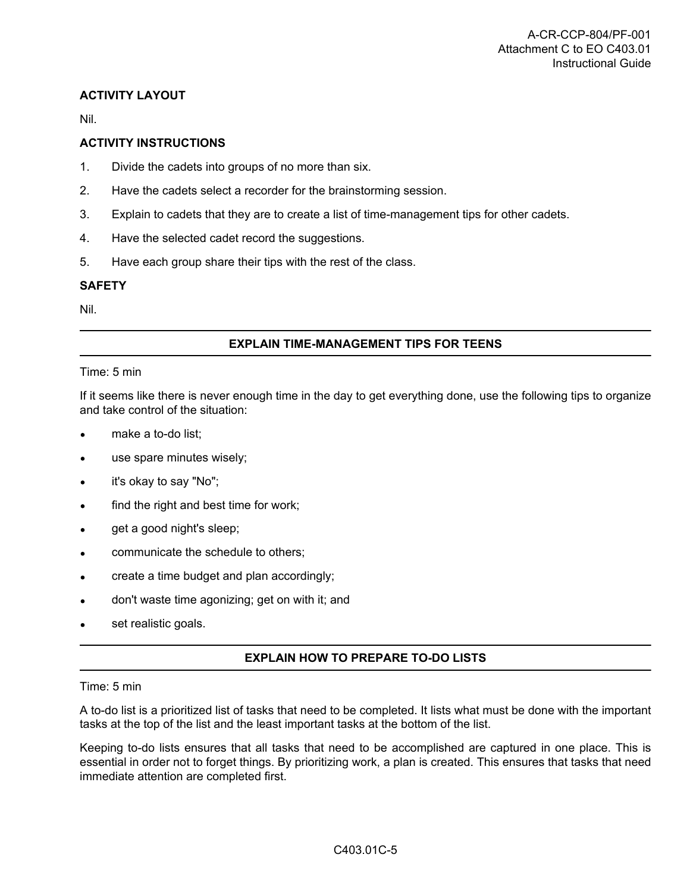# **ACTIVITY LAYOUT**

Nil.

## **ACTIVITY INSTRUCTIONS**

- 1. Divide the cadets into groups of no more than six.
- 2. Have the cadets select a recorder for the brainstorming session.
- 3. Explain to cadets that they are to create a list of time-management tips for other cadets.
- 4. Have the selected cadet record the suggestions.
- 5. Have each group share their tips with the rest of the class.

## **SAFETY**

Nil.

## **EXPLAIN TIME-MANAGEMENT TIPS FOR TEENS**

#### Time: 5 min

If it seems like there is never enough time in the day to get everything done, use the following tips to organize and take control of the situation:

- make a to-do list;
- use spare minutes wisely;
- it's okay to say "No";
- find the right and best time for work;
- get a good night's sleep;  $\bullet$
- communicate the schedule to others;
- create a time budget and plan accordingly;
- don't waste time agonizing; get on with it; and
- set realistic goals.

## **EXPLAIN HOW TO PREPARE TO-DO LISTS**

#### Time: 5 min

A to-do list is a prioritized list of tasks that need to be completed. It lists what must be done with the important tasks at the top of the list and the least important tasks at the bottom of the list.

Keeping to-do lists ensures that all tasks that need to be accomplished are captured in one place. This is essential in order not to forget things. By prioritizing work, a plan is created. This ensures that tasks that need immediate attention are completed first.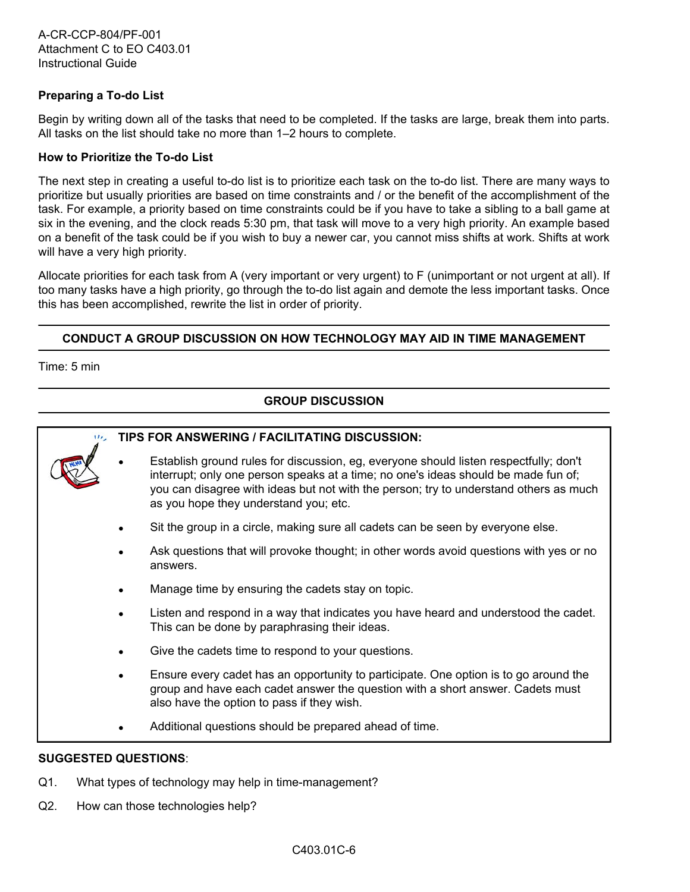A-CR-CCP-804/PF-001 Attachment C to EO C403.01 Instructional Guide

## **Preparing a To-do List**

Begin by writing down all of the tasks that need to be completed. If the tasks are large, break them into parts. All tasks on the list should take no more than 1–2 hours to complete.

#### **How to Prioritize the To-do List**

The next step in creating a useful to-do list is to prioritize each task on the to-do list. There are many ways to prioritize but usually priorities are based on time constraints and / or the benefit of the accomplishment of the task. For example, a priority based on time constraints could be if you have to take a sibling to a ball game at six in the evening, and the clock reads 5:30 pm, that task will move to a very high priority. An example based on a benefit of the task could be if you wish to buy a newer car, you cannot miss shifts at work. Shifts at work will have a very high priority.

Allocate priorities for each task from A (very important or very urgent) to F (unimportant or not urgent at all). If too many tasks have a high priority, go through the to-do list again and demote the less important tasks. Once this has been accomplished, rewrite the list in order of priority.

## **CONDUCT A GROUP DISCUSSION ON HOW TECHNOLOGY MAY AID IN TIME MANAGEMENT**

Time: 5 min

## **GROUP DISCUSSION**



- Q1. What types of technology may help in time-management?
- Q2. How can those technologies help?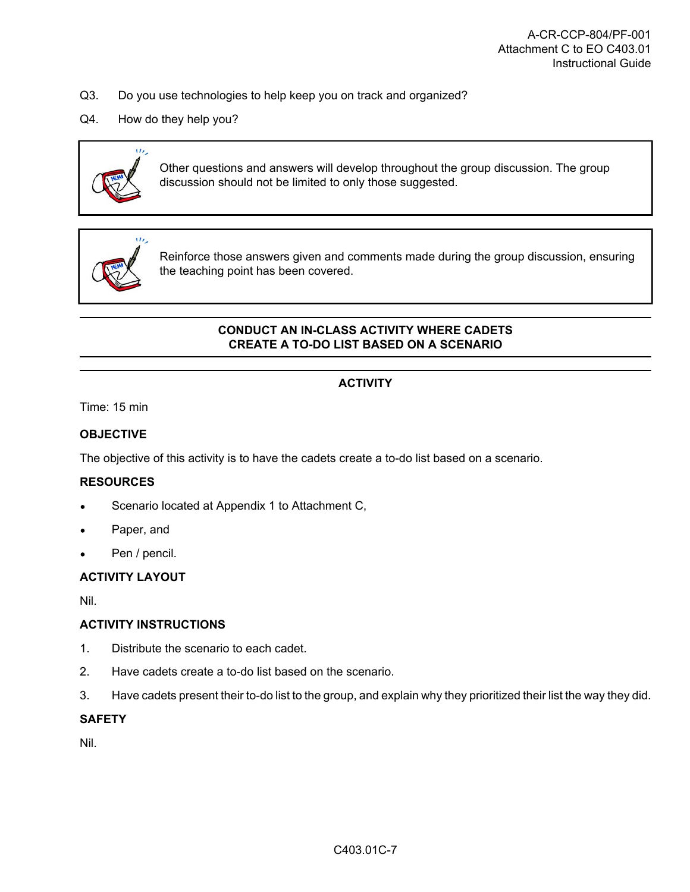- Q3. Do you use technologies to help keep you on track and organized?
- Q4. How do they help you?



Other questions and answers will develop throughout the group discussion. The group discussion should not be limited to only those suggested.



Reinforce those answers given and comments made during the group discussion, ensuring the teaching point has been covered.

## **CONDUCT AN IN-CLASS ACTIVITY WHERE CADETS CREATE A TO-DO LIST BASED ON A SCENARIO**

# **ACTIVITY**

Time: 15 min

## **OBJECTIVE**

The objective of this activity is to have the cadets create a to-do list based on a scenario.

## **RESOURCES**

- Scenario located at Appendix 1 to Attachment C,
- Paper, and
- Pen / pencil.

# **ACTIVITY LAYOUT**

Nil.

## **ACTIVITY INSTRUCTIONS**

- 1. Distribute the scenario to each cadet.
- 2. Have cadets create a to-do list based on the scenario.
- 3. Have cadets present their to-do list to the group, and explain why they prioritized their list the way they did.

## **SAFETY**

Nil.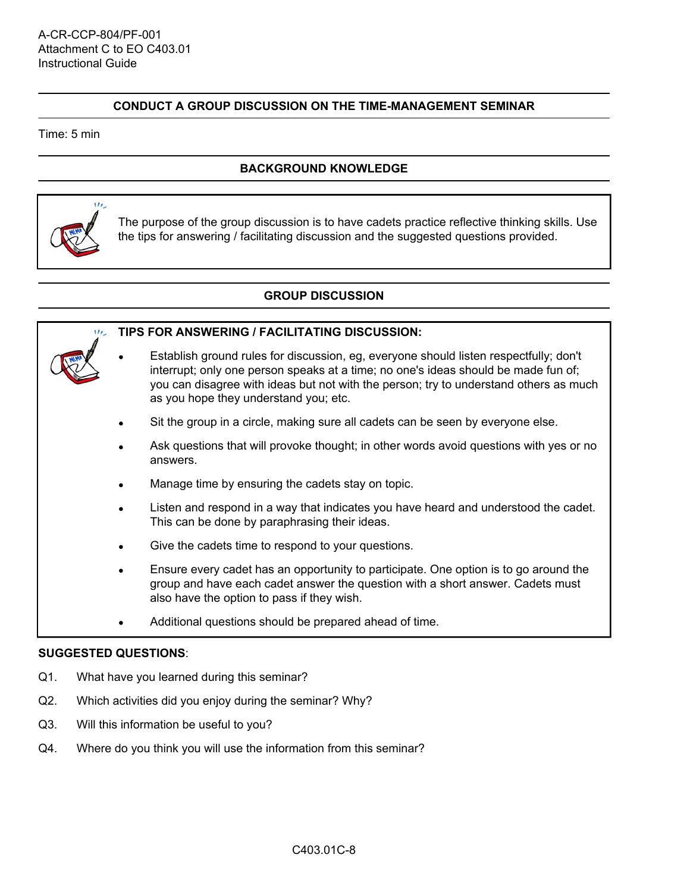## **CONDUCT A GROUP DISCUSSION ON THE TIME-MANAGEMENT SEMINAR**

Time: 5 min

## **BACKGROUND KNOWLEDGE**



The purpose of the group discussion is to have cadets practice reflective thinking skills. Use the tips for answering / facilitating discussion and the suggested questions provided.

## **GROUP DISCUSSION**

#### **TIPS FOR ANSWERING / FACILITATING DISCUSSION:**

- Establish ground rules for discussion, eg, everyone should listen respectfully; don't interrupt; only one person speaks at a time; no one's ideas should be made fun of; you can disagree with ideas but not with the person; try to understand others as much as you hope they understand you; etc.
- Sit the group in a circle, making sure all cadets can be seen by everyone else.  $\bullet$
- Ask questions that will provoke thought; in other words avoid questions with yes or no  $\bullet$ answers.
- Manage time by ensuring the cadets stay on topic.  $\bullet$
- Listen and respond in a way that indicates you have heard and understood the cadet.  $\bullet$ This can be done by paraphrasing their ideas.
- Give the cadets time to respond to your questions.
- Ensure every cadet has an opportunity to participate. One option is to go around the  $\bullet$ group and have each cadet answer the question with a short answer. Cadets must also have the option to pass if they wish.
- Additional questions should be prepared ahead of time.

#### **SUGGESTED QUESTIONS**:

- Q1. What have you learned during this seminar?
- Q2. Which activities did you enjoy during the seminar? Why?
- Q3. Will this information be useful to you?
- Q4. Where do you think you will use the information from this seminar?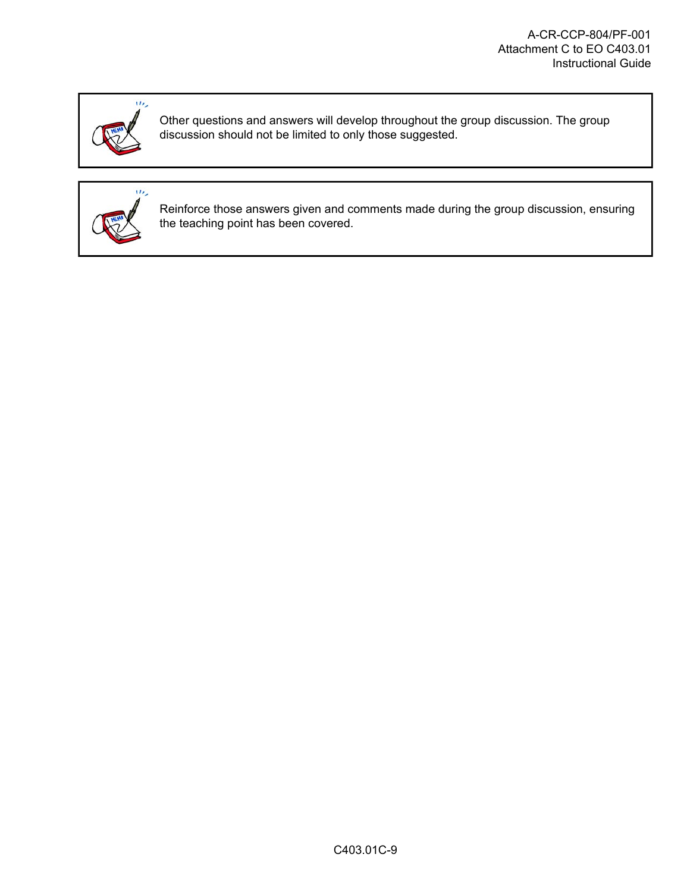

Other questions and answers will develop throughout the group discussion. The group discussion should not be limited to only those suggested.



Reinforce those answers given and comments made during the group discussion, ensuring the teaching point has been covered.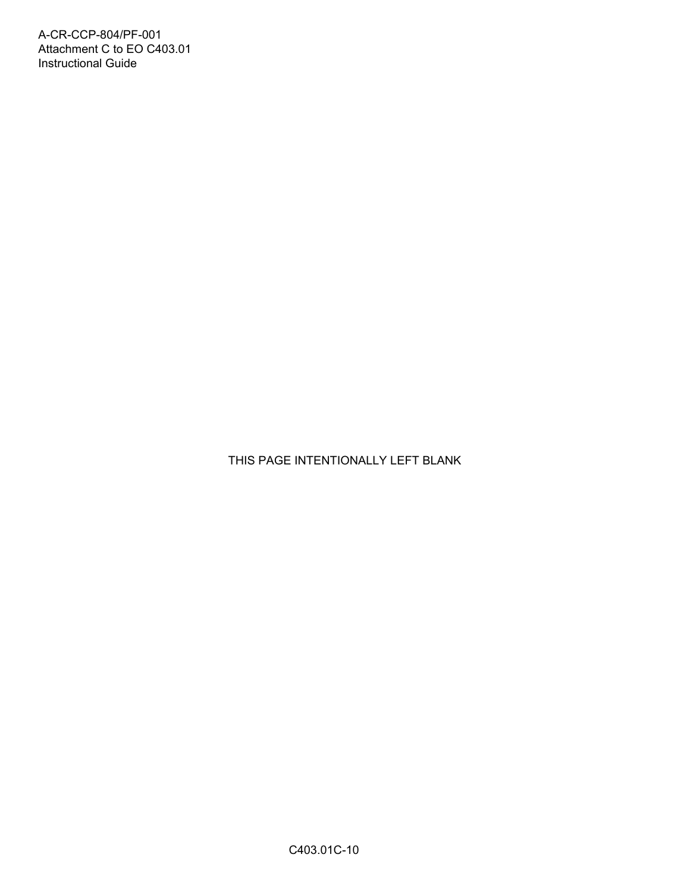A-CR-CCP-804/PF-001 Attachment C to EO C403.01 Instructional Guide

THIS PAGE INTENTIONALLY LEFT BLANK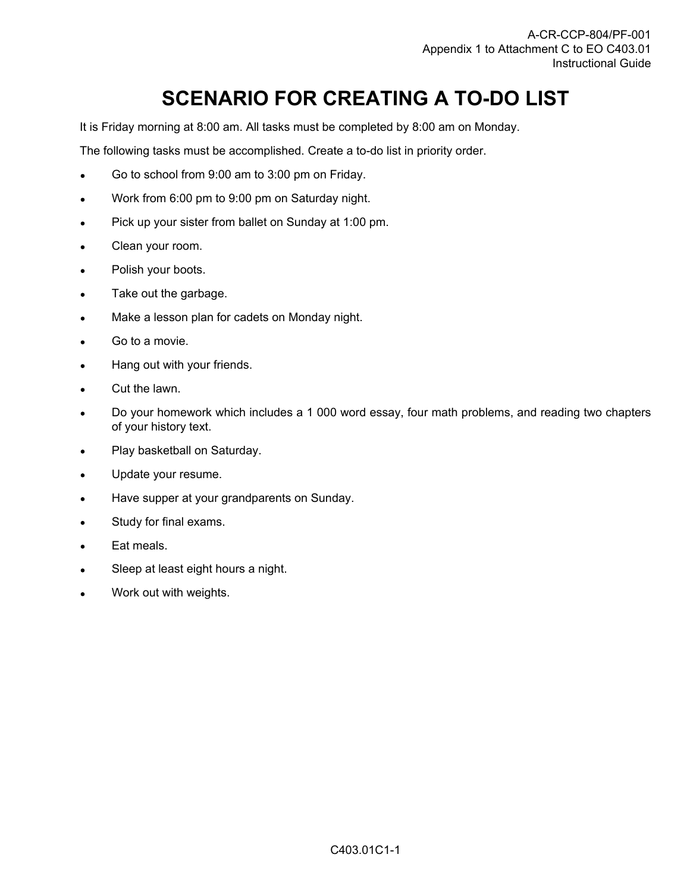# **SCENARIO FOR CREATING A TO-DO LIST**

It is Friday morning at 8:00 am. All tasks must be completed by 8:00 am on Monday.

The following tasks must be accomplished. Create a to-do list in priority order.

- Go to school from 9:00 am to 3:00 pm on Friday.  $\bullet$
- Work from 6:00 pm to 9:00 pm on Saturday night.
- Pick up your sister from ballet on Sunday at 1:00 pm.
- Clean your room.
- Polish your boots.
- Take out the garbage.
- Make a lesson plan for cadets on Monday night.
- Go to a movie.
- Hang out with your friends.
- Cut the lawn.
- Do your homework which includes a 1 000 word essay, four math problems, and reading two chapters of your history text.
- Play basketball on Saturday.
- Update your resume.  $\bullet$
- Have supper at your grandparents on Sunday.  $\bullet$
- Study for final exams.
- Eat meals.
- Sleep at least eight hours a night.
- Work out with weights. $\bullet$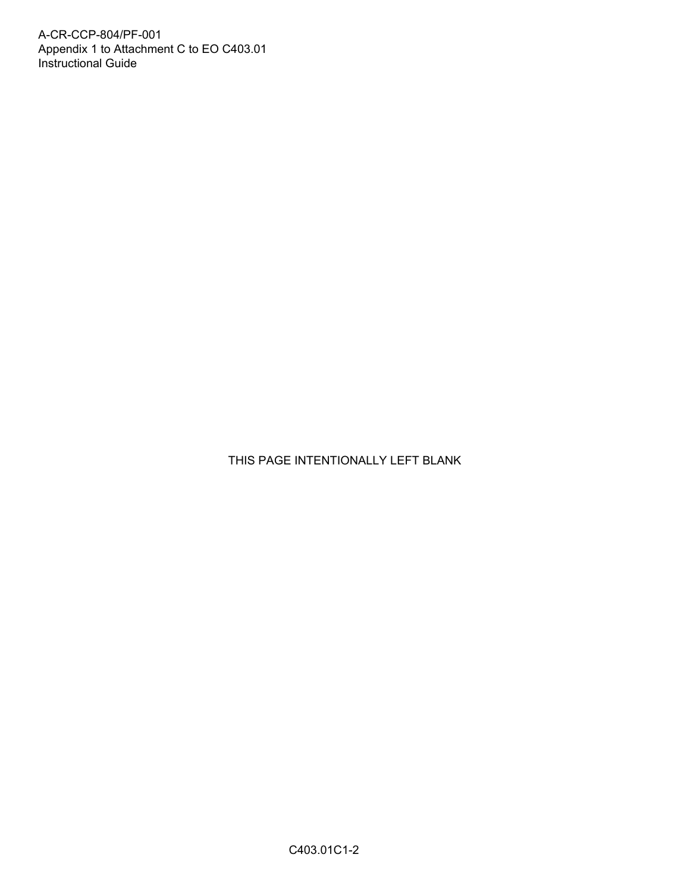A-CR-CCP-804/PF-001 Appendix 1 to Attachment C to EO C403.01 Instructional Guide

THIS PAGE INTENTIONALLY LEFT BLANK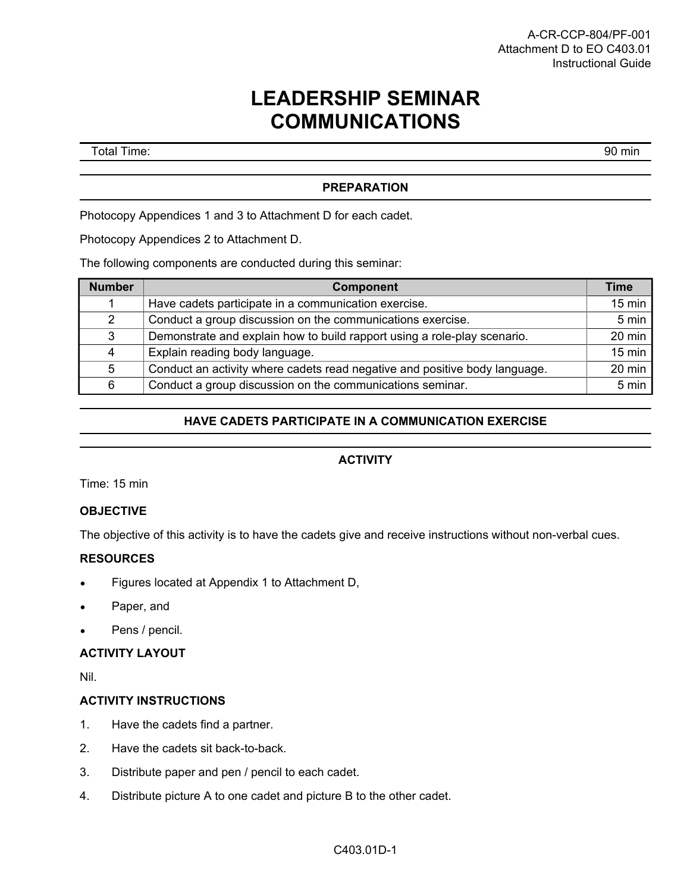# **LEADERSHIP SEMINAR COMMUNICATIONS**

Total Time: 90 min

## **PREPARATION**

Photocopy Appendices 1 and 3 to Attachment D for each cadet.

Photocopy Appendices 2 to Attachment D.

The following components are conducted during this seminar:

| <b>Number</b>  | <b>Component</b>                                                           | Time     |
|----------------|----------------------------------------------------------------------------|----------|
|                | Have cadets participate in a communication exercise.                       | $15$ min |
| $\overline{2}$ | Conduct a group discussion on the communications exercise.                 | 5 min    |
| 3              | Demonstrate and explain how to build rapport using a role-play scenario.   | 20 min   |
| 4              | Explain reading body language.                                             | 15 min   |
| 5              | Conduct an activity where cadets read negative and positive body language. | 20 min   |
| 6              | Conduct a group discussion on the communications seminar.                  | 5 min    |

# **HAVE CADETS PARTICIPATE IN A COMMUNICATION EXERCISE**

# **ACTIVITY**

Time: 15 min

## **OBJECTIVE**

The objective of this activity is to have the cadets give and receive instructions without non-verbal cues.

#### **RESOURCES**

- Figures located at Appendix 1 to Attachment D,
- Paper, and
- Pens / pencil.

## **ACTIVITY LAYOUT**

Nil.

## **ACTIVITY INSTRUCTIONS**

- 1. Have the cadets find a partner.
- 2. Have the cadets sit back-to-back.
- 3. Distribute paper and pen / pencil to each cadet.
- 4. Distribute picture A to one cadet and picture B to the other cadet.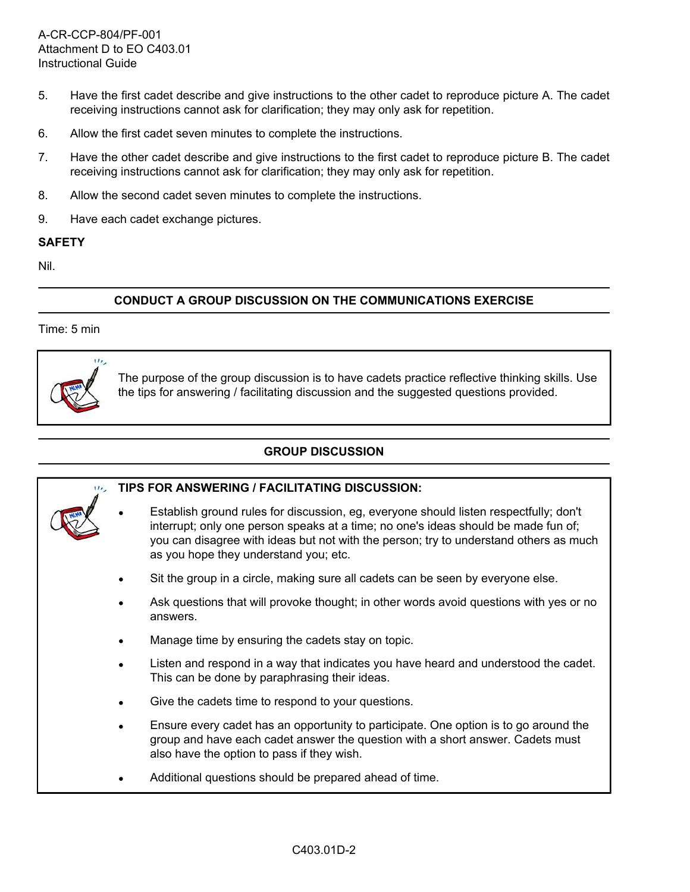A-CR-CCP-804/PF-001 Attachment D to EO C403.01 Instructional Guide

- 5. Have the first cadet describe and give instructions to the other cadet to reproduce picture A. The cadet receiving instructions cannot ask for clarification; they may only ask for repetition.
- 6. Allow the first cadet seven minutes to complete the instructions.
- 7. Have the other cadet describe and give instructions to the first cadet to reproduce picture B. The cadet receiving instructions cannot ask for clarification; they may only ask for repetition.
- 8. Allow the second cadet seven minutes to complete the instructions.
- 9. Have each cadet exchange pictures.

#### **SAFETY**

Nil.

## **CONDUCT A GROUP DISCUSSION ON THE COMMUNICATIONS EXERCISE**

Time: 5 min



The purpose of the group discussion is to have cadets practice reflective thinking skills. Use the tips for answering / facilitating discussion and the suggested questions provided.

## **GROUP DISCUSSION**

- Establish ground rules for discussion, eg, everyone should listen respectfully; don't interrupt; only one person speaks at a time; no one's ideas should be made fun of; you can disagree with ideas but not with the person; try to understand others as much as you hope they understand you; etc.
- Sit the group in a circle, making sure all cadets can be seen by everyone else.
- Ask questions that will provoke thought; in other words avoid questions with yes or no answers.
- Manage time by ensuring the cadets stay on topic.  $\bullet$
- Listen and respond in a way that indicates you have heard and understood the cadet.  $\bullet$ This can be done by paraphrasing their ideas.
- Give the cadets time to respond to your questions.
- Ensure every cadet has an opportunity to participate. One option is to go around the  $\bullet$ group and have each cadet answer the question with a short answer. Cadets must also have the option to pass if they wish.
- Additional questions should be prepared ahead of time. $\bullet$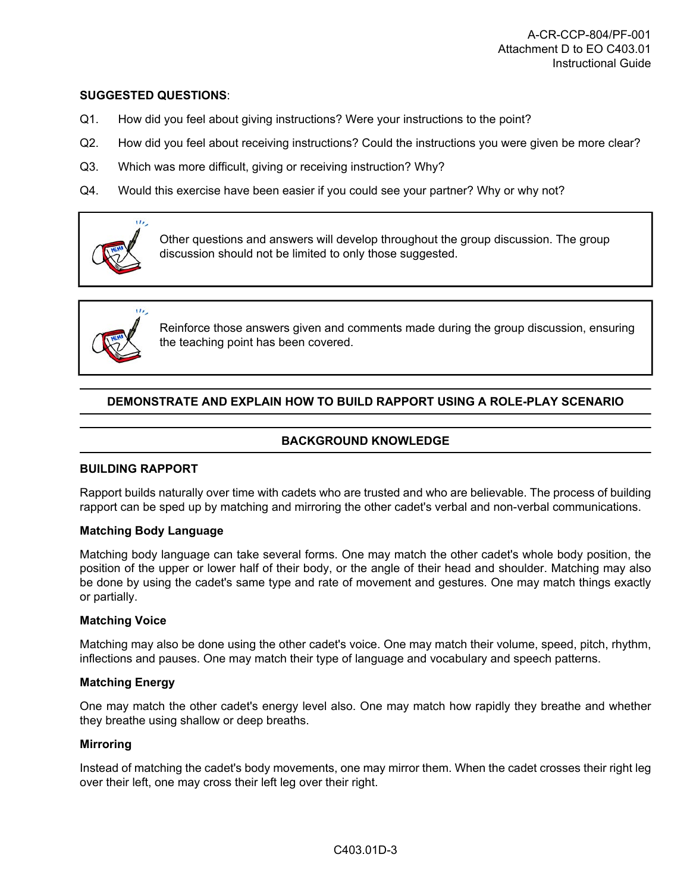## **SUGGESTED QUESTIONS**:

- Q1. How did you feel about giving instructions? Were your instructions to the point?
- Q2. How did you feel about receiving instructions? Could the instructions you were given be more clear?
- Q3. Which was more difficult, giving or receiving instruction? Why?
- Q4. Would this exercise have been easier if you could see your partner? Why or why not?



Other questions and answers will develop throughout the group discussion. The group discussion should not be limited to only those suggested.



Reinforce those answers given and comments made during the group discussion, ensuring the teaching point has been covered.

## **DEMONSTRATE AND EXPLAIN HOW TO BUILD RAPPORT USING A ROLE-PLAY SCENARIO**

## **BACKGROUND KNOWLEDGE**

#### **BUILDING RAPPORT**

Rapport builds naturally over time with cadets who are trusted and who are believable. The process of building rapport can be sped up by matching and mirroring the other cadet's verbal and non-verbal communications.

#### **Matching Body Language**

Matching body language can take several forms. One may match the other cadet's whole body position, the position of the upper or lower half of their body, or the angle of their head and shoulder. Matching may also be done by using the cadet's same type and rate of movement and gestures. One may match things exactly or partially.

#### **Matching Voice**

Matching may also be done using the other cadet's voice. One may match their volume, speed, pitch, rhythm, inflections and pauses. One may match their type of language and vocabulary and speech patterns.

#### **Matching Energy**

One may match the other cadet's energy level also. One may match how rapidly they breathe and whether they breathe using shallow or deep breaths.

#### **Mirroring**

Instead of matching the cadet's body movements, one may mirror them. When the cadet crosses their right leg over their left, one may cross their left leg over their right.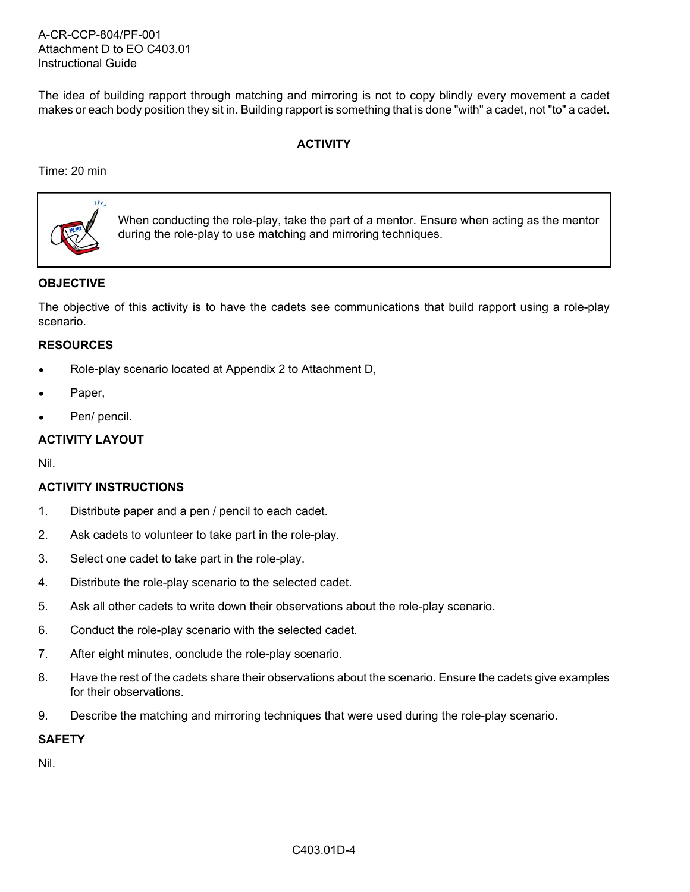## A-CR-CCP-804/PF-001 Attachment D to EO C403.01 Instructional Guide

The idea of building rapport through matching and mirroring is not to copy blindly every movement a cadet makes or each body position they sit in. Building rapport is something that is done "with" a cadet, not "to" a cadet.

## **ACTIVITY**

Time: 20 min



When conducting the role-play, take the part of a mentor. Ensure when acting as the mentor during the role-play to use matching and mirroring techniques.

## **OBJECTIVE**

The objective of this activity is to have the cadets see communications that build rapport using a role-play scenario.

#### **RESOURCES**

- Role-play scenario located at Appendix 2 to Attachment D,
- Paper,
- Pen/ pencil.

## **ACTIVITY LAYOUT**

Nil.

## **ACTIVITY INSTRUCTIONS**

- 1. Distribute paper and a pen / pencil to each cadet.
- 2. Ask cadets to volunteer to take part in the role-play.
- 3. Select one cadet to take part in the role-play.
- 4. Distribute the role-play scenario to the selected cadet.
- 5. Ask all other cadets to write down their observations about the role-play scenario.
- 6. Conduct the role-play scenario with the selected cadet.
- 7. After eight minutes, conclude the role-play scenario.
- 8. Have the rest of the cadets share their observations about the scenario. Ensure the cadets give examples for their observations.
- 9. Describe the matching and mirroring techniques that were used during the role-play scenario.

#### **SAFETY**

Nil.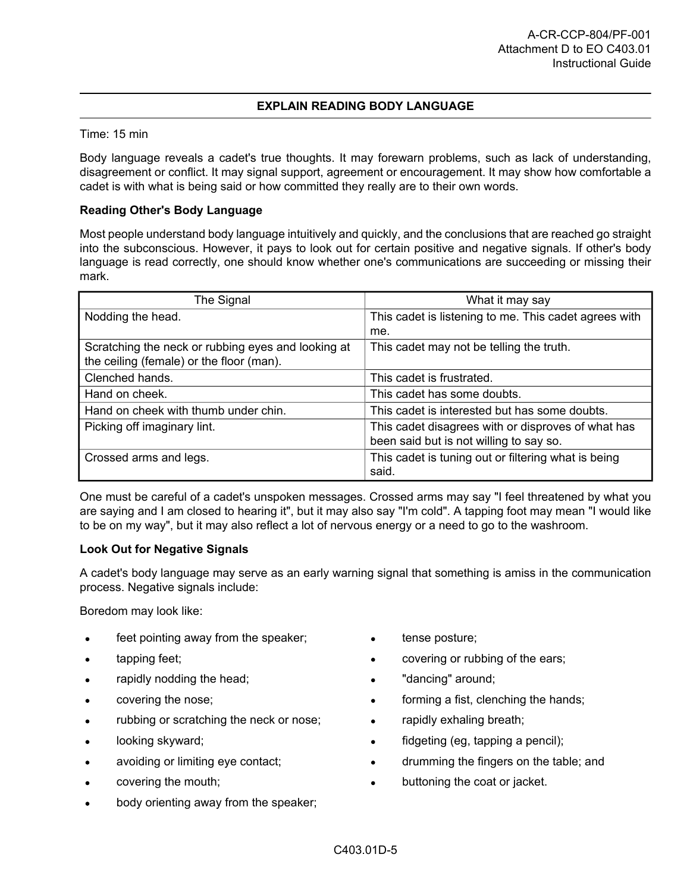## **EXPLAIN READING BODY LANGUAGE**

Time: 15 min

Body language reveals a cadet's true thoughts. It may forewarn problems, such as lack of understanding, disagreement or conflict. It may signal support, agreement or encouragement. It may show how comfortable a cadet is with what is being said or how committed they really are to their own words.

## **Reading Other's Body Language**

Most people understand body language intuitively and quickly, and the conclusions that are reached go straight into the subconscious. However, it pays to look out for certain positive and negative signals. If other's body language is read correctly, one should know whether one's communications are succeeding or missing their mark.

| The Signal                                         | What it may say                                       |  |  |
|----------------------------------------------------|-------------------------------------------------------|--|--|
| Nodding the head.                                  | This cadet is listening to me. This cadet agrees with |  |  |
|                                                    | me.                                                   |  |  |
| Scratching the neck or rubbing eyes and looking at | This cadet may not be telling the truth.              |  |  |
| the ceiling (female) or the floor (man).           |                                                       |  |  |
| Clenched hands.                                    | This cadet is frustrated.                             |  |  |
| Hand on cheek.                                     | This cadet has some doubts.                           |  |  |
| Hand on cheek with thumb under chin.               | This cadet is interested but has some doubts.         |  |  |
| Picking off imaginary lint.                        | This cadet disagrees with or disproves of what has    |  |  |
|                                                    | been said but is not willing to say so.               |  |  |
| Crossed arms and legs.                             | This cadet is tuning out or filtering what is being   |  |  |
|                                                    | said.                                                 |  |  |

One must be careful of a cadet's unspoken messages. Crossed arms may say "I feel threatened by what you are saying and I am closed to hearing it", but it may also say "I'm cold". A tapping foot may mean "I would like to be on my way", but it may also reflect a lot of nervous energy or a need to go to the washroom.

## **Look Out for Negative Signals**

A cadet's body language may serve as an early warning signal that something is amiss in the communication process. Negative signals include:

Boredom may look like:

- feet pointing away from the speaker;  $\bullet$  tense posture;  $\bullet$
- $\bullet$
- rapidly nodding the head; The mass of the matrix of the state of the matrix of the matrix of the matrix of the
- $\bullet$
- rubbing or scratching the neck or nose; **a** rapidly exhaling breath;  $\bullet$
- 
- 
- 
- body orienting away from the speaker; $\bullet$
- 
- tapping feet; the covering or rubbing of the ears;
	-
- covering the nose; **forming a fist, clenching the hands; example the hands** over the hands;
	-
- looking skyward; https://www.math.com/solong-skyward; https://www.math.com/solong/solong/solong/solong/solong/
- avoiding or limiting eye contact; **and the example of the table** and trumming the fingers on the table; and
- covering the mouth; buttoning the coat or jacket.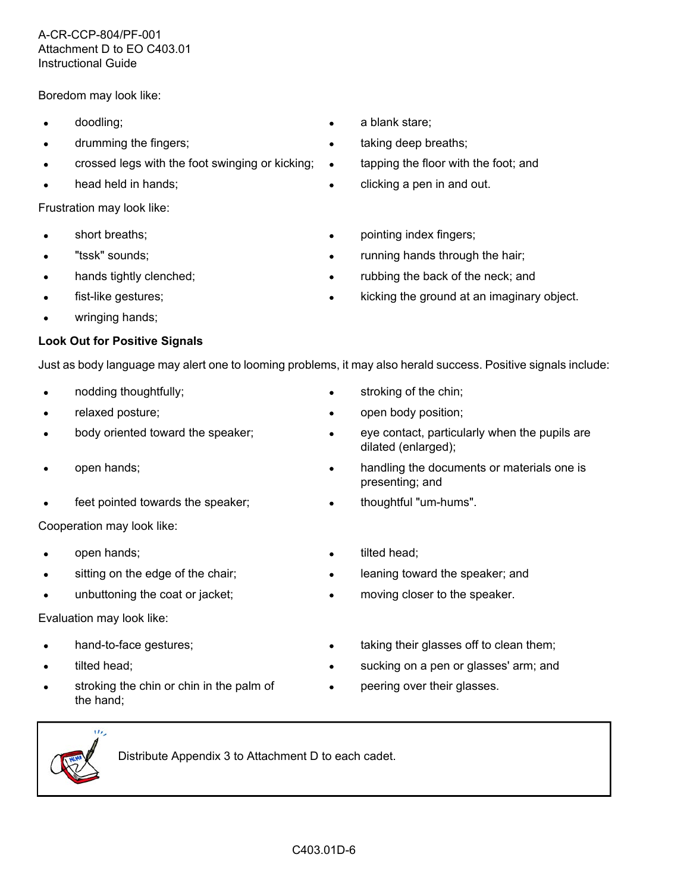## A-CR-CCP-804/PF-001 Attachment D to EO C403.01 Instructional Guide

## Boredom may look like:

- $\bullet$
- 
- crossed legs with the foot swinging or kicking:  $\bullet$  tapping the floor with the foot; and  $\bullet$
- $\bullet$

Frustration may look like:

- $\bullet$
- $\bullet$
- 
- 
- wringing hands;

## **Look Out for Positive Signals**

Just as body language may alert one to looming problems, it may also herald success. Positive signals include:

- 
- 
- 
- $\bullet$
- feet pointed towards the speaker; **the speaker** of thoughtful "um-hums".

Cooperation may look like:

- $\bullet$
- $\bullet$
- 

Evaluation may look like:

- 
- 
- stroking the chin or chin in the palm of  $\bullet$ the hand;
- doodling; example a blank stare; a blank stare;
- drumming the fingers; the state of the staking deep breaths;
	-
- head held in hands; head held in hands; the set of the clicking a pen in and out.
- short breaths; example in the short breaths; pointing index fingers;
- "tssk" sounds; The hair; running hands through the hair;
- hands tightly clenched; hands tightly clenched; rubbing the back of the neck; and
- fist-like gestures; https://www.fist-like gestures; https://www.fist-like gestures.com/
- nodding thoughtfully; stroking of the chin;
- relaxed posture; and the contract open body position;
- body oriented toward the speaker; example  $\bullet$  eye contact, particularly when the pupils are dilated (enlarged);
- open hands; handling the documents or materials one is presenting; and
	-
- open hands; tilted head; tilted head;
- sitting on the edge of the chair; **and the speaker**; and **s** leaning toward the speaker; and
- unbuttoning the coat or jacket; **moving closer to the speaker.**
- hand-to-face gestures; the stating their glasses off to clean them;
- tilted head; sucking on a pen or glasses' arm; and tilted head;
	- peering over their glasses.



Distribute Appendix 3 to Attachment D to each cadet.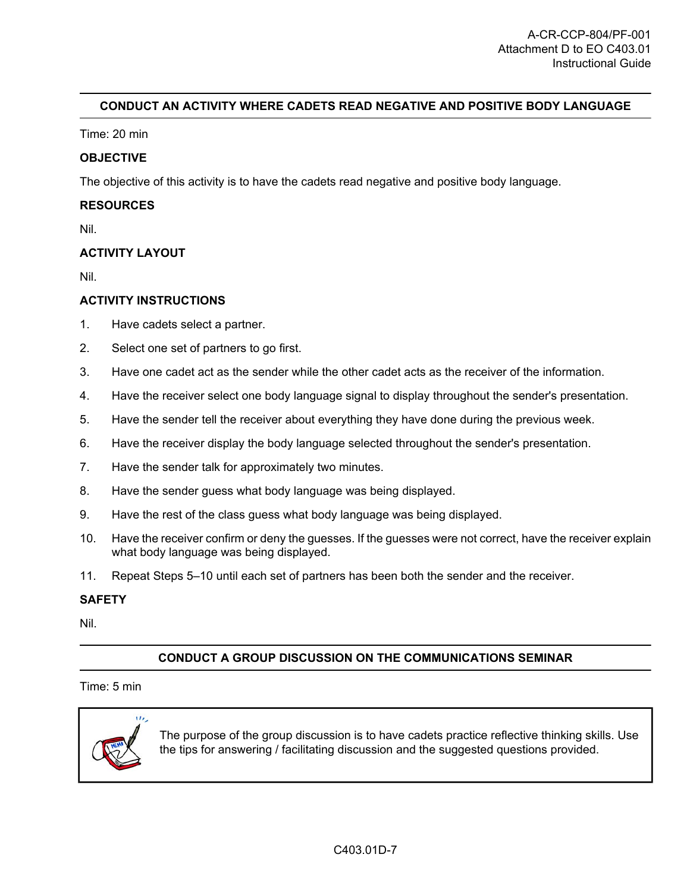## **CONDUCT AN ACTIVITY WHERE CADETS READ NEGATIVE AND POSITIVE BODY LANGUAGE**

Time: 20 min

#### **OBJECTIVE**

The objective of this activity is to have the cadets read negative and positive body language.

#### **RESOURCES**

Nil.

## **ACTIVITY LAYOUT**

Nil.

## **ACTIVITY INSTRUCTIONS**

- 1. Have cadets select a partner.
- 2. Select one set of partners to go first.
- 3. Have one cadet act as the sender while the other cadet acts as the receiver of the information.
- 4. Have the receiver select one body language signal to display throughout the sender's presentation.
- 5. Have the sender tell the receiver about everything they have done during the previous week.
- 6. Have the receiver display the body language selected throughout the sender's presentation.
- 7. Have the sender talk for approximately two minutes.
- 8. Have the sender guess what body language was being displayed.
- 9. Have the rest of the class guess what body language was being displayed.
- 10. Have the receiver confirm or deny the guesses. If the guesses were not correct, have the receiver explain what body language was being displayed.
- 11. Repeat Steps 5–10 until each set of partners has been both the sender and the receiver.

## **SAFETY**

Nil.

## **CONDUCT A GROUP DISCUSSION ON THE COMMUNICATIONS SEMINAR**

Time: 5 min



The purpose of the group discussion is to have cadets practice reflective thinking skills. Use the tips for answering / facilitating discussion and the suggested questions provided.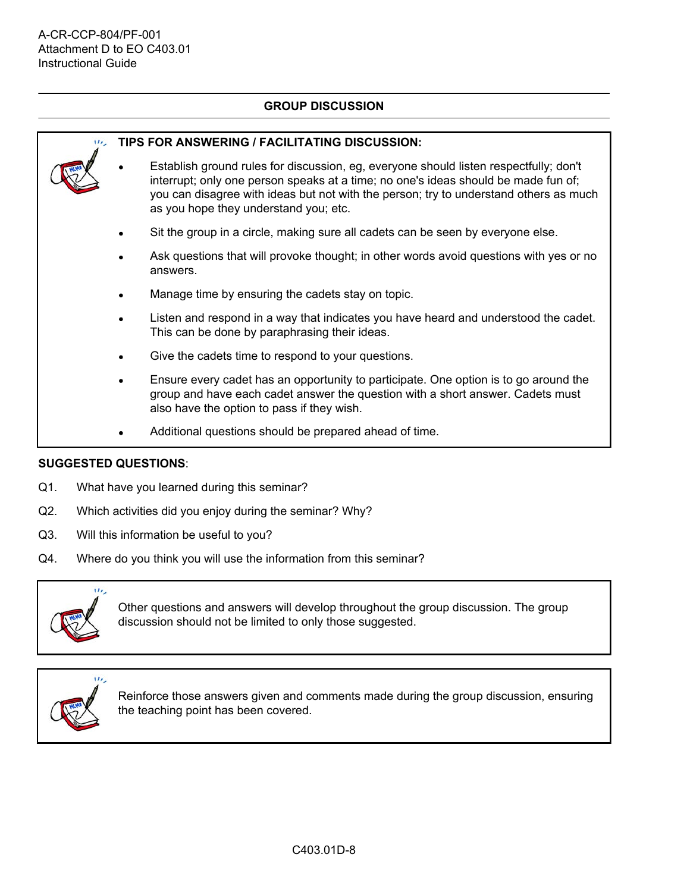## **GROUP DISCUSSION**



- Q1. What have you learned during this seminar?
- Q2. Which activities did you enjoy during the seminar? Why?
- Q3. Will this information be useful to you?
- Q4. Where do you think you will use the information from this seminar?



Other questions and answers will develop throughout the group discussion. The group discussion should not be limited to only those suggested.



Reinforce those answers given and comments made during the group discussion, ensuring the teaching point has been covered.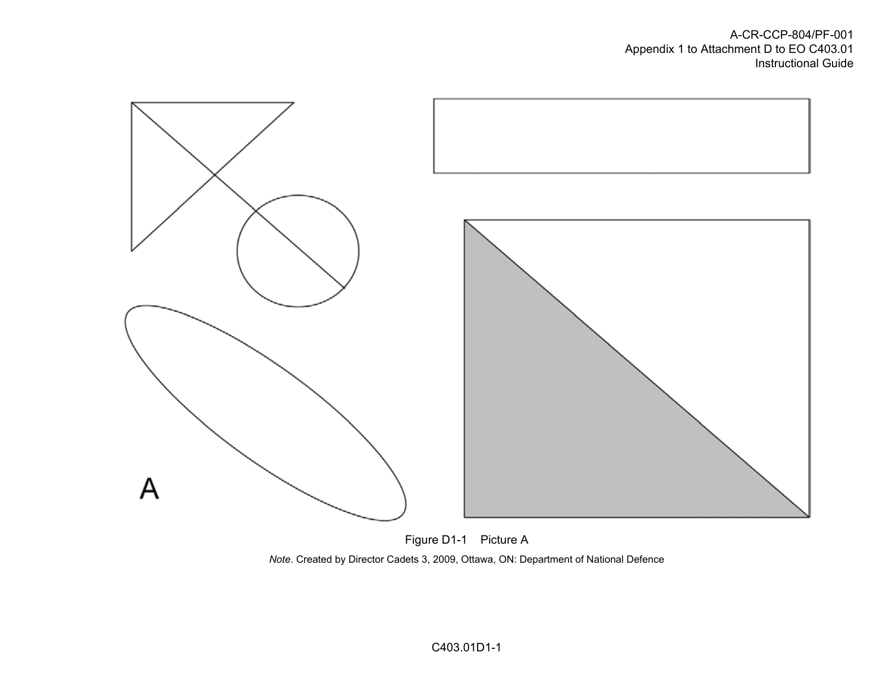

Figure D1-1 Picture A *Note*. Created by Director Cadets 3, 2009, Ottawa, ON: Department of National Defence

C403.01D1-1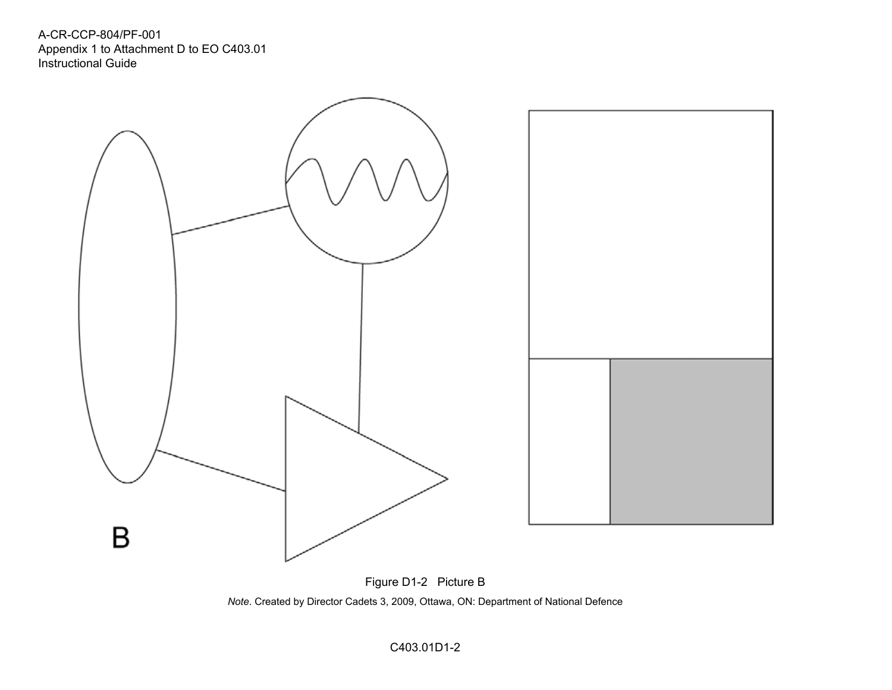A-CR-CCP-804/PF-001 Appendix 1 to Attachment D to EO C403.01 Instructional Guide



Figure D1-2 Picture B

*Note*. Created by Director Cadets 3, 2009, Ottawa, ON: Department of National Defence

C403.01D1-2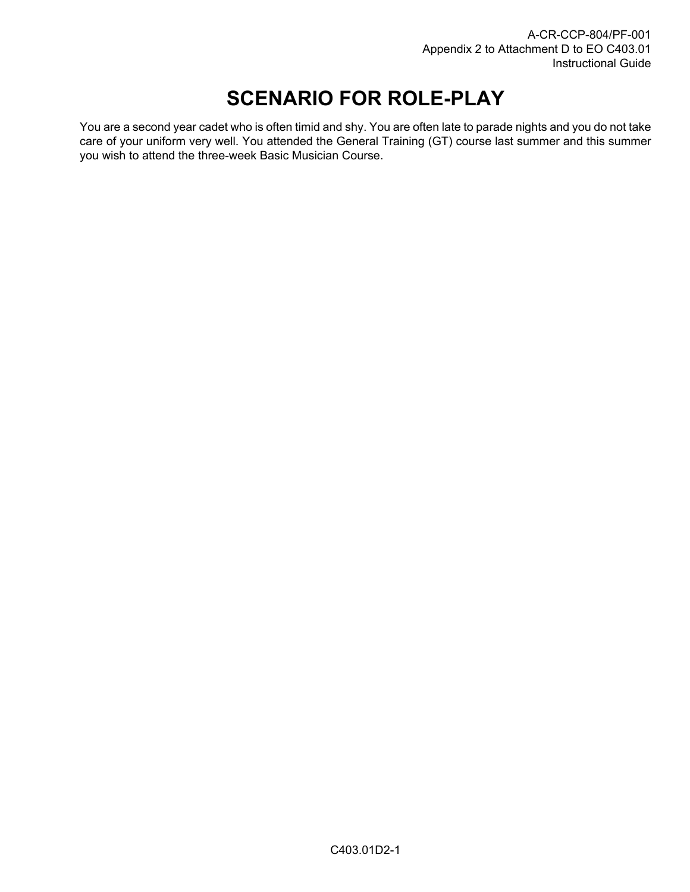## **SCENARIO FOR ROLE-PLAY**

You are a second year cadet who is often timid and shy. You are often late to parade nights and you do not take care of your uniform very well. You attended the General Training (GT) course last summer and this summer you wish to attend the three-week Basic Musician Course.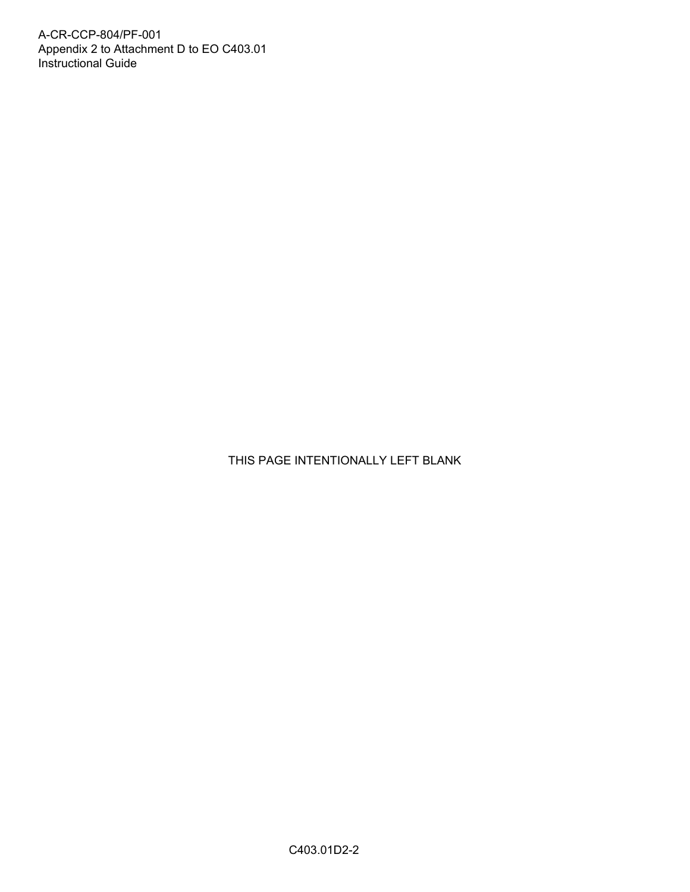A-CR-CCP-804/PF-001 Appendix 2 to Attachment D to EO C403.01 Instructional Guide

THIS PAGE INTENTIONALLY LEFT BLANK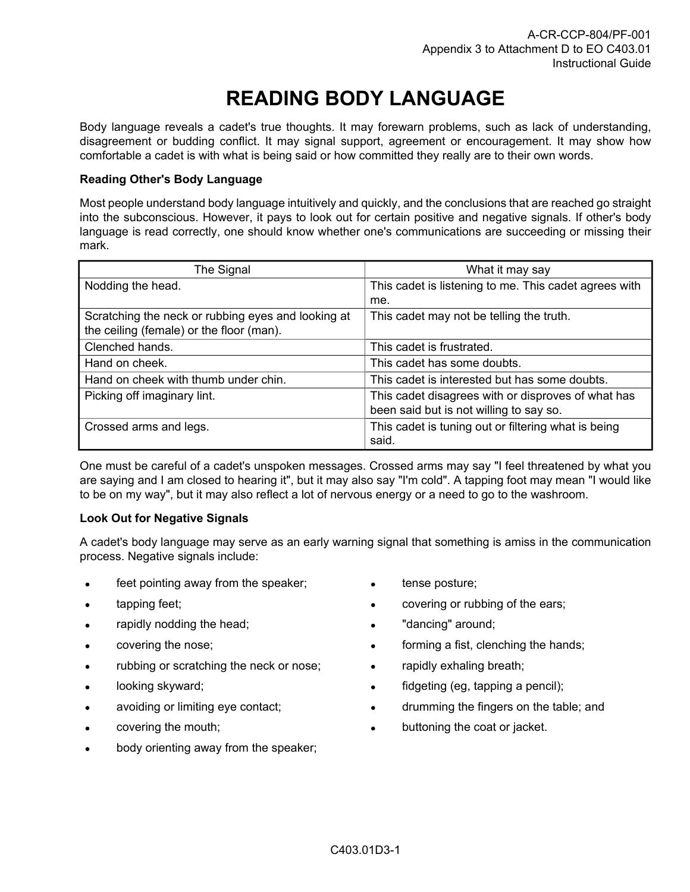# **READING BODY LANGUAGE**

Body language reveals a cadet's true thoughts. It may forewarn problems, such as lack of understanding, disagreement or budding conflict. It may signal support, agreement or encouragement. It may show how comfortable a cadet is with what is being said or how committed they really are to their own words.

## **Reading Other's Body Language**

Most people understand body language intuitively and quickly, and the conclusions that are reached go straight into the subconscious. However, it pays to look out for certain positive and negative signals. If other's body language is read correctly, one should know whether one's communications are succeeding or missing their mark.

| The Signal                                                                                     | What it may say                                              |  |  |
|------------------------------------------------------------------------------------------------|--------------------------------------------------------------|--|--|
| Nodding the head.                                                                              | This cadet is listening to me. This cadet agrees with        |  |  |
|                                                                                                | me.                                                          |  |  |
| Scratching the neck or rubbing eyes and looking at<br>the ceiling (female) or the floor (man). | This cadet may not be telling the truth.                     |  |  |
| Clenched hands.                                                                                | This cadet is frustrated.                                    |  |  |
| Hand on cheek.                                                                                 | This cadet has some doubts.                                  |  |  |
| Hand on cheek with thumb under chin.                                                           | This cadet is interested but has some doubts.                |  |  |
| Picking off imaginary lint.                                                                    | This cadet disagrees with or disproves of what has           |  |  |
|                                                                                                | been said but is not willing to say so.                      |  |  |
| Crossed arms and legs.                                                                         | This cadet is tuning out or filtering what is being<br>said. |  |  |

One must be careful of a cadet's unspoken messages. Crossed arms may say "I feel threatened by what you are saying and I am closed to hearing it", but it may also say "I'm cold". A tapping foot may mean "I would like to be on my way", but it may also reflect a lot of nervous energy or a need to go to the washroom.

## **Look Out for Negative Signals**

A cadet's body language may serve as an early warning signal that something is amiss in the communication process. Negative signals include:

- feet pointing away from the speaker;  $\qquad \qquad \bullet$  tense posture;
- 
- rapidly nodding the head; The same state of the state of the state of the state of the matrix of the state of t  $\bullet$
- 
- rubbing or scratching the neck or nose; **a** rapidly exhaling breath;
- 
- 
- 
- body orienting away from the speaker;
- 
- tapping feet; the covering or rubbing of the ears;
	-
- covering the nose; example a forming a fist, clenching the hands;
	-
- looking skyward; https://www.math.com/solong-skyward; https://www.math.com/solong/solong/solong/solong/solong/
- avoiding or limiting eye contact; **and a** drumming the fingers on the table; and
- covering the mouth; buttoning the coat or jacket.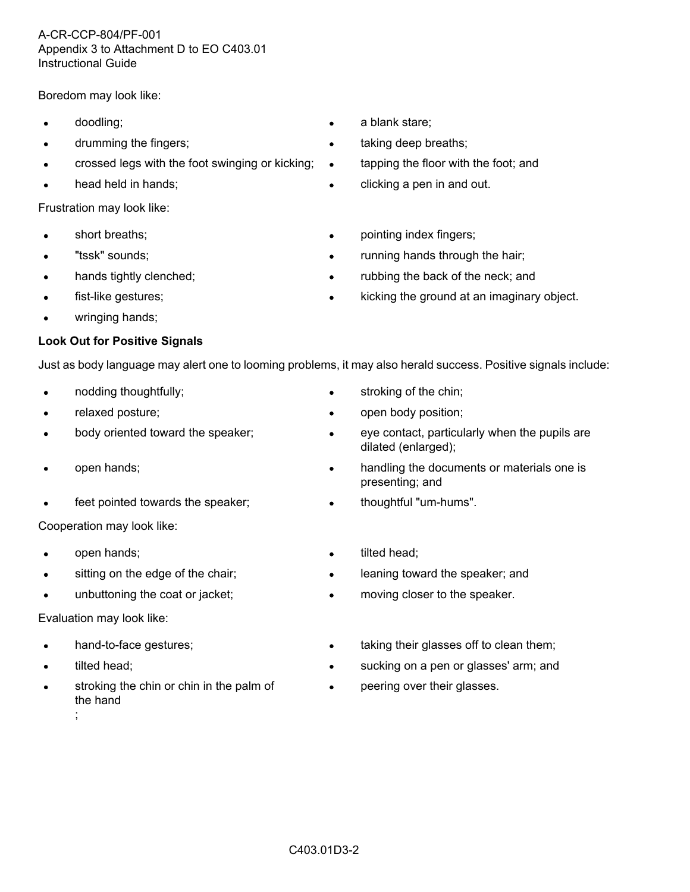Boredom may look like:

- $\bullet$
- 
- crossed legs with the foot swinging or kicking;  $\bullet$  tapping the floor with the foot; and  $\bullet$
- $\bullet$

Frustration may look like:

- $\bullet$
- $\bullet$
- 
- 
- wringing hands;

## **Look Out for Positive Signals**

Just as body language may alert one to looming problems, it may also herald success. Positive signals include:

- $\bullet$
- $\bullet$
- 
- $\bullet$
- feet pointed towards the speaker; **the speaker** of thoughtful "um-hums".

Cooperation may look like:

- $\bullet$
- $\bullet$
- $\bullet$

Evaluation may look like:

- 
- $\bullet$
- stroking the chin or chin in the palm of  $\bullet$ the hand ;
- doodling; a blank stare;
- drumming the fingers; the state of the staking deep breaths;
	-
- head held in hands; head held in hands; head held in hands;
- short breaths; example in the short breaths; pointing index fingers;
- "tssk" sounds; running hands through the hair;
- hands tightly clenched; hands tightly clenched; rubbing the back of the neck; and
- fist-like gestures; https://www.fist-like gestures; https://www.fist-like gestures.com/
- nodding thoughtfully; stroking of the chin;
- relaxed posture; and the contract open body position;
- body oriented toward the speaker; example  $\bullet$  eye contact, particularly when the pupils are dilated (enlarged);
- open hands; handling the documents or materials one is presenting; and
	-
- open hands; tilted head; tilted head;
- sitting on the edge of the chair; **and the speaker**; and **s** leaning toward the speaker; and
- unbuttoning the coat or jacket; **and it is example to the speaker.** The moving closer to the speaker.
- hand-to-face gestures; the stating their glasses off to clean them;
- tilted head; sucking on a pen or glasses' arm; and sucking on a pen or glasses' arm; and
	- peering over their glasses.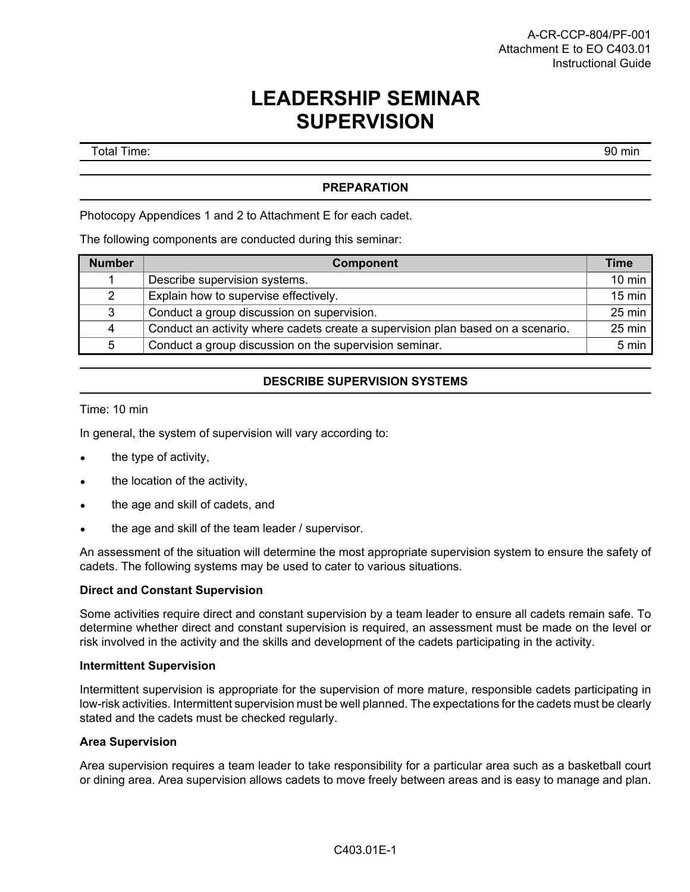## **LEADERSHIP SEMINAR SUPERVISION**

Total Time: 90 min

## **PREPARATION**

Photocopy Appendices 1 and 2 to Attachment E for each cadet.

The following components are conducted during this seminar:

| <b>Number</b>         | <b>Component</b>                                                                | Time             |
|-----------------------|---------------------------------------------------------------------------------|------------------|
|                       | Describe supervision systems.                                                   | $10$ min         |
| $\mathbf{2}^{\prime}$ | Explain how to supervise effectively.                                           | $15 \text{ min}$ |
| 3                     | Conduct a group discussion on supervision.                                      | 25 min           |
| 4                     | Conduct an activity where cadets create a supervision plan based on a scenario. | $25$ min         |
| 5                     | Conduct a group discussion on the supervision seminar.                          | 5 min            |

## **DESCRIBE SUPERVISION SYSTEMS**

Time: 10 min

In general, the system of supervision will vary according to:

- the type of activity,
- the location of the activity,
- the age and skill of cadets, and
- the age and skill of the team leader / supervisor.

An assessment of the situation will determine the most appropriate supervision system to ensure the safety of cadets. The following systems may be used to cater to various situations.

#### **Direct and Constant Supervision**

Some activities require direct and constant supervision by a team leader to ensure all cadets remain safe. To determine whether direct and constant supervision is required, an assessment must be made on the level or risk involved in the activity and the skills and development of the cadets participating in the activity.

#### **Intermittent Supervision**

Intermittent supervision is appropriate for the supervision of more mature, responsible cadets participating in low-risk activities. Intermittent supervision must be well planned. The expectations for the cadets must be clearly stated and the cadets must be checked regularly.

#### **Area Supervision**

Area supervision requires a team leader to take responsibility for a particular area such as a basketball court or dining area. Area supervision allows cadets to move freely between areas and is easy to manage and plan.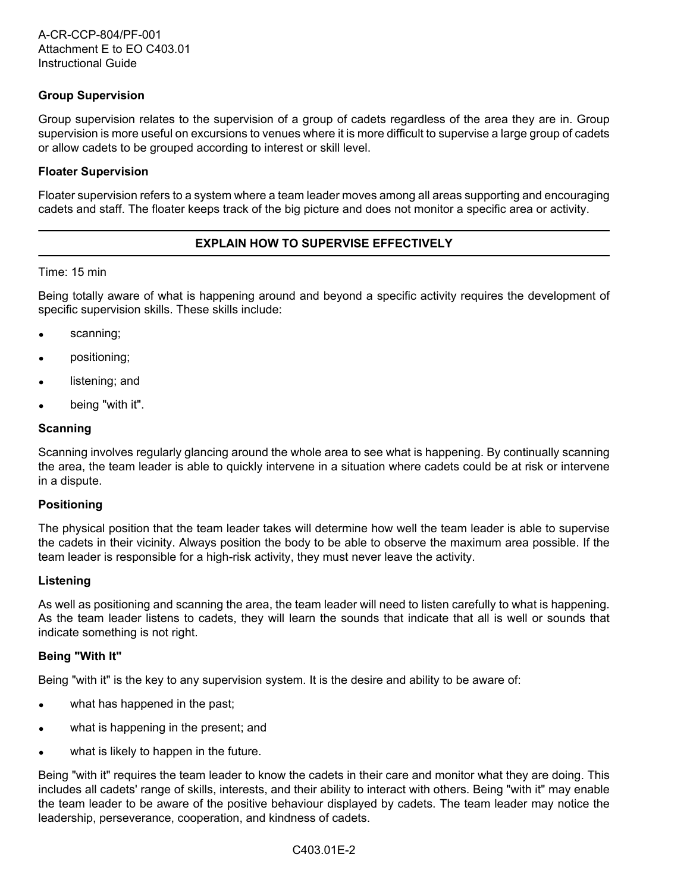A-CR-CCP-804/PF-001 Attachment E to EO C403.01 Instructional Guide

## **Group Supervision**

Group supervision relates to the supervision of a group of cadets regardless of the area they are in. Group supervision is more useful on excursions to venues where it is more difficult to supervise a large group of cadets or allow cadets to be grouped according to interest or skill level.

#### **Floater Supervision**

Floater supervision refers to a system where a team leader moves among all areas supporting and encouraging cadets and staff. The floater keeps track of the big picture and does not monitor a specific area or activity.

## **EXPLAIN HOW TO SUPERVISE EFFECTIVELY**

Time: 15 min

Being totally aware of what is happening around and beyond a specific activity requires the development of specific supervision skills. These skills include:

- scanning;  $\bullet$
- positioning;  $\bullet$
- listening; and  $\bullet$
- being "with it".

#### **Scanning**

Scanning involves regularly glancing around the whole area to see what is happening. By continually scanning the area, the team leader is able to quickly intervene in a situation where cadets could be at risk or intervene in a dispute.

## **Positioning**

The physical position that the team leader takes will determine how well the team leader is able to supervise the cadets in their vicinity. Always position the body to be able to observe the maximum area possible. If the team leader is responsible for a high-risk activity, they must never leave the activity.

#### **Listening**

As well as positioning and scanning the area, the team leader will need to listen carefully to what is happening. As the team leader listens to cadets, they will learn the sounds that indicate that all is well or sounds that indicate something is not right.

#### **Being "With It"**

Being "with it" is the key to any supervision system. It is the desire and ability to be aware of:

- what has happened in the past;
- what is happening in the present; and
- what is likely to happen in the future.

Being "with it" requires the team leader to know the cadets in their care and monitor what they are doing. This includes all cadets' range of skills, interests, and their ability to interact with others. Being "with it" may enable the team leader to be aware of the positive behaviour displayed by cadets. The team leader may notice the leadership, perseverance, cooperation, and kindness of cadets.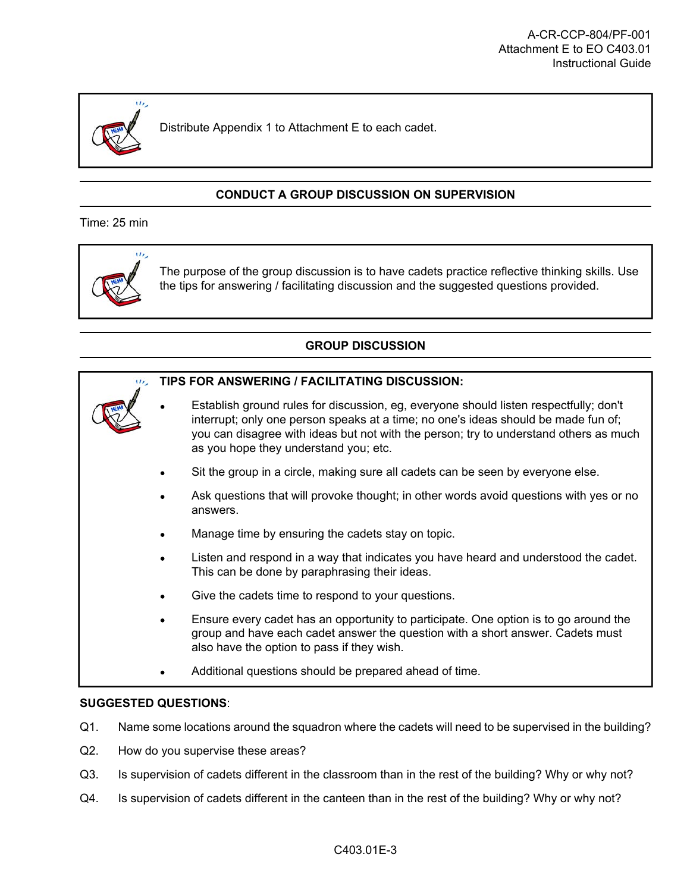

Distribute Appendix 1 to Attachment E to each cadet.

## **CONDUCT A GROUP DISCUSSION ON SUPERVISION**

## Time: 25 min



The purpose of the group discussion is to have cadets practice reflective thinking skills. Use the tips for answering / facilitating discussion and the suggested questions provided.

## **GROUP DISCUSSION**



## **SUGGESTED QUESTIONS**:

- Q1. Name some locations around the squadron where the cadets will need to be supervised in the building?
- Q2. How do you supervise these areas?
- Q3. Is supervision of cadets different in the classroom than in the rest of the building? Why or why not?
- Q4. Is supervision of cadets different in the canteen than in the rest of the building? Why or why not?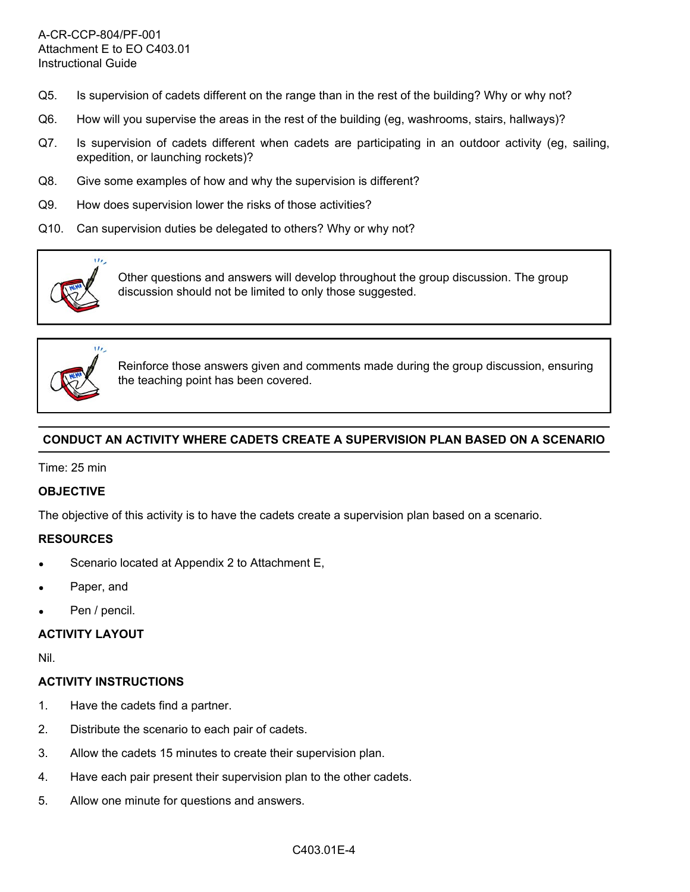A-CR-CCP-804/PF-001 Attachment E to EO C403.01 Instructional Guide

- Q5. Is supervision of cadets different on the range than in the rest of the building? Why or why not?
- Q6. How will you supervise the areas in the rest of the building (eg, washrooms, stairs, hallways)?
- Q7. Is supervision of cadets different when cadets are participating in an outdoor activity (eg, sailing, expedition, or launching rockets)?
- Q8. Give some examples of how and why the supervision is different?
- Q9. How does supervision lower the risks of those activities?
- Q10. Can supervision duties be delegated to others? Why or why not?



Other questions and answers will develop throughout the group discussion. The group discussion should not be limited to only those suggested.



Reinforce those answers given and comments made during the group discussion, ensuring the teaching point has been covered.

## **CONDUCT AN ACTIVITY WHERE CADETS CREATE A SUPERVISION PLAN BASED ON A SCENARIO**

Time: 25 min

#### **OBJECTIVE**

The objective of this activity is to have the cadets create a supervision plan based on a scenario.

#### **RESOURCES**

- Scenario located at Appendix 2 to Attachment E,
- Paper, and
- Pen / pencil.

## **ACTIVITY LAYOUT**

Nil.

## **ACTIVITY INSTRUCTIONS**

- 1. Have the cadets find a partner.
- 2. Distribute the scenario to each pair of cadets.
- 3. Allow the cadets 15 minutes to create their supervision plan.
- 4. Have each pair present their supervision plan to the other cadets.
- 5. Allow one minute for questions and answers.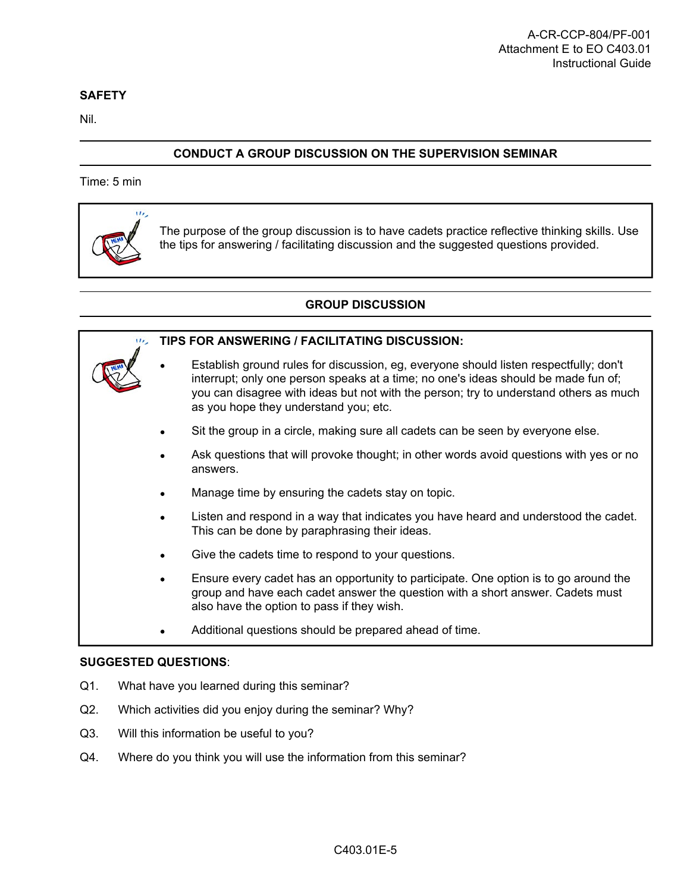## **SAFETY**

Nil.

## **CONDUCT A GROUP DISCUSSION ON THE SUPERVISION SEMINAR**

Time: 5 min



The purpose of the group discussion is to have cadets practice reflective thinking skills. Use the tips for answering / facilitating discussion and the suggested questions provided.

## **GROUP DISCUSSION**



## **SUGGESTED QUESTIONS**:

- Q1. What have you learned during this seminar?
- Q2. Which activities did you enjoy during the seminar? Why?
- Q3. Will this information be useful to you?
- Q4. Where do you think you will use the information from this seminar?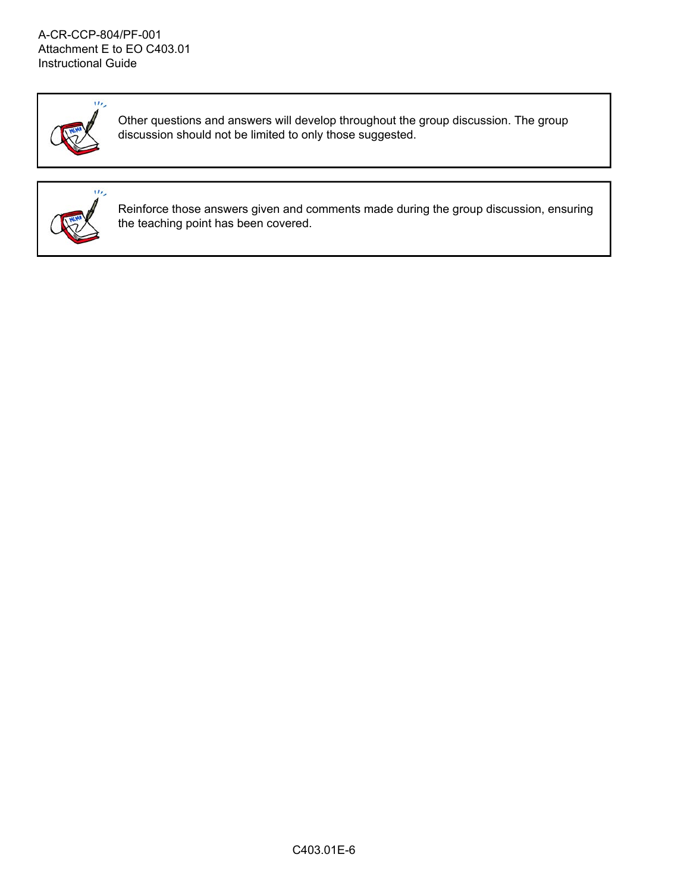

Other questions and answers will develop throughout the group discussion. The group discussion should not be limited to only those suggested.



Reinforce those answers given and comments made during the group discussion, ensuring the teaching point has been covered.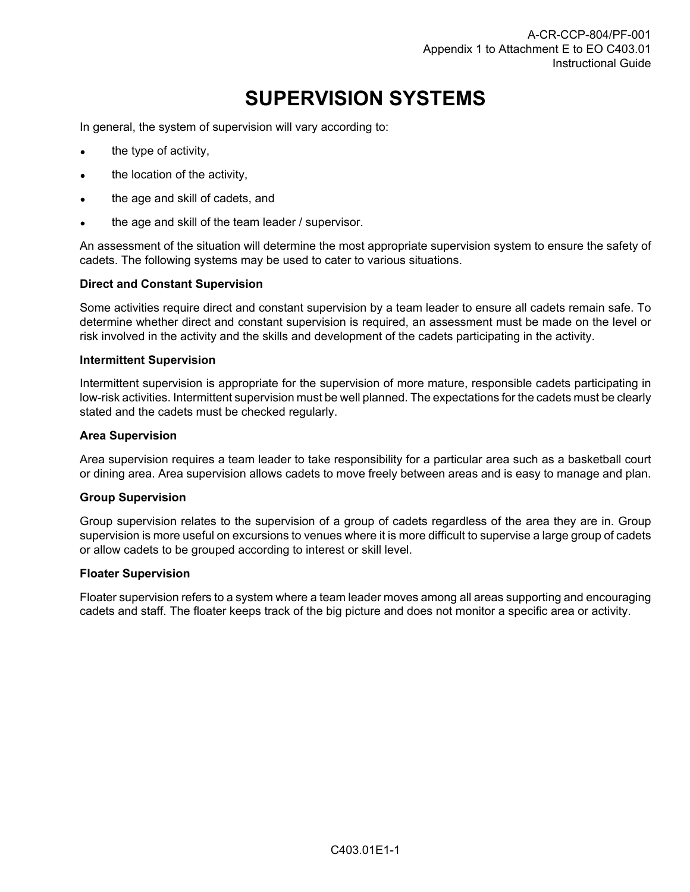## **SUPERVISION SYSTEMS**

In general, the system of supervision will vary according to:

- $\bullet$ the type of activity,
- the location of the activity,
- the age and skill of cadets, and
- the age and skill of the team leader / supervisor.

An assessment of the situation will determine the most appropriate supervision system to ensure the safety of cadets. The following systems may be used to cater to various situations.

#### **Direct and Constant Supervision**

Some activities require direct and constant supervision by a team leader to ensure all cadets remain safe. To determine whether direct and constant supervision is required, an assessment must be made on the level or risk involved in the activity and the skills and development of the cadets participating in the activity.

#### **Intermittent Supervision**

Intermittent supervision is appropriate for the supervision of more mature, responsible cadets participating in low-risk activities. Intermittent supervision must be well planned. The expectations for the cadets must be clearly stated and the cadets must be checked regularly.

#### **Area Supervision**

Area supervision requires a team leader to take responsibility for a particular area such as a basketball court or dining area. Area supervision allows cadets to move freely between areas and is easy to manage and plan.

#### **Group Supervision**

Group supervision relates to the supervision of a group of cadets regardless of the area they are in. Group supervision is more useful on excursions to venues where it is more difficult to supervise a large group of cadets or allow cadets to be grouped according to interest or skill level.

#### **Floater Supervision**

Floater supervision refers to a system where a team leader moves among all areas supporting and encouraging cadets and staff. The floater keeps track of the big picture and does not monitor a specific area or activity.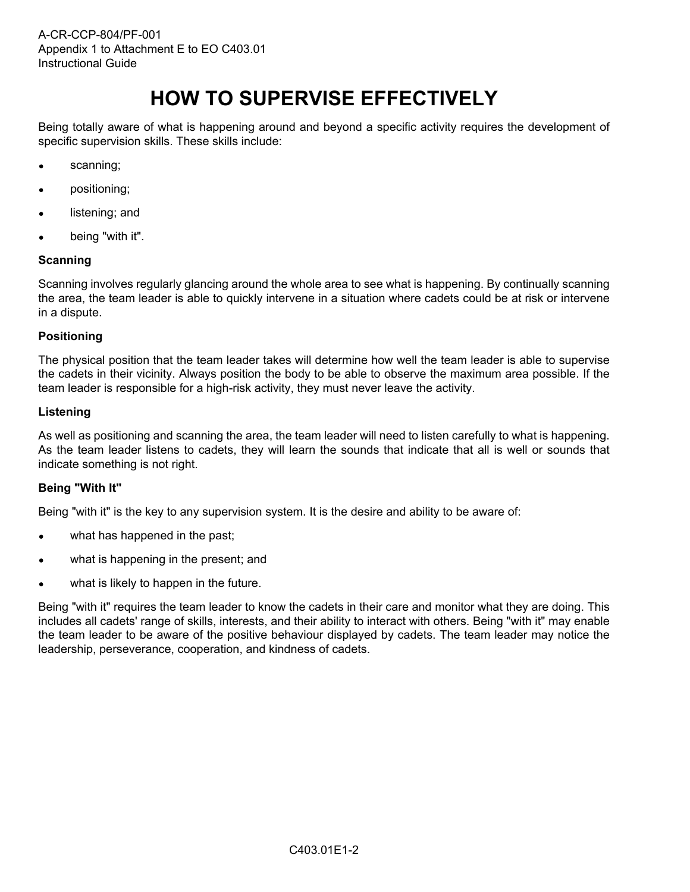## **HOW TO SUPERVISE EFFECTIVELY**

Being totally aware of what is happening around and beyond a specific activity requires the development of specific supervision skills. These skills include:

- scanning;
- positioning;
- listening; and
- being "with it".

## **Scanning**

Scanning involves regularly glancing around the whole area to see what is happening. By continually scanning the area, the team leader is able to quickly intervene in a situation where cadets could be at risk or intervene in a dispute.

#### **Positioning**

The physical position that the team leader takes will determine how well the team leader is able to supervise the cadets in their vicinity. Always position the body to be able to observe the maximum area possible. If the team leader is responsible for a high-risk activity, they must never leave the activity.

## **Listening**

As well as positioning and scanning the area, the team leader will need to listen carefully to what is happening. As the team leader listens to cadets, they will learn the sounds that indicate that all is well or sounds that indicate something is not right.

## **Being "With It"**

Being "with it" is the key to any supervision system. It is the desire and ability to be aware of:

- what has happened in the past;
- what is happening in the present; and
- what is likely to happen in the future.

Being "with it" requires the team leader to know the cadets in their care and monitor what they are doing. This includes all cadets' range of skills, interests, and their ability to interact with others. Being "with it" may enable the team leader to be aware of the positive behaviour displayed by cadets. The team leader may notice the leadership, perseverance, cooperation, and kindness of cadets.